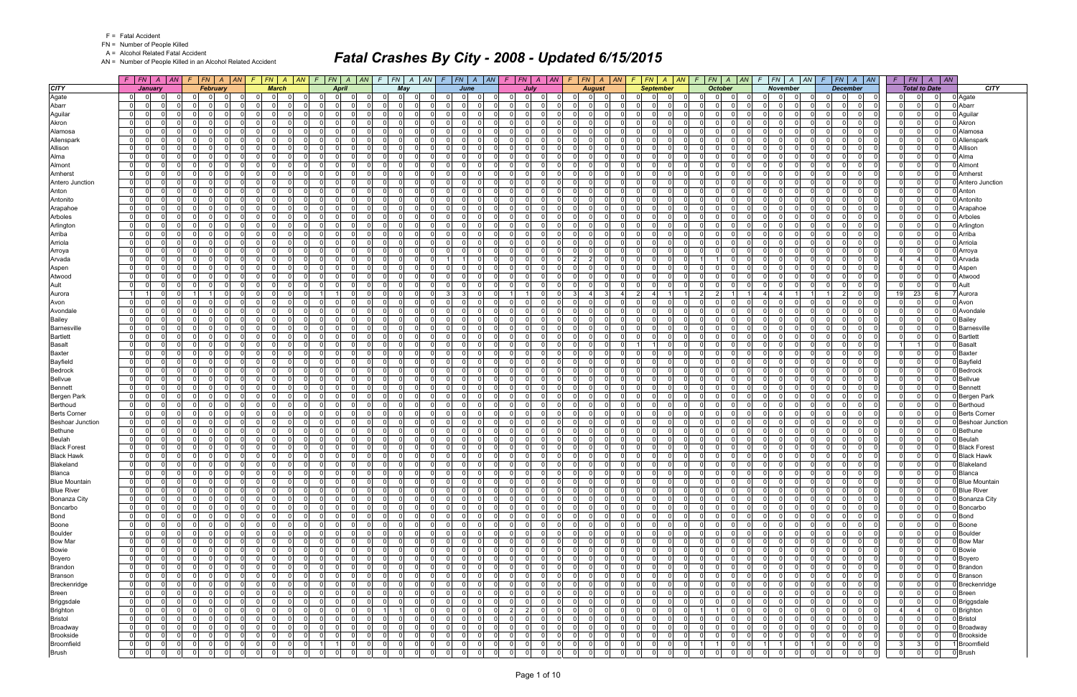FN = Number of People Killed

A = Alcohol Related Fatal Accident

AN = Number of People Killed in an Alcohol Related Accident

|                                                |                                  | $F$ $F$ $A$ $A$                  |                | $F$ $ FN $ $A$ $ AN $ $F$ $ FN $ $A$ $ AN $ $F$ $ FN $ $A$ $ AN $ $F$ $ FN $ $A$ $ AN $ $F$ $ FN $ $A$ $ AN $ |                            |                                  |             |                                         |                      |                      |                         |             |                                |                      |                                  | $F$ $ FN $ $A$ $ AN $       |                      |                            |          | $F$   FN   A   AN   F   FN   A   AN       | $F$   $FN$   $A$   $AN$          |                      | $F$   FN   A   AN   F   FN   A   AN          |                      |                                          | $F$   $FN$ | $A \mid AN$                                  |                                      |
|------------------------------------------------|----------------------------------|----------------------------------|----------------|---------------------------------------------------------------------------------------------------------------|----------------------------|----------------------------------|-------------|-----------------------------------------|----------------------|----------------------|-------------------------|-------------|--------------------------------|----------------------|----------------------------------|-----------------------------|----------------------|----------------------------|----------|-------------------------------------------|----------------------------------|----------------------|----------------------------------------------|----------------------|------------------------------------------|------------|----------------------------------------------|--------------------------------------|
| <b>CITY</b>                                    |                                  | January                          |                | <b>February</b>                                                                                               |                            | <b>March</b>                     |             | <b>April</b>                            |                      |                      | May                     |             | June                           |                      |                                  | July                        |                      | <b>August</b>              |          | <b>September</b>                          | <b>October</b>                   |                      | <b>November</b>                              |                      | <b>December</b>                          |            | <b>Total to Date</b>                         | <b>CITY</b>                          |
| Agate                                          | $\overline{0}$                   | -01                              |                | - 0<br>- 0                                                                                                    | $\Omega$                   | $\Omega$<br>0                    |             | 0 <br>0 I                               |                      | $\Omega$             | $\Omega$<br>$\Omega$    |             | $\Omega$<br>$\Omega$           | $\Omega$             | n I                              | $\Omega$                    | 0                    | $\mathbf 0$                |          | $\Omega$<br><sup>0</sup>                  | $\mathbf 0$                      | - 0                  | $\Omega$<br>$\Omega$                         | 0.                   | $\Omega$<br>0                            |            | $\Omega$                                     | 0 Agate                              |
| Abarr                                          | 0                                | $\Omega$                         |                | $\Omega$                                                                                                      | 0                          | $\Omega$<br>$\Omega$             |             | $\overline{0}$<br>$\mathbf{0}$          |                      | 01                   | $\Omega$                |             | $\Omega$                       | $\Omega$             | $\Omega$<br>$\Omega$             | $\Omega$                    | 0                    | 0                          |          | $\overline{0}$<br>0                       | $\mathbf 0$                      | $\Omega$             | $\Omega$<br>$\Omega$                         | $\Omega$             | $\overline{0}$<br>0                      |            | $\Omega$<br>$\Omega$                         | 0 Abarr                              |
| Aguilar                                        | $\overline{0}$                   | $\Omega$                         | $\Omega$       | $\Omega$<br>$\Omega$                                                                                          | $\Omega$                   | $\Omega$                         | - 0 l       | 0 I<br>-01                              | $\Omega$             | $\Omega$             | $\mathbf 0$             |             | $\Omega$<br>$\Omega$           | $\Omega$             | $\overline{0}$<br>$\Omega$       | n l                         | $\Omega$             | - 0 l                      |          | $\mathbf{0}$<br>$\Omega$                  | $\mathbf 0$                      | $\Omega$             | $\Omega$<br>$\Omega$<br>$\Omega$             | $\Omega$             | n l<br>$\Omega$                          |            | $\Omega$<br>$\Omega$                         | 0 Aguilar                            |
| Akron                                          | $\mathbf{0}$                     | $\Omega$                         |                | $\Omega$<br>$\Omega$                                                                                          | $\Omega$                   | $\Omega$<br>$\Omega$             |             | - Ol<br>$\Omega$                        | $\Omega$             | $\Omega$             | $\Omega$                |             | $\Omega$<br>$\Omega$           | $\Omega$             | $\Omega$<br>$\Omega$             | n l                         | $\Omega$             | $\mathbf 0$<br>- C         |          | -ol<br>$\Omega$                           | $\Omega$                         | $\Omega$             | $\Omega$<br>$\Omega$                         | $\Omega$             | n l<br>$\Omega$                          |            | $\Omega$<br>$\Omega$                         | 0 Akron                              |
| Alamosa                                        | $\overline{0}$                   | $\Omega$<br>$\Omega$             |                | $\Omega$<br>$\Omega$                                                                                          | $\Omega$                   | $\Omega$                         | $\mathbf 0$ | 0 I<br>$\Omega$                         |                      | ΩI                   | $\mathbf 0$             | $\Omega$    | $\Omega$                       | $\Omega$             | - O I<br>$\Omega$                | - Ol                        | $\Omega$             | $\mathbf 0$                |          | -01<br>$\Omega$                           | $\mathbf 0$                      | $\Omega$             | $\Omega$<br>$\Omega$                         | $\Omega$             | - Ol<br>$\Omega$                         |            | $\Omega$<br>$\Omega$                         | 0 Alamosa                            |
| Allenspark                                     | $\overline{0}$                   | $\Omega$                         |                | $\Omega$<br>$\Omega$                                                                                          | $\Omega$                   | $\Omega$<br>$\Omega$             |             | $\Omega$<br>$\Omega$                    | $\Omega$             | $\Omega$             | $\Omega$                |             | $\Omega$<br>$\Omega$           | $\Omega$             | $\Omega$<br>$\Omega$             | n l                         | $\Omega$             | $\Omega$                   |          | $\Omega$<br>$\Omega$                      | $\Omega$                         | $\Omega$             | $\Omega$<br>$\Omega$                         | $\Omega$             | nl<br>$\Omega$                           |            | $\Omega$                                     | 0 Allenspark                         |
| Allison                                        | $\overline{0}$                   | $\Omega$                         | $\Omega$       | $\Omega$<br>$\Omega$                                                                                          | $\Omega$                   | $\Omega$                         | $\mathbf 0$ | 0 I<br>$\overline{0}$                   |                      | $\Omega$             | $\mathbf 0$             |             | $\Omega$<br>$\Omega$           | $\Omega$             | - O I<br>$\Omega$                | 0                           | $\Omega$             | - 0 l                      |          | 0 <br>$\Omega$                            | $\mathbf 0$                      | $\Omega$             | $\Omega$<br>$\Omega$                         | $\Omega$             | - Ol<br>$\Omega$                         |            | $\Omega$<br>- O I                            | 0 Allison                            |
| Alma                                           | $\Omega$                         | $\Omega$                         |                | $\Omega$                                                                                                      | $\Omega$                   | $\Omega$<br>$\Omega$             |             | $\Omega$<br>$\Omega$                    | $\Omega$             | $\Omega$             | $\Omega$                | $\Omega$    | $\Omega$                       | $\Omega$             | $\Omega$<br>$\Omega$             | n l                         | $\Omega$             | $\Omega$                   |          | $\Omega$<br>$\Omega$                      | $\Omega$                         | $\Omega$             | $\Omega$<br>$\Omega$                         | $\Omega$             | n l<br>$\Omega$                          |            | $\Omega$<br>$\Omega$                         | 0 Alma                               |
| Almont                                         | $\overline{0}$                   | $\Omega$<br>$\Omega$             | $\Omega$       | $\Omega$<br>$\Omega$                                                                                          | $\Omega$                   | $\Omega$                         | $\Omega$    | 0 I<br>- 01                             | $\Omega$             | $\Omega$             | $\mathbf 0$             |             | $\Omega$<br>$\Omega$           | $\Omega$             | - O I<br>$\Omega$                | - Ol                        | $\Omega$             | $\mathbf 0$                |          | -01<br>$\Omega$                           | $\mathbf 0$                      | $\Omega$             | $\Omega$<br>$\Omega$                         | $\Omega$             | $\Omega$<br>$\Omega$                     |            | $\Omega$<br>$\Omega$                         | 0 Almont                             |
| Amherst                                        | $\Omega$                         | $\Omega$                         |                | $\Omega$                                                                                                      | $\Omega$                   | $\Omega$<br>$\Omega$             |             | $\Omega$<br>$\Omega$                    |                      | 01                   | $\Omega$                |             | $\Omega$                       | $\Omega$             | $\Omega$                         | n l                         |                      | $\Omega$                   |          | $\Omega$<br>$\Omega$                      | $\Omega$                         | $\Omega$             | $\Omega$<br>$\Omega$                         | $\Omega$             | n l<br>$\Omega$                          |            | $\Omega$                                     | 0 Amherst                            |
| Antero Junction                                | $\overline{0}$                   | $\Omega$                         |                | - O I<br>$\Omega$                                                                                             | $\Omega$                   | $\Omega$                         | $\mathbf 0$ | 0 I<br>$\overline{0}$                   | $\Omega$             | $\Omega$             | $\mathbf 0$             |             | $\Omega$<br>$\Omega$           | $\Omega$             | $\mathbf 0$<br>$\Omega$          | n l                         | $\Omega$             | - 0 l                      |          | $\mathbf{0}$<br>$\Omega$                  | $\mathbf 0$                      | $\Omega$             | $\Omega$<br>$\Omega$                         | $\Omega$             | - Ol<br>$\Omega$                         |            | $\Omega$<br>$\Omega$                         | 0 Antero Junction                    |
| Anton                                          | $\overline{0}$                   | $\Omega$                         |                | $\Omega$<br>$\Omega$                                                                                          | $\Omega$                   | $\Omega$<br>$\Omega$             |             | - Ol<br>$\Omega$                        | $\Omega$             | $\Omega$             | $\Omega$                | $\Omega$    | $\Omega$                       | $\Omega$             | $\Omega$<br>$\Omega$             | n l                         | $\Omega$             | $\mathbf 0$<br>- C         |          | -ol<br>$\Omega$                           | $\mathbf 0$                      | $\Omega$             | $\Omega$<br>$\Omega$                         | $\Omega$             | n l<br>$\Omega$                          |            | $\Omega$<br>$\Omega$                         | 0 Anton                              |
| Antonito                                       | 0                                | $\Omega$                         |                | - 0                                                                                                           | $\Omega$                   | $\Omega$<br>$\Omega$             |             | $\Omega$<br>$\Omega$                    |                      | $\Omega$             | $\Omega$                |             | $\Omega$<br>$\Omega$           | $\Omega$             | $\Omega$<br>-0                   | 0                           | $\Omega$             | $\mathbf 0$                |          | -01<br><sup>0</sup>                       | $\mathbf 0$                      | $\Omega$             | $\Omega$<br>$\Omega$                         | $\Omega$             | .0<br>$\Omega$                           |            | $\Omega$                                     | 0 Antonito                           |
| Arapahoe                                       | $\overline{0}$                   | $\Omega$                         |                | $\Omega$                                                                                                      | $\Omega$                   | $\Omega$<br>$\Omega$             |             | $\Omega$<br>$\Omega$                    |                      | ΩI                   | $\Omega$                |             | $\Omega$<br>$\Omega$           | $\Omega$             | $\Omega$<br>$\Omega$             | nl                          | $\Omega$             | $\Omega$                   |          | - Ol<br>$\Omega$                          | $\Omega$                         | $\Omega$             | $\Omega$<br>$\Omega$                         | $\Omega$             | n l<br>$\Omega$                          |            | $\Omega$                                     | 0 Arapahoe                           |
| Arboles                                        | $\Omega$                         | $\Omega$                         |                | $\Omega$<br>$\Omega$                                                                                          | $\Omega$                   | $\Omega$<br>$\Omega$             |             | $\Omega$<br>0                           |                      | 01                   | $\Omega$                |             | $\Omega$<br>$\Omega$           | $\Omega$             | - O I<br>$\Omega$                | $\Omega$                    | 0                    | $\mathbf 0$                |          | $\overline{0}$<br>$\Omega$                | $\mathbf 0$                      | $\Omega$             | $\Omega$<br>$\Omega$                         | $\Omega$             | $\Omega$<br>$\Omega$                     |            | - 0                                          | 0 Arboles                            |
| Arlington                                      | $\Omega$                         | $\Omega$<br>$\Omega$             | $\Omega$       | $\Omega$<br>$\Omega$                                                                                          | $\Omega$                   | $\Omega$<br>$\Omega$             |             | 0 I<br>-01                              | $\Omega$             | $\Omega$             | $\mathbf 0$<br>$\Omega$ |             | $\Omega$<br>$\Omega$           | $\Omega$             | $\overline{0}$<br>$\Omega$       | $\Omega$                    | $\Omega$             | - 0 l                      |          | $\mathbf{0}$<br>$\Omega$                  | $\Omega$<br>$\mathbf 0$          | $\Omega$             | $\Omega$<br>$\Omega$                         | $\Omega$             | $\Omega$<br>$\Omega$                     |            | $\Omega$<br>$\Omega$                         | 0 Arlington                          |
| Arriba                                         | $\overline{0}$                   | $\Omega$                         | $\Omega$       | $\Omega$<br>$\Omega$                                                                                          | $\Omega$                   | $\Omega$<br>$\Omega$             |             | 0 I<br>$\Omega$                         | $\Omega$             | $\Omega$             | $\mathbf 0$<br>$\Omega$ | $\Omega$    | $\Omega$                       | $\Omega$             | $\Omega$<br>$\Omega$             | $\Omega$                    | $\Omega$             | $\mathbf 0$<br>- 0         |          | -ol<br>$\Omega$                           | $\mathbf 0$<br>$\cap$            | $\Omega$             | $\Omega$<br>$\Omega$                         | $\Omega$             | - Ol<br>$\Omega$                         |            | $\Omega$<br>$\Omega$                         | 0 Arriba                             |
| Arriola                                        | $\overline{0}$                   | $\Omega$                         |                | $\Omega$<br>$\Omega$                                                                                          | $\Omega$                   | $\Omega$                         | $\Omega$    | 0 I<br>$\Omega$                         | $\Omega$             | $\Omega$             | - 0 l<br>$\cap$         |             | $\Omega$<br>$\Omega$           | $\Omega$             | $\mathbf 0$<br>$\Omega$          | $\Omega$                    | $\Omega$             | - 0 l                      |          | 0 <br>$\Omega$                            | $\mathbf 0$                      | $\Omega$             | $\Omega$<br>$\Omega$                         | $\Omega$             | $\Omega$<br>$\Omega$                     |            | $\Omega$<br>$\Omega$                         | 0 Arriola                            |
| Arroya                                         | $\Omega$                         | $\Omega$                         |                | $\Omega$                                                                                                      | $\Omega$                   | $\Omega$<br>$\Omega$             |             | $\Omega$<br>$\Omega$                    |                      | $\Omega$             | $\Omega$                |             | $\Omega$                       | $\Omega$             | $\Omega$<br>$\Omega$             | 0                           | $\Omega$             | - 0 l                      |          | $\Omega$<br>$\Omega$                      | $\Omega$                         | $\Omega$             | $\Omega$<br>$\Omega$                         | $\Omega$             | $\Omega$<br>$\Omega$                     |            | $\Omega$                                     | 0 Arroya                             |
| Arvada                                         | $\overline{0}$                   | $\Omega$<br>$\Omega$             | $\Omega$       | $\Omega$<br>$\Omega$                                                                                          | $\Omega$                   | $\Omega$                         | - 0 l       | 0 I<br>$\mathbf{0}$                     | $\Omega$             | 01                   | $\Omega$<br>$\mathbf 0$ |             | $\mathbf{1}$<br>$\overline{1}$ | $\mathbf 0$          | $\mathbf 0$<br>$\Omega$          | 0 I                         | 2 <sup>1</sup>       | $\vert$ 2<br>- 0           |          | $\mathbf{0}$<br>$\Omega$                  | 11                               | $\Omega$             | $\overline{0}$<br>$\Omega$<br>$\Omega$       | 0 I                  | $\Omega$<br>$\Omega$                     |            | $\Omega$<br>$\overline{a}$                   | 0 Arvada                             |
| Aspen                                          | $\overline{0}$                   | $\Omega$                         |                | $\Omega$<br>$\Omega$                                                                                          | $\Omega$                   | $\Omega$<br>$\Omega$             |             | $\Omega$<br>- 0                         | $\Omega$             | $\Omega$             | $\Omega$                | $\Omega$    | $\Omega$                       | $\Omega$             | $\Omega$<br>$\Omega$             | $\Omega$                    | $\Omega$             | $\mathbf 0$                |          | -ol<br>$\Omega$                           | $\mathbf 0$                      | $\Omega$             | $\Omega$<br>$\Omega$                         | $\Omega$             | $\Omega$<br>$\Omega$                     |            | $\Omega$                                     | 0 Aspen                              |
| Atwood                                         | $\overline{0}$                   | $\Omega$<br>$\Omega$             | $\Omega$       | $\Omega$<br>$\Omega$                                                                                          | $\Omega$                   | $\Omega$                         | $\Omega$    | 0 I<br>$\Omega$                         | $\Omega$             | $\Omega$             | - 0 l<br>$\cap$         |             | $\Omega$<br>$\Omega$           | $\Omega$             | $\overline{0}$<br>$\Omega$       | $\Omega$                    | $\Omega$             | $\mathbf{0}$               |          | 0 <br>$\Omega$                            | $\Omega$<br>- 0 l                | $\Omega$             | $\Omega$<br>$\Omega$<br>$\Omega$             | $\Omega$             | $\Omega$<br>$\Omega$                     |            | $\Omega$<br>$\Omega$                         | 0 Atwood                             |
| Ault                                           | $\Omega$                         | $\Omega$                         |                | $\Omega$<br>$\Omega$                                                                                          | $\Omega$                   | $\Omega$<br>$\Omega$             |             | $\Omega$<br>$\Omega$                    |                      | $\overline{0}$       | $\Omega$                |             | $\Omega$                       | $\Omega$             | $\Omega$<br>$\Omega$             | $\Omega$                    | 0                    | $\mathbf 0$                |          | $\mathbf{0}$<br>$\Omega$                  | $\mathbf 0$                      | $\Omega$             | $\Omega$<br>$\Omega$                         | $\Omega$             | $\Omega$<br>$\Omega$                     |            | 0<br>$\Omega$                                | 0 Ault                               |
| Aurora                                         |                                  | $\Omega$                         |                | $\vert$ 1<br>$\Omega$                                                                                         | $\Omega$                   | $\Omega$                         | - 0 l       |                                         | $\Omega$             | 0I                   | $\mathbf 0$<br>$\Omega$ | -3          | 3                              | $\Omega$             | $\overline{1}$                   | $\Omega$                    | -3 I                 | $\overline{4}$             |          | 2                                         | 2 <sup>1</sup><br>$\overline{2}$ |                      | $\overline{4}$<br>$\Delta$                   |                      | 2 <br>$\Omega$                           | 19         | 23<br>6                                      | 7 <b>I</b> Aurora                    |
| Avon                                           | $\overline{0}$                   | $\Omega$                         |                | $\Omega$<br>$\Omega$                                                                                          | $\Omega$                   | $\Omega$<br>$\Omega$             |             | 0 I<br>$\Omega$                         | $\Omega$             | $\Omega$             | $\mathbf 0$             | - 0         | $\Omega$                       | $\Omega$             | $\Omega$<br>$\Omega$             | - Ol                        | $\Omega$             | $\mathbf 0$<br>- C         |          | -ol<br>$\Omega$                           | $\mathbf 0$                      | $\Omega$             | $\Omega$<br>$\Omega$                         | $\Omega$             | - Ol<br>$\Omega$                         |            | $\Omega$<br>$\Omega$                         | 0 Avon                               |
| Avondale                                       | $\Omega$                         | $\Omega$                         |                | $\Omega$<br>n                                                                                                 | $\Omega$                   | $\Omega$                         | $\mathbf 0$ | 0 I<br>$\Omega$                         | $\Omega$             | $\Omega$             | $\mathbf 0$             |             | $\Omega$<br>$\Omega$           | $\Omega$             | - O I<br>$\Omega$                | - Ol                        | $\Omega$             | $\mathbf 0$                |          | -01<br>$\Omega$                           | $\mathbf 0$                      | $\Omega$             | $\Omega$<br>$\Omega$                         | $\Omega$             | $\Omega$<br>$\Omega$                     |            | $\Omega$<br>$\Omega$                         | 0 Avondale                           |
| <b>Bailey</b>                                  | $\Omega$                         | $\Omega$                         |                | $\Omega$                                                                                                      |                            | $\Omega$<br>$\Omega$             |             | $\Omega$<br>$\Omega$                    |                      | $\Omega$             | $\Omega$                |             | $\Omega$                       | $\Omega$             | $\Omega$                         | <sup>0</sup>                | $\Omega$             | $\Omega$                   |          | $\Omega$<br>$\Omega$                      | $\Omega$                         | n                    | $\Omega$<br><sup>n</sup>                     | $\Omega$             | $\Omega$<br>$\Omega$                     |            | $\Omega$                                     | 0 Bailey                             |
| <b>Barnesville</b>                             | $\overline{0}$                   | $\Omega$                         |                | $\Omega$<br>$\Omega$                                                                                          | $\Omega$                   | $\Omega$<br>$\Omega$             |             | 0 I<br>$\Omega$                         |                      | $\Omega$             | $\Omega$                |             | $\Omega$                       | $\Omega$             | - O I<br>$\Omega$                | n l                         | $\Omega$             | - 0 l                      |          | $\overline{0}$<br>$\Omega$                | $\mathbf 0$                      | $\Omega$             | $\Omega$<br>$\Omega$                         | $\Omega$             | - Ol<br>$\Omega$                         |            | $\Omega$                                     | 0 Barnesville                        |
| <b>Bartlett</b>                                | $\Omega$                         | $\Omega$                         |                | $\Omega$                                                                                                      | $\Omega$                   | $\Omega$<br>$\Omega$             |             | $\Omega$<br>$\Omega$                    |                      | $\Omega$             | $\Omega$                |             | $\Omega$                       | $\Omega$             | $\Omega$<br>$\Omega$             | n l                         | $\Omega$             | $\Omega$                   |          | $\Omega$<br>$\Omega$                      | $\Omega$                         | $\Omega$             | $\Omega$<br>$\Omega$                         | $\Omega$             | - Ol<br>$\Omega$                         |            | $\Omega$                                     | 0 Bartlett                           |
| <b>Basalt</b>                                  | $\mathbf{0}$                     | $\Omega$                         | $\Omega$       | $\Omega$<br>$\Omega$                                                                                          | $\Omega$                   | $\Omega$<br>$\Omega$             |             | 0 I<br>$\Omega$                         | $\Omega$             | $\Omega$             | - 0 l                   |             | $\Omega$<br>$\Omega$           | $\Omega$             | $\Omega$<br>$\Omega$             | - Ol                        | $\Omega$             | $\mathbf 0$                |          | $\vert$ 1<br>$\Omega$                     | $\mathbf 0$                      | $\Omega$             | $\Omega$<br>$\Omega$                         | $\Omega$             | $\Omega$<br>$\Omega$                     |            | $\Omega$                                     | 0 Basalt                             |
| <b>Baxter</b>                                  | $\mathbf 0$                      | $\Omega$                         |                | $\Omega$                                                                                                      | 0                          | $\Omega$<br>$\Omega$             |             | 0 <br>$\Omega$                          |                      | $\overline{0}$       | $\Omega$                |             | $\Omega$                       | $\Omega$             | $\Omega$<br>$\Omega$             | n l                         | $\Omega$             | - 0 l                      |          | $\mathbf{0}$<br>$\Omega$                  | $\Omega$                         | $\Omega$             | $\Omega$<br>$\Omega$                         | $\Omega$             | n l<br>$\Omega$                          |            | $\Omega$                                     | 0 Baxter                             |
| Bayfield                                       | $\overline{0}$                   | $\Omega$                         |                | $\Omega$                                                                                                      | $\Omega$                   | $\Omega$<br>$\Omega$             |             | 0 I<br>$\Omega$                         | O                    | $\Omega$             | $\Omega$                |             | $\Omega$                       | $\Omega$             | $\overline{0}$<br>$\Omega$       | n l                         | $\Omega$             | - 0 l                      |          | $\Omega$<br>$\Omega$                      | $\mathbf 0$                      | $\Omega$             | $\Omega$<br>$\Omega$                         | $\Omega$             | nl<br>$\Omega$                           |            | $\Omega$                                     | 0 Bayfield                           |
| Bedrock                                        | $\overline{0}$                   | $\Omega$                         |                | $\Omega$<br>$\Omega$                                                                                          | $\Omega$                   | $\Omega$<br>$\Omega$             |             | 0 I<br>$\Omega$                         | $\Omega$             | $\Omega$             | $\Omega$                |             | $\Omega$<br>$\Omega$           | $\Omega$             | $\Omega$<br>$\Omega$             | n l                         | $\Omega$             | $\mathbf 0$                |          | 0 <br>$\Omega$                            | $\mathbf 0$                      | $\Omega$             | $\Omega$<br>$\Omega$                         | $\Omega$             | - Ol<br>$\Omega$                         |            | $\Omega$<br>$\Omega$                         | <b>Bedrock</b>                       |
| <b>Bellvue</b>                                 | $\overline{0}$                   | $\Omega$                         |                | $\Omega$<br>$\Omega$                                                                                          | $\Omega$                   | $\Omega$<br>$\Omega$             |             | 0 I<br>$\Omega$                         | $\Omega$             | ΩI                   | $\Omega$                | $\Omega$    | $\Omega$                       | $\Omega$             | $\Omega$<br>$\Omega$             | - Ol                        | $\Omega$             | $\mathbf 0$                |          | -ol<br>$\Omega$                           | $\Omega$                         | $\Omega$             | $\Omega$<br>$\Omega$                         | $\Omega$             | - Ol<br>$\Omega$                         |            | $\Omega$<br>$\Omega$                         | 0 Bellvue                            |
| <b>Bennett</b>                                 | $\overline{0}$                   | $\Omega$                         |                | $\Omega$                                                                                                      | $\Omega$                   | $\Omega$<br>$\Omega$             |             | $\Omega$<br>$\Omega$                    | $\Omega$             | $\Omega$             | $\Omega$                |             | $\Omega$                       | $\Omega$             | $\Omega$<br>$\Omega$             | n l                         | $\Omega$             | - 0 l                      |          | $\Omega$<br>$\Omega$                      | - Ol                             | $\Omega$             | $\Omega$<br>$\Omega$                         | $\Omega$             | n l<br>$\Omega$                          |            | $\Omega$                                     | 0 Bennet                             |
| Bergen Park                                    | $\overline{0}$                   | $\Omega$                         |                | $\Omega$<br>$\Omega$                                                                                          | $\Omega$                   | $\Omega$<br>$\Omega$             |             | 0 I<br>$\overline{0}$                   |                      | $\Omega$             | $\mathbf 0$             |             | $\Omega$                       | $\Omega$             | $\Omega$<br>$\Omega$             | n l                         | $\Omega$             | - 0 l                      |          | $\Omega$<br>$\Omega$                      | $\mathbf 0$                      | $\Omega$             | $\Omega$<br>$\Omega$                         | $\Omega$             | - Ol<br>$\Omega$                         |            | $\Omega$<br>$\Omega$                         | 0 Bergen Park                        |
| Berthoud                                       | $\overline{0}$                   | $\Omega$<br>$\Omega$             | $\Omega$       | $\Omega$<br>$\Omega$<br>$\Omega$<br>$\Omega$                                                                  | $\Omega$<br>$\Omega$       | $\Omega$<br>$\Omega$<br>$\Omega$ |             | $\Omega$<br>$\Omega$<br>0 I<br>$\Omega$ | $\Omega$<br>$\Omega$ | $\Omega$<br>$\Omega$ | $\Omega$<br>$\Omega$    | $\Omega$    | $\Omega$<br>$\Omega$           | $\Omega$<br>$\Omega$ | $\Omega$<br>$\Omega$<br>$\Omega$ | n l<br>$\Omega$             | $\Omega$<br>$\Omega$ | $\mathbf 0$                |          | -ol<br>$\Omega$<br>-01<br>$\Omega$        | $\Omega$<br>$\Omega$             | $\Omega$<br>$\Omega$ | $\Omega$<br>$\Omega$<br>$\Omega$<br>$\Omega$ | $\Omega$<br>$\Omega$ | - Ol<br>$\Omega$<br>$\Omega$<br>$\Omega$ |            | $\Omega$<br>$\Omega$<br>$\Omega$<br>$\Omega$ | 0 Berthoud                           |
| <b>Berts Corner</b><br><b>Beshoar Junction</b> | $\overline{0}$<br>$\overline{0}$ | $\Omega$                         |                | $\Omega$<br>n                                                                                                 | $\Omega$                   | $\Omega$<br>$\Omega$<br>$\Omega$ |             | $\Omega$<br>$\Omega$                    |                      | $\Omega$             | $\mathbf 0$<br>$\Omega$ |             | $\Omega$<br>$\Omega$           | $\Omega$             | - O I<br>$\Omega$<br>n           | n l                         | $\Omega$             | $\mathbf 0$<br>$\mathbf 0$ |          | $\Omega$<br>0                             | $\mathbf 0$<br>$\Omega$          | $\Omega$             | $\Omega$<br><sup>n</sup>                     | $\Omega$             | n l<br>$\Omega$                          |            | $\Omega$                                     | 0 Berts Corner<br>0 Beshoar Junction |
| <b>Bethune</b>                                 | 0                                | $\Omega$                         |                | $\Omega$<br>$\Omega$                                                                                          | $\Omega$                   | $\Omega$<br>$\Omega$             |             | 0 <br>$\Omega$                          | $\Omega$             | $\Omega$             | $\Omega$                |             | $\Omega$<br>$\Omega$           | $\Omega$             | - O I<br>$\Omega$                | - Ol                        | $\Omega$             | $\mathbf 0$                |          | $\Omega$<br>$\Omega$                      | $\Omega$                         | $\Omega$             | $\Omega$<br>$\Omega$                         | $\Omega$             | - Ol<br>$\Omega$                         |            | $\Omega$<br>$\Omega$                         | 0 Bethune                            |
| <b>Beulah</b>                                  | $\overline{0}$                   | $\Omega$<br>$\Omega$             |                | $\Omega$<br>$\Omega$                                                                                          | $\Omega$                   | $\Omega$<br>$\Omega$             |             | 0 I<br>-01                              | $\Omega$             | $\Omega$             | $\mathbf 0$             | $\Omega$    | $\Omega$                       | $\Omega$             | $\overline{0}$<br>$\Omega$       | $\Omega$                    | $\Omega$             | - 0 l                      |          | $\mathbf{0}$<br>$\Omega$                  | $\mathbf 0$                      | $\Omega$             | $\Omega$<br>$\Omega$                         | $\Omega$             | $\Omega$<br>$\Omega$                     |            | $\Omega$<br>$\Omega$                         | 0 Beulah                             |
| <b>Black Forest</b>                            | $\overline{0}$                   | $\Omega$<br>0                    |                | - O I<br>$\Omega$                                                                                             | $\Omega$                   | $\Omega$                         | $\mathbf 0$ | $\Omega$<br>$\overline{0}$              | $\Omega$             | $\Omega$             | $\Omega$                | $\Omega$    | $\Omega$                       | $\Omega$             | - O I<br>$\Omega$                | - Ol                        | $\Omega$             | $\mathbf 0$                |          | -01<br>$\Omega$                           | $\mathbf 0$                      | $\Omega$             | $\Omega$<br>$\Omega$                         | $\Omega$             | $\Omega$<br>$\Omega$                     |            | $\Omega$<br>$\Omega$                         | 0 Black Forest                       |
| <b>Black Hawk</b>                              | $\overline{0}$                   | $\Omega$<br>$\Omega$             | $\Omega$       | $\Omega$<br>$\Omega$                                                                                          | $\Omega$                   | $\Omega$                         | $\mathbf 0$ | 0 I<br>-01                              | $\Omega$             | $\Omega$             | - 0 l<br>$\Omega$       |             | $\Omega$<br>$\Omega$           | $\Omega$             | $\mathbf 0$<br>$\Omega$          | $\Omega$                    | $\overline{0}$       | - 0 l                      |          | $\mathbf{0}$<br>$\Omega$<br>$\Omega$      | $\Omega$<br>$\mathbf 0$          | $\Omega$             | $\Omega$<br>$\Omega$<br>$\Omega$             | $\Omega$             | $\Omega$<br>$\Omega$                     |            | $\Omega$<br>$\Omega$                         | 0 Black Hawk                         |
| Blakeland                                      | 0                                | $\Omega$<br>$\overline{0}$       | $\Omega$       | - O I<br>$\Omega$                                                                                             | $\mathbf 0$                | $\overline{0}$                   | $\mathbf 0$ | $\overline{0}$<br> 0                    | $\Omega$             | $\overline{0}$       | $\Omega$<br>$\Omega$    |             | $\Omega$<br>$\Omega$           | $\Omega$             | 0 <br>$\Omega$                   | - Ol                        | $\overline{0}$       | - 0 l                      |          | $\overline{0}$<br>$\Omega$<br>$\Omega$    | $\Omega$<br>$\mathbf 0$          | $\Omega$             | $\overline{0}$<br>$\Omega$                   | $\Omega$             | - Ol<br>$\Omega$                         |            | $\Omega$<br>$\Omega$                         | 0 Blakeland                          |
| <b>Blanca</b>                                  | 0                                | $\overline{0}$<br>$\overline{0}$ |                | - O I<br>$\Omega$                                                                                             | 0                          | $\overline{0}$                   | 0           | 0 <br> 0                                | $\mathbf 0$          | $\overline{0}$       | $\Omega$<br> 0          |             | $\overline{0}$                 | $\Omega$             | $\Omega$<br>$\Omega$             | 0l                          | $\Omega$             | 0 <br>$\Omega$             |          | $\overline{0}$<br>0                       | 0                                | $\Omega$             | $\overline{0}$<br>$\mathbf 0$                | $\Omega$             | 0 <br>$\mathbf 0$                        |            | $\Omega$<br>0                                | 0 Blanca                             |
| <b>Blue Mountain</b>                           | $\overline{0}$                   | $\Omega$<br>$\overline{0}$       | $\Omega$       | - O I<br>$\Omega$                                                                                             | $\overline{0}$             | 0                                | 0           | $\overline{0}$<br> 0                    | $\Omega$             | $\Omega$             | $\overline{0}$<br> 0    |             | 0 <br>$\Omega$                 | - O I                | - O I<br>$\Omega$                | 01                          | $\overline{0}$       | 0 <br>$\Omega$             |          | 0 <br>$\Omega$<br>0                       | $\Omega$<br> 0                   | $\Omega$             | $\Omega$<br>$\mathbf 0$<br>$\Omega$          | $\mathbf 0$          | 0 I<br>$\mathbf 0$                       |            | $\Omega$<br>$\Omega$                         | 0 Blue Mountain                      |
| <b>Blue River</b>                              | $\overline{0}$                   | $\overline{0}$<br>$\Omega$       |                | $\Omega$<br>$\Omega$                                                                                          | $\mathbf 0$                | $\Omega$                         | - 0 l       | $\overline{0}$<br> 0                    | $\Omega$             | $\Omega$             | - Ol<br>- 0 l           |             | $\overline{0}$<br>$\Omega$     | $\Omega$             | $\mathbf 0$<br>$\Omega$          | 0 I                         | $\Omega$             | 0 <br>$\Omega$             |          | 0 <br>$\Omega$<br>$\Omega$                | - 0 l                            | $\Omega$             | $\overline{0}$<br>$\overline{0}$             | $\Omega$             | 0 I<br>$\mathbf 0$                       |            | $\Omega$<br>$\mathbf 0$                      | 0 Blue River                         |
| Bonanza City                                   | 0                                | $\Omega$<br>$\mathbf 0$          | - 0 l          | $\mathbf 0$<br>$\Omega$                                                                                       | $\mathbf 0$                | 0 <br> 0                         |             | $\overline{0}$<br> 0                    | $\mathbf 0$          | $\overline{0}$       | $\overline{0}$<br> 0    |             | $\mathbf 0$<br>$\overline{0}$  | $\mathbf 0$          | $\mathbf 0$<br>$\mathbf{0}$      | $\overline{0}$              | $\overline{0}$       | $\overline{0}$<br>- 0      |          | 0 <br>0<br>$\Omega$                       | $\Omega$<br>01                   | $\mathbf 0$          | $\overline{0}$<br>$\mathbf 0$<br>$\Omega$    | 0                    | 0 <br>$\overline{0}$                     | $\Omega$   | $\Omega$<br>$\mathbf 0$                      | 0 Bonanza City                       |
| Boncarbo                                       | $\overline{0}$                   | $\Omega$<br>$\Omega$             | $\Omega$       | $\overline{0}$<br>$\Omega$                                                                                    | $\overline{0}$             | 0                                | 0           | $\overline{0}$<br>$\overline{0}$        | $\mathbf 0$          | $\overline{0}$       | 0 <br>$\overline{0}$    |             | 0 <br> 0                       | $\mathbf 0$          | $\mathbf 0$                      | $\overline{0}$<br>0 I       | 0                    | $\overline{0}$<br>$\Omega$ |          | 0 <br> 0 <br>$\Omega$                     | $\Omega$<br>$\overline{0}$       | $\Omega$             | 0 <br>$\mathbf 0$<br>- 0 l                   | $\overline{0}$       | 0 <br>$\mathbf 0$                        | $\Omega$   | $\overline{0}$<br>$\mathbf 0$                | 0 Boncarbo                           |
| <b>Bond</b>                                    | 0                                | $\Omega$<br>- 0                  | $\Omega$       | - O I<br>$\Omega$                                                                                             | $\mathbf 0$                | $\mathbf{0}$<br> 0               |             | $\overline{0}$<br> 0                    | $\overline{0}$       | $\overline{0}$       | 0 <br>- 01              |             | 0 <br>$\overline{0}$           | $\mathbf 0$          | $\mathbf 0$<br>$\Omega$          | $\overline{0}$              | $\Omega$             | 0 <br>- 0                  |          | 0 <br>$\Omega$<br>$\mathbf 0$             | $\Omega$<br> 0                   | $\Omega$             | $\overline{0}$<br>$\mathbf 0$<br>$\Omega$    | $\mathbf 0$          | $\mathbf 0$<br>01                        |            | $\Omega$<br> 0                               | 0 Bond                               |
| Boone                                          | 0                                | $\Omega$<br>$\Omega$             | 0 I            | $\overline{0}$<br>$\Omega$                                                                                    | $\overline{0}$             | 0 <br>$\overline{0}$             |             | 0 <br> 0                                | $\Omega$             | $\overline{0}$       | 0 <br>$\overline{0}$    |             | $\overline{0}$<br>$\mathbf{0}$ | $\mathbf 0$          | 0                                | $\overline{0}$<br>0 I       | $\overline{0}$       | $\overline{0}$<br>$\Omega$ |          | $\overline{0}$<br>$\mathbf 0$<br>$\Omega$ | $\Omega$<br>$\overline{0}$       | $\Omega$             | $\overline{0}$<br>$\mathbf 0$<br>$\mathbf 0$ | $\overline{0}$       | 0 <br> 0                                 | $\Omega$   | $\Omega$<br>$\mathbf 0$                      | 0 Boone                              |
| <b>Boulder</b>                                 | $\mathbf 0$                      | $\Omega$                         | $\Omega$       | - O I<br>-0                                                                                                   | 0                          | 0                                | 0           | 0 <br> 0                                |                      | 0                    | 0                       |             | $\Omega$                       | $\mathbf 0$          | $\mathbf 0$<br>$\Omega$          | 0                           | 0                    | $\mathbf 0$                |          | $\mathbf 0$<br>0                          | 0                                | $\Omega$             | $\overline{0}$<br>$\mathbf 0$                | $\Omega$             | $\Omega$<br>0                            |            | $\Omega$<br>$\Omega$                         | 0 Boulder                            |
| <b>Bow Mar</b>                                 | $\overline{0}$                   | $\Omega$<br>$\Omega$             | $\mathbf 0$    | - O I<br>$\Omega$                                                                                             | $\overline{0}$             | 0 <br>$\Omega$                   |             | 0 <br> 0                                | $\mathbf 0$          | $\overline{0}$       | $\overline{0}$<br> 0    |             | $\Omega$<br>-01                | $\mathbf 0$          | 0                                | $\overline{0}$<br>0 I       | 0 I                  | $\overline{0}$<br>- 0      |          | $\overline{0}$<br> 0 <br>$\Omega$         | $\Omega$<br>01                   | $\Omega$             | $\overline{0}$<br>$\mathbf 0$<br>$\Omega$    | $\overline{0}$       | 0 I<br>$\mathbf 0$                       |            | $\Omega$<br>- O I                            | 0 Bow Mar                            |
| <b>Bowie</b>                                   | 0                                | $\Omega$                         | $\Omega$       | $\mathbf 0$<br>$\Omega$                                                                                       | $\mathbf 0$                | $\overline{0}$                   | 0           | 0 <br> 0                                | $\Omega$             | $\overline{0}$       | 0 <br>$\Omega$          | $\mathbf 0$ | $\mathbf{0}$                   | $\mathbf 0$          | $\mathbf 0$<br>$\Omega$          | $\overline{0}$              | $\overline{0}$       | 0 <br>$\Omega$             |          | 0 <br>$\mathbf 0$<br>$\Omega$             | $\Omega$<br> 0                   | $\Omega$             | 0 <br>$\mathbf 0$<br>$\Omega$                | $\mathbf 0$          | 0 <br>$\overline{0}$                     |            | $\Omega$<br>$\Omega$                         | 0 Bowie                              |
| Boyero                                         | $\overline{0}$                   | $\Omega$<br>$\Omega$             | $\Omega$       | $\overline{0}$<br>$\Omega$                                                                                    | $\overline{0}$             | $\mathbf{0}$<br> 0               |             | $\overline{0}$<br>$\overline{0}$        | $\Omega$             | $\overline{0}$       | 0 <br>$\Omega$          |             | $\Omega$<br>$\Omega$           | $\mathbf 0$          | $\overline{0}$<br>$\Omega$       | 0 I                         | $\Omega$             | 0 <br>- 0                  |          | $\overline{0}$<br>$\mathbf 0$<br>$\Omega$ | $\Omega$<br> 0                   | $\Omega$             | $\overline{0}$<br>$\mathbf 0$<br>$\Omega$    | $\overline{0}$       | $\overline{0}$<br>$\mathbf 0$            |            | $\Omega$<br> 0                               | 0 Boyero                             |
| Brandon                                        | $\overline{0}$                   | $\Omega$                         | $\Omega$       | $\overline{0}$<br>$\Omega$                                                                                    | $\mathbf 0$                | $\Omega$                         | 0           | 0 <br> 0                                | $\Omega$             | $\mathbf{0}$         | 0 <br>$\Omega$          | $\Omega$    | $\Omega$                       | $\mathbf 0$          | $\mathbf 0$<br>$\Omega$          | $\overline{0}$              | $\overline{0}$       | 0                          |          | 0 <br>$\mathbf 0$                         | 0                                | $\Omega$             | $\overline{0}$<br>$\Omega$<br>$\Omega$       | $\Omega$             | $\overline{0}$<br>$\mathbf 0$            |            | $\Omega$<br>$\Omega$                         | 0 Brandon                            |
| <b>Branson</b>                                 | $\overline{0}$                   | $\Omega$<br>$\Omega$             | $\Omega$       | - O I<br>$\Omega$                                                                                             | $\overline{0}$             | 0 <br>$\overline{0}$             |             | $\overline{0}$<br>$\overline{0}$        | $\Omega$             | $\overline{0}$       | 0 <br>- 01              |             | 0 <br>$\mathbf 0$              | $\mathbf 0$          | $\mathbf 0$                      | $\overline{0}$<br> 0        | 0                    | 0 <br>- 0                  |          | 0 <br>0                                   | $\Omega$<br>01                   | $\Omega$             | $\overline{0}$<br>$\mathbf 0$<br>$\Omega$    | 0                    | 0 I<br>$\mathbf 0$                       |            | $\Omega$<br>- O I                            | 0 Branson                            |
| Breckenridge                                   | $\overline{0}$                   | $\Omega$<br>$\Omega$             | $\Omega$       | $\mathbf 0$<br>$\Omega$                                                                                       | $\mathbf 0$                | $\Omega$                         | 0           | 0 <br> 0                                | $\Omega$             | $\overline{0}$       | 0 <br>$\Omega$          | $\Omega$    | $\mathbf{0}$                   | $\mathbf 0$          | $\mathbf 0$<br>$\Omega$          | $\overline{0}$              | $\Omega$             | 0                          |          | 0 <br>$\Omega$                            | $\Omega$<br>- 0 l                | $\Omega$             | $\overline{0}$<br>$\mathbf 0$                | $\Omega$             | 0 <br>$\overline{0}$                     |            | $\Omega$<br>$\Omega$                         | 0 Breckenridge                       |
| <b>Breen</b>                                   | $\overline{0}$                   | $\Omega$<br>$\Omega$             | $\mathbf 0$    | - O I<br>$\Omega$                                                                                             | $\overline{0}$             | $\overline{0}$<br> 0             |             | $\overline{0}$<br>$\overline{0}$        | $\overline{0}$       | $\overline{0}$       | 0 <br>- 01              |             | - Ol<br>$\Omega$               | $\mathbf 0$          | $\mathbf 0$<br>$\Omega$          | $\overline{0}$              | $\overline{0}$       | $\overline{0}$<br>$\Omega$ |          | $\overline{0}$<br>$\mathbf 0$<br>$\Omega$ | $\Omega$<br>01                   | $\Omega$             | $\overline{0}$<br>$\mathbf 0$<br>$\Omega$    | $\overline{0}$       | 0 I<br>$\mathbf 0$                       |            | $\Omega$<br> 0                               | 0 Breen                              |
| Briggsdale                                     | $\overline{0}$                   | $\Omega$                         |                | $\Omega$                                                                                                      | $\mathbf 0$                | $\Omega$                         | 0           | 0 <br>$\mathbf{0}$                      |                      | $\mathbf 0$          | 0                       |             | $\mathbf 0$<br>$\Omega$        | $\Omega$             | $\mathbf{0}$<br>$\Omega$         | $\Omega$                    | $\Omega$             | 0                          |          | $\mathbf 0$<br>0                          | 0                                | $\Omega$             | $\mathbf{0}$<br>$\mathbf 0$                  | $\mathbf 0$          | $\overline{0}$<br>$\mathbf 0$            |            | $\Omega$<br>$\Omega$                         | 0 Briggsdale                         |
| <b>Brighton</b>                                | $\overline{0}$                   | 0 <br>$\Omega$                   | - 0 l          | $\mathbf 0$<br>$\Omega$                                                                                       | $\mathbf 0$                | 0 <br>01                         |             | 0 <br> 0                                | $\mathbf 0$          | $\overline{1}$       | 0 <br>- 1               |             | $\mathbf 0$<br> 0              | $\mathbf 0$          | $\vert$ 2                        | $\vert$ 2<br>$\overline{0}$ | 0 I                  | $\overline{0}$<br>- 0      |          | $\overline{0}$<br> 0 <br>$\Omega$         | 11                               | $\Omega$             | 0 <br>$\mathbf 0$<br>$\mathbf 0$             | $\overline{0}$       | $\overline{0}$<br>$\mathbf 0$            |            | $\Omega$                                     | 0 Brighton                           |
| <b>Bristol</b>                                 | 0                                | $\Omega$                         | - 0 l          | $\overline{0}$<br>$\Omega$                                                                                    | $\mathbf 0$                | $\overline{0}$                   | 0           | $\overline{0}$<br> 0                    | $\Omega$             | $\overline{0}$       | 0 <br>$\Omega$          | $\mathbf 0$ | $\mathbf{0}$                   | $\mathbf 0$          | $\mathbf 0$<br>$\Omega$          | $\overline{0}$              | $\overline{0}$       | 0 <br>- 0                  |          | 0 <br>$\mathbf 0$                         | $\Omega$<br> 0                   | $\Omega$             | 0 <br>$\mathbf 0$<br>$\Omega$                | $\overline{0}$       | 0 <br>$\overline{0}$                     |            | $\Omega$<br>$\Omega$                         | 0 Bristol                            |
| Broadway                                       | $\overline{0}$                   | $\Omega$                         |                | - O I<br>$\Omega$                                                                                             | $\overline{0}$             | $\Omega$                         | 0           | 0 <br> 0                                | $\Omega$             | $\Omega$             | 0 <br>$\Omega$          | $\mathbf 0$ | $\Omega$                       | $\mathbf 0$          | $\overline{0}$<br>$\Omega$       | 0                           | $\Omega$             | 0                          |          | 0 <br>$\Omega$                            | $\mathbf 0$<br>$\Omega$          | $\Omega$             | $\Omega$<br>$\mathbf 0$<br>$\Omega$          | $\Omega$             | 0 <br>$\mathbf 0$                        |            | $\Omega$<br>$\Omega$                         | 0 Broadway                           |
| <b>Brookside</b>                               | 0                                | $\Omega$<br>$\Omega$             | - 0 l          | $\overline{0}$<br>$\Omega$                                                                                    | $\mathbf 0$                | $\overline{0}$                   | 0           | $\overline{0}$<br> 0                    | $\Omega$             | $\overline{0}$       | - Ol<br> 0              |             | $\mathbf 0$<br>$\overline{0}$  | $\mathbf 0$          | $\mathbf 0$                      | $\overline{0}$<br>0 I       | 0                    | 0 <br>$\Omega$             |          | 0 <br>$\Omega$<br>$\mathbf 0$             | $\Omega$<br>$\overline{0}$       | $\Omega$             | $\overline{0}$<br>$\mathbf 0$<br>- 0 l       | $\overline{0}$       | $\overline{0}$<br>$\mathbf 0$            | $\Omega$   | $\Omega$<br>$\mathbf{0}$                     | 0 Brookside                          |
| <b>Broomfield</b>                              | $\overline{0}$                   | $\overline{0}$                   | 0              | $\mathbf 0$<br>$\mathbf{0}$                                                                                   | $\mathbf 0$                | $\overline{0}$                   | 0           | $1 \vert$                               | 0                    | $\overline{0}$       | 0 <br>$\overline{0}$    |             | $\mathbf{0}$<br>$\mathbf 0$    | $\mathbf 0$          | $\mathbf 0$                      | $\overline{0}$<br> 0        | 0                    | 0                          |          | 0 <br>0<br>$\Omega$                       | 1                                | 0                    | $1 \vert$<br>-1                              | 0                    | 0 <br>$\mathbf 0$                        | 3          | 3<br>$\mathbf 0$                             | <b>Broomfield</b>                    |
| <b>Brush</b>                                   | 0                                | 0 <br>$\overline{0}$             | $\overline{0}$ | $\mathbf 0$<br>$\overline{0}$                                                                                 | $\overline{0}$<br>$\Omega$ | $\overline{0}$<br> 0             |             | $\overline{0}$<br> 0                    | $\overline{0}$       | $\overline{0}$       | 0 <br> 0                |             | $\mathbf 0$<br> 0              | $\mathbf 0$          | 0 <br>$\overline{0}$             | 0                           | $\overline{0}$       | 0 <br>$\mathbf 0$          | $\Omega$ | $\overline{0}$<br>$\overline{0}$<br> 0    | $\overline{0}$<br>$\overline{0}$ | $\mathbf 0$          | $\overline{0}$<br>$\overline{0}$<br> 0       | 0                    | 0 <br>$\mathbf 0$                        | $\Omega$   | $\overline{0}$<br> 0                         | 0 Brush                              |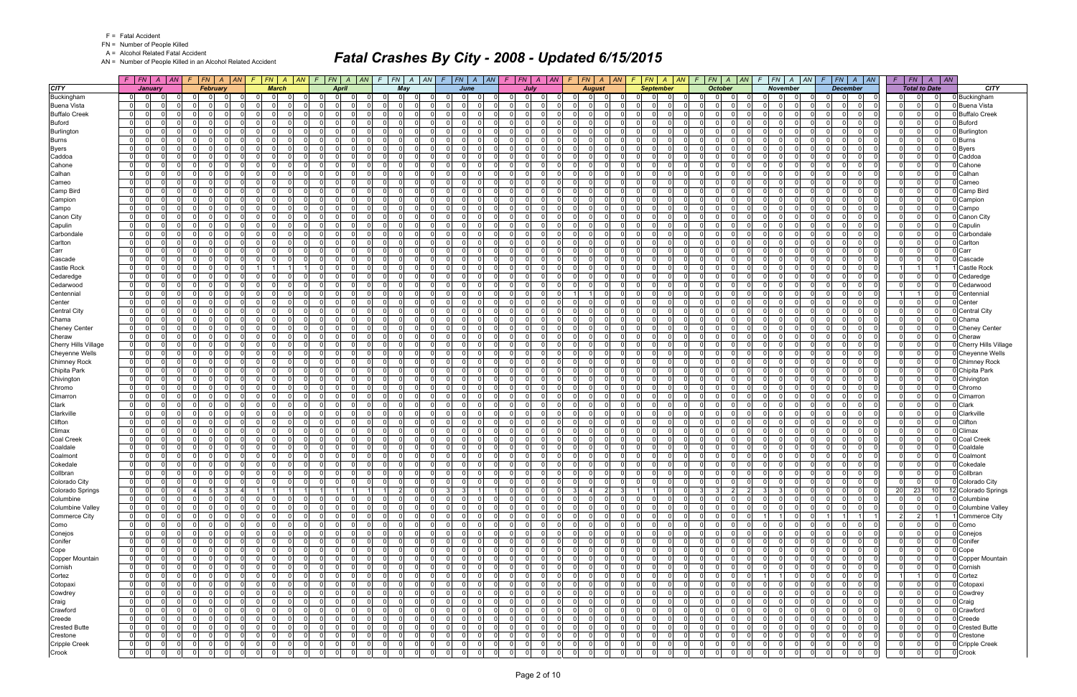FN = Number of People Killed

A = Alcohol Related Fatal Accident

AN = Number of People Killed in an Alcohol Related Accident

|                               | $F$   $FN$   $A$   $AN$                                                  | $F$ $ FN$ $ A$ $ AN$                                                     | $F$ $FN$ $A$ $AN$                            |                         | $\sqrt{F}$                       | FN A AN                                                | $\mathcal{F}$ |                                  |                                           | F N   A   AN   F   FN   A   AN                     | $F$   $FN$   $A$   $AN$                         |                        | F.                               |                               | F N   A   AN   F   FN   A   AN        |                            |                       | $F$ $ FN$ $ A$ $ AN$                         |          | FN A AN<br>F.                                            |     | $F$ $FN$ $A$ $AN$                                                   | $F$   $FN$   $A$   $AN$          |                                                             |                             |
|-------------------------------|--------------------------------------------------------------------------|--------------------------------------------------------------------------|----------------------------------------------|-------------------------|----------------------------------|--------------------------------------------------------|---------------|----------------------------------|-------------------------------------------|----------------------------------------------------|-------------------------------------------------|------------------------|----------------------------------|-------------------------------|---------------------------------------|----------------------------|-----------------------|----------------------------------------------|----------|----------------------------------------------------------|-----|---------------------------------------------------------------------|----------------------------------|-------------------------------------------------------------|-----------------------------|
| <b>CITY</b>                   | January                                                                  | February                                                                 | <b>March</b>                                 |                         |                                  | <b>April</b>                                           |               | May                              |                                           | June                                               | July                                            |                        |                                  | <b>August</b>                 | <b>September</b>                      |                            |                       | <b>October</b>                               |          | <b>November</b>                                          |     | <b>December</b>                                                     |                                  | <b>Total to Date</b>                                        | CITY                        |
| Buckingham                    | 0 <br>- 01                                                               |                                                                          |                                              |                         |                                  | $\mathbf 0$                                            |               | $\Omega$                         |                                           |                                                    | $\Omega$<br>0                                   |                        |                                  |                               |                                       |                            |                       | $\Omega$                                     |          | 0                                                        |     | 0                                                                   | 0                                |                                                             | Buckingham                  |
| <b>Buena Vista</b>            | 0 I<br>$\overline{0}$                                                    | $\Omega$<br>$\Omega$<br>$\Omega$                                         | 0<br>$\Omega$                                | $\Omega$                | $\Omega$                         | 0                                                      |               | $\Omega$                         | $\Omega$                                  | 0 <br>$\Omega$                                     | $\Omega$<br>$\Omega$                            |                        | $\overline{0}$                   | $\Omega$                      | $\mathbf 0$<br>$\Omega$               | $\Omega$                   | 0                     | $\Omega$                                     |          | $\overline{0}$<br>$\Omega$                               |     | $\Omega$<br>$\Omega$<br>- O I                                       | $\overline{0}$                   | $\Omega$<br>$\Omega$                                        | Buena Vista                 |
| <b>Buffalo Creek</b>          | 0 I<br>$\overline{0}$<br>$\Omega$                                        | $\Omega$<br>$\Omega$<br>$\Omega$                                         | $\Omega$<br>$\Omega$                         | - 0 l                   | 0 I                              | $\overline{0}$<br>$\Omega$                             |               | $\Omega$<br>$\Omega$             | $\Omega$<br>$\Omega$                      | -ol<br>$\Omega$                                    | $\Omega$<br>-01                                 | $\Omega$               | $\overline{0}$                   | $\Omega$<br>$\Omega$          | $\Omega$<br>$\Omega$                  | $\Omega$                   | 0 I                   | $\Omega$<br>$\Omega$                         |          | $\Omega$<br>$\mathbf 0$                                  |     | $\Omega$<br>$\Omega$<br>$\Omega$                                    | $\Omega$                         | $\Omega$<br>$\Omega$                                        | <b>Buffalo Creek</b>        |
| <b>Buford</b>                 | 01<br>$\mathbf 0$<br>$\Omega$                                            | $\mathbf{0}$<br>റ<br>$\Omega$                                            | $\Omega$<br>$\Omega$                         | $\Omega$                | 0 I                              | $\Omega$<br>$\Omega$                                   |               | 01<br>- 0                        | $\Omega$<br>$\Omega$                      | $\Omega$<br>$\overline{0}$                         | $\Omega$<br>$\Omega$                            | $\Omega$               | $\Omega$                         | .0                            | $\Omega$<br>0                         | $\Omega$                   | 0 I                   | $\Omega$<br>$\Omega$                         |          | $\Omega$<br>$\mathbf 0$                                  |     | $\Omega$<br>$\Omega$<br>- O I                                       | $\overline{0}$                   | $\mathbf 0$<br>- O I                                        | <b>Buford</b>               |
| Burlington                    | $\overline{0}$<br>$\overline{0}$<br>$\Omega$                             | n l<br>$\Omega$<br>$\Omega$                                              | $\Omega$<br>$\Omega$                         | $\Omega$                | 0 I                              | $\Omega$<br>$\Omega$                                   |               | $\Omega$<br>$\Omega$             | $\Omega$<br>$\Omega$                      | $\Omega$<br>-01                                    | $\Omega$<br>$\Omega$                            | $\Omega$               | $\Omega$                         | $\Omega$<br>- Ol              | $\Omega$<br>$\Omega$                  | $\Omega$                   | 0 I                   | $\cap$<br>$\Omega$                           |          | $\Omega$<br>$\Omega$                                     |     | $\Omega$<br>$\Omega$<br>$\Omega$                                    | $\overline{0}$                   | $\Omega$<br>$\mathbf{0}$                                    | Burlington                  |
| <b>Burns</b>                  | 0 <br>$\mathbf 0$<br>$\Omega$                                            | $\overline{0}$<br>റ<br>$\Omega$                                          | $\Omega$<br>$\Omega$                         | $\mathbf 0$             | 0 I                              | $\mathbf 0$<br>$\Omega$                                |               | 01                               | $\Omega$<br>$\Omega$                      | 0 <br>$\Omega$                                     | $\mathbf 0$<br>$\Omega$                         | $\Omega$               | 01                               | $\Omega$                      | $\Omega$<br>$\Omega$                  | $\Omega$                   | 0 I                   | $\Omega$<br>$\Omega$                         |          | $\Omega$<br>$\mathbf 0$                                  |     | $\Omega$<br>$\Omega$<br>$\Omega$                                    | 0 I                              | $\Omega$<br>$\mathbf{0}$                                    | <b>Burns</b>                |
| Byers                         | 0 I<br>0 I<br>$\Omega$                                                   | $\overline{0}$<br>$\Omega$<br>$\Omega$                                   | $\Omega$<br>$\Omega$                         | $\Omega$                | 0 I                              | - 0 l<br>$\Omega$                                      |               | 0 <br>$\Omega$                   | $\Omega$<br>- O I                         | -ol<br>$\Omega$                                    | - 0 l<br>$\Omega$                               | $\Omega$               | $\overline{0}$                   | 0                             | $\Omega$<br>$\Omega$                  | $\Omega$                   | 0 I                   | $\Omega$<br>$\Omega$                         |          | $\Omega$<br>$\mathbf 0$                                  |     | $\Omega$<br>$\overline{0}$<br>$\Omega$                              | $\overline{0}$                   | $\Omega$<br>$\mathbf{0}$                                    | <b>B</b> yers               |
| Caddoa                        | 0 I<br>$\Omega$<br>ŋ<br>$\overline{0}$<br>$\Omega$                       | - Ol<br>റ<br>$\Omega$<br>$\Omega$<br>$\Omega$<br>$\Omega$                | $\Omega$<br>$\Omega$<br>$\Omega$<br>$\Omega$ | $\mathbf 0$<br>$\Omega$ | $\Omega$<br>0 I                  | $\Omega$<br>$\Omega$<br>$\Omega$<br>$\Omega$           |               | $\Omega$<br>$\Omega$<br>$\Omega$ | $\Omega$<br>$\Omega$<br>- Ol<br>$\Omega$  | $\Omega$<br>$\overline{0}$<br>$\Omega$<br>$\Omega$ | $\Omega$<br>$\Omega$<br>$\Omega$<br>$\Omega$    | <sup>n</sup><br>$\cap$ | $\Omega$<br>$\Omega$             | $\Omega$<br>- Ol              | $\Omega$<br>0<br>$\Omega$<br>$\Omega$ | $\Omega$<br>$\Omega$       | $\overline{0}$<br>0 I | $\Omega$<br>$\Omega$<br>$\Omega$<br>$\Omega$ |          | $\Omega$<br>$\Omega$<br>$\Omega$<br>$\Omega$             |     | $\Omega$<br>0<br>$\Omega$<br>$\Omega$<br>$\Omega$<br>$\Omega$       | $\Omega$<br>$\Omega$             | $\Omega$<br>$\Omega$<br>n l                                 | Caddoa                      |
| Cahone<br>Calhan              | 0 I<br> 0 <br> 0 <br>$\Omega$                                            | $\overline{0}$<br>- 0<br>$\Omega$                                        | 0<br>$\Omega$                                | 0                       | $\overline{0}$                   | 0 <br>$\Omega$                                         |               | $\overline{0}$                   | $\Omega$<br>0                             | 0 <br>$\Omega$                                     | $\overline{0}$<br>$\Omega$                      | $\Omega$               | $\overline{0}$                   | .0                            | $\Omega$<br>0                         | $\mathbf 0$                | $\overline{0}$        | $\Omega$<br>$\Omega$                         |          | $\overline{0}$<br> 0                                     |     | $\overline{0}$<br>0<br>$\mathbf 0$                                  | $\overline{0}$<br>$\overline{0}$ | $\mathbf{0}$<br>$\Omega$                                    | Cahone<br>Calhan            |
| Cameo                         | 0 I<br>$\overline{0}$<br>$\Omega$                                        | $\Omega$<br>$\Omega$<br>$\Omega$                                         | $\Omega$<br>$\Omega$                         | $\Omega$                | 0 I                              | $\Omega$<br>$\Omega$                                   |               | $\Omega$                         | $\Omega$<br>$\Omega$                      | -ol<br>$\Omega$                                    | $\Omega$<br>$\Omega$                            | $\Omega$               | $\overline{0}$                   | $\Omega$                      | $\Omega$<br>$\Omega$                  | $\Omega$                   | 0 I                   | $\Omega$<br>$\Omega$                         |          | $\Omega$<br>$\mathbf 0$                                  |     | $\Omega$<br>$\Omega$<br>$\Omega$                                    | $\Omega$<br>$\Omega$             | $\Omega$                                                    | Cameo                       |
| Camp Bird                     | 0 <br>$\mathbf 0$<br>$\Omega$                                            | $\mathbf{0}$<br>റ<br>$\Omega$                                            | $\Omega$<br>$\Omega$                         | $\mathbf 0$             | 0 I                              | $\Omega$<br>$\Omega$                                   |               | 01<br>- 0                        | - O I<br>$\Omega$                         | $\Omega$<br>$\overline{0}$                         | $\mathbf 0$<br>$\Omega$                         | $\Omega$               | $\Omega$                         | .0                            | $\Omega$<br>0                         | - O I                      | 0 I                   | $\Omega$<br>$\Omega$                         |          | $\Omega$<br>$\mathbf 0$                                  |     | $\Omega$<br>$\Omega$<br>- O I                                       | 0 I                              | $\Omega$<br>$\Omega$                                        | Camp Bird                   |
| Campion                       | 0 I<br>$\mathbf 0$<br>O                                                  | - Ol<br>$\Omega$<br>$\Omega$                                             | $\Omega$<br>$\Omega$                         | $\Omega$                |                                  | $\Omega$<br>$\Omega$<br>$\Omega$                       |               | $\Omega$                         | $\Omega$<br>$\Omega$                      | -01<br>$\Omega$                                    | $\Omega$<br>$\Omega$                            |                        | $\Omega$                         | $\Omega$                      | $\Omega$<br>0                         | $\Omega$                   | $\Omega$              | $\Omega$                                     |          | 0<br>$\mathbf 0$                                         |     | $\Omega$<br>$\Omega$<br>$\Omega$                                    | $\overline{0}$                   | $\Omega$<br>$\Omega$                                        | Campion                     |
| Campo                         | $\overline{0}$<br>$\Omega$<br>$\Omega$                                   | - Ol                                                                     | $\Omega$<br>$\Omega$                         | $\Omega$                | $\Omega$                         | $\Omega$<br>$\Omega$                                   |               | $\Omega$                         | $\Omega$                                  | -01<br>$\Omega$                                    | $\Omega$<br>$\overline{0}$                      | <sup>n</sup>           | $\Omega$                         | 0                             | n<br>0                                | $\Omega$                   | $\overline{0}$        | $\Omega$<br><sup>n</sup>                     |          | $\Omega$<br>$\Omega$                                     |     | $\Omega$<br>$\Omega$<br>$\Omega$                                    | $\Omega$<br>$\Omega$             | $\Omega$                                                    | Campo                       |
| Canon City                    | 0 I<br>0 I<br>$\Omega$                                                   | $\overline{0}$<br>$\Omega$<br>$\Omega$                                   | 0<br>$\Omega$                                | $\mathbf 0$             | 0 I                              | $\Omega$<br>$\Omega$                                   |               | 01                               | - O I<br>$\Omega$                         | 0 <br>$\Omega$                                     | $\mathbf 0$<br>$\Omega$                         |                        | $\overline{0}$                   | $\Omega$                      | $\Omega$<br>$\Omega$                  | $\Omega$                   | 0 I                   | $\Omega$                                     |          | $\overline{0}$<br>$\mathbf 0$                            |     | $\Omega$<br>$\Omega$<br>$\Omega$                                    | $\overline{0}$                   | $\mathbf 0$<br>$\Omega$                                     | Canon City                  |
| Capulin                       | $\Omega$<br>- 0 l<br>$\Omega$                                            | n l<br>$\Omega$                                                          | $\Omega$<br>$\Omega$                         | $\Omega$                | $\Omega$                         | $\Omega$<br>$\Omega$                                   |               | $\Omega$<br>- 0                  | $\Omega$<br>$\Omega$                      | -01<br>$\Omega$                                    | $\Omega$<br>$\Omega$                            |                        | $\Omega$                         | $\Omega$                      | $\Omega$<br>$\Omega$                  | $\Omega$                   | $\Omega$              | $\Omega$                                     |          | $\Omega$<br>$\Omega$                                     |     | $\Omega$<br>$\Omega$<br>$\Omega$                                    | $\Omega$<br>$\Omega$             | $\Omega$                                                    | Capulin                     |
| Carbondale                    | 01<br>0 I<br>$\Omega$                                                    | $\mathbf{0}$<br>$\Omega$<br>$\Omega$                                     | $\Omega$<br>$\Omega$                         | $\mathbf 0$             | 0 I                              | - 01<br>$\Omega$                                       |               | 01<br>- 0                        | - O I<br>$\Omega$                         | -01<br>$\Omega$                                    | $\mathbf 0$<br>$\Omega$                         | $\Omega$               | $\Omega$                         | $\Omega$                      | $\Omega$<br>$\Omega$                  | $\Omega$                   | 0 I                   | $\Omega$<br>$\Omega$                         |          | $\Omega$<br>$\mathbf 0$                                  |     | $\Omega$<br>$\Omega$<br>$\Omega$                                    | $\overline{0}$                   | $\Omega$<br>$\Omega$                                        | Carbondale                  |
| Carlton                       | $\Omega$<br>$\Omega$                                                     | n l                                                                      | $\mathbf{0}$<br>$\Omega$                     | $\Omega$                | $\Omega$                         | $\Omega$<br><sup>0</sup>                               |               | $\Omega$                         | $\Omega$                                  | -ol<br>0                                           | $\Omega$<br>$\Omega$                            |                        | $\Omega$                         | $\Omega$                      | $\Omega$<br>$\Omega$                  | $\Omega$                   | n                     | $\Omega$                                     |          | $\Omega$<br>$\Omega$                                     |     | $\Omega$<br>$\Omega$<br>$\Omega$                                    | $\Omega$                         | $\Omega$<br>$\Omega$                                        | Carlton                     |
| Carr                          | 0 I<br>01<br>$\Omega$                                                    | $\overline{0}$<br>$\Omega$<br>$\Omega$                                   | $\Omega$<br>$\Omega$                         | $\mathbf 0$             | 0 I                              | - 0 l<br>$\Omega$                                      |               | $\overline{0}$<br>$\Omega$       | - O I<br>$\Omega$                         | -01<br>$\Omega$                                    | 0 I<br>$\Omega$                                 | $\Omega$               | $\overline{0}$                   | $\Omega$                      | $\Omega$<br>$\Omega$                  | $\Omega$                   | 0 I                   | $\overline{0}$<br>$\Omega$                   |          | $\Omega$<br>$\mathbf 0$                                  |     | $\Omega$<br>$\Omega$<br>$\Omega$                                    | 0 I                              | $\Omega$<br>$\Omega$                                        | Carr                        |
| Cascade                       | $\overline{0}$<br>- 0 l<br>$\Omega$                                      | n l<br>$\Omega$<br>$\Omega$                                              | $\Omega$<br>$\Omega$                         | $\Omega$                | - Ol                             | $\Omega$<br>$\Omega$                                   |               | $\overline{0}$<br>- 0            | $\Omega$<br>$\Omega$                      | -01<br>$\Omega$                                    | $\Omega$<br>$\Omega$                            |                        | $\Omega$                         | $\Omega$                      | $\Omega$<br>$\Omega$                  | $\Omega$                   | $\Omega$              | $\Omega$<br>$\Omega$                         |          | $\Omega$<br>$\Omega$                                     |     | $\Omega$<br>$\overline{0}$<br>$\Omega$                              | $\Omega$                         | $\Omega$<br>$\Omega$                                        | Cascade                     |
| Castle Rock                   | 01<br>$\overline{0}$<br>$\Omega$                                         | 01<br>$\Omega$<br>$\Omega$                                               |                                              |                         | 0 I                              | $\overline{0}$<br>$\Omega$                             |               | 01                               | $\Omega$<br>- O I                         | -01<br>$\Omega$                                    | $\mathbf 0$<br>$\Omega$                         |                        | $\Omega$                         | $\Omega$                      | $\Omega$<br>0                         | $\Omega$                   | 0 I                   | $\Omega$                                     |          | $\Omega$<br>$\mathbf 0$                                  |     | $\Omega$<br>$\Omega$<br>$\Omega$                                    |                                  |                                                             | Castle Rock                 |
| Cedaredge                     | $\overline{0}$<br>$\Omega$<br>U                                          | n<br>$\cap$<br>$\Omega$                                                  | $\Omega$                                     | $\Omega$                | $\Omega$                         | $\Omega$<br>$\Omega$                                   |               | $\Omega$                         | $\Omega$                                  | -ol<br>$\Omega$                                    | $\Omega$<br>$\Omega$                            |                        | $\Omega$                         | $\Omega$                      | $\Omega$<br>$\Omega$                  | $\Omega$                   | $\Omega$              | $\Omega$                                     |          | $\Omega$<br>$\Omega$                                     |     | $\Omega$<br>$\Omega$<br>$\Omega$                                    | $\overline{0}$                   | $\Omega$<br>$\Omega$                                        | Cedaredge                   |
| Cedarwood                     | 01<br>0 I<br>$\Omega$                                                    | 01<br>$\Omega$<br>$\Omega$                                               | 0<br>$\Omega$                                | $\mathbf 0$             | 0 I                              | - 0 l<br>$\Omega$                                      |               | 0 <br>- 0                        | - O I<br>$\Omega$                         | 0 <br>$\Omega$                                     | $\mathbf 0$<br>$\Omega$                         | $\Omega$               | $\overline{0}$                   | $\Omega$                      | $\Omega$<br>$\Omega$                  | $\Omega$                   | 0 I                   | $\Omega$                                     |          | $\overline{0}$<br>$\mathbf 0$                            |     | $\Omega$<br>$\Omega$<br>$\Omega$                                    | 0 I                              | $\mathbf 0$<br>$\Omega$                                     | Cedarwood                   |
| Centennial                    | $\Omega$<br>- 0 l<br><sup>0</sup>                                        | n l<br>$\Omega$<br>$\Omega$                                              | $\Omega$<br>$\Omega$                         | $\Omega$                |                                  | $\Omega$<br>$\Omega$<br>$\Omega$                       |               | $\Omega$                         | $\Omega$<br>$\Omega$                      | -01<br>$\Omega$                                    | $\Omega$<br>$\Omega$                            |                        | 11                               | $\Omega$                      | $\Omega$<br>$\Omega$                  | $\Omega$                   | $\Omega$              | $\Omega$                                     |          | $\Omega$<br>$\Omega$                                     |     | $\Omega$<br>$\Omega$<br>$\Omega$                                    |                                  | $\Omega$                                                    | Centennia                   |
| Center<br><b>Central City</b> | 01<br>$\overline{0}$<br>$\Omega$<br>$\Omega$<br>$\Omega$<br><sup>0</sup> | $\mathbf{0}$<br>$\Omega$<br>$\Omega$<br>$\Omega$<br>$\Omega$<br>$\Omega$ | $\Omega$<br>$\Omega$<br>$\Omega$<br>$\Omega$ | $\mathbf 0$<br>$\Omega$ | 0 I<br>$\Omega$                  | $\overline{0}$<br>$\Omega$<br>$\Omega$<br>$\Omega$     |               | 01<br>$\Omega$<br>$\Omega$       | $\Omega$<br>- O I<br>$\Omega$<br>$\Omega$ | -01<br>$\Omega$<br>$\Omega$<br>-01                 | $\mathbf 0$<br>$\Omega$<br>$\Omega$<br>$\Omega$ | $\Omega$               | $\Omega$<br>$\Omega$             | - Ol<br>- Ol                  | $\Omega$<br>0<br>$\Omega$<br>$\Omega$ | $\Omega$<br>$\Omega$       | 0 I<br> 0             | $\Omega$<br>$\Omega$<br>$\Omega$             |          | $\Omega$<br>$\mathbf 0$<br>$\Omega$<br>- 0 l             |     | $\Omega$<br>$\Omega$<br>- O I<br>$\Omega$<br>$\Omega$<br>$\Omega$   | $\overline{0}$<br>$\Omega$       | 0 I<br> 0 <br>$\Omega$<br>$\Omega$                          | Center<br>Central City      |
| Chama                         | 0 I<br>$\Omega$<br>O                                                     | - Ol<br>$\Omega$                                                         | $\Omega$<br>$\Omega$                         | $\Omega$                | $\Omega$                         | $\Omega$<br>$\Omega$                                   |               | $\Omega$                         | $\Omega$                                  | -01<br>$\Omega$                                    | $\mathbf 0$<br>$\Omega$                         |                        | $\Omega$                         | $\Omega$                      | $\Omega$<br>0                         | $\Omega$                   | 0                     | $\Omega$<br><sup>0</sup>                     |          | $\Omega$<br>$\Omega$                                     |     | $\Omega$<br>$\Omega$<br>$\Omega$                                    | 0 I<br>$\Omega$                  | $\mathbf{0}$                                                | Chama                       |
| <b>Cheney Center</b>          | 0 I<br>$\overline{0}$<br>$\Omega$                                        | $\overline{0}$<br>$\Omega$<br>$\Omega$                                   | $\Omega$<br>$\Omega$                         | - 0 l                   | 0 I                              | $\overline{0}$<br>$\Omega$                             |               | 0 <br>$\Omega$                   | $\Omega$<br>- O I                         | $\Omega$<br>-01                                    | - 0 l<br>$\overline{0}$                         | $\Omega$               | $\overline{0}$                   | $\Omega$<br>$\mathbf 0$       | $\Omega$<br>$\Omega$                  | $\overline{0}$             | 0 I                   | $\overline{0}$<br>$\Omega$                   |          | $\Omega$<br>$\mathbf 0$                                  |     | $\Omega$<br>$\mathbf{0}$<br>$\overline{0}$                          | $\overline{0}$                   | $\Omega$<br>$\overline{0}$                                  | <b>Chenev Center</b>        |
| Cheraw                        | $\Omega$<br>$\Omega$<br>O                                                | - Ol<br>റ<br>$\Omega$                                                    | $\Omega$<br>$\Omega$                         | $\Omega$                | $\Omega$                         | $\Omega$<br>$\Omega$                                   |               | $\Omega$                         | $\Omega$<br>$\Omega$                      | $\Omega$<br>$\overline{0}$                         | $\Omega$<br>$\Omega$                            |                        | $\Omega$                         | $\Omega$                      | $\Omega$<br>0                         | $\Omega$                   | $\Omega$              | $\Omega$                                     |          | $\Omega$<br>$\Omega$                                     |     | $\Omega$<br>0<br>$\Omega$                                           | $\Omega$<br>$\Omega$             | $\mathbf{0}$                                                | Cheraw                      |
| Cherry Hills Village          | $\overline{0}$<br>$\overline{0}$<br>$\Omega$                             | $\Omega$<br>$\Omega$<br>$\Omega$                                         | $\Omega$<br>$\Omega$                         | - 0 l                   | 0 I                              | $\Omega$<br>$\Omega$                                   |               | 0 <br>$\Omega$                   | $\Omega$<br>- O I                         | $\Omega$<br>-01                                    | - 0 l<br>$\Omega$                               | $\Omega$               | $\mathbf{0}$                     | $\cap$<br>$\Omega$            | $\Omega$<br>$\Omega$                  | $\Omega$                   | 0 I                   | $\Omega$<br>$\Omega$                         |          | $\Omega$<br>- 0 l<br>$\cap$                              |     | $\Omega$<br>$\Omega$<br>$\Omega$                                    | $\overline{0}$                   | $\Omega$<br>$\Omega$                                        | <b>Cherry Hills Village</b> |
| Cheyenne Wells                | 0 <br>$\overline{0}$<br>0                                                | $\Omega$<br>$\Omega$                                                     | $\Omega$<br>$\Omega$                         | $\Omega$                | $\Omega$                         | $\Omega$<br>$\Omega$                                   |               | $\overline{0}$                   | $\Omega$                                  | 0 <br>$\Omega$                                     | $\Omega$<br>$\Omega$                            |                        | $\overline{0}$                   | $\Omega$                      | $\Omega$<br>$\Omega$                  | $\Omega$                   | $\Omega$              | $\Omega$                                     |          | $\overline{0}$<br>$\Omega$                               |     | $\Omega$<br>$\Omega$<br>$\Omega$                                    | $\Omega$                         | $\Omega$<br>$\mathbf{0}$                                    | Cheyenne Wells              |
| <b>Chimney Rock</b>           | 0 I<br>$\overline{0}$<br>$\Omega$                                        | $\Omega$<br>$\Omega$<br>$\Omega$                                         | $\Omega$<br>$\Omega$                         | - 0 l                   | 0 I                              | $\overline{0}$<br>$\Omega$                             |               | 0 <br>$\Omega$                   | $\Omega$<br>- O I                         | -ol<br>$\Omega$                                    | 0 I<br>$\mathbf{0}$                             | $\Omega$               | $\overline{0}$                   | $\Omega$<br>$\Omega$          | $\Omega$<br>n l                       | $\Omega$                   | 0 I                   | $\overline{0}$<br>$\Omega$                   |          | $\overline{0}$<br>$\mathbf 0$                            |     | $\Omega$<br>$\mathbf{0}$<br>$\overline{0}$                          | $\overline{0}$                   | $\mathbf 0$<br>$\mathbf 0$                                  | <b>Chimney Rock</b>         |
| Chipita Park                  | 0 I<br>$\overline{0}$<br>$\Omega$                                        | $\mathbf{0}$<br>$\Omega$<br>$\Omega$                                     | $\Omega$<br>$\Omega$                         | $\Omega$                | 0 I                              | - 01<br>$\Omega$                                       |               | 01<br>- 0                        | - O I<br>$\Omega$                         | -01<br>$\Omega$                                    | $\mathbf 0$<br>$\Omega$                         | $\Omega$               | $\Omega$                         | - Ol                          | $\Omega$<br>0                         | $\Omega$                   | 0 I                   | $\Omega$<br>$\Omega$                         |          | $\Omega$<br>$\mathbf 0$                                  | - 0 | $\Omega$<br>$\Omega$                                                | $\overline{0}$                   | $\mathbf 0$<br> 0                                           | Chipita Park                |
| Chivington                    | 0 I<br>$\overline{0}$<br>$\Omega$                                        | $\Omega$<br>$\Omega$<br>$\Omega$                                         | $\Omega$<br>$\Omega$                         | - 0 l                   | 0 I                              | $\Omega$<br>$\Omega$                                   |               | $\overline{0}$<br>$\Omega$       | $\Omega$<br>$\Omega$                      | $\Omega$<br>-01                                    | $\Omega$<br>$\Omega$                            | $\Omega$               | $\Omega$                         | $\cap$<br>- Ol                | $\Omega$<br>$\Omega$                  | $\Omega$                   | 0 I                   | $\Omega$<br>$\Omega$                         |          | $\Omega$<br>$\mathbf 0$                                  |     | $\Omega$<br>$\Omega$<br>$\Omega$                                    | $\overline{0}$                   | $\Omega$<br>$\mathbf 0$                                     | Chivington                  |
| Chromo                        | $\overline{0}$<br>$\Omega$<br><sup>0</sup>                               | n l                                                                      | $\Omega$<br>$\Omega$                         | $\Omega$                | $\Omega$                         | $\Omega$<br>$\Omega$                                   |               | $\Omega$                         | $\Omega$<br>$\Omega$                      | -ol<br>$\Omega$                                    | $\Omega$<br>$\Omega$                            |                        | $\Omega$                         | $\Omega$                      | $\Omega$<br>$\Omega$                  | $\Omega$                   | n                     | $\Omega$<br><sup>0</sup>                     |          | $\Omega$<br>$\Omega$                                     |     | $\Omega$<br>$\Omega$<br>$\Omega$                                    | $\Omega$                         | $\Omega$<br>$\Omega$                                        | Chromo                      |
| Cimarron                      | $\overline{0}$<br>$\Omega$<br>01                                         | 0 <br>$\Omega$<br>$\Omega$                                               | $\Omega$<br>$\Omega$                         | - 0 l                   | 0 I                              | $\overline{\mathbf{0}}$<br>$\Omega$                    |               | 0 <br>$\Omega$                   | - O I<br>$\Omega$                         | -ol<br>$\Omega$                                    | - 0 l<br>$\mathbf{0}$                           | $\Omega$               | $\overline{0}$                   | $\mathbf 0$<br>$\Omega$       | $\Omega$<br>$\overline{0}$            | $\overline{0}$             | 0 I                   | $\overline{0}$<br>$\Omega$                   |          | $\Omega$<br>$\mathbf 0$                                  |     | $\Omega$<br>$\mathbf{0}$<br>$\overline{0}$                          | $\overline{0}$                   | 0 <br>$\mathbf 0$                                           | Cimarron                    |
| Clark                         | 0 I<br>$\mathbf 0$<br>$\Omega$                                           | - Ol<br>$\Omega$<br>$\Omega$                                             | $\Omega$<br>$\Omega$                         | $\mathbf 0$             | $\Omega$                         | $\Omega$<br>$\Omega$                                   |               | 01                               | $\Omega$<br>$\Omega$                      | -01<br>$\Omega$                                    | $\Omega$<br>$\Omega$                            |                        | $\Omega$                         | $\Omega$                      | $\Omega$<br>0                         | $\Omega$                   | $\overline{0}$        | $\Omega$<br>$\Omega$                         |          | $\Omega$<br>$\Omega$                                     |     | $\Omega$<br>$\Omega$<br>$\Omega$                                    | $\Omega$<br>$\Omega$             | $\Omega$                                                    | Clark                       |
| Clarkville<br>Clifton         | 0 I<br>$\mathbf 0$<br>$\Omega$<br>$\overline{0}$<br>$\Omega$<br>0        | $\Omega$<br>$\Omega$<br>$\Omega$<br>$\Omega$<br>$\Omega$                 | $\Omega$<br>$\Omega$<br>0<br>$\Omega$        | $\Omega$<br>$\Omega$    | 0 I<br>$\Omega$                  | $\Omega$<br>$\Omega$<br>0<br>$\Omega$                  |               | $\Omega$<br>ി<br>01              | - O I<br>$\Omega$<br>$\Omega$<br>$\Omega$ | -01<br>$\Omega$<br> 0 <br>$\Omega$                 | $\mathbf 0$<br>$\Omega$<br>$\Omega$<br>$\Omega$ | $\Omega$               | $\Omega$<br>$\mathbf{0}$         | - Ol<br>$\Omega$              | $\Omega$<br>0<br>$\Omega$<br>0        | $\Omega$<br>$\Omega$       | 0 I<br> 0             | $\Omega$<br>$\Omega$<br>$\Omega$             |          | $\Omega$<br>$\mathbf 0$<br>$\overline{0}$<br>$\mathbf 0$ |     | $\Omega$<br>$\Omega$<br>$\Omega$<br>$\Omega$<br>$\Omega$<br>0       | $\overline{0}$<br>$\overline{0}$ | $\Omega$<br>n I<br>$\mathbf{0}$<br>$\mathbf{0}$             | Clarkville<br>Clifton       |
| Climax                        | $\overline{0}$<br>- 0 l<br>$\Omega$                                      | $\Omega$<br>$\Omega$<br>$\Omega$                                         | $\Omega$<br>$\Omega$                         | $\Omega$                | 0 I                              | - 0 l<br>$\Omega$                                      |               | $\overline{0}$                   | $\Omega$<br>$\Omega$                      | -ol<br>$\Omega$                                    | - 0 l<br>$\Omega$                               | $\Omega$               | $\overline{0}$                   | $\Omega$                      | $\Omega$<br>$\Omega$                  | $\Omega$                   | 0 I                   | $\Omega$<br>$\Omega$                         |          | $\Omega$<br>$\mathbf 0$                                  |     | $\Omega$<br>$\Omega$<br>$\Omega$                                    | $\overline{0}$<br>$\Omega$       | $\Omega$                                                    | Climax                      |
| Coal Creek                    | - 0 l<br>$\Omega$<br>0 I                                                 | 01<br>റ<br>$\Omega$                                                      | $\Omega$<br>$\Omega$                         | $\Omega$                | 0 I                              | $\Omega$<br>$\Omega$                                   |               | 01<br>- 0                        | $\Omega$<br>$\Omega$                      | -01<br>$\Omega$                                    | $\Omega$<br>$\Omega$                            | $\Omega$               | $\mathbf{0}$                     | $\Omega$                      | $\Omega$<br>n l                       | $\Omega$                   | 0 I                   | $\Omega$<br>$\Omega$                         |          | $\Omega$<br>$\mathbf 0$                                  |     | $\Omega$<br>$\Omega$<br>- O I                                       | $\overline{0}$                   | $\Omega$<br> 0                                              | Coal Creek                  |
| Coaldale                      | 01<br>$\overline{0}$<br>$\Omega$                                         | $\Omega$<br>$\Omega$<br>$\Omega$                                         | $\Omega$<br>$\Omega$                         | $\mathbf 0$             | 0 I                              | $\overline{0}$<br>$\Omega$                             |               | 01                               | $\Omega$<br>- O I                         | -01<br>$\Omega$                                    | $\Omega$<br>$\overline{0}$                      |                        | $\Omega$                         | $\Omega$<br>- Ol              | $\Omega$<br>$\Omega$                  | - O I                      | 0 I                   | $\Omega$                                     |          | $\Omega$<br>$\mathbf 0$                                  |     | $\Omega$<br>$\Omega$<br>$\Omega$                                    | $\overline{0}$                   | $\Omega$<br> 0                                              | Coaldale                    |
| Coalmont                      | $\overline{0}$<br>$\Omega$<br> 0                                         | $\overline{0}$<br>$\Omega$<br>$\Omega$                                   | 0<br>$\Omega$                                | 0                       | $\overline{0}$                   | $\overline{0}$<br>$\Omega$                             |               | $\overline{0}$                   | $\Omega$<br>$\Omega$                      | 0 <br>$\Omega$                                     | $\overline{0}$<br>$\overline{0}$                | $\Omega$               | $\overline{0}$                   | $\Omega$                      | $\Omega$<br>$\mathbf 0$               | $\Omega$                   | 0                     | 0                                            |          | $\mathbf 0$<br> 0                                        |     | $\mathbf 0$<br>$\Omega$<br>$\Omega$                                 | $\overline{0}$                   | $\Omega$<br>$\Omega$                                        | Coalmont                    |
| Cokedale                      | 0 I<br>0 I<br>$\Omega$                                                   | $\overline{0}$<br>$\Omega$<br>$\Omega$                                   | $\Omega$<br>$\Omega$                         | $\Omega$                | 0 I                              | $\mathbf{0}$<br>$\Omega$                               |               | $\Omega$                         | $\Omega$<br>$\Omega$                      | -ol<br>$\Omega$                                    | 0 I<br>$\overline{0}$                           |                        | $\overline{0}$                   | - Ol                          | $\Omega$<br>$\Omega$                  | $\Omega$                   | $\overline{0}$        | $\Omega$                                     |          | $\Omega$<br>$\Omega$                                     |     | $\Omega$<br>$\Omega$<br>$\Omega$                                    | $\overline{0}$<br>$\Omega$       | $\Omega$                                                    | Cokedale                    |
| Collbran                      | $\overline{0}$<br>$\mathbf 0$<br>$\Omega$                                | $\Omega$<br>$\Omega$<br>$\Omega$                                         | $\Omega$                                     | 0                       | $\Omega$                         | 0 <br>$\mathbf 0$                                      |               | $\Omega$                         | $\Omega$                                  | $\overline{0}$<br>$\Omega$                         | 0<br>$\Omega$                                   |                        | $\overline{0}$                   | $\Omega$                      | 0                                     | $\overline{0}$             | 0l                    | $\Omega$                                     |          | $\Omega$<br>$\Omega$                                     |     | $\mathbf 0$<br>$\overline{0}$                                       | $\Omega$                         | $\overline{0}$<br> 0                                        | 0 Collbran                  |
| Colorado City                 | 0 I<br> 0 <br>$\Omega$                                                   | 01<br>- O I<br>$\Omega$                                                  | $\Omega$<br>$\Omega$                         | $\mathbf 0$             | 0 I                              | 0 <br>$\Omega$                                         |               | 01<br>$\Omega$                   | $\Omega$<br>- O I                         | 0 <br>$\Omega$                                     | 0 I<br> 0                                       | $\Omega$               | $\overline{0}$                   | $\Omega$<br>$\mathbf 0$       | $\Omega$<br>$\Omega$                  | - O I                      | 0 I                   | - O I<br>$\Omega$                            |          | $\Omega$<br>$\Omega$<br>$\mathbf 0$                      |     | - Ol<br>$\overline{0}$<br>$\mathbf 0$                               | $\overline{0}$                   | $\overline{0}$<br>0 I                                       | Colorado City               |
| Colorado Springs              | 0 <br>$\overline{0}$<br>$\Omega$                                         | 4 <sup>1</sup><br>-51<br>3                                               |                                              |                         |                                  |                                                        |               | $\overline{2}$                   | 3<br>0 I                                  | 3 <sup>1</sup>                                     | 0 <br>$\overline{0}$                            |                        | 3                                | $\overline{2}$                | 11                                    | $\mathbf 0$                | 3 <sup>l</sup>        | $\overline{2}$<br>3                          |          | $3 \mid$<br> 0                                           |     | $\mathbf 0$<br>$\overline{0}$<br>$\mathbf 0$                        | 20<br>23                         | 10                                                          | Colorado Springs            |
| Columbine                     | 0 I<br> 0 <br>$\Omega$                                                   | 0 <br>- O I<br>0 I                                                       | $\Omega$<br>$\overline{0}$                   | 0                       |                                  | $\overline{0}$<br> 0 <br>$\mathbf 0$                   |               | 0 <br>- O I                      | $\overline{0}$<br>$\Omega$                | $\overline{0}$<br> 0                               | $\overline{0}$<br>$\overline{0}$                | $\Omega$               | $\overline{0}$                   | $\mathbf 0$<br>$\Omega$       | $\Omega$<br>$\overline{0}$            | $\mathbf 0$                | 0                     | $\Omega$<br> 0                               |          | $\overline{0}$<br> 0                                     |     | $\Omega$<br> 0 <br>$\mathbf 0$                                      | 0 I                              | $\mathbf 0$<br> 0                                           | Columbine                   |
| <b>Columbine Valley</b>       | $\overline{0}$<br>$\overline{0}$<br>$\Omega$                             | $\overline{0}$<br>$\Omega$<br>$\Omega$                                   | 0<br>$\overline{0}$                          | 0                       |                                  | 0 <br> 0 <br>$\mathbf 0$                               |               | $\overline{0}$<br>$\Omega$       | - O I<br>0                                | $\overline{0}$<br> 0                               | $\mathbf 0$<br>$\mathbf{0}$                     | $\Omega$               | $\overline{0}$                   | .0                            | $\mathbf 0$<br> 0                     | $\mathbf 0$                | $\overline{0}$        | $\mathbf{0}$<br>$\Omega$                     |          | $\mathbf 0$<br> 0                                        |     | $\mathbf 0$<br> 0 <br>$\mathbf 0$                                   | $\overline{0}$                   | $\overline{0}$<br> 0                                        | <b>Columbine Valley</b>     |
| Commerce City                 | 0 I<br>$\overline{O}$<br>$\Omega$                                        | 01<br>$\Omega$<br>$\Omega$                                               | $\Omega$<br>$\Omega$                         | 0                       |                                  | 0 <br> 0 <br>$\Omega$                                  |               | $\overline{0}$                   | $\Omega$<br>- O I                         | 0 <br>$\overline{0}$                               | $\overline{0}$<br>$\overline{0}$                |                        | $\overline{0}$                   | $\Omega$                      | $\Omega$<br>$\Omega$                  | $\mathbf 0$                | $\overline{0}$        | - O I<br>$\Omega$                            |          | $\mathbf 0$                                              |     | $\overline{1}$<br>$1 \vert$<br>$\vert$ 1                            | $\overline{2}$                   | $\overline{2}$<br>$\overline{1}$                            | <b>Commerce City</b>        |
| Como                          | $\overline{0}$<br>$\overline{0}$<br>$\Omega$<br>$\Omega$                 | 01<br>- O I<br>$\Omega$                                                  | 0<br>$\overline{0}$                          | 0                       |                                  | 0 <br> 0 <br>$\Omega$                                  |               | $\overline{0}$<br>$\Omega$       | $\Omega$<br>$\overline{0}$                | $\overline{0}$<br> 0                               | $\overline{0}$<br>$\overline{0}$                | $\Omega$               | $\overline{0}$                   | $\Omega$                      | $\Omega$<br> 0                        | $\mathbf 0$                | 0                     | $\mathbf{0}$<br>$\Omega$                     |          | 0 <br>$\overline{0}$                                     |     | $\mathbf 0$<br>$\overline{0}$<br>$\mathbf 0$                        | $\overline{0}$                   | $\overline{0}$<br> 0                                        | Como                        |
| Conejos<br>Conifer            | 0 <br>01<br>0 I<br>$\overline{0}$<br>$\Omega$                            | $\overline{0}$<br>-01<br>0 I<br> 0 <br>$\Omega$<br>0I                    | 0<br>0<br>$\Omega$<br>$\Omega$               | 0 <br> 0                | $\overline{0}$<br>$\overline{0}$ | $\overline{0}$<br>$\mathbf 0$<br> 0 <br>$\overline{0}$ |               | 0 <br>- 0<br> 0 <br>$\Omega$     | 0<br>0 I<br>$\Omega$<br>- O I             | 0 <br>$\overline{0}$<br> 0 <br>$\Omega$            | 01<br> 0 <br>0 I<br>$\overline{0}$              | $\Omega$<br>$\Omega$   | $\overline{0}$<br>$\overline{0}$ | $\mathbf 0$<br>$\Omega$<br>.0 | 0<br> 0 <br>$\Omega$<br> 0            | $\mathbf 0$<br>$\mathbf 0$ | $\overline{0}$<br> 0  | $\mathbf 0$<br>$\Omega$<br> 0 <br>$\Omega$   |          | 0 <br> 0 <br>$\Omega$<br>$\overline{0}$<br> 0            |     | $\mathbf 0$<br> 0 <br>$\mathbf 0$<br>$\Omega$<br> 0 <br>$\mathbf 0$ | $\overline{0}$<br>0 I            | $\mathbf 0$<br>$\overline{0}$<br>$\Omega$<br>$\overline{0}$ | Conejos<br>Conifer          |
| Cope                          | 0 <br>$\mathbf 0$<br>$\Omega$                                            | $\mathbf 0$<br>-01<br>0 I                                                | 0<br>$\overline{0}$                          | 0                       |                                  | 0 <br> 0 <br>$\mathbf 0$                               |               | 0 <br>- 0                        | $\overline{0}$<br>0                       | $\overline{0}$<br> 0                               | 01<br>$\mathbf 0$                               | $\Omega$               | $\overline{0}$                   | $\mathbf 0$                   | $\mathbf 0$<br>0l                     | $\mathbf 0$                | $\overline{0}$        | $\mathbf 0$<br>$\mathbf 0$                   |          | $\overline{0}$<br> 0                                     |     | $\mathbf 0$<br> 0 <br>$\mathbf 0$                                   | $\overline{0}$                   | $\mathbf{0}$<br>$\overline{0}$                              | Cope                        |
| Copper Mountain               | $\Omega$<br>$\overline{0}$<br>$\Omega$                                   | $\overline{0}$<br>$\Omega$<br>$\Omega$                                   | $\Omega$<br>$\Omega$                         | - 0 l                   |                                  | 0 <br> 0 <br>$\Omega$                                  |               | $\overline{0}$<br>$\Omega$       | $\Omega$<br>- O I                         | $\Omega$<br> 0                                     | $\Omega$<br>$\overline{0}$                      |                        | $\Omega$                         | $\Omega$<br>$\Omega$          | $\Omega$<br>$\Omega$                  | $\overline{0}$             | $\overline{0}$        | $\Omega$<br>$\Omega$                         |          | $\Omega$<br>- 0 l                                        |     | $\Omega$<br>$\overline{0}$<br>$\Omega$                              | $\Omega$                         | $\overline{0}$<br> 0                                        | <b>Copper Mountain</b>      |
| Cornish                       | $\overline{0}$<br>$\overline{0}$<br>$\Omega$                             | 0 <br>-01<br>$\Omega$                                                    | 0<br>$\overline{0}$                          | 0                       |                                  | 0 <br> 0 <br>$\mathbf 0$                               |               | $\overline{0}$<br>- 0            | $\overline{0}$<br>0                       | 0 <br>$\overline{0}$                               | 01<br>$\mathbf 0$                               | $\Omega$               | $\overline{0}$                   | - 01<br>$\mathbf 0$           | 0<br> 0                               | $\mathbf 0$                | $\overline{0}$        | $\mathbf 0$<br>$\mathbf 0$                   |          | 0 <br> 0 <br>- 01                                        |     | $\mathbf 0$<br> 0 <br>$\mathbf 0$                                   | 0 I                              | $\mathbf 0$<br>$\mathbf{0}$                                 | Cornish                     |
| Cortez                        | 0 I<br>$\overline{0}$<br>$\Omega$                                        | $\overline{0}$<br>$\Omega$<br>0 I                                        | $\overline{0}$<br> 0                         | 0                       | $\overline{0}$                   | $\overline{0}$<br>$\overline{0}$                       |               | 0 <br>$\Omega$                   | $\mathbf 0$<br>- O I                      | 0 <br> 0                                           | $\overline{0}$<br>$\overline{0}$                | $\Omega$               | $\overline{0}$                   | $\mathbf 0$                   | $\mathbf 0$<br> 0                     | $\mathbf 0$                | $\overline{0}$        | 0 <br>$\Omega$                               |          | 0 <br>$1 \vert$                                          |     | 0 <br> 0 <br>$\mathbf 0$                                            |                                  | $\overline{0}$<br>11                                        | Cortez                      |
| Cotopaxi                      | 0 I<br>01<br>$\Omega$                                                    | $\Omega$<br>-01<br>$\Omega$                                              | $\Omega$<br>$\Omega$                         | 0                       |                                  | $\overline{0}$<br> 0 <br>$\mathbf 0$                   |               | $\overline{0}$<br>- 0            | $\Omega$<br>$\Omega$                      | $\overline{0}$<br> 0                               | $\Omega$<br> 0                                  | $\Omega$               | $\mathbf{0}$                     | $\Omega$<br>.0                | 0<br>0l                               | $\mathbf 0$                | 0                     | $\Omega$<br>$\Omega$                         |          | $\Omega$<br> 0                                           |     | $\mathbf 0$<br>$\overline{0}$<br>$\mathbf 0$                        | 0 I                              | $\mathbf{0}$<br>$\mathbf{0}$                                | Cotopaxi                    |
| Cowdrey                       | $\overline{0}$<br>$\overline{0}$<br>$\Omega$                             | 0 <br>$\Omega$<br>$\Omega$                                               | $\Omega$<br>$\Omega$                         | - 0 l                   |                                  | 0 <br> 0 <br>$\Omega$                                  |               | 0 <br>$\Omega$                   | $\overline{0}$<br>$\Omega$                | $\Omega$<br> 0                                     | 0 <br>$\mathbf{0}$                              | $\Omega$               | $\overline{0}$                   | $\Omega$                      | $\Omega$<br> 0                        | $\mathbf 0$                | $\overline{0}$        | $\mathbf{0}$<br>$\Omega$                     |          | $\Omega$<br>$\Omega$<br> 0                               |     | $\Omega$<br>$\overline{0}$<br>$\mathbf 0$                           | 0 I                              | $\Omega$<br>$\Omega$                                        | Cowdrey                     |
| Craig                         | 0 <br>01<br>$\Omega$                                                     | $\overline{0}$<br>$\Omega$<br>$\Omega$                                   | 0<br>0                                       | 0                       |                                  | 0 <br> 0 <br>0                                         |               | $\overline{0}$                   | 0 I                                       | 0 <br>$\overline{0}$                               | $\overline{0}$<br>$\mathbf{0}$                  |                        | $\mathbf{0}$                     | - 0 I                         | 0 <br>0                               | $\mathbf 0$                | 0                     | $\mathbf{0}$                                 |          | $\overline{0}$<br> 0                                     |     | $\overline{0}$<br>0<br>$\mathbf 0$                                  | $\overline{0}$                   | $\mathbf 0$<br>$\mathbf{0}$                                 | Craig                       |
| Crawford                      | 0 I<br> 0 <br>$\Omega$                                                   | 0 <br>- O I<br>0 I                                                       | $\overline{0}$<br>$\overline{0}$             | 0                       |                                  | $\overline{0}$<br> 0 <br>$\mathbf 0$                   |               | 0 <br>- O I                      | $\Omega$<br>$\overline{0}$                | 0 <br> 0                                           | $\overline{0}$<br>$\overline{0}$                | $\Omega$               | $\overline{0}$                   | $\overline{0}$<br>0 I         | $\mathbf 0$<br> 0                     | $\mathbf 0$                | $\overline{0}$        | 0 <br>$\Omega$                               |          | 0 <br> 0 <br>$\overline{0}$                              |     | $\Omega$<br> 0 <br>$\mathbf 0$                                      | 0 I                              | $\overline{0}$<br>$\overline{0}$                            | Crawford                    |
| Creede                        | 0 <br>$\mathbf 0$<br>$\Omega$                                            | $\mathbf 0$<br>-01<br>$\Omega$                                           | $\mathbf 0$<br>$\overline{0}$                | 0                       |                                  | 0 <br> 0 <br>$\mathbf 0$                               |               | 0 <br>- 0                        | $\overline{0}$<br>$\mathbf 0$             | $\overline{0}$<br> 0                               | 01<br>$\mathbf 0$                               | $\Omega$               | $\overline{0}$                   | $\mathbf 0$                   | 0 <br>0l                              | $\mathbf 0$                | $\overline{0}$        | $\mathbf 0$<br>$\mathbf 0$                   |          | $\mathbf 0$<br> 0                                        |     | 0 <br> 0 <br>$\mathbf 0$                                            | $\overline{0}$                   | $\mathbf{0}$<br>$\overline{0}$                              | Creede                      |
| <b>Crested Butte</b>          | 0 <br>$\mathbf 0$<br>$\Omega$                                            | $\overline{0}$<br>- O I<br>$\Omega$                                      | $\Omega$<br>$\overline{0}$                   | 0                       | $\overline{0}$                   | $\Omega$<br> 0                                         |               | 0 <br>- O I                      | $\mathbf 0$<br>- O I                      | 0 <br>$\overline{0}$                               | 0 <br>$\mathbf 0$                               | $\Omega$               | $\mathbf{0}$                     | $\Omega$<br>$\Omega$          | $\Omega$<br>$\overline{0}$            | $\mathbf 0$                | 0                     | $\Omega$<br>$\Omega$                         |          | $\overline{0}$<br>$\Omega$<br> 0                         |     | $\mathbf 0$<br>$\overline{0}$<br>$\mathbf 0$                        | $\overline{0}$                   | $\mathbf 0$<br> 0                                           | <b>Crested Butte</b>        |
| Crestone                      | $\overline{0}$<br> 0 <br>$\Omega$                                        | $\Omega$                                                                 | $\Omega$                                     | 0                       |                                  | 0 <br> 0 <br>$\Omega$                                  |               | $\overline{0}$                   | $\Omega$                                  | 0 <br>$\overline{0}$                               | $\overline{0}$<br>$\mathbf{0}$                  |                        | $\mathbf{0}$                     | $\Omega$                      | $\mathbf 0$                           | $\mathbf{0}$               | $\overline{0}$        | $\Omega$                                     |          | $\overline{0}$<br> 0                                     |     | $\overline{0}$<br>$\mathbf 0$                                       | $\overline{0}$                   | $\Omega$<br>$\mathbf{0}$                                    | Crestone                    |
| Cripple Creek                 | 0 <br>$\overline{0}$<br>$\Omega$                                         | $\mathbf 0$<br>-01<br>0 I                                                | $\mathbf 0$<br>$\overline{0}$                | 0                       | $\overline{0}$                   | 0 <br>$\Omega$                                         |               | $\overline{0}$<br>- 0            | $\overline{0}$<br>0                       | 0 <br> 0                                           | 01<br>$\mathbf 0$                               | $\Omega$               | $\overline{0}$                   | $\mathbf 0$                   | $\mathbf 0$<br> 0                     | $\mathbf 0$                | $\overline{0}$        | $\mathbf 0$<br>$\Omega$                      |          | $\overline{0}$<br> 0                                     |     | $\mathbf 0$<br> 0 <br>$\mathbf 0$                                   | $\overline{0}$                   | $\overline{0}$<br>$\mathbf 0$                               | Cripple Creek               |
| Crook                         | $\overline{0}$<br>$\overline{0}$<br>$\overline{0}$                       | $\overline{0}$<br>$\mathbf 0$<br>$\overline{0}$<br>$\Omega$              | $\mathbf 0$<br> 0                            | 0                       | $\overline{0}$                   | $\overline{0}$<br>$\mathbf 0$                          |               | $\overline{0}$<br>$\mathbf 0$    | $\mathbf 0$<br>$\mathbf 0$                | 0 <br> 0                                           | $\overline{0}$<br> 0                            | $\mathbf 0$            | 0                                | $\mathbf 0$<br> 0             | $\overline{0}$<br>$\overline{0}$      | $\mathbf 0$                | $\overline{0}$        | $\mathbf 0$<br>$\mathbf 0$                   | $\Omega$ | $\overline{0}$<br> 0 <br> 0                              |     | $\mathbf 0$<br> 0 <br>$\mathbf 0$                                   | $\overline{0}$                   | $\mathbf 0$<br> 0                                           | Crook                       |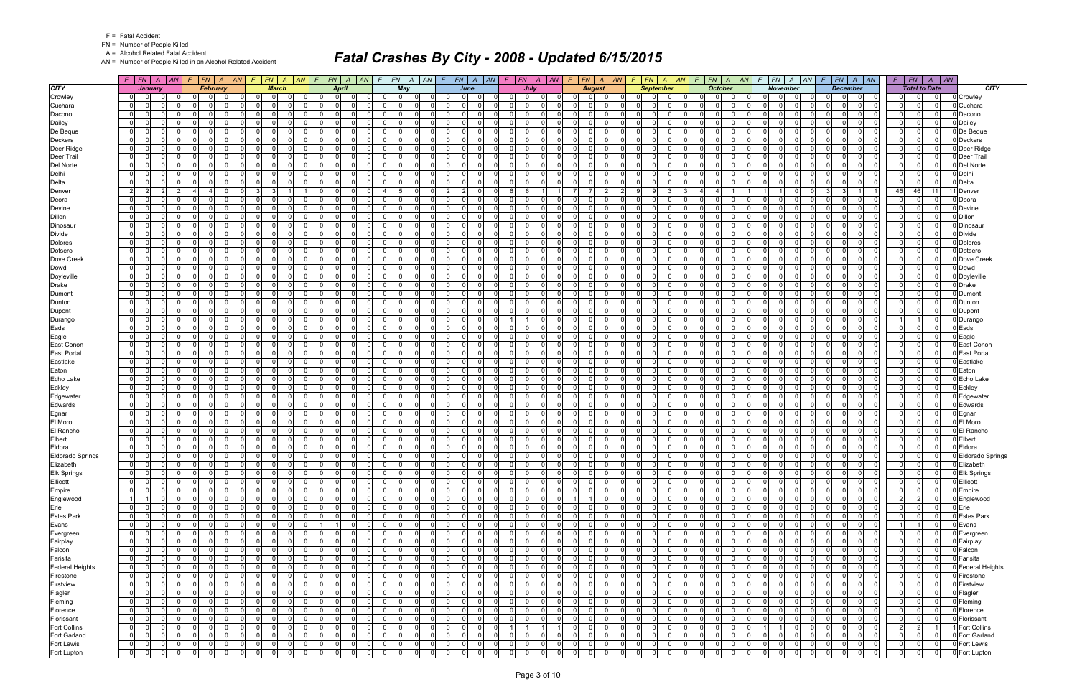FN = Number of People Killed

A = Alcohol Related Fatal Accident

AN = Number of People Killed in an Alcohol Related Accident

|                         |                                  | $F$   $FN$   $A$   $AN$ |                      |             | $F$ $ FN $ $A$ $ AN $            |                      | $F$ $FN$ $A$ $AN$                |             | $F$ $FN$ $A$                      | AN           | $\mathcal{F}$  | $ FN A AN$ $F$ $ FN A AN$ |                         |                                  |                      |                                                    | $F$ $FN$ $A$ $AN$     | F.             |                            |                     | $ FN $ A $ AN $ F $ FN $ A $ AN $ |             | $F$ $ FN $ $A$ $ AN$                |                | $F$   FN   A   AN   F   FN   A   AN          |                 |                                  |                | $F$   $FN$     | $A$ $AN$                   |                     |
|-------------------------|----------------------------------|-------------------------|----------------------|-------------|----------------------------------|----------------------|----------------------------------|-------------|-----------------------------------|--------------|----------------|---------------------------|-------------------------|----------------------------------|----------------------|----------------------------------------------------|-----------------------|----------------|----------------------------|---------------------|-----------------------------------|-------------|-------------------------------------|----------------|----------------------------------------------|-----------------|----------------------------------|----------------|----------------|----------------------------|---------------------|
| <b>CITY</b>             |                                  | January                 |                      |             | February                         |                      | <b>March</b>                     |             | <b>April</b>                      |              |                | May                       |                         | June                             |                      |                                                    | July                  |                | <b>August</b>              |                     | <b>September</b>                  |             | <b>October</b>                      |                | November                                     |                 | <b>December</b>                  |                |                | <b>Total to Date</b>       | <b>CITY</b>         |
| Crowley                 | 0                                |                         |                      |             |                                  |                      |                                  |             | $\Omega$                          |              |                | $\Omega$<br>- 0           |                         |                                  |                      | $\Omega$<br>$\Omega$                               |                       |                | $\mathbf 0$                |                     |                                   |             | $\Omega$                            |                |                                              | $\Omega$        | 0                                |                |                |                            | 0 Crowley           |
| Cuchara                 | $\overline{0}$                   | $\Omega$                | $\Omega$             |             | $\Omega$<br>$\Omega$             | 0                    | $\Omega$<br>$\Omega$             |             | $\Omega$<br>$\Omega$              |              | $\overline{0}$ | $\Omega$                  |                         | $\Omega$                         | $\Omega$             | $\Omega$<br>$\Omega$                               | $\Omega$              | $\Omega$       | - 0 l                      | $\mathbf{0}$        | $\Omega$                          |             | $\mathbf 0$<br>$\Omega$             |                | $\Omega$<br>$\Omega$                         | $\Omega$        | $\Omega$<br>$\Omega$             |                | $\Omega$       | $\Omega$                   | 0 Cuchara           |
| Dacono                  | $\Omega$                         | $\Omega$                | $\Omega$             | $\Omega$    | $\Omega$<br>$\Omega$             | $\Omega$             | $\Omega$<br>$\Omega$             |             | 0 I<br>$\overline{\mathbf{0}}$    | $\Omega$     | $\Omega$       | $\cap$<br>$\mathbf 0$     | $\Omega$                | $\Omega$                         | $\Omega$             | $\overline{0}$<br>$\Omega$                         | $\Omega$              | $\Omega$       | - 0 l                      | -ol                 | $\Omega$                          | $\Omega$    | $\Omega$<br>$\mathbf 0$             |                | $\Omega$<br>$\Omega$                         | $\Omega$        | $\Omega$<br>$\Omega$             |                | $\Omega$       | $\Omega$                   | 0 Dacono            |
| Dailey                  | $\overline{0}$                   | 0                       | $\Omega$             |             | $\Omega$<br>$\Omega$             | $\Omega$             | $\Omega$<br>$\Omega$             |             | 0 I<br>$\Omega$                   | $\Omega$     | $\Omega$       | $\Omega$                  | $\Omega$                | $\Omega$                         | $\Omega$             | - O I<br>$\Omega$                                  | $\Omega$              | $\Omega$       | $\mathbf 0$                | -01                 | $\Omega$                          |             | $\mathbf 0$<br>$\Omega$             |                | $\Omega$<br>$\Omega$                         | $\Omega$        | $\Omega$<br>$\Omega$             |                | $\Omega$       | $\Omega$                   | 0 Dailey            |
| De Beque                | $\overline{0}$                   | $\Omega$                | $\Omega$             |             | $\Omega$<br>$\Omega$             | $\Omega$             | $\Omega$<br>$\Omega$             |             | 0 I<br>$\Omega$                   | $\Omega$     | ΩI             | $\Omega$                  | $\Omega$                | $\Omega$                         | $\Omega$             | $\Omega$<br>$\Omega$                               | n l                   | $\Omega$       | - 0 l                      | - Ol                | $\Omega$                          |             | $\Omega$<br>- Ol                    |                | $\Omega$<br>$\Omega$                         | $\Omega$        | n l<br>$\Omega$                  |                | $\Omega$       | $\Omega$                   | 0 De Beque          |
| <b>Deckers</b>          | 0                                |                         | $\Omega$             | $\Omega$    | $\Omega$<br>$\Omega$             | $\Omega$             | $\Omega$<br>$\Omega$             |             | 0 I<br>$\overline{0}$             | $\Omega$     | $\Omega$       | $\Omega$                  | $\Omega$                | $\Omega$                         | $\Omega$             | - O I<br>$\Omega$                                  | $\Omega$              | $\Omega$       | $\mathbf 0$                | $\mathbf{0}$        | $\Omega$                          |             | $\Omega$<br>$\Omega$                |                | $\Omega$<br>$\Omega$                         | $\Omega$        | - Ol<br>$\Omega$                 |                | $\Omega$       | $\Omega$                   | 0 Deckers           |
| Deer Ridge              | $\overline{0}$                   | $\Omega$                | $\Omega$             |             | $\Omega$<br>$\Omega$             | $\Omega$             | $\Omega$<br>$\Omega$             |             | 0 I<br>-01                        | $\Omega$     | $\Omega$       | $\mathbf 0$<br>$\Omega$   | $\Omega$                | $\Omega$                         | $\Omega$             | $\overline{0}$<br>$\Omega$                         | $\Omega$              | $\Omega$       | - 0 l<br>റ                 | $\mathbf{0}$        | $\Omega$                          |             | $\Omega$<br>$\mathbf 0$             |                | $\Omega$<br>$\Omega$                         | $\Omega$        | $\Omega$<br>$\Omega$             |                | $\Omega$       | $\Omega$                   | 0 Deer Ridge        |
| Deer Trail              | $\overline{0}$                   |                         | $\Omega$             |             | $\Omega$<br>$\Omega$             | $\Omega$             | $\Omega$<br>$\Omega$             |             | $\Omega$<br>$\Omega$              | $\Omega$     | $\Omega$       | $\Omega$                  | $\Omega$                | $\Omega$                         | $\Omega$             | $\Omega$<br>$\Omega$                               | - Ol                  | $\Omega$       | $\mathbf 0$                | -ol                 | $\Omega$                          |             | $\Omega$<br>$\Omega$                |                | $\Omega$<br>$\Omega$                         | $\Omega$        | $\Omega$<br>$\Omega$             |                | $\Omega$       | $\Omega$                   | 0 Deer Trail        |
| Del Norte               | $\mathbf{0}$                     | $\Omega$                | $\Omega$             | $\Omega$    | $\Omega$<br>$\Omega$             | $\Omega$             | $\Omega$<br>$\Omega$             |             | 0 I<br>$\Omega$                   | $\Omega$     | $\Omega$       | - 0 l<br>$\Omega$         | $\Omega$                | $\Omega$                         | $\Omega$             | $\Omega$<br>$\Omega$                               | n l                   | $\Omega$       | $\Omega$                   | - Ol                | $\Omega$                          |             | $\Omega$<br>$\Omega$                |                | $\Omega$<br>$\Omega$                         | $\Omega$        | $\Omega$<br>$\Omega$             |                | $\Omega$       | $\Omega$                   | 0 Del Norte         |
| Delhi                   | 0                                |                         | $\Omega$             | $\Omega$    | $\Omega$<br>$\Omega$             | 0                    | $\Omega$                         | $\mathbf 0$ | $\overline{0}$<br>0               | $\Omega$     | $\overline{0}$ | 0                         | 0                       | $\Omega$                         | $\Omega$             | $\mathbf 0$<br>$\Omega$                            | $\Omega$              | $\Omega$       | 0                          | $\overline{0}$      | 0                                 |             | 0 <br>$\Omega$                      |                | $\Omega$<br>$\Omega$<br>$\Omega$             | $\mathbf 0$     | $\Omega$<br>0                    |                | $\Omega$       | $\mathbf 0$                | 0 Delhi             |
| Delta                   | $\overline{0}$                   |                         | $\Omega$             |             | $\Omega$<br>$\Omega$             | $\Omega$             | $\Omega$<br>$\Omega$             |             | 0 I<br>$\Omega$                   | $\Omega$     | $\Omega$       | $\Omega$                  | $\Omega$                | $\Omega$                         | $\Omega$             | $\overline{0}$<br>$\Omega$                         | n l                   | $\Omega$       | - 0 l                      | -ol                 | $\Omega$                          |             | $\Omega$<br>$\Omega$                |                | $\Omega$<br>$\Omega$                         | $\Omega$        | $\Omega$<br>$\Omega$             |                | $\Omega$       | $\mathbf 0$                | 0 Delta             |
| Denver                  | $\overline{2}$                   | $\overline{2}$          | 2                    |             | $\Omega$                         | 3                    | $\mathcal{B}$                    |             | 0 I<br>$\Omega$                   | $\Omega$     | $\Delta$       | $\mathbf 0$<br>-51        | $\overline{2}$          | $\overline{2}$                   | $\Omega$             | 6<br>6                                             |                       | - 71           | 7<br>$\overline{2}$        | -91                 | 3<br><b>q</b>                     |             | 4                                   |                | 11                                           | -3              | -3 I                             | 45             | 46             | 11                         | Denver              |
| Deora                   | $\overline{0}$                   |                         | $\Omega$             |             | $\Omega$                         | $\Omega$             | $\Omega$<br>$\Omega$             |             | $\Omega$<br>$\Omega$              |              |                | $\Omega$                  | $\Omega$                | $\Omega$                         | $\Omega$             | $\Omega$<br>$\Omega$                               | - Ol                  | $\Omega$       | $\mathbf 0$                | -01                 | $\Omega$                          |             | $\Omega$<br>$\Omega$                |                | $\Omega$<br>$\Omega$                         | $\Omega$        | - Ol<br>$\Omega$                 |                |                | $\Omega$                   | Deora               |
| Devine                  | 0                                |                         | $\Omega$             |             | $\Omega$                         | $\Omega$             | $\Omega$<br>$\Omega$             |             | 0 <br>$\Omega$                    |              | $\Omega$       | $\Omega$                  |                         | $\Omega$                         | $\Omega$             | $\Omega$                                           | - Ol                  | $\Omega$       | $\mathbf 0$                | $\Omega$            | $\Omega$                          |             | 0<br>$\Omega$                       |                | $\Omega$<br><sup>n</sup>                     | $\Omega$        | - Ol<br>0                        |                |                | $\Omega$                   | 0 Devine            |
| <b>Dillon</b>           | $\overline{0}$                   |                         | $\Omega$             |             | $\Omega$<br>$\Omega$             | 0                    | $\Omega$                         | $\mathbf 0$ | 0 I<br>$\overline{0}$             |              | $\Omega$       | $\mathbf 0$               | $\Omega$                | $\Omega$                         | $\Omega$             | - O I<br>$\Omega$                                  | $\Omega$              | $\Omega$       | - 0 l                      | $\overline{0}$      | $\Omega$                          |             | $\mathbf 0$<br>$\Omega$             |                | $\Omega$<br>$\Omega$                         | $\Omega$        | $\Omega$<br>$\Omega$             |                | $\Omega$       | $\Omega$                   | 0 Dillon            |
| Dinosaur                | $\overline{0}$                   |                         | $\Omega$             |             | $\Omega$                         | $\Omega$             | $\Omega$<br>$\Omega$             |             | $\Omega$<br>$\Omega$              |              | $\Omega$       | $\Omega$                  |                         | $\Omega$                         | $\Omega$             | $\Omega$<br>$\Omega$                               | n l                   | $\Omega$       | $\Omega$                   | $\Omega$            | $\Omega$                          |             | $\Omega$<br>$\Omega$                |                | $\Omega$<br>$\Omega$                         | $\Omega$        | $\Omega$<br>$\Omega$             |                | $\Omega$       | $\Omega$                   | ) Dinosau           |
| <b>Divide</b>           | $\overline{0}$                   | $\Omega$                | $\Omega$             | $\Omega$    | $\Omega$<br>$\Omega$             | $\Omega$             | $\Omega$<br>$\Omega$             |             | 0 I<br>$\overline{0}$             | $\Omega$     | $\Omega$       | $\mathbf 0$               | $\Omega$                | $\Omega$                         | $\Omega$             | - O I<br>$\Omega$                                  | $\Omega$              | $\Omega$       | $\mathbf 0$                | -01                 | $\Omega$                          |             | $\mathbf 0$<br>$\Omega$             |                | $\Omega$<br>$\Omega$                         | $\Omega$        | $\Omega$<br>$\Omega$             |                | $\Omega$       | $\Omega$                   | 0 Divide            |
| <b>Dolores</b>          | $\Omega$                         |                         | $\Omega$             |             | $\Omega$                         | $\mathbf{0}$         | $\Omega$<br>$\Omega$             |             | $\Omega$<br>$\Omega$              |              | 0              | $\Omega$                  |                         | $\Omega$                         | $\Omega$             | $\Omega$                                           | n l                   |                | $\Omega$                   | $\Omega$            |                                   |             | $\Omega$<br>$\Omega$                |                | $\Omega$<br>$\Omega$                         | $\Omega$        | $\Omega$<br>$\Omega$             |                |                | $\Omega$                   | Dolores             |
| Dotsero                 | $\overline{0}$                   |                         | $\Omega$             |             | $\Omega$<br>$\Omega$             | $\Omega$             | $\Omega$                         | $\mathbf 0$ | 0 I<br>-01                        | $\Omega$     | $\Omega$       | $\mathbf 0$               | $\Omega$                | $\Omega$                         | $\Omega$             | $\overline{0}$<br>$\Omega$                         | n l                   | $\Omega$       | - 0 l                      | $\mathbf{0}$        | $\Omega$                          |             | $\mathbf 0$<br>$\Omega$             |                | $\Omega$<br>$\Omega$                         | $\Omega$        | - Ol<br>$\Omega$                 |                | $\Omega$       | $\Omega$                   | 0 Dotsero           |
| Dove Creek              | $\overline{0}$                   |                         | $\Omega$             |             | $\Omega$<br>$\Omega$             | $\Omega$             | $\Omega$<br>$\Omega$             |             | 0 I<br>$\Omega$                   | $\Omega$     | $\Omega$       | $\mathbf 0$               | $\Omega$                | $\Omega$                         | $\Omega$             | $\Omega$<br>$\Omega$                               | n l                   | $\Omega$       | - 0 l<br>റ                 | -ol                 | $\Omega$                          |             | $\Omega$<br>$\mathbf 0$             |                | -ol<br>$\Omega$                              | $\Omega$        | n l<br>$\Omega$                  |                | $\Omega$       | $\Omega$                   | Dove Creek          |
| Dowd                    | $\overline{0}$                   |                         | $\Omega$             |             | $\Omega$<br>$\Omega$             | $\Omega$             | $\Omega$                         | $\mathbf 0$ | 0 I<br>$\Omega$                   |              | $\Omega$       | $\mathbf 0$               | $\Omega$                | $\Omega$                         | $\Omega$             | - O I<br>$\Omega$                                  | - Ol                  | $\Omega$       | $\mathbf 0$                | -01                 | $\Omega$                          |             | $\mathbf 0$<br>$\Omega$             |                | $\Omega$<br>$\Omega$                         | $\Omega$        | $\Omega$<br>$\Omega$             |                | $\Omega$       | $\Omega$                   | 0 Dowd              |
| Doyleville              | $\overline{0}$                   |                         | $\Omega$             |             | $\Omega$                         | $\Omega$             | $\Omega$<br>$\Omega$             |             | $\Omega$<br>$\Omega$              |              | $\Omega$       | $\Omega$                  | $\Omega$                | $\Omega$                         | $\Omega$             | $\Omega$                                           | nl                    | $\Omega$       | $\Omega$                   | $\Omega$            | $\Omega$                          |             | n l<br>$\Omega$                     |                | $\Omega$<br>$\Omega$                         | $\Omega$        | nl<br>$\Omega$                   |                |                | $\Omega$                   | 0 Doyleville        |
| <b>Drake</b>            | $\overline{0}$                   |                         | $\Omega$             | $\Omega$    | $\Omega$<br>$\Omega$             | 0                    | $\Omega$<br>$\Omega$             |             | 0 I<br>$\overline{0}$             |              | $\Omega$       | $\mathbf 0$               | $\Omega$                | $\Omega$                         | $\Omega$             | - O I<br>$\Omega$                                  | 0                     | $\Omega$       | - 0 l                      | 0                   | $\Omega$                          |             | $\mathbf 0$<br>$\Omega$             |                | $\Omega$<br>$\Omega$                         | $\Omega$        | - Ol<br>$\Omega$                 |                | $\Omega$       | $\Omega$                   | 0 Drake             |
| Dumont                  | $\overline{0}$                   |                         | $\Omega$             |             | $\Omega$                         | $\Omega$             | $\Omega$<br>$\Omega$             |             | $\Omega$<br>$\Omega$              |              | $\Omega$       | $\Omega$                  | $\Omega$                | $\Omega$                         | $\Omega$             | $\Omega$                                           | n l                   | $\Omega$       | $\Omega$                   | $\Omega$            | $\Omega$                          |             | $\Omega$<br>$\Omega$                |                | $\Omega$<br>$\Omega$                         | $\Omega$        | n l<br>$\Omega$                  |                | $\Omega$       | $\Omega$                   | 0 Dumon             |
| Dunton                  | $\overline{0}$                   | $\Omega$                | $\Omega$             |             | $\Omega$<br>$\Omega$             | $\Omega$             | $\Omega$                         | $\mathbf 0$ | 0 I<br>$\overline{0}$             | $\Omega$     | $\Omega$       | $\mathbf 0$               | $\Omega$                | $\Omega$                         | $\Omega$             | - O I<br>$\Omega$                                  | - Ol                  | $\Omega$       | $\mathbf 0$                | -01                 | $\Omega$                          |             | $\mathbf 0$<br>$\Omega$             |                | $\Omega$<br>$\Omega$                         | $\Omega$        | $\Omega$<br>$\Omega$             |                | $\Omega$       | $\Omega$                   | 0 Dunton            |
| Dupont                  | $\overline{0}$                   |                         | $\Omega$             |             | $\Omega$                         | $\Omega$             | $\Omega$<br>$\Omega$             |             | $\Omega$<br>$\Omega$              |              | ΩI             | $\Omega$                  | $\Omega$                | $\Omega$                         | $\Omega$             | $\Omega$<br>$\Omega$                               | n l                   |                | - 0 l                      | $\Omega$            | $\Omega$                          |             | $\Omega$<br>$\Omega$                |                | $\Omega$<br>$\Omega$                         | $\Omega$        | n l<br>$\Omega$                  |                | $\Omega$       | $\Omega$                   | 0 Dupont            |
| Durango                 | $\Omega$                         |                         | $\Omega$             |             | $\Omega$                         | $\Omega$             | $\Omega$<br>$\Omega$             |             | 0 <br>$\Omega$                    |              | $\Omega$       | $\Omega$                  |                         | $\Omega$                         | $\Omega$             |                                                    | $\Omega$              | $\Omega$       | $\mathbf 0$                | $\Omega$            | $\Omega$                          |             | $\Omega$<br>$\Omega$                |                | $\Omega$<br>$\Omega$                         | $\Omega$        | 0<br>$\Omega$                    |                |                | $\Omega$                   | 0 Durango           |
| Eads                    | $\overline{0}$                   | $\Omega$<br>$\Omega$    |                      | $\Omega$    | $\Omega$<br>$\Omega$             | $\Omega$             | $\Omega$                         | - 0 l       | 0 I<br>-01                        | $\Omega$     | 01             | $\Omega$<br>$\mathbf 0$   | $\Omega$                | $\Omega$                         | $\Omega$             | $\overline{0}$<br>$\Omega$                         | $\Omega$              | $\overline{0}$ | - 0 l<br>റ                 | $\mathbf{0}$        | $\Omega$                          | $\Omega$    | $\Omega$<br>$\mathbf 0$             |                | $\overline{0}$<br>$\Omega$<br>$\Omega$       | 0 I             | $\Omega$<br>$\Omega$             | $\cap$         | $\Omega$       | $\mathbf{0}$               | 0 Eads              |
| Eagle                   | $\overline{0}$                   |                         | $\Omega$             |             | $\Omega$                         | $\Omega$             | <sup>n</sup><br>$\Omega$         |             | $\Omega$<br>- 0                   |              | $\Omega$       | $\Omega$                  | $\Omega$                | $\Omega$                         | $\Omega$             | $\Omega$<br>$\Omega$                               | $\Omega$              | $\Omega$       | $\mathbf 0$                | -ol                 | $\Omega$                          |             | $\Omega$<br>$\Omega$                |                | $\Omega$<br>$\Omega$                         | $\Omega$        | $\Omega$<br>$\Omega$             |                | $\Omega$       | $\Omega$                   | Eagle               |
| East Conon              | $\overline{0}$                   | $\Omega$                | $\Omega$             | $\Omega$    | $\Omega$<br>$\Omega$             | $\Omega$             | $\Omega$                         | $\Omega$    | 0 I<br>$\Omega$                   | $\Omega$     | $\Omega$       | - 0 l<br>$\cap$           | $\Omega$                | $\Omega$                         | $\Omega$             | $\overline{0}$<br>$\Omega$                         | $\Omega$              | $\Omega$       | $\mathbf{0}$<br>റ          | 0                   | $\Omega$<br><sup>n</sup>          | $\cap$      | $\mathbf 0$<br>$\Omega$             |                | $\Omega$<br>$\Omega$<br>$\Omega$             | $\Omega$        | $\Omega$<br>$\Omega$             |                | $\Omega$       | $\Omega$                   | 0 East Conon        |
| <b>East Portal</b>      | $\Omega$                         |                         | $\Omega$             |             | $\Omega$                         | $\Omega$             | $\Omega$<br>$\Omega$             |             | $\Omega$<br>$\Omega$              |              | $\overline{0}$ | $\Omega$                  |                         | $\Omega$                         | $\Omega$             | $\Omega$<br>$\Omega$                               | $\Omega$              | 0              | $\mathbf 0$                | $\mathbf{0}$        | $\Omega$                          |             | $\Omega$<br>$\Omega$                |                | $\Omega$<br>$\Omega$                         | $\Omega$        | - Ol<br>$\Omega$                 |                |                | 0                          | <b>East Portal</b>  |
| Eastlake                | $\overline{0}$                   | $\Omega$                | $\Omega$             | $\Omega$    | $\Omega$<br>$\Omega$             | $\Omega$             | $\Omega$<br>$\Omega$             |             | 0 I<br>$\overline{0}$             | $\Omega$     | $\overline{0}$ | $\Omega$<br>$\mathbf 0$   | $\Omega$                | $\Omega$                         | $\Omega$             | $\overline{0}$<br>$\Omega$                         | $\Omega$              | $\Omega$       | - 0 l                      | 0                   | $\Omega$                          | $\Omega$    | $\Omega$<br>$\mathbf 0$             |                | $\Omega$<br>$\Omega$<br>$\Omega$             | $\Omega$        | 0 I<br>$\Omega$                  |                | $\Omega$       | $\overline{0}$             | 0 Eastlake          |
| Eaton                   | $\overline{0}$                   | 0                       | $\Omega$             | $\Omega$    | $\Omega$<br>$\Omega$             | $\Omega$             | $\Omega$<br>$\Omega$             |             | 0 I<br>$\overline{0}$             | $\Omega$     | $\Omega$       | $\mathbf 0$               | $\Omega$                | $\Omega$                         | $\Omega$             | $\Omega$<br>$\Omega$                               | $\Omega$              | $\Omega$       | $\mathbf 0$                | -ol                 | $\Omega$                          |             | $\mathbf 0$<br>$\Omega$             |                | $\Omega$<br>$\Omega$<br>$\Omega$             | $\Omega$        | - Ol<br>$\Omega$                 |                | $\Omega$       | $\Omega$                   | Eaton               |
| Echo Lake               | $\overline{0}$                   | $\Omega$                | $\Omega$<br>$\Omega$ | $\Omega$    | $\Omega$<br>$\Omega$             | $\Omega$             | $\Omega$                         | $\Omega$    | 0 I<br>-01<br>$\Omega$            | $\Omega$     | $\Omega$       | $\mathbf 0$<br>$\Omega$   | $\Omega$                | $\Omega$<br>$\Omega$             | $\Omega$             | $\overline{0}$<br>$\Omega$                         | n l                   | $\Omega$       | - 0 l                      | -ol                 | $\Omega$                          | $\cap$      | $\Omega$<br>$\mathbf 0$             |                | $\Omega$<br>$\Omega$<br>$\Omega$<br>$\Omega$ | $\Omega$        | $\Omega$<br>$\Omega$             |                | $\Omega$       | $\Omega$                   | 0 Echo Lake         |
| Eckley                  | $\Omega$                         |                         | $\Omega$             |             | $\Omega$                         | $\Omega$             | $\Omega$<br>$\Omega$             |             | $\Omega$                          | $\Omega$     | $\Omega$       | $\Omega$                  | $\Omega$                |                                  | $\Omega$             | $\Omega$                                           | n l                   | $\Omega$       | $\Omega$                   | $\Omega$            | $\Omega$                          | $\Omega$    | - Ol<br>$\Omega$<br>$\Omega$        |                | $\Omega$<br>$\Omega$<br>$\Omega$             | $\Omega$        | n l<br>$\Omega$                  |                | $\Omega$       | $\Omega$                   | 0 Eckley            |
| Edgewater               | $\overline{0}$                   | $\Omega$                | $\Omega$             | $\Omega$    | $\Omega$<br>$\Omega$<br>$\Omega$ | $\Omega$<br>$\Omega$ | $\Omega$<br>$\Omega$             | - 0 l       | 0 I<br>$\overline{0}$<br>$\Omega$ | $\Omega$     | 01<br>$\Omega$ | $\mathbf 0$<br>$\Omega$   | - Ol<br>$\Omega$        | $\Omega$<br>$\Omega$             | $\Omega$<br>$\Omega$ | $\overline{0}$<br>$\Omega$<br>$\Omega$<br>$\Omega$ | 0 I<br>- Ol           | 01<br>$\Omega$ | - 0 l<br>- 0               | $\mathbf{0}$<br>-ol | $\Omega$<br>$\Omega$              |             | $\mathbf 0$<br>$\Omega$<br>$\Omega$ |                | $\mathbf{0}$<br>$\Omega$<br>$\Omega$         | 0 I<br>$\Omega$ | 0 I<br>$\Omega$<br>$\Omega$      |                | $\Omega$       | $\overline{0}$<br>$\Omega$ | 0 Edgewater         |
| Edwards                 | $\overline{0}$<br>$\overline{0}$ | 0                       | $\Omega$             | $\Omega$    | $\Omega$<br>$\Omega$             | $\Omega$             | $\Omega$<br>$\Omega$<br>$\Omega$ |             | $\Omega$<br>0 I<br>$\Omega$       | $\Omega$     | $\Omega$       | $\Omega$<br>$\mathbf 0$   | $\Omega$                | $\Omega$                         | $\Omega$             | - O I<br>$\Omega$                                  | - Ol                  | $\Omega$       | $\mathbf 0$<br>$\mathbf 0$ | -01                 | $\Omega$                          |             | $\mathbf 0$<br>$\Omega$             |                | $\Omega$<br>$\Omega$                         | $\Omega$        | $\Omega$<br>$\Omega$<br>$\Omega$ |                | $\Omega$       | $\Omega$                   | 0 Edwards           |
| Egnar<br>El Moro        | $\mathbf 0$                      |                         | $\Omega$             |             | $\Omega$                         | 0                    | $\Omega$<br>$\Omega$             |             | $\Omega$<br>0                     |              | 01             | $\Omega$                  | $\Omega$                | $\Omega$                         | $\Omega$             | $\Omega$<br>-0                                     | n l                   | 0              | - 0 l                      | $\mathbf{0}$        | 0                                 |             | .0<br>$\Omega$                      |                | $\Omega$<br>$\Omega$                         | $\Omega$        | - Ol<br>$\Omega$                 |                |                | $\Omega$                   | D Egnar<br>El Moro  |
| El Rancho               | $\overline{0}$                   |                         | $\Omega$             |             | $\Omega$<br>$\Omega$             | $\Omega$             | $\Omega$<br>$\Omega$             |             | 0 I<br>-01                        | U            | $\Omega$       | $\Omega$                  | $\Omega$                | $\Omega$                         | $\Omega$             | $\overline{0}$<br>$\Omega$                         | n l                   | $\Omega$       | - 0 l                      | -01                 | $\Omega$                          |             | $\mathbf 0$<br>$\Omega$             |                | $\Omega$<br>$\Omega$                         | $\Omega$        | nl<br>$\Omega$                   |                |                | $\Omega$                   | 0 El Rancho         |
| Elbert                  | $\mathbf{0}$                     |                         | $\Omega$             |             | $\Omega$<br>$\Omega$             | $\Omega$             | $\Omega$<br>$\Omega$             |             | 0 I<br>$\Omega$                   | $\Omega$     | $\Omega$       | $\mathbf 0$               | $\Omega$                | $\Omega$                         | $\Omega$             | $\overline{0}$<br>$\Omega$                         | n l                   | $\Omega$       | - 0 l                      | 0                   | $\Omega$                          |             | $\mathbf 0$<br>$\Omega$             |                | - 0 l<br>$\Omega$                            | $\Omega$        | n l<br>$\Omega$                  |                | $\Omega$       | $\Omega$                   | 0 Elbert            |
| Eldora                  | $\overline{0}$                   | $\Omega$                | $\Omega$             |             | $\Omega$<br>$\Omega$             | $\Omega$             | $\Omega$                         | $\mathbf 0$ | 0 I<br>$\Omega$                   | $\Omega$     | Οl             | $\mathbf 0$               | $\Omega$                | $\Omega$                         | $\Omega$             | $\mathbf 0$<br>$\Omega$                            | - Ol                  | $\Omega$       | $\mathbf 0$                | -ol                 | $\Omega$                          |             | $\mathbf 0$<br>$\Omega$             |                | $\Omega$<br>$\Omega$                         | $\Omega$        | $\Omega$<br>$\Omega$             |                | $\Omega$       | $\Omega$                   | 0 Eldora            |
| <b>Eldorado Springs</b> | $\overline{0}$                   |                         | $\Omega$             |             | - O I<br>$\Omega$                | $\mathbf 0$          | $\Omega$<br>$\Omega$             |             | $\overline{0}$<br>$\overline{0}$  | $\Omega$     | $\Omega$       | $\mathbf 0$               | $\Omega$                | $\Omega$                         | $\Omega$             | $\mathbf 0$<br>$\Omega$                            | - Ol                  | $\overline{0}$ | $\mathbf 0$                | $\mathbf{0}$        | $\Omega$                          |             | $\mathbf 0$<br>$\Omega$             |                | $\Omega$<br>$\Omega$                         | $\Omega$        | $\Omega$<br>$\mathbf 0$          |                |                | $\Omega$                   | 0 Eldorado Springs  |
| Elizabeth               | $\overline{0}$                   | $\overline{0}$          | $\Omega$             | $\Omega$    | $\overline{0}$<br>$\Omega$       | $\Omega$             | $\Omega$<br>$\Omega$             |             | $\overline{0}$<br>$\mathbf{0}$    | $\Omega$     | $\Omega$       | $\Omega$                  |                         | $\Omega$                         | $\Omega$             | $\overline{0}$<br>$\Omega$                         | nl                    | $\Omega$       | $\Omega$                   | $\overline{0}$      | $\Omega$                          |             | $\Omega$<br>$\Omega$                |                | $\overline{0}$<br>$\Omega$                   | $\Omega$        | $\Omega$<br>$\Omega$             |                | $\Omega$       | $\mathbf 0$                | 0 Elizabeth         |
| Elk Springs             | 0                                | 0                       | $\overline{0}$       |             | $\Omega$<br>$\Omega$             |                      | $\Omega$                         | 0           | 0 <br>$\Omega$                    | $\mathbf 0$  | $\Omega$       | $\Omega$                  |                         | $\Omega$                         | $\Omega$             | $\Omega$<br>$\Omega$                               | $\Omega$              | $\Omega$       | 0                          | $\Omega$            | $\Omega$                          |             | $\Omega$<br>.0                      |                | $\mathbf 0$<br>$\overline{0}$                | $\Omega$        | $\overline{0}$<br>$\Omega$       |                |                |                            | 0 Elk Springs       |
| Ellicott                | $\overline{0}$                   | $\overline{0}$          | $\Omega$             | $\Omega$    | $\overline{0}$<br>$\Omega$       | $\Omega$             | $\Omega$                         | - 0 l       | 0 I<br> 0                         | $\Omega$     | $\Omega$       | - 0 l<br>$\Omega$         | - Ol                    | $\Omega$                         | $\Omega$             | $\overline{0}$                                     | 0 I<br>0 I            | $\overline{0}$ | 0 <br>$\Omega$             | -01                 | $\Omega$<br>$\Omega$              | $\Omega$    | - 0 l<br>$\Omega$                   |                | $\Omega$<br>$\mathbf 0$<br>$\Omega$          | $\Omega$        | 0 I<br>$\mathbf 0$               |                | $\Omega$       | $\Omega$                   | 0 Ellicott          |
| Empire                  | 0                                |                         | $\Omega$             |             | $\Omega$<br>$\Omega$             | 0                    | 0 <br>$\overline{0}$             |             | 0 <br> 0                          | $\Omega$     | $\overline{0}$ | 0 <br>- 01                | $\mathbf 0$             | $\Omega$                         | $\mathbf 0$          | $\mathbf 0$<br>$\Omega$                            | 0                     | $\overline{0}$ | 0                          | 0                   | 0                                 |             | $\Omega$<br> 0                      |                | $\mathbf{0}$<br>$\mathbf 0$                  | $\mathbf 0$     | 0 <br>$\mathbf 0$                |                | $\mathbf 0$    | $\mathbf 0$                | 0 Empire            |
| Englewood               | 11                               | $\overline{1}$          | $\Omega$             | $\Omega$    | $\mathbf 0$<br>$\Omega$          | $\mathbf 0$          | 0 <br>$\overline{0}$             |             | $\overline{0}$<br> 0              | $\Omega$     | $\overline{0}$ | $\overline{0}$<br> 0      | $\Omega$                | $\mathbf{0}$                     | $\mathbf 0$          | 0                                                  | 0 I<br>0 I            | $\overline{1}$ | $1 \vert$<br>- 0           | $\overline{0}$      | $\Omega$<br>$\Omega$              | $\Omega$    | $\Omega$<br>01                      |                | $\overline{0}$<br>$\mathbf 0$<br>$\mathbf 0$ | $\overline{0}$  | 0 I<br>$\mathbf 0$               | $\overline{2}$ | $\overline{2}$ | $\mathbf 0$                | 0 Englewood         |
| Erie                    | 0                                | 0                       | $\Omega$             |             | $\Omega$<br>$\Omega$             | $\overline{0}$       | $\overline{0}$                   | 0           | $\overline{0}$<br> 0              | $\mathbf 0$  | $\overline{0}$ | 0 <br>$\Omega$            | $\overline{\mathbf{0}}$ | 0                                | $\mathbf 0$          | $\overline{0}$<br>$\Omega$                         | $\overline{0}$        | $\overline{0}$ | 0 <br>$\Omega$             | 0                   | $\mathbf 0$<br>$\Omega$           | $\Omega$    | 0 <br>$\Omega$                      |                | 0 <br>$\mathbf 0$                            | $\mathbf 0$     | $\overline{0}$<br>$\overline{0}$ |                | $\Omega$       | $\mathbf{0}$               | 0 Erie              |
| <b>Estes Park</b>       | $\overline{0}$                   | $\Omega$                | $\Omega$             | $\Omega$    | $\mathbf 0$<br>$\Omega$          | $\overline{0}$       | $\Omega$                         | 0           | $\overline{0}$<br>$\overline{0}$  | $\Omega$     | $\overline{0}$ | - 0 l<br>$\Omega$         |                         | $\overline{0}$<br>$\Omega$       | $\Omega$             | $\mathbf 0$<br>$\Omega$                            | 0 I                   | $\Omega$       | 0 <br>- 0                  | $\overline{0}$      | $\Omega$<br>$\Omega$              | $\Omega$    | - 0 l<br>$\Omega$                   |                | $\overline{0}$<br>$\mathbf 0$<br>$\Omega$    | $\overline{0}$  | 0 I<br>$\mathbf 0$               |                | $\Omega$       | $\mathbf{0}$               | 0 Estes Park        |
| Evans                   | $\overline{0}$                   | $\Omega$                | $\Omega$             | - 0 l       | $\mathbf 0$<br>$\Omega$          | $\mathbf 0$          | $\overline{0}$                   | 0           | 11                                | $\Omega$     | $\overline{0}$ | 0 <br>$\Omega$            | $\Omega$                | $\Omega$                         | $\mathbf 0$          | $\mathbf 0$<br>$\Omega$                            | $\overline{0}$        | $\overline{0}$ | 0 <br>$\Omega$             | 0                   | $\Omega$<br>$\mathbf 0$           | $\Omega$    | 0 <br>$\Omega$                      |                | $\overline{0}$<br>$\mathbf 0$<br>- 0 l       | $\overline{0}$  | $\overline{0}$<br>$\mathbf 0$    |                |                | $\mathbf 0$                | 0 Evans             |
| Evergreen               | 0                                | 0                       | $\overline{0}$       | $\Omega$    | $\mathbf 0$<br>$\mathbf{0}$      | $\mathbf 0$          | $\overline{0}$<br> 0             |             | $\overline{0}$<br>$\overline{0}$  | $\mathbf{0}$ | 0              | 0 <br>$\overline{0}$      | $\mathbf 0$             | $\overline{0}$                   | $\mathbf 0$          | $\mathbf 0$                                        | $\overline{0}$<br> 0  | 0              | 0 <br>- 0                  | 0                   | 0<br>0                            | $\Omega$    | $\overline{0}$<br>$\mathbf 0$       |                | $\overline{0}$<br>$\mathbf 0$<br>$\mathbf 0$ | 0               | 01<br>$\mathbf 0$                |                | $\Omega$       | $\mathbf 0$                | 0 Evergreer         |
| Fairplay                | $\overline{0}$                   | $\Omega$                | $\overline{0}$       | $\Omega$    | $\overline{0}$<br>$\Omega$       | $\mathbf 0$          | 0                                | 0           | 0 <br> 0                          | $\mathbf 0$  | $\overline{0}$ | - Ol<br> 0                | $\Omega$                | 0                                | $\mathbf 0$          | $\overline{0}$                                     | $\overline{0}$<br>0 I | 0              | 0 <br>$\Omega$             | $\overline{0}$      | $\Omega$<br>$\mathbf 0$           | $\Omega$    | $\overline{0}$<br>$\Omega$          |                | $\overline{0}$<br>$\mathbf 0$<br>- 0 l       | $\overline{0}$  | $\overline{0}$<br>$\mathbf 0$    |                | $\Omega$       | $\Omega$                   | 0 Fairplay          |
| Falcon                  | 0                                | $\mathbf{0}$            | $\Omega$             | $\mathbf 0$ | - O I<br>$\Omega$                | $\overline{0}$       | $\overline{0}$                   | 0           | $\overline{0}$<br>$\overline{0}$  | $\mathbf 0$  | $\overline{0}$ | 0 <br>- 01                | 0                       | $\overline{0}$                   | $\mathbf 0$          | $\mathbf 0$<br>$\Omega$                            | 01                    | 0              | 0 <br>- 01                 | 0                   | $\Omega$<br>0                     | $\Omega$    | 01<br>$\mathbf 0$                   |                | $\overline{0}$<br>$\mathbf 0$<br>$\mathbf 0$ | $\overline{0}$  | 01<br>$\mathbf 0$                |                | $\Omega$       | 0                          | 0 Falcon            |
| Farisita                | $\overline{0}$                   | $\Omega$                | $\Omega$             | $\Omega$    | $\overline{0}$<br>$\Omega$       | $\mathbf 0$          | $\Omega$                         | - 0 l       | $\overline{0}$<br> 0              | $\Omega$     | $\overline{0}$ | - Ol<br>- 0 l             |                         | $\overline{0}$<br>$\overline{0}$ | $\overline{0}$       | $\mathbf 0$<br>$\Omega$                            | 0 I                   | $\Omega$       | 0 <br>$\Omega$             | 0                   | $\Omega$<br>$\Omega$              | $\Omega$    | - 0 l<br>$\Omega$                   |                | $\overline{0}$<br>$\overline{0}$<br>$\Omega$ | $\overline{0}$  | 0 I<br>$\mathbf 0$               |                | $\Omega$       | $\mathbf 0$                | 0 Farisita          |
| <b>Federal Heights</b>  | $\overline{0}$                   | 0                       | $\Omega$             | - 0 l       | $\mathbf 0$<br>$\Omega$          | $\overline{0}$       | 0 <br>$\overline{0}$             |             | $\overline{0}$<br> 0              | $\mathbf 0$  | $\overline{0}$ | $\overline{0}$<br> 0      | $\mathbf 0$             | 0                                | $\mathbf 0$          | $\mathbf 0$<br>$\mathbf 0$                         | $\overline{0}$        | $\overline{0}$ | 0 <br>- 0                  | 0                   | 0 <br>$\Omega$                    | $\Omega$    | 0 <br>$\mathbf 0$                   |                | $\overline{0}$<br>$\mathbf 0$<br>- 0 l       | $\overline{0}$  | $\overline{0}$<br>$\mathbf 0$    |                | $\Omega$       | $\Omega$                   | 0 Federal Heights   |
| Firestone               | 0                                | $\Omega$                | $\Omega$             | - 0 l       | $\mathbf 0$<br>0 I               | $\mathbf 0$          | 0                                | 0           | $\overline{0}$<br>$\overline{0}$  | $\Omega$     | $\overline{0}$ | - Ol<br> 0                |                         | 0 <br>$\overline{0}$             | $\mathbf 0$          | $\mathbf 0$                                        | $\overline{0}$<br>0 I | 0              | $\overline{0}$<br>$\Omega$ | 0                   | $\Omega$<br> 0                    | $\Omega$    | $\overline{0}$<br>$\Omega$          |                | $\overline{0}$<br>$\mathbf 0$<br>- 0 l       | $\overline{0}$  | $\overline{0}$<br>$\mathbf 0$    | $\Omega$       | $\overline{0}$ | $\mathbf 0$                | 0 Firestone         |
| Firstview               | 0                                | - 0                     | $\Omega$             | $\Omega$    | - O I<br>$\Omega$                | $\overline{0}$       | $\Omega$                         | 0           | 0 <br> 0                          | $\Omega$     | $\overline{0}$ | 0 <br>- 01                | 0                       | $\overline{0}$                   | $\mathbf 0$          | $\overline{0}$<br>$\Omega$                         | 01                    | $\Omega$       | 0 <br>- 0                  | 0                   | 0<br>$\Omega$                     | $\Omega$    | 0 <br>$\Omega$                      |                | $\overline{0}$<br>$\mathbf 0$<br>$\Omega$    | $\mathbf 0$     | 01<br>$\mathbf 0$                |                | $\Omega$       | 0                          | 0 Firstview         |
| Flagler                 | 0                                | $\Omega$                | $\overline{0}$       | - 0 l       | $\mathbf 0$<br>$\Omega$          | $\mathbf 0$          | $\Omega$                         | - 0 l       | $\overline{0}$<br>$\overline{0}$  | $\Omega$     | $\overline{0}$ | $\Omega$<br> 0            |                         | $\overline{0}$<br>$\overline{0}$ | $\mathbf 0$          | $\mathbf 0$                                        | 0 I<br>0 I            | $\overline{0}$ | $\overline{0}$<br>$\Omega$ | 0                   | $\Omega$<br>$\mathbf 0$           | $\Omega$    | $\overline{0}$<br>$\Omega$          |                | $\overline{0}$<br>$\mathbf 0$<br>- 0 l       | $\overline{0}$  | 0 <br>$\mathbf 0$                | $\Omega$       | $\Omega$       | $\Omega$                   | 0 Flagler           |
| Fleming                 | $\overline{0}$                   |                         | $\Omega$             | $\Omega$    | $\mathbf 0$<br>$\Omega$          | $\mathbf 0$          | 0 <br>$\overline{0}$             |             | 0 <br> 0                          | $\Omega$     | $\overline{0}$ | 0 <br>- 0                 | $\mathbf 0$             | $\overline{0}$                   | $\mathbf 0$          | $\mathbf 0$<br>$\mathbf{0}$                        | $\overline{0}$        | 0              | 0                          | $\overline{0}$      | 0                                 |             | 0 <br>0                             |                | $\overline{0}$<br>$\mathbf 0$<br>$\Omega$    | 0               | $\overline{0}$<br>$\mathbf 0$    |                | $\Omega$       | $\mathbf 0$                | 0 Fleming           |
| Florence                | $\overline{0}$                   | - Ol                    | $\overline{0}$       | - 0 l       | $\overline{0}$<br>$\Omega$       | $\mathbf 0$          | 0                                | 0           | $\overline{0}$<br> 0              | $\mathbf 0$  | $\overline{0}$ | - Ol<br> 0                | 0                       | 0                                | $\mathbf 0$          | 0                                                  | $\overline{0}$<br>0 I | 0 I            | 0 <br>$\Omega$             | $\overline{0}$      | $\Omega$<br> 0                    | $\Omega$    | $\overline{0}$                      | $\overline{0}$ | $\overline{0}$<br>$\mathbf 0$<br>- 0 l       | 0               | 0 <br>$\mathbf 0$                | $\Omega$       | $\Omega$       | $\overline{0}$             | 0 Florence          |
| Florissant              | 0                                | 0                       | $\Omega$             | $\Omega$    | - O I<br>$\Omega$                | $\overline{0}$       | $\overline{0}$<br> 0             |             | $\overline{0}$<br>$\overline{0}$  | $\mathbf 0$  | $\overline{0}$ | $\Omega$<br> 0            | 0                       | $\overline{0}$                   | $\mathbf 0$          | $\mathbf 0$<br>$\Omega$                            | 01                    | $\overline{0}$ | 0 <br>$\Omega$             | $\overline{0}$      | $\Omega$<br>$\mathbf 0$           | $\Omega$    | 01<br>$\Omega$                      |                | 0 <br>$\mathbf 0$<br>$\mathbf 0$             | $\mathbf 0$     | $\mathbf 0$<br>01                | $\Omega$       | $\Omega$       | $\Omega$                   | 0 Florissant        |
| Fort Collins            | $\overline{0}$                   | $\Omega$                | $\Omega$             | $\Omega$    | $\overline{0}$<br>$\Omega$       | $\overline{0}$       | $\overline{0}$                   | 0           | $\overline{0}$<br> 0              | $\Omega$     | $\overline{0}$ | 0 <br>$\Omega$            |                         | $\overline{0}$<br>$\overline{0}$ | $\Omega$             | $\overline{1}$                                     | 11                    | $\overline{0}$ | 0 <br>$\Omega$             | $\overline{0}$      | $\mathbf 0$<br>$\Omega$           | $\Omega$    | $\Omega$<br> 0                      |                | 11<br>$\Omega$                               | $\overline{0}$  | 0 <br>$\mathbf 0$                | 2              | $\overline{2}$ |                            | <b>Fort Collins</b> |
| Fort Garland            | $\overline{0}$                   |                         | $\Omega$             | $\Omega$    | $\Omega$                         | $\mathbf 0$          | $\Omega$                         | 0           | 0 <br> 0                          |              | $\overline{0}$ | $\mathbf 0$               | $\Omega$                | $\Omega$                         | $\Omega$             | $\overline{0}$<br>$\Omega$                         | $\Omega$              | $\overline{0}$ | 0                          | $\mathbf{0}$        | 0                                 |             | 0 <br>$\Omega$                      |                | $\overline{0}$<br>$\Omega$                   | $\mathbf 0$     | $\Omega$<br>$\mathbf 0$          |                | $\Omega$       | $\Omega$                   | 0 Fort Garland      |
| Fort Lewis              | 0                                |                         | $\overline{0}$       | $\mathbf 0$ | $\mathbf 0$<br>$\mathbf 0$       | $\mathbf 0$          | $\overline{0}$                   | 0           | $\overline{0}$<br> 0              | $\Omega$     | $\overline{0}$ | 0 <br>$\Omega$            | $\mathbf 0$             | 0                                | $\mathbf 0$          | $\mathbf 0$                                        | $\overline{0}$<br> 0  | $\overline{0}$ | 0 <br>- 0                  | 0                   | $\mathbf 0$<br>$\Omega$           | $\mathbf 0$ | 01<br>$\Omega$                      |                | 0 <br>$\mathbf 0$<br>$\Omega$                | 0               | $\overline{0}$<br>$\overline{0}$ | $\Omega$       | $\mathbf 0$    | $\mathbf 0$                | 0 Fort Lewis        |
| Fort Lupton             | 0                                | $\mathbf 0$             | 0                    | 0           | $\mathbf 0$<br>$\Omega$          | $\overline{0}$       | $\overline{0}$                   | 0           | $\overline{0}$<br>$\overline{0}$  | $\mathbf 0$  | $\overline{0}$ | 0 <br>$\mathbf 0$         | $\mathbf 0$             | 0                                | $\mathbf 0$          | 0 <br>$\mathbf 0$                                  | $\overline{0}$        | $\overline{0}$ | 0 <br>$\mathbf 0$          | $\overline{0}$      | $\mathbf 0$<br>$\mathbf 0$        | 0           | 0 <br>$\Omega$                      |                | 0 <br>$\mathbf 0$                            | $\overline{0}$  | 0 <br>$\mathbf 0$                |                | $\mathbf 0$    | $\overline{0}$             | 0 Fort Lupton       |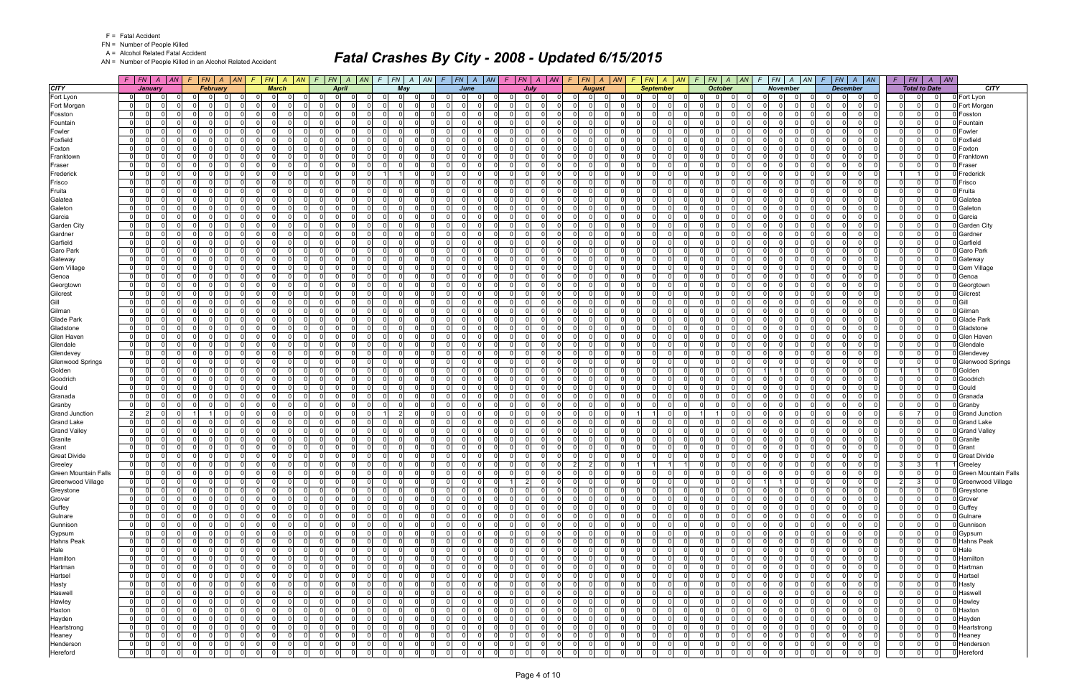FN = Number of People Killed

A = Alcohol Related Fatal Accident

AN = Number of People Killed in an Alcohol Related Accident

|                                        |                                  | $F$ $F$ $\mid$ $FN$ $\mid$ $A$ $\mid$ $AN$ $\mid$ $F$ $\mid$ $FN$ $\mid$ $A$ $\mid$ $AN$ |                                |                         |                         | $F$ $\overline{FN}$   A   AN   F   FN   A   AN   F   FN   A   AN   F   FN   A   AN   F   FN   A   AN |          |                                        |                      |                                                     |                                                    |                      |                      |                          |                            |                                       |                      |                                         |                               | $F F N   A   AN   F   FN   A   AN   F   FN   A   AN$                  | $F$ $ FN $ $A$ $ AN $                |                      |                               | $F$ $FN$ $A$ $AN$                                           | $F$   $FN$   $A$   $AN$                                          |      |                                |
|----------------------------------------|----------------------------------|------------------------------------------------------------------------------------------|--------------------------------|-------------------------|-------------------------|------------------------------------------------------------------------------------------------------|----------|----------------------------------------|----------------------|-----------------------------------------------------|----------------------------------------------------|----------------------|----------------------|--------------------------|----------------------------|---------------------------------------|----------------------|-----------------------------------------|-------------------------------|-----------------------------------------------------------------------|--------------------------------------|----------------------|-------------------------------|-------------------------------------------------------------|------------------------------------------------------------------|------|--------------------------------|
| <b>CITY</b>                            |                                  | January                                                                                  |                                | <b>February</b>         |                         | <b>March</b>                                                                                         |          | April                                  |                      | Mav                                                 |                                                    | June                 |                      | July                     |                            | <b>August</b>                         |                      |                                         | <b>September</b>              | <b>October</b>                                                        | <b>November</b>                      |                      |                               | <b>December</b>                                             | <b>Total to Date</b>                                             |      | <b>CITY</b>                    |
| Fort Lyon                              | 01                               |                                                                                          | $\Omega$                       |                         | $\mathbf 0$             | - O I                                                                                                |          |                                        | 0                    | $\Omega$<br>n                                       | $\Omega$<br>$\Omega$                               |                      | 0                    |                          |                            | $\Omega$                              |                      | $\Omega$<br>0                           |                               | $\Omega$<br>$\Omega$<br>$\Omega$                                      |                                      | $\Omega$             | $\Omega$                      | $\mathbf 0$<br>0                                            | $\overline{0}$<br>0                                              |      | 0 Fort Lyon                    |
| Fort Morgan                            | $\overline{0}$                   | $\Omega$<br>0                                                                            | $\mathbf 0$                    | $\Omega$                | 0                       | $\mathbf 0$                                                                                          |          | $\overline{0}$                         | $\Omega$             | - 0 l<br>$\Omega$                                   | $\Omega$<br>$\Omega$                               |                      | $\Omega$             | $\Omega$                 | $\Omega$                   | -01                                   | $\Omega$             | 0 <br>$\Omega$                          | $\Omega$                      | - 0 l<br>$\Omega$<br>0 I                                              | $\mathbf 0$<br>$\overline{0}$        | $\Omega$             | $\Omega$                      | 0 <br>$\overline{\mathbf{0}}$                               | 0 <br>$\overline{0}$<br> 0                                       |      | Fort Morgan                    |
| Fosston                                | $\overline{0}$                   | <sup>0</sup>                                                                             | - Ol                           | $\Omega$                | - ol                    | $\Omega$                                                                                             |          | $\Omega$                               | 0                    | $\Omega$<br>$\Omega$                                | $\overline{0}$<br>$\Omega$                         |                      | $\Omega$             |                          | $\Omega$                   | $\Omega$                              | $\Omega$             | $\Omega$<br>$\Omega$                    |                               | $\Omega$<br>$\Omega$<br>$\Omega$                                      | $\Omega$                             | $\Omega$             | $\Omega$                      | - 0 l<br>$\Omega$                                           | $\Omega$<br> 0 <br>$\Omega$                                      |      | Fosston                        |
| Fountain                               | $\mathbf{0}$                     | <sup>0</sup>                                                                             | $\Omega$                       | $\Omega$                | $\Omega$                | $\Omega$                                                                                             |          | $\Omega$                               | $\Omega$             | - 0 l<br>$\Omega$                                   | $\Omega$<br>$\Omega$                               |                      | $\Omega$             |                          | $\Omega$                   | $\Omega$                              | $\Omega$             | $\Omega$<br>$\Omega$                    |                               | $\Omega$<br>$\Omega$<br>$\Omega$                                      | n l<br>$\Omega$                      | $\Omega$             | $\Omega$                      | $\Omega$<br>$\mathbf 0$                                     | $\Omega$<br>$\overline{0}$<br>$\Omega$                           |      | Fountair                       |
| Fowler                                 | $\overline{0}$                   | 0                                                                                        | $\Omega$                       | n                       | 0                       | $\Omega$                                                                                             |          | $\Omega$                               | $\Omega$             | - 0 l<br>$\Omega$                                   | $\Omega$<br>$\Omega$                               |                      | $\Omega$             |                          | $\Omega$                   | $\Omega$                              | $\Omega$             | $\mathbf 0$<br>0                        |                               | $\overline{0}$<br>$\Omega$                                            | n l<br>$\Omega$                      | $\Omega$             | $\mathbf 0$                   | - 0 l<br>$\Omega$                                           | 0 <br>$\mathbf 0$<br>$\Omega$                                    |      | Fowler                         |
| Foxfield                               | $\overline{0}$                   | <sup>0</sup>                                                                             | $\Omega$                       | $\Omega$                | $\Omega$                | $\Omega$                                                                                             |          | $\Omega$                               | $\Omega$             | - 0 l<br>$\Omega$                                   | $\Omega$<br>U                                      |                      | $\Omega$             |                          | $\Omega$                   | -01                                   | $\Omega$             | $\Omega$<br>$\Omega$                    |                               | $\Omega$<br>$\Omega$<br>$\Omega$                                      | $\Omega$<br>$\Omega$                 | $\Omega$             | $\Omega$                      | $\Omega$<br>$\Omega$                                        | 0 <br>$\Omega$<br>$\Omega$                                       |      | Foxfield                       |
| Foxton                                 | 0                                | 0                                                                                        | - Ol                           | $\Omega$                | - ol                    | $\Omega$                                                                                             |          | $\Omega$                               | $\Omega$             | $\Omega$<br>$\Omega$                                | $\overline{0}$<br>$\Omega$                         |                      | $\Omega$             |                          | $\Omega$                   | $\Omega$                              | - 0                  | $\Omega$<br>$\Omega$                    |                               | $\Omega$<br>$\Omega$<br>$\Omega$                                      | $\Omega$<br>n.                       | $\Omega$             | $\Omega$                      | $\Omega$<br>$\mathbf 0$                                     | $\mathbf 0$<br> 0 <br> 0                                         |      | Foxton                         |
| Franktown                              | $\mathbf{0}$                     | 0                                                                                        | $\Omega$                       | $\Omega$                | $\Omega$                | $\Omega$                                                                                             |          | $\Omega$                               | <sup>0</sup>         | - 0 l<br>$\Omega$                                   | $\Omega$<br>U                                      |                      | $\Omega$             |                          | $\Omega$                   | $\Omega$                              | $\Omega$             | $\Omega$<br><sup>n</sup>                |                               | <sup>0</sup><br>$\Omega$<br>$\Omega$                                  | $\Omega$                             | $\Omega$             | $\Omega$                      | $\Omega$<br>$\mathbf 0$                                     | $\Omega$<br> 0 <br>$\Omega$                                      |      | Franktowr                      |
| Fraser                                 | $\overline{0}$                   | $\Omega$                                                                                 | - Ol                           | $\Omega$                | -ol                     | $\Omega$                                                                                             |          | $\Omega$                               | $\Omega$             | $\Omega$<br>$\Omega$                                | $\Omega$<br>$\Omega$                               |                      | $\Omega$             |                          | $\Omega$                   | $\Omega$                              | $\Omega$             | $\Omega$<br>$\Omega$                    |                               | $\Omega$<br>$\Omega$                                                  | $\Omega$                             | $\Omega$             | $\Omega$                      | - 0 l<br>$\Omega$                                           | 0 <br>$\Omega$<br>$\Omega$                                       |      | Fraser                         |
| Frederick                              | $\overline{0}$                   | 0                                                                                        | $\Omega$                       | $\Omega$                | $\Omega$                | $\Omega$                                                                                             |          | $\Omega$                               | 0                    | $\overline{1}$<br>$\Omega$                          | $\Omega$<br>$\Omega$                               |                      | $\Omega$             |                          | $\Omega$                   | -01                                   | $\Omega$             | $\overline{0}$<br>$\Omega$              |                               | $\Omega$<br>0 I<br>$\Omega$                                           | $\Omega$<br>$\Omega$                 | $\Omega$             | $\Omega$                      | - 0 l<br>$\Omega$                                           | $\Omega$<br>11                                                   |      | Frederick                      |
| Frisco                                 | $\overline{0}$                   | 0                                                                                        | - Ol                           | $\Omega$                | $\Omega$                | $\Omega$                                                                                             |          | $\Omega$                               | 0                    | $\Omega$<br>$\Omega$                                | $\overline{0}$<br>$\Omega$                         |                      | $\Omega$             |                          | $\Omega$                   | $\Omega$                              | $\Omega$             | $\Omega$<br><sup>n</sup>                |                               | $\Omega$<br>$\Omega$<br>$\Omega$                                      | $\Omega$                             | $\Omega$             | $\Omega$                      | - 0 l<br>$\Omega$                                           | $\mathbf 0$<br> 0 <br>$\Omega$                                   |      | Frisco                         |
| Fruita                                 | $\mathbf{0}$                     | $\Omega$<br>0                                                                            | $\Omega$                       | $\Omega$                | $\Omega$                | $\Omega$                                                                                             |          | $\Omega$                               | $\Omega$             | - 0 l<br>$\Omega$                                   | $\Omega$<br>$\Omega$                               | $\Omega$             | $\Omega$             | $\Omega$                 | $\Omega$                   | $\Omega$                              | $\Omega$             | $\Omega$<br>$\Omega$                    | $\Omega$                      | $\Omega$<br>$\Omega$<br>$\Omega$                                      | n l<br>$\Omega$                      | $\Omega$             | $\Omega$                      | - 0 l<br>$\Omega$                                           | $\overline{0}$<br>$\overline{0}$<br>$\Omega$                     |      | Fruita                         |
| Galatea                                | $\overline{0}$                   | 0                                                                                        | $\Omega$                       |                         | - 0 l                   | $\Omega$                                                                                             |          | $\Omega$                               | 0                    | - 0 l<br>$\Omega$                                   | $\Omega$<br>0                                      |                      | $\Omega$             |                          | $\Omega$                   | $\Omega$                              |                      | $\mathbf 0$<br>0                        |                               | $\overline{0}$<br>$\Omega$                                            | $\Omega$                             | $\Omega$             | $\Omega$                      | $\mathbf 0$<br>0                                            | $\Omega$<br> 0 <br>$\Omega$                                      |      | Galatea                        |
| Galeton                                | $\overline{0}$                   | 0                                                                                        | $\mathbf 0$                    | $\Omega$                | $\Omega$                | $\Omega$                                                                                             |          | $\Omega$                               | 0                    | $\mathbf 0$<br>$\Omega$                             | $\Omega$<br>$\Omega$                               | $\Omega$             | $\Omega$             |                          | $\Omega$                   | $\Omega$<br>$\overline{0}$            | $\Omega$             | $\Omega$<br>$\Omega$                    | $\Omega$                      | <sup>0</sup><br>$\Omega$<br>$\Omega$                                  | n l<br>$\Omega$                      | $\Omega$             | $\Omega$                      | - 0 l<br>$\Omega$                                           | $\Omega$<br> 0 <br>$\mathbf{0}$                                  |      | Galeton                        |
| Garcia                                 | $\mathbf{0}$                     | $\Omega$                                                                                 | $\Omega$                       | $\Omega$                | $\overline{\mathbf{0}}$ | $\Omega$<br>$\Omega$                                                                                 |          | $\overline{0}$                         | $\Omega$             | - 0 l<br>$\Omega$                                   | $\overline{0}$<br>$\Omega$                         | $\Omega$             | $\Omega$             |                          | $\Omega$                   | $\Omega$                              | $\Omega$             | $\Omega$<br>$\Omega$                    | $\Omega$                      | $\overline{0}$<br>$\Omega$<br>$\Omega$                                | n l<br>$\Omega$                      | $\Omega$             | $\Omega$                      | $\Omega$<br>- 0 l                                           | 0 <br>$\overline{0}$<br> 0                                       |      | Garcia                         |
| <b>Garden City</b>                     | $\overline{0}$                   | 0<br>0                                                                                   | $\mathbf 0$                    | $\Omega$                | $\Omega$                | $\Omega$<br>$\Omega$                                                                                 |          | $\Omega$                               | 0                    | $\mathbf 0$<br>$\Omega$                             | $\Omega$<br>$\Omega$                               |                      | $\Omega$             | $\Omega$                 | $\Omega$                   | $\Omega$                              | $\Omega$             | $\Omega$<br><sup>n</sup>                |                               | $\Omega$<br>$\Omega$<br>$\Omega$                                      | $\Omega$<br>- 0                      | $\Omega$             | $\Omega$                      | $\mathbf 0$<br>0                                            | $\Omega$<br> 0 <br>$\mathbf{0}$                                  |      | <b>Garden City</b>             |
|                                        | $\mathbf{0}$                     | $\Omega$<br>$\Omega$                                                                     | $\Omega$                       | $\Omega$                | 0l                      | $\Omega$<br>$\cap$                                                                                   |          | $\Omega$                               | $\Omega$             | $\Omega$<br>$\Omega$                                | $\Omega$<br>$\Omega$                               | $\Omega$             | $\Omega$             | $\cap$                   | $\Omega$                   | n l<br>$\Omega$                       | $\Omega$             | -ol<br>$\Omega$                         | $\Omega$                      | $\Omega$<br>$\Omega$<br>$\Omega$                                      | nl<br>$\Omega$                       | $\Omega$             | $\Omega$                      | $\Omega$<br>$\Omega$                                        | 0 <br>$\overline{0}$<br>$\Omega$                                 |      |                                |
| Gardner                                |                                  | 0                                                                                        | $\Omega$                       | 0                       | 0                       | $\Omega$                                                                                             |          | $\mathbf 0$                            | $\Omega$             | $\Omega$                                            | $\mathbf 0$<br>$\Omega$                            |                      | $\mathbf 0$          |                          | $\Omega$                   | $\Omega$<br>$\overline{0}$            | 0                    | $\overline{0}$<br>0                     |                               | 0 I<br>$\Omega$<br>0                                                  | $\Omega$<br>$\Omega$                 | $\Omega$             | 0                             | 0                                                           | 0 <br>0<br>$\Omega$                                              |      | Gardner                        |
| Garfield                               | $\overline{0}$<br>$\overline{0}$ | $\Omega$                                                                                 | $\Omega$                       | $\Omega$                | -ol                     | $\Omega$                                                                                             |          | $\Omega$                               | $\Omega$             | 0 <br>- 0 l<br>$\Omega$                             | $\Omega$<br>ΩI                                     |                      | $\Omega$             |                          | $\Omega$                   | $\Omega$                              | $\Omega$             | $\Omega$<br>$\Omega$                    |                               | $\Omega$<br>$\Omega$<br>$\Omega$                                      | $\Omega$<br>$\Omega$                 | $\Omega$             | $\Omega$                      | 0 <br>$\Omega$<br>- 0 l                                     | 0 <br>$\overline{0}$<br>$\Omega$                                 |      | Garfield<br>Garo Park          |
| Garo Park                              |                                  | 0                                                                                        |                                |                         |                         |                                                                                                      |          |                                        | $\Omega$             |                                                     | $\Omega$<br>$\Omega$                               | $\Omega$             |                      |                          | $\Omega$                   |                                       |                      | $\Omega$                                | $\Omega$                      | $\Omega$                                                              | - Ol<br>$\Omega$                     |                      |                               |                                                             |                                                                  |      |                                |
| Gateway                                | $\mathbf 0$                      | $\Omega$<br>$\Omega$                                                                     | $\mathbf 0$                    | $\Omega$                | - 0 l<br>n              | $\Omega$                                                                                             |          | $\Omega$<br>$\Omega$                   |                      | $\mathbf 0$<br>$\Omega$                             | $\Omega$                                           |                      | $\Omega$<br>$\Omega$ | <sup>0</sup><br>$\Omega$ |                            | $\Omega$                              | - 0                  | 0                                       |                               | 0 I<br>$\Omega$<br>$\Omega$                                           |                                      | $\Omega$             | $\Omega$                      | $\mathbf 0$<br>0                                            | $\mathbf 0$<br> 0 <br>$\mathbf{0}$                               |      | Gateway                        |
| <b>Gem Village</b>                     | $\overline{0}$                   |                                                                                          | n l                            | $\Omega$                |                         | <sup>0</sup>                                                                                         |          |                                        | $\Omega$             | $\Omega$<br>$\Omega$                                | <sup>0</sup>                                       |                      |                      |                          | $\Omega$                   | $\Omega$                              | $\Omega$             | $\Omega$<br><sup>0</sup>                |                               | $\Omega$<br>$\Omega$                                                  | $\Omega$                             | $\Omega$             | $\Omega$                      | - 0 l<br>$\Omega$                                           | 0 <br>$\Omega$<br> 0                                             |      | Gem Village                    |
| Genoa                                  | $\overline{0}$                   | 0                                                                                        | $\mathbf 0$                    | $\Omega$                | - 0 l                   | $\Omega$<br>$\Omega$                                                                                 |          | $\Omega$                               | $\Omega$             | $\mathbf 0$<br>$\Omega$                             | $\Omega$<br>$\Omega$                               | $\Omega$             | $\Omega$             | <sup>0</sup>             | $\Omega$                   | $\Omega$<br>$\overline{0}$            | $\Omega$             | $\mathbf 0$<br>$\Omega$                 |                               | $\Omega$<br>0 I<br>$\Omega$                                           | - Ol<br>$\Omega$                     | $\Omega$             | $\Omega$                      | - 0 l<br>$\Omega$                                           | $\Omega$<br> 0 <br>$\Omega$                                      |      | Genoa                          |
| Georgtown                              | $\mathbf{0}$                     | $\Omega$                                                                                 | $\Omega$                       | $\Omega$                | -ol                     | $\Omega$                                                                                             |          | $\overline{0}$                         | $\Omega$             | - 0 l<br>$\Omega$                                   | $\overline{0}$<br>$\Omega$                         |                      | $\Omega$             | $\Omega$                 | $\Omega$                   | $\Omega$                              | $\Omega$             | $\Omega$<br>$\Omega$                    | $\Omega$                      | $\overline{0}$<br>$\Omega$<br>$\Omega$                                | n l<br>$\Omega$                      | $\Omega$             | $\Omega$                      | $\Omega$<br>- 0 l                                           | 0 <br>$\overline{0}$<br>$\Omega$                                 |      | Georgtown                      |
| Gilcrest                               | $\overline{0}$                   | <sup>0</sup>                                                                             | $\Omega$                       | $\Omega$                | $\Omega$                | $\Omega$                                                                                             |          | $\Omega$                               | 0                    | $\mathbf 0$<br>$\Omega$                             | $\Omega$<br>0                                      |                      | $\Omega$             |                          | $\Omega$                   | $\Omega$                              | $\Omega$             | $\Omega$<br><sup>n</sup>                |                               | $\Omega$<br>$\Omega$<br>$\Omega$                                      | - 0                                  | - 0                  | $\Omega$                      | $\mathbf 0$<br>0                                            | $\Omega$<br> 0 <br>$\Omega$                                      |      | Gilcrest                       |
| Gill                                   | $\mathbf{0}$                     | $\Omega$<br>$\Omega$                                                                     | $\Omega$                       | $\Omega$                | 0l                      | $\Omega$<br>$\Omega$                                                                                 |          | $\Omega$                               | $\Omega$             | $\Omega$<br>$\Omega$                                | $\Omega$<br>$\Omega$                               | $\Omega$             | $\Omega$             | $\cap$                   | $\Omega$                   | n l<br>$\Omega$                       | $\Omega$             | -ol<br>$\Omega$                         | $\Omega$                      | $\Omega$<br>$\Omega$<br>$\Omega$                                      | nl<br>$\Omega$                       | $\Omega$             | $\Omega$                      | $\Omega$<br>$\Omega$                                        | 0 <br>$\overline{0}$<br> 0                                       | Gill |                                |
| Gilman                                 | $\overline{0}$                   | 0                                                                                        | $\Omega$                       |                         | $\Omega$                | $\Omega$                                                                                             |          | $\Omega$                               | $\Omega$             | $\Omega$<br>- 0                                     | $\Omega$<br>$\Omega$                               |                      | $\Omega$             |                          | $\Omega$                   | $\Omega$                              |                      | $\mathbf 0$<br>O.                       |                               | $\Omega$<br>$\Omega$                                                  | $\Omega$<br>$\Omega$                 |                      | $\Omega$                      | - 0 l<br>0                                                  | $\Omega$<br> 0 <br>$\Omega$                                      |      | Gilman                         |
| <b>Glade Park</b>                      | $\overline{0}$                   | 0                                                                                        | $\mathbf 0$                    | $\Omega$                | $\overline{0}$          | $\Omega$                                                                                             |          | $\overline{0}$                         | $\Omega$             | $\mathbf{0}$<br>$\Omega$                            | $\overline{0}$<br>$\Omega$                         |                      | $\Omega$             |                          | $\Omega$                   | $\overline{0}$                        | $\Omega$             | $\Omega$<br>$\Omega$                    |                               | 0 I<br>$\Omega$<br>$\Omega$                                           | - Ol<br>- O I                        | $\Omega$             | $\Omega$                      | - 0 l<br>$\Omega$                                           | $\overline{0}$<br> 0 <br>$\Omega$                                |      | <b>Glade Park</b>              |
| Gladstone                              | 0                                | 0                                                                                        | - Ol                           | $\Omega$                | - ol                    | $\Omega$                                                                                             |          | $\Omega$                               | 0                    | $\Omega$<br>$\Omega$                                | $\overline{0}$<br>$\Omega$                         |                      | $\Omega$             |                          | $\Omega$                   | $\Omega$                              | $\Omega$             | $\Omega$<br>$\Omega$                    |                               | $\Omega$<br>$\Omega$<br>$\Omega$                                      | n l<br>$\Omega$                      | $\Omega$             | $\Omega$                      | $\Omega$<br>$\Omega$                                        | $\mathbf 0$<br> 0 <br>$\Omega$                                   |      | Gladstone                      |
| Glen Haven                             | $\overline{0}$                   | 0                                                                                        | $\Omega$                       | $\Omega$                | - 0 l                   | $\Omega$                                                                                             |          | $\Omega$                               | 0                    | $\mathbf 0$<br>$\Omega$                             | $\Omega$<br><sup>n</sup>                           |                      | $\Omega$             |                          | $\Omega$                   | $\Omega$                              | $\Omega$             | $\Omega$<br><sup>n</sup>                |                               | $\Omega$<br>$\Omega$<br>$\Omega$                                      | $\Omega$                             | $\Omega$             | $\Omega$                      | $\mathbf 0$<br>0                                            | $\Omega$<br>$\overline{0}$<br>$\Omega$                           |      | Glen Haver                     |
| Glendale                               | $\overline{0}$                   | $\Omega$                                                                                 | $\Omega$                       | $\Omega$                | $\Omega$                | $\Omega$                                                                                             |          | $\Omega$                               | $\Omega$             | $\Omega$<br>$\Omega$                                | $\Omega$<br><sup>0</sup>                           |                      | $\Omega$             |                          | $\Omega$                   | $\Omega$                              |                      | $\Omega$<br>$\Omega$                    |                               | <sup>0</sup><br>$\Omega$                                              | $\Omega$                             | $\Omega$             | $\Omega$                      | $\Omega$<br>$\Omega$                                        | $\Omega$<br> 0 <br>$\Omega$                                      |      | Glendale                       |
| Glendevey                              | 0                                | 0                                                                                        | $\mathbf 0$                    | $\Omega$                | 0                       | $\Omega$                                                                                             |          | $\Omega$                               | $\Omega$             | - 0 l<br>$\Omega$                                   | $\Omega$<br>$\Omega$                               |                      | $\Omega$             |                          | $\Omega$                   | $\overline{0}$                        | $\Omega$             | $\overline{0}$<br>$\Omega$              |                               | $\Omega$<br>0 I<br>$\Omega$                                           | - Ol<br>$\Omega$                     | $\Omega$             | $\mathbf 0$                   | $\Omega$<br>$\mathbf 0$                                     | $\mathbf 0$<br> 0 <br> 0                                         |      | Glendevey                      |
| <b>Glenwood Springs</b>                | $\overline{0}$                   | $\Omega$                                                                                 | - Ol                           | $\Omega$                | $\Omega$                | $\Omega$                                                                                             |          | $\Omega$                               | 0                    | $\Omega$<br>$\Omega$                                | $\Omega$<br>$\Omega$                               |                      | $\Omega$             |                          | $\Omega$                   | $\Omega$                              | $\Omega$             | $\Omega$<br><sup>n</sup>                |                               | <sup>0</sup><br>$\Omega$                                              | $\Omega$                             | $\Omega$             | $\Omega$                      | - 0 l<br>$\Omega$                                           | 0 <br>$\Omega$<br>$\Omega$                                       |      | <b>Glenwood Springs</b>        |
| Golden                                 | $\mathbf{0}$                     | $\Omega$<br>0                                                                            | $\Omega$                       | $\Omega$                | - 0 l                   | $\Omega$                                                                                             |          | $\Omega$                               | $\Omega$             | $\mathbf 0$<br>$\Omega$                             | $\Omega$<br>$\Omega$                               | $\Omega$             | $\Omega$             |                          | $\Omega$                   | $\overline{0}$                        | $\Omega$             | $\Omega$<br>$\Omega$                    |                               | 0 I<br>$\Omega$<br>$\Omega$                                           |                                      | $\Omega$             | $\Omega$                      | $\Omega$<br>- 01                                            | $\overline{0}$<br>$1 \vert$                                      |      | Golden                         |
| Goodrich                               | $\overline{0}$                   | 0                                                                                        | $\Omega$                       | $\Omega$                | $\Omega$                | $\Omega$                                                                                             |          | $\Omega$                               | $\Omega$             | $\Omega$<br>$\Omega$                                | $\Omega$<br><sup>0</sup>                           |                      | $\Omega$             |                          | $\Omega$                   | $\Omega$                              |                      | $\mathbf 0$<br>U                        |                               | <sup>0</sup><br>$\Omega$                                              | n l<br>$\Omega$                      | $\Omega$             | $\Omega$                      | $\Omega$<br>$\Omega$                                        | 0 <br>$\Omega$                                                   |      | Goodrich                       |
| Gould                                  | $\overline{0}$                   | 0                                                                                        | $\mathbf 0$                    | $\Omega$                | $\Omega$                | $\Omega$                                                                                             |          | $\Omega$                               | $\Omega$             | - 0 l<br>$\Omega$                                   | $\Omega$<br>0                                      |                      | $\Omega$             |                          | $\Omega$                   | $\overline{0}$                        | $\Omega$             | $\Omega$<br>$\Omega$                    |                               | $\Omega$<br>$\Omega$                                                  | $\Omega$<br>$\Omega$                 | $\Omega$             | $\Omega$                      | - 0 l<br>$\Omega$                                           | $\mathbf 0$<br> 0 <br>$\Omega$                                   |      | Gould                          |
| Granada                                | 0                                | $\Omega$                                                                                 | - Ol                           | $\Omega$                | - ol                    | $\Omega$<br>$\Omega$                                                                                 |          | $\Omega$                               | $\Omega$             | $\Omega$<br>$\Omega$                                | $\overline{0}$<br>$\Omega$                         | $\Omega$             | $\Omega$             |                          | $\Omega$                   | $\Omega$                              | $\Omega$             | $\Omega$<br>$\Omega$                    |                               | $\Omega$<br>$\Omega$<br>$\Omega$                                      | - Ol<br>$\Omega$                     | $\Omega$             | $\Omega$                      | $\Omega$<br>$\Omega$                                        | $\overline{0}$<br> 0 <br>$\Omega$                                |      | Granada                        |
| Granby                                 | $\overline{0}$                   | $\Omega$<br>0                                                                            | $\Omega$                       | $\Omega$                | - 0 l                   | $\Omega$                                                                                             |          | $\Omega$                               | 0                    | - 0 l<br>$\Omega$                                   | $\Omega$<br>0                                      |                      | $\Omega$             |                          | $\Omega$                   | $\Omega$                              | $\Omega$             | $\Omega$<br><sup>n</sup>                |                               | <sup>0</sup><br>$\Omega$<br>$\Omega$                                  | $\Omega$                             | $\Omega$             | $\Omega$                      | $\Omega$<br>$\mathbf 0$                                     | $\Omega$<br>$\overline{0}$<br>$\Omega$                           |      | Granby                         |
| <b>Grand Junction</b>                  | $\overline{2}$                   | $\overline{2}$<br>$\Omega$                                                               |                                | $\Omega$                | -ol                     | $\Omega$<br>$\Omega$                                                                                 |          | $\Omega$                               | $\Omega$             | $\vert$ 2<br>$\Omega$                               | $\Omega$<br>$\Omega$                               | $\Omega$             | $\Omega$             |                          | $\Omega$                   | -01<br>n I                            | $\Omega$             |                                         | $\Omega$                      | $\Omega$                                                              | $\Omega$<br>- Ol                     | $\Omega$             | $\Omega$                      | - 0 l<br>$\Omega$                                           | 6<br>$\overline{7}$<br>$\Omega$                                  |      | <b>Grand Junction</b>          |
| <b>Grand Lake</b>                      | $\overline{0}$                   | 0<br>$\Omega$<br>$\Omega$                                                                | $\Omega$                       | $\Omega$                | $\Omega$                | $\Omega$<br>$\Omega$<br>$\Omega$                                                                     |          | $\Omega$                               | 0<br>$\Omega$        | - 0 l<br>$\Omega$<br>$\Omega$                       | $\Omega$<br>$\Omega$<br>$\Omega$                   | $\Omega$             | $\Omega$<br>$\Omega$ | $\Omega$                 | $\Omega$<br>$\Omega$       | $\Omega$                              | $\Omega$             | $\mathbf 0$<br>$\Omega$                 | $\Omega$                      | $\Omega$<br>$\Omega$<br><sup>0</sup><br>$\Omega$                      | - Ol<br>$\Omega$<br>nl               | $\Omega$             | 0<br>$\Omega$                 | $\Omega$<br>$\mathbf 0$                                     | $\mathbf 0$<br> 0 <br>$\mathbf{0}$<br>$\Omega$                   |      | <b>Grand Lake</b>              |
| <b>Grand Valley</b>                    | $\mathbf{0}$                     | <sup>0</sup>                                                                             | $\Omega$                       | $\Omega$<br>$\Omega$    | $\overline{0}$<br>-ol   | $\Omega$<br>$\Omega$                                                                                 |          | $\Omega$<br>$\Omega$                   | 0                    | - 0 l<br>$\Omega$                                   | $\overline{0}$<br>$\Omega$<br>$\Omega$             | $\Omega$             | $\Omega$             |                          | $\Omega$                   | -01                                   | $\Omega$<br>$\Omega$ | -ol<br>$\Omega$<br>$\Omega$<br>$\Omega$ |                               | $\Omega$<br>$\Omega$<br>$\Omega$<br>$\Omega$                          | $\Omega$<br>- Ol<br>$\Omega$         | $\Omega$<br>$\Omega$ |                               | - 0 l<br>$\Omega$<br>$\Omega$                               | 0 <br>$\mathbf 0$                                                |      | <b>Grand Valley</b>            |
| Granite                                | $\mathbf{0}$                     | $\Omega$                                                                                 | $\Omega$<br>$\Omega$           | $\Omega$                |                         | $\Omega$<br>$\cap$                                                                                   |          | $\Omega$                               | $\Omega$             | $\Omega$<br>$\Omega$                                | $\Omega$<br>$\Omega$                               | $\Omega$             | $\Omega$             | $\Omega$                 | $\Omega$                   | $\Omega$<br>$\Omega$                  | $\Omega$             | $\mathbf 0$<br>$\Omega$                 | $\Omega$<br>$\Omega$          | $\Omega$<br>$\Omega$<br>$\Omega$<br>$\Omega$                          | n l<br>$\Omega$                      | $\Omega$             | $\Omega$<br>$\Omega$          | $\mathbf 0$<br>$\Omega$                                     | $\mathbf 0$<br> 0 <br>$\mathbf 0$<br>$\Omega$<br>$\Omega$        |      | Granite                        |
| Grant<br><b>Great Divide</b>           | $\overline{0}$                   | 0                                                                                        |                                | $\Omega$                | - 0 l<br> 0             | $\Omega$                                                                                             |          | $\Omega$                               | 0                    | - 0 l<br>$\Omega$                                   | $\mathbf 0$<br>$\Omega$                            |                      | $\Omega$             |                          | $\Omega$                   | $\Omega$                              | $\Omega$             | $\mathbf 0$<br>$\Omega$                 |                               | $\Omega$<br>$\Omega$                                                  | n l<br>$\Omega$                      | $\Omega$             | $\mathbf 0$                   | - 0 l<br>$\Omega$                                           | $\overline{0}$<br>$\Omega$                                       |      | Grant                          |
|                                        | $\overline{0}$<br>$\overline{0}$ | $\Omega$<br> 0                                                                           | $\mathbf 0$<br>0 I<br>$\Omega$ | $\mathbf 0$             | $\overline{0}$          | $\mathbf{0}$<br>$\Omega$                                                                             | - 0      | 0 <br>$\Omega$                         | $\mathbf{0}$         | 0 <br> 0 <br>$\mathbf 0$                            | - ol<br>$\overline{0}$                             | $\Omega$<br>- 0      | $\overline{0}$       | - Ol                     | $\overline{0}$             | $\overline{0}$<br>$\overline{2}$<br>2 | $\Omega$<br>$\Omega$ | $\overline{1}$                          |                               | 0 I<br> 0 <br>$\overline{0}$<br>$\overline{0}$                        | 0 I<br>$\mathbf 0$                   | $\Omega$             | $\overline{0}$<br>$\Omega$    | $\mathbf 0$<br>$\Omega$<br>0 I                              | 0 <br>3                                                          |      | <b>Great Divide</b><br>Greeley |
| Greeley<br><b>Green Mountain Falls</b> |                                  | $\Omega$                                                                                 |                                | $\Omega$                |                         |                                                                                                      |          | $\Omega$                               | $\Omega$             |                                                     | $\Omega$                                           |                      | $\Omega$             | $\Omega$                 | $\Omega$                   |                                       | $\Omega$             |                                         |                               | $\Omega$<br>$\Omega$                                                  |                                      |                      | $\Omega$                      |                                                             | 3 <br>$\Omega$                                                   |      | 0 Green Mountain Falls         |
| Greenwood Village                      | $\overline{0}$<br> 0             | $\overline{0}$<br>$\Omega$<br>$\Omega$                                                   | $\mathbf 0$<br>$\mathbf 0$     | $\Omega$                | 0 <br>$\overline{0}$    | 0<br>- 01<br>- O I<br>$\Omega$                                                                       |          | $\Omega$                               | $\Omega$             | $\mathbf 0$<br>$\Omega$<br>$\mathbf{0}$<br>$\Omega$ | 0<br>- 0 l<br>$\Omega$                             | $\Omega$<br>- Ol     |                      |                          | $\Omega$                   | $\overline{0}$<br>-01                 | $\Omega$             | 0<br>$\Omega$<br> 0 <br>$\Omega$        | $\Omega$<br>$\Omega$          | $\mathbf 0$<br>$\overline{0}$<br>$\mathbf 0$<br>$\overline{0}$        | .0<br>-01                            | $\Omega$<br>$\Omega$ | $\Omega$                      | $\overline{0}$<br>$\mathbf 0$<br>$\overline{0}$<br>$\Omega$ | 0 <br>3 <sup>1</sup><br> 0                                       |      | 0 Greenwood Village            |
|                                        |                                  | $\overline{0}$<br>$\Omega$                                                               | 0                              | 0                       | $\overline{0}$          | 0                                                                                                    |          | 0                                      | $\Omega$             | 0 <br>0                                             | 0 <br>$\mathbf 0$                                  | $\Omega$             | 0                    | $\overline{2}$           | $\Omega$                   | $\overline{0}$<br>$\Omega$            | $\Omega$             | 0 <br>$\mathbf{0}$                      | $\Omega$                      | 0 <br> 0 <br>$\Omega$                                                 | 0 <br>$\mathbf 0$                    | $\Omega$             | 0                             | $\overline{0}$<br>$\overline{0}$                            | $\overline{2}$<br>$\overline{0}$<br>$\overline{0}$<br> 0         |      | Greystone                      |
| Greystone<br>Grover                    | $\overline{0}$                   | 0<br>$\overline{0}$                                                                      | $\mathbf 0$                    | $\Omega$                | $\overline{0}$          | $\overline{0}$<br>$\Omega$                                                                           |          | $\overline{0}$                         | $\mathbf 0$          | 0 <br>$\mathbf 0$                                   | 0 <br>$\overline{0}$                               | - Ol                 | $\overline{0}$       | $\Omega$                 | $\mathbf{0}$               | -01<br>$\Omega$                       | $\Omega$             | 0 <br>0 I                               | $\Omega$                      | $\overline{0}$<br>$\overline{0}$<br>$\overline{0}$                    | $\overline{0}$<br>$\overline{0}$     | $\Omega$             | $\Omega$                      | $\overline{0}$<br>$\overline{0}$                            | 0 <br>$\overline{0}$<br> 0                                       |      | Grover                         |
| Guffey                                 | $\mathbf 0$                      | $\Omega$<br>$\Omega$                                                                     | $\mathbf 0$                    | 0                       | $\overline{0}$          | - O I                                                                                                |          | $\Omega$<br>0                          | $\Omega$             | $\mathbf{0}$<br>$\mathbf 0$                         | $\mathbf 0$<br>$\mathbf 0$                         | $\Omega$             | $\Omega$             | 0                        | $\Omega$                   | $\overline{0}$                        | $\Omega$             | 0 <br>$\Omega$                          | $\Omega$                      | 0 I<br>0<br>$\Omega$                                                  | $\Omega$<br>- O I                    | $\Omega$             | 0                             | $\overline{0}$<br> 0                                        | 0 <br> 0 <br>$\mathbf 0$                                         |      | Guffey                         |
| Gulnare                                | 0                                | $\Omega$<br>0                                                                            | - 0 l                          | $\Omega$                | 0                       | $\Omega$                                                                                             |          | $\Omega$                               | $\Omega$             | $\mathbf{0}$<br>$\Omega$                            | $\mathbf 0$<br>$\Omega$                            | $\Omega$             | $\Omega$             | $\Omega$                 | $\Omega$                   | -01                                   | $\Omega$             | 0 <br>$\Omega$                          | $\Omega$                      | $\overline{0}$<br>$\Omega$<br>$\mathbf 0$                             | $\overline{0}$<br>$\Omega$           | $\Omega$             | $\overline{0}$                | 0 <br>$\Omega$                                              | $\mathbf 0$<br>$\overline{0}$<br>$\Omega$                        |      | Gulnare                        |
| Gunnison                               |                                  | $\overline{0}$<br>$\overline{0}$                                                         | 0                              | 0                       | $\overline{0}$          | $\overline{0}$<br>- 01                                                                               |          | 0                                      | $\overline{0}$       | 0 <br>0                                             | 0 <br>$\overline{0}$                               | $\mathbf 0$          | $\mathbf 0$          |                          | $\overline{0}$             | 0                                     | $\Omega$             | 0 <br>01                                | 0                             | 0 <br>$\overline{0}$<br>0                                             | $\Omega$<br>$\mathbf 0$              | $\mathbf{0}$         | 0                             | $\overline{0}$<br>0                                         | $\overline{0}$<br> 0 <br>0                                       |      | Gunnison                       |
|                                        | $\overline{0}$                   | $\Omega$                                                                                 | 0                              | $\Omega$                | 0                       | 0                                                                                                    |          | $\overline{0}$                         | $\Omega$             | 0 <br>$\mathbf 0$                                   | $\overline{0}$<br>$\overline{0}$                   | $\Omega$             | 0                    | $\Omega$                 | -01                        | 0                                     | $\Omega$             | 0 <br>$\overline{0}$                    | $\Omega$                      | $\overline{0}$<br>$\overline{0}$<br>$\mathbf 0$                       | $\overline{0}$<br>$\mathbf 0$        | $\Omega$             | $\overline{0}$                | 0 <br>$\overline{0}$                                        | 0 <br> 0 <br>$\Omega$                                            |      | Gypsum                         |
| Gypsum<br><b>Hahns Peak</b>            | $\overline{0}$                   | $\Omega$                                                                                 | $\mathbf 0$                    | $\Omega$                | 0                       | $\Omega$<br>$\Omega$                                                                                 |          | $\overline{0}$                         | $\Omega$             | - 0 l<br>$\Omega$                                   | $\overline{0}$<br>$\Omega$                         | $\Omega$             | $\Omega$             |                          | $\Omega$                   | -01                                   | $\Omega$             | 0 <br>$\Omega$                          | $\Omega$                      | $\Omega$<br>$\Omega$<br>$\Omega$                                      | $\overline{0}$                       | $\Omega$             | $\overline{0}$                | 0 <br>$\Omega$                                              | $\mathbf 0$<br> 0 <br>$\overline{0}$                             |      | 0 Hahns Peak                   |
| Hale                                   | 0                                | $\Omega$<br>$\Omega$                                                                     | $\mathbf 0$                    | $\Omega$                | $\overline{0}$          | - O I<br>- 01                                                                                        |          | $\overline{0}$<br>$\Omega$             | $\Omega$             | $\mathbf{0}$<br>- O I                               | 0 <br>$\Omega$                                     | $\Omega$             | 0 I                  | $\Omega$                 | $\Omega$                   | $\overline{0}$                        | $\Omega$             | 0 <br>$\Omega$                          | $\Omega$                      | $\overline{0}$<br>$\overline{0}$<br>- O I                             | $\Omega$<br>- O I                    | 0 I                  | $\mathbf 0$                   | $\Omega$<br>$\mathbf 0$                                     | 0 <br> 0 <br>0 I                                                 |      | Hale                           |
| Hamilton                               | $\overline{0}$                   | $\Omega$                                                                                 | $\Omega$                       | $\Omega$                | 0                       | $\Omega$                                                                                             |          | $\mathbf 0$                            | $\Omega$             | 0 <br>$\mathbf 0$                                   | $\mathbf 0$<br>$\Omega$                            | $\Omega$             | $\Omega$             |                          | $\Omega$                   | -01                                   | $\Omega$             | 0 <br>$\Omega$                          |                               | $\overline{0}$<br>$\Omega$                                            | $\Omega$<br>$\overline{0}$           | $\Omega$             | $\mathbf 0$                   | 0 <br>0                                                     | 0 <br>$\mathbf 0$<br>$\mathbf 0$                                 |      | Hamilton                       |
|                                        |                                  | $\overline{0}$<br>$\Omega$<br>$\Omega$                                                   |                                |                         | $\overline{0}$          | $\Omega$                                                                                             |          | $\overline{0}$<br>$\Omega$             | 0                    | 0 <br> 0                                            | 0 <br>$\overline{0}$                               | $\overline{0}$       |                      | $\Omega$                 | -01                        | 0 <br>$\Omega$                        | $\Omega$             | 0 <br>$\overline{0}$                    | $\overline{0}$                | 0 <br>$\mathbf 0$                                                     | 0 <br>$\mathbf 0$                    |                      | $\mathbf 0$                   | $\overline{0}$                                              | 0 <br> 0 <br>$\mathbf{0}$                                        |      | 0 Hartmar                      |
| Hartman                                | 0                                | 0                                                                                        | 01<br>$\mathbf 0$              | $\mathbf 0$<br>$\Omega$ | 0                       | 0 <br>$\Omega$<br>$\Omega$                                                                           |          | $\overline{0}$                         | $\Omega$             | - 0 l<br>$\mathbf 0$                                | $\overline{0}$<br>$\Omega$                         | $\Omega$             | 0 <br>$\Omega$       |                          | -01                        | -01                                   | $\Omega$             | 0 <br>$\Omega$                          | $\Omega$                      | $\overline{0}$<br>$\overline{0}$<br>$\mathbf 0$<br>$\Omega$           | $\mathbf 0$<br>- Ol                  | 0 <br>$\Omega$       | $\overline{0}$                | 0 <br> 0 <br>$\Omega$                                       | $\mathbf 0$<br>$\Omega$                                          |      | Hartsel                        |
| Hartsel                                |                                  |                                                                                          |                                |                         |                         |                                                                                                      |          |                                        |                      |                                                     |                                                    |                      |                      |                          |                            |                                       |                      |                                         |                               |                                                                       |                                      |                      |                               |                                                             | 0                                                                |      |                                |
| Hasty                                  | $\overline{0}$                   | 0<br>$\Omega$<br>$\Omega$                                                                | $\mathbf 0$                    | $\Omega$                | 0                       | $\Omega$<br>$\Omega$                                                                                 |          | $\overline{0}$<br>$\Omega$             | $\Omega$<br>$\Omega$ | 0 <br>- O I<br>-ol                                  | $\mathbf 0$<br>$\Omega$<br>$\mathbf 0$<br>$\Omega$ | $\Omega$<br>$\Omega$ | $\Omega$<br>$\Omega$ | $\Omega$                 | $\Omega$<br>$\Omega$       | $\overline{0}$                        | $\Omega$<br>$\Omega$ | 0 <br>$\Omega$<br>$\Omega$              | $\Omega$                      | 0 I<br>$\Omega$<br>$\Omega$<br>$\Omega$<br>$\Omega$                   | $\Omega$<br>- O I<br>n l<br>$\Omega$ | $\Omega$<br>$\Omega$ | $\overline{0}$<br>$\mathbf 0$ | 0<br>$\mathbf 0$                                            | $\overline{0}$<br> 0 <br>$\mathbf{0}$<br>$\mathbf 0$<br>$\Omega$ |      | Hasty                          |
| Haswell                                | $\overline{0}$                   |                                                                                          | - 0 l                          | $\Omega$                | 0                       | $\Omega$                                                                                             |          |                                        |                      | $\mathbf 0$                                         |                                                    |                      |                      |                          | $\Omega$                   | -01                                   |                      | 0                                       |                               | $\overline{0}$<br>$\Omega$                                            |                                      |                      |                               | 0 <br>$\Omega$                                              | 0                                                                |      | Haswell                        |
| Hawley                                 | 0                                | $\Omega$                                                                                 | 0                              | $\Omega$                | $\overline{0}$          | 0 <br>$\Omega$                                                                                       |          | 0                                      | $\Omega$<br>$\Omega$ | 0 <br>$\mathbf 0$                                   | 0 <br>$\overline{0}$<br>$\Omega$                   | $\Omega$<br>$\Omega$ | 0 <br>$\Omega$       |                          |                            | 0                                     | $\Omega$<br>$\Omega$ | 0 <br>$\mathbf{0}$                      | $\Omega$<br>$\Omega$          | 0 <br>$\mathbf 0$                                                     | $\overline{0}$<br>$\mathbf 0$<br>n l | $\mathbf 0$          | $\mathbf 0$                   | $\overline{0}$<br>$\overline{0}$                            | $\overline{0}$<br> 0 <br>$\Omega$                                |      | Hawley                         |
| Haxton                                 | $\overline{0}$                   | $\overline{0}$<br>$\Omega$                                                               | - 0 l                          | $\Omega$                | 0                       | $\Omega$                                                                                             |          | $\overline{0}$                         |                      | 0 <br>$\mathbf 0$                                   | $\overline{0}$                                     |                      |                      |                          | $\overline{0}$<br>$\Omega$ | -01<br>$\Omega$                       |                      | 0 <br>$\Omega$                          |                               | $\overline{0}$<br>$\mathbf 0$<br>$\overline{0}$                       | $\mathbf 0$                          | $\Omega$             | $\overline{0}$                | 0 <br>$\Omega$                                              | $\mathbf 0$<br> 0 <br>$\mathbf{0}$                               |      | Haxton                         |
| Hayden                                 | 0                                | $\Omega$<br>$\Omega$<br>$\Omega$                                                         | $\mathbf 0$<br>$\Omega$        | $\Omega$<br>$\Omega$    | $\overline{0}$<br> 0    | - O I<br>$\Omega$<br>$\Omega$                                                                        |          | $\overline{0}$<br>$\Omega$<br>$\Omega$ | $\Omega$<br>$\Omega$ | $\mathbf{0}$<br>- O I<br>- 0 l<br>$\Omega$          | 0 <br>$\Omega$<br>$\mathbf 0$<br>$\Omega$          | $\Omega$<br>$\Omega$ | 0 I<br>$\Omega$      | $\Omega$                 | $\Omega$                   | $\overline{0}$<br>-01                 | $\Omega$<br>$\Omega$ | 0 <br>$\Omega$<br> 0 <br>$\Omega$       | $\mathbf 0$                   | 0 I<br>$\mathbf 0$<br>- O I<br>$\overline{0}$<br>$\Omega$<br>$\Omega$ | $\Omega$<br>- O I<br>$\overline{0}$  | 0 I<br>$\Omega$      | $\overline{0}$<br>$\mathbf 0$ | $\Omega$<br>$\mathbf 0$<br>$\Omega$                         | 0 <br> 0 <br>$\Omega$<br>$\mathbf 0$<br>$\Omega$                 |      | Hayden                         |
| Heartstrong                            | $\overline{0}$                   |                                                                                          |                                |                         |                         |                                                                                                      |          |                                        |                      |                                                     |                                                    |                      |                      |                          |                            |                                       |                      |                                         |                               |                                                                       |                                      |                      |                               | 0                                                           | 0                                                                |      | Heartstrong                    |
| Heaney                                 | $\overline{0}$                   | 0l<br>0<br>$\Omega$                                                                      | 01                             | 0                       | $\mathbf{0}$            | $\overline{0}$<br>- 01                                                                               | $\Omega$ | 0                                      | 0                    | 0 <br>$\mathbf 0$                                   | 0 <br>$\mathbf 0$                                  | 0 <br>$\mathbf 0$    | 0                    | 0                        | $\mathbf{0}$               | - O I<br> 0                           | $\mathbf{0}$         | 0 <br> 0                                | $\overline{0}$<br>$\mathbf 0$ | $\mathbf{0}$<br> 0 <br>$\mathbf 0$                                    | 0 <br>$\mathbf 0$                    | $\mathbf 0$          | $\mathbf 0$                   | 0 <br>$\mathbf{0}$                                          | $\overline{0}$<br>$\overline{0}$<br>0<br> 0                      |      | 0 Heaney                       |
| Henderson                              | $\overline{0}$                   | 0                                                                                        | 0 <br>- 01                     | $\overline{0}$          | $\mathbf{0}$            | 0 <br>$\overline{0}$                                                                                 |          | $\overline{0}$<br>0                    | 0                    | 0 <br> 0                                            | 0 <br>$\overline{0}$                               |                      | $\overline{0}$       | $\mathbf{0}$             | 0                          | 0 <br>- O I                           | 0                    | 0 <br>$\overline{0}$                    |                               | $\overline{0}$<br> 0 <br>$\mathbf 0$                                  | $\overline{0}$<br>$\mathbf 0$        | 0                    | $\mathbf 0$                   | 0 <br> 0                                                    | $\overline{0}$<br>$\overline{0}$                                 |      | Henderson                      |
| Hereford                               | $\overline{0}$                   | $\overline{0}$<br>$\mathbf 0$                                                            | - 0 l<br>$\Omega$              | $\Omega$                | 0                       | $\mathbf 0$<br>$\Omega$                                                                              |          | $\overline{0}$<br>$\mathbf 0$          | 0                    | 0 <br>0                                             | 0 <br>$\mathbf 0$                                  | $\Omega$             | $\Omega$             | $\overline{0}$           | 0                          | $\overline{0}$<br> 0                  | $\Omega$             | 0 <br>$\mathbf 0$                       | $\Omega$                      | $\mathbf 0$<br>$\overline{0}$<br> 0                                   | $\overline{0}$<br>$\mathbf 0$        | $\Omega$             | $\overline{0}$                | $\overline{0}$<br> 0                                        | 0 <br>$\overline{0}$<br> 0                                       |      | Hereford                       |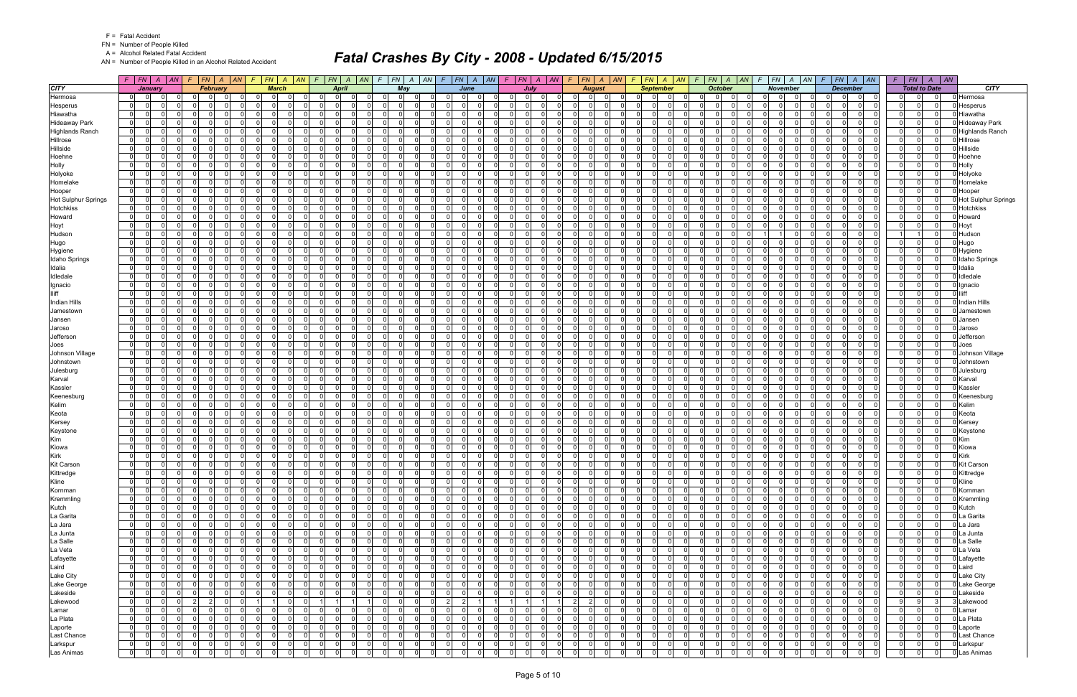FN = Number of People Killed

A = Alcohol Related Fatal Accident

AN = Number of People Killed in an Alcohol Related Accident

|                                      |                | F   FN   A   AN   F   FN   A   AN            |                |                            |                |                |          |                |                               | F FN A AN F FN A AN F FN A AN F FN A AN F FN A AN F FN A AN F FN A AN F FN A AN F FN A AN F FN A AN |                |                         |                |                |                |                         |                |                                         |                |                |                               |                      |                                            |                |                                  |                                  |                 |                         | $F$ $FN$ $A$ $AN$ $F$ $FN$ $A$ $AN$                  |                |                | $F$   $FN$   $A$   $AN$ |                               |
|--------------------------------------|----------------|----------------------------------------------|----------------|----------------------------|----------------|----------------|----------|----------------|-------------------------------|-----------------------------------------------------------------------------------------------------|----------------|-------------------------|----------------|----------------|----------------|-------------------------|----------------|-----------------------------------------|----------------|----------------|-------------------------------|----------------------|--------------------------------------------|----------------|----------------------------------|----------------------------------|-----------------|-------------------------|------------------------------------------------------|----------------|----------------|-------------------------|-------------------------------|
| <b>CITY</b>                          |                | <b>January</b>                               |                | <b>February</b>            |                | <b>March</b>   |          |                | <b>April</b>                  |                                                                                                     |                | May                     |                |                | June           |                         |                | July                                    |                |                | August                        |                      | <b>September</b>                           |                | <b>October</b>                   |                                  | <b>November</b> |                         | <b>December</b>                                      |                |                | <b>Total to Date</b>    | <b>CITY</b>                   |
| Hermosa                              | $\overline{0}$ | <sup>0</sup>                                 | $\Omega$       | $\Omega$                   | $\mathbf 0$    | $\Omega$       |          | 0 I            | - 0 l                         | $\Omega$                                                                                            | 0              | $\mathbf 0$<br>$\Omega$ |                | $\Omega$       | $\Omega$       | $\overline{0}$          | $\mathbf 0$    | $\mathbf{0}$                            |                | 01             | $\Omega$                      |                      | $\Omega$<br>$\Omega$                       | $\Omega$       | $\Omega$<br>$\Omega$             | 0                                | $\overline{0}$  |                         | 0<br>$\Omega$                                        | 0              | 0              | 0                       | Hermosa                       |
| Hesperus                             | $\mathbf{0}$   | $\Omega$<br>n l                              |                | $\Omega$<br>$\Omega$       | - Ol           | $\Omega$       |          | $\overline{0}$ | 0 I                           | $\Omega$                                                                                            | 0              | $\Omega$<br>$\Omega$    |                | $\Omega$       | 0              | -01                     | $\mathbf 0$    | $\mathbf{0}$<br>$\Omega$                |                | $\overline{0}$ | $\Omega$<br>$\Omega$          | $\overline{0}$       | - 0 l<br>$\Omega$                          | $\mathbf{0}$   | 0l<br>$\Omega$                   | $\overline{0}$<br>- 0 l          | -01             | 0 I                     | $\mathbf{0}$<br>- Ol                                 | $\mathbf{0}$   | $\overline{0}$ | $\overline{0}$          | Hesperus                      |
| Hiawatha                             |                | $\overline{0}$<br><sup>0</sup>               |                | $\Omega$                   | $\Omega$       | <sup>n</sup>   |          | <sup>0</sup>   | $\Omega$                      | $\Omega$                                                                                            | - Ol           | റ<br>$\Omega$           |                | $\Omega$       | $\Omega$       | -01                     | $\Omega$       | $\Omega$                                |                | $\Omega$       | $\Omega$                      | $\Omega$             | $\Omega$<br>$\Omega$                       | $\Omega$       | $\Omega$<br>റ                    | $\Omega$                         | $\Omega$        | - 0 l                   | $\Omega$<br>$\Omega$                                 | 0              | $\Omega$       | $\Omega$                | Hiawatha                      |
| <b>Hideaway Park</b>                 | 0              | $\Omega$<br>$\Omega$                         |                | $\Omega$<br>$\Omega$       | -ol            | $\Omega$       | $\Omega$ | $\Omega$       | $\Omega$                      | $\Omega$                                                                                            | $\Omega$       | $\Omega$                | $\Omega$       | $\Omega$       | $\Omega$       | -01                     | - 0 l          | $\Omega$<br>$\Omega$                    |                | $\overline{0}$ | $\cap$<br>$\Omega$            | $\Omega$             | n l<br>$\Omega$                            | $\Omega$       | $\Omega$<br>$\Omega$             | $\Omega$<br>$\Omega$             | $\Omega$        | 0 I                     | $\Omega$<br>$\Omega$                                 | $\mathbf{0}$   | $\Omega$       | $\Omega$                | <b>Hideawav Park</b>          |
| <b>Highlands Ranch</b>               |                | $\overline{0}$<br>0                          |                | $\Omega$                   | $\Omega$       | $\Omega$       |          | $\Omega$       | $\Omega$                      | $\Omega$                                                                                            | $\overline{0}$ | $\Omega$                |                |                | $\Omega$       | -01                     | $\Omega$       | $\Omega$                                |                | $\overline{0}$ | $\Omega$                      | $\Omega$             | $\Omega$                                   | $\Omega$       | $\Omega$                         | $\Omega$                         | $\Omega$        | $\Omega$                | $\Omega$<br>$\Omega$                                 | $\Omega$       | $\Omega$       | $\Omega$                | <b>Highlands Ranch</b>        |
| Hillrose                             | $\mathbf{0}$   | $\Omega$<br>n l                              |                | - 0 l<br>$\Omega$          | - ol           | $\Omega$       |          | $\Omega$       | $\overline{0}$                | $\Omega$                                                                                            | $\Omega$       | $\Omega$<br>$\Omega$    |                | $\Omega$       | $\Omega$       | -ol                     | 0 I            | $\mathbf{0}$<br>$\Omega$                |                | $\overline{0}$ | $\Omega$<br>$\Omega$          | $\Omega$             | n l<br>$\Omega$                            | 0              | $\Omega$<br>$\Omega$             | $\Omega$<br>$\Omega$             | -01             | 0 I                     | $\Omega$<br>$\Omega$                                 | 0              | $\Omega$       | $\Omega$                | 0 Hillrose                    |
| Hillside                             | $\mathbf{0}$   | <sup>0</sup><br>$\Omega$                     |                | $\Omega$<br>$\Omega$       | $\Omega$       | $\Omega$       |          | $\Omega$       | $\Omega$                      | $\Omega$                                                                                            | $\overline{0}$ | $\Omega$<br>$\Omega$    |                | $\Omega$       | $\Omega$       | -01                     | $\mathbf 0$    | $\Omega$<br>$\Omega$                    |                | $\Omega$       | - Ol                          | $\Omega$             | n l<br>$\Omega$                            | $\Omega$       | $\Omega$<br>$\Omega$             | $\Omega$<br>$\Omega$             | $\Omega$        | $\overline{0}$          | $\Omega$<br>$\Omega$                                 | 0              | $\Omega$       | $\Omega$                | Hillside                      |
| Hoehne                               |                | $\Omega$<br> 0                               |                | $\Omega$<br>$\Omega$       | -ol            | $\Omega$       | $\Omega$ | $\overline{0}$ | $\Omega$                      | $\Omega$                                                                                            | 0              | $\Omega$<br>$\Omega$    |                | $\Omega$       | $\Omega$       | -01                     | $\Omega$       | $\Omega$<br>$\Omega$                    |                | $\Omega$       | $\cap$<br>- Ol                | $\Omega$             | $\Omega$<br>$\Omega$                       | 0              | $\Omega$<br>റ                    | $\Omega$<br>$\Omega$             | $\Omega$        | 0 I                     | $\Omega$<br>$\Omega$                                 | 0              | $\Omega$       | $\Omega$                | Hoehne                        |
| Holly                                | $\Omega$       | $\Omega$                                     |                | $\Omega$                   | $\Omega$       | $\Omega$       |          | <sup>0</sup>   | $\Omega$                      | $\Omega$                                                                                            | $\Omega$       | $\Omega$<br>$\Omega$    |                |                | $\Omega$       | -ol                     | $\Omega$       | $\Omega$                                |                | $\Omega$       | $\Omega$                      | $\Omega$             | $\Omega$<br>$\Omega$                       | $\Omega$       | $\Omega$<br><sup>n</sup>         | $\Omega$<br>$\Omega$             | $\Omega$        | $\Omega$                | $\Omega$<br>$\Omega$                                 | $\Omega$       | $\Omega$       | $\Omega$                | Holly                         |
| Holyoke                              | $\mathbf{0}$   | $\Omega$<br>$\Omega$                         |                | $\Omega$<br>$\Omega$       | - ol           | $\Omega$       | $\Omega$ | $\overline{0}$ | - 0 l                         | $\Omega$                                                                                            | 0              | $\Omega$                | 0 I            | $\Omega$       | $\Omega$       | -ol                     | - 0 l          | $\mathbf{0}$<br>$\Omega$                |                | $\overline{0}$ | $\cap$<br>$\mathbf 0$         | $\Omega$             | $\Omega$<br>$\Omega$                       | $\mathbf{0}$   | - Ol<br>$\Omega$                 | $\overline{0}$<br>$\Omega$       | -01             | 0 I                     | $\Omega$<br>$\Omega$                                 | 0              | $\overline{0}$ | $\Omega$                | Holyoke                       |
| Homelake                             |                | $\overline{0}$<br>0<br>0                     |                | $\Omega$                   | $\Omega$       | <sup>n</sup>   |          | $\Omega$       | $\Omega$                      | $\Omega$                                                                                            | $\Omega$       | റ<br>$\Omega$           |                | $\Omega$       | $\Omega$       | -01                     | $\Omega$       | $\Omega$                                |                | $\Omega$       | $\Omega$<br>$\cap$            | $\Omega$             | 0<br>$\Omega$                              | $\mathbf{0}$   | $\Omega$<br>റ                    | $\Omega$                         | $\Omega$        | -ol                     | $\Omega$<br>$\Omega$                                 | 0              | $\Omega$       | $\Omega$                | Homelake                      |
|                                      | $\mathbf{0}$   | $\Omega$<br>n l                              | $\cap$         | $\Omega$<br>$\Omega$       | -ol            | $\Omega$       | $\Omega$ | $\Omega$       | $\Omega$                      | $\Omega$                                                                                            | $\Omega$       | n I                     | $\Omega$       | $\Omega$       | $\Omega$       | $\overline{\mathbf{0}}$ | - 0 l          | $\Omega$<br>$\Omega$                    |                | $\mathbf 0$    | $\cap$<br>$\Omega$            | $\Omega$             | n l<br>$\Omega$                            | $\Omega$       | $\Omega$<br>$\Omega$             | $\Omega$<br>$\Omega$             | -01             | $\overline{0}$          | $\Omega$<br>$\Omega$                                 | 0              | $\Omega$       | $\Omega$                |                               |
| Hooper<br><b>Hot Sulphur Springs</b> |                | $\overline{0}$<br>$\Omega$                   |                | $\Omega$                   | $\mathbf 0$    | 0              |          | 0 I            | $\Omega$                      | $\Omega$                                                                                            | $\overline{0}$ | $\Omega$                |                |                | $\Omega$       | 0                       | $\Omega$       | $\Omega$                                |                | $\mathbf{0}$   | 0                             | $\Omega$             | $\Omega$<br>$\Omega$                       | $\mathbf{0}$   | $\Omega$                         | $\Omega$<br>$\Omega$             | $\Omega$        | $\Omega$                | $\Omega$<br>$\Omega$                                 | $\Omega$       | $\Omega$       | $\Omega$                | Hooper<br>Hot Sulphur Springs |
| Hotchkiss                            | $\mathbf{0}$   | <sup>0</sup>                                 |                | $\Omega$<br>$\Omega$       | $\Omega$       | $\Omega$       |          | $\Omega$       | $\Omega$                      | $\Omega$                                                                                            | $\Omega$       | $\Omega$<br>$\Omega$    |                | $\Omega$       | $\Omega$       | -ol                     | - 0 l          | $\Omega$                                |                | $\Omega$       | $\Omega$                      | $\Omega$             | $\Omega$                                   | 0              | $\Omega$<br>$\Omega$             | $\Omega$                         | $\Omega$        | n l                     | $\Omega$<br>$\Omega$                                 | 0              | $\Omega$       | $\Omega$                | Hotchkiss                     |
|                                      | 0              | n l                                          |                | $\Omega$                   | - ol           | $\Omega$       |          | $\Omega$       | $\Omega$                      | $\Omega$                                                                                            |                | $\Omega$<br>$\Omega$    |                |                | $\Omega$       |                         | $\Omega$       | $\Omega$                                |                | $\Omega$       | - Ol                          | $\Omega$             | n l<br>$\Omega$                            | $\Omega$       | $\Omega$<br>$\Omega$             | $\Omega$                         | $\Omega$        |                         | $\Omega$<br>$\Omega$                                 |                | $\Omega$       | $\Omega$                |                               |
| Howard                               |                |                                              |                | $\Omega$                   |                |                |          |                |                               |                                                                                                     | $\Omega$       |                         |                | $\Omega$       |                | -01                     |                | $\Omega$                                |                |                |                               |                      |                                            |                |                                  |                                  |                 | - 0 l                   |                                                      | 0              |                |                         | Howard                        |
| Hoyt                                 |                | $\Omega$<br>$\overline{0}$                   |                | $\Omega$<br>n              | $\Omega$       | <sup>n</sup>   |          | $\Omega$       | $\Omega$                      | $\Omega$                                                                                            | $\Omega$       | $\Omega$<br>$\Omega$    |                | $\Omega$       | $\Omega$       | -01                     | $\Omega$       | -01<br>$\Omega$                         |                | $\Omega$       | - Ol                          | $\Omega$<br>$\Omega$ | $\Omega$<br>$\Omega$<br>n                  | $\mathbf{0}$   | $\Omega$<br>$\Omega$             | $\Omega$<br>$\Omega$             | $\Omega$        | 0 I                     | $\Omega$<br>$\Omega$                                 | 0              | $\Omega$       | $\Omega$                | Hoyt                          |
| Hudson                               |                | $\overline{0}$<br>$\Omega$                   |                | $\Omega$<br><sup>n</sup>   | -ol            | $\Omega$       |          | $\Omega$       | $\Omega$                      | $\Omega$                                                                                            | $\Omega$       | $\Omega$<br>$\Omega$    |                | $\Omega$       | $\Omega$       | -ol                     | $\Omega$       | $\overline{0}$                          |                | $\Omega$       | - Ol                          |                      | $\Omega$                                   | 0              | $\Omega$                         |                                  | $\Omega$        | -ol                     | $\Omega$<br>$\Omega$                                 |                |                | $\Omega$                | Hudson                        |
| Hugo                                 |                | $\Omega$<br>$\overline{0}$                   |                | $\Omega$<br>$\Omega$       | $\Omega$       | $\Omega$       |          | $\overline{0}$ | $\Omega$                      | $\Omega$                                                                                            | 0              | $\Omega$<br>$\Omega$    |                | $\Omega$       | $\Omega$       | -01                     | $\mathbf 0$    | 01                                      |                | $\overline{0}$ | $\Omega$                      | $\Omega$             | $\Omega$<br>$\Omega$                       | $\mathbf{0}$   | $\Omega$<br>$\Omega$             | $\Omega$<br>$\Omega$             | $\Omega$        | - 0 l                   | $\Omega$<br>$\Omega$                                 | 0              | $\Omega$       | $\Omega$                | Hugo                          |
| Hygiene                              |                | $\overline{0}$<br>$\Omega$                   |                | $\Omega$<br>n              | $\Omega$       | <sup>n</sup>   |          | $\Omega$       | $\Omega$                      | $\Omega$                                                                                            | - Ol           | $\Omega$<br>$\Omega$    |                | $\Omega$       | $\Omega$       | -01                     | $\Omega$       | $\Omega$<br>$\Omega$                    |                | $\Omega$       | $\Omega$                      | $\Omega$             | $\Omega$<br>$\Omega$                       | $\Omega$       | $\Omega$<br>$\Omega$             | $\Omega$                         | $\Omega$        | - 0 l                   | $\Omega$<br>$\Omega$                                 | 0              | $\Omega$       | $\Omega$                | Hygiene                       |
| <b>Idaho Springs</b>                 | $\mathbf{0}$   | $\Omega$<br>$\Omega$                         |                | $\Omega$<br>$\Omega$       | -ol            | $\Omega$       | $\Omega$ | $\Omega$       | $\Omega$                      | $\Omega$                                                                                            | $\Omega$       | $\Omega$                | 0 I            | $\Omega$       | $\Omega$       | $\overline{\mathbf{0}}$ | $\mathbf 0$    | $\mathbf{0}$<br>$\Omega$                |                | $\Omega$       | $\Omega$                      | $\Omega$             | n l<br>$\Omega$                            | $\Omega$       | $\Omega$<br>$\Omega$             | $\Omega$<br>$\Omega$             | -01             | $\overline{0}$          | $\Omega$<br>$\Omega$                                 | 0              | $\Omega$       | $\Omega$                | <b>Idaho Springs</b>          |
| Idalia                               | 0              | $\Omega$                                     |                | $\Omega$<br>n              | $\mathbf 0$    | $\Omega$       |          | $\overline{0}$ | $\Omega$                      | $\Omega$                                                                                            | 0              | $\Omega$<br>$\Omega$    |                | $\Omega$       | $\Omega$       | 0                       | $\Omega$       | $\Omega$<br>$\Omega$                    |                | $\overline{0}$ | $\Omega$                      | $\Omega$             | $\Omega$<br>$\Omega$                       | $\Omega$       | $\cap$<br>- 0                    | $\Omega$<br>$\Omega$             | $\Omega$        | $\Omega$                | $\Omega$<br>$\Omega$                                 | 0              | $\Omega$       | $\Omega$                | Idalia                        |
| Idledale                             |                | $\overline{0}$<br>$\Omega$                   |                | - 0 l<br>$\Omega$          | -01            | $\Omega$       |          | $\overline{0}$ | $\Omega$                      | $\Omega$                                                                                            | $\Omega$       | $\Omega$<br>$\Omega$    |                | $\Omega$       | $\Omega$       | -01                     | - 0 l          | $\overline{0}$<br>$\Omega$              |                | $\overline{0}$ | $\Omega$                      | $\Omega$             | $\Omega$                                   | 0              | $\Omega$<br>$\Omega$             | $\Omega$<br>$\Omega$             | $\Omega$        | - 0 l                   | $\Omega$<br>$\Omega$                                 | 0              | $\Omega$       | $\Omega$                | Idledale                      |
| Ignacio                              | $\mathbf{0}$   | $\Omega$                                     |                | $\Omega$<br>- 0            | - ol           | $\Omega$       |          | $\Omega$       | $\Omega$                      | $\Omega$                                                                                            | $\Omega$       | $\Omega$<br>$\Omega$    |                | $\Omega$       | $\Omega$       | -01                     | $\Omega$       | $\Omega$<br>$\Omega$                    |                | $\Omega$       | $\Omega$                      | $\Omega$             | n l<br>$\Omega$                            | - 0 l          | $\Omega$<br>$\Omega$             | $\Omega$<br>$\Omega$             | $\Omega$        | - 0 l                   | $\Omega$<br>$\Omega$                                 | 0              | $\Omega$       | $\Omega$                | Ignacio                       |
| <b>Iliff</b>                         |                | $\overline{0}$<br>0                          |                | $\Omega$<br>$\Omega$       | $\Omega$       | <sup>0</sup>   |          | $\overline{0}$ | $\Omega$                      | $\Omega$                                                                                            | $\Omega$       | $\Omega$<br>$\Omega$    |                | $\Omega$       | $\Omega$       | -01                     | $\Omega$       | $\Omega$                                |                | $\Omega$       | - Ol                          | $\Omega$             | $\Omega$<br>$\Omega$                       | $\mathbf{0}$   | $\Omega$<br><sup>0</sup>         | $\Omega$<br>$\Omega$             | $\Omega$        | 0 I                     | $\Omega$<br>$\Omega$                                 | 0              | $\Omega$       | $\Omega$                | lliff                         |
| Indian Hills                         | 0              | $\Omega$                                     |                | $\Omega$<br>$\Omega$       | $\Omega$       | $\Omega$       |          | $\Omega$       | $\Omega$                      | $\Omega$                                                                                            | $\Omega$       | $\Omega$<br>$\Omega$    |                | $\Omega$       | $\Omega$       | -ol                     | $\Omega$       | $\Omega$<br>$\Omega$                    |                | $\Omega$       | $\Omega$                      | $\Omega$             | $\Omega$<br>$\Omega$                       | $\Omega$       | $\Omega$<br>$\Omega$             | $\Omega$<br>$\Omega$             | $\Omega$        | -ol                     | $\Omega$<br>$\Omega$                                 | 0              | $\Omega$       | $\Omega$                | <b>Indian Hills</b>           |
| Jamestown                            |                | 0 <br>0                                      |                | $\Omega$<br>0              | $\overline{0}$ | $\Omega$       | $\Omega$ | 0              | 0                             | $\Omega$                                                                                            | 0              | $\Omega$<br>$\Omega$    |                | $\Omega$       | $\overline{0}$ | 0                       | 0              | $\overline{0}$<br>$\Omega$              |                | $\overline{0}$ | .0                            | 0                    | $\Omega$<br>$\Omega$                       | 0              | $\Omega$<br>$\Omega$             | $\mathbf{0}$<br>$\Omega$         | $\Omega$        | 01                      | $\Omega$<br>$\mathbf 0$                              | 0              | $\mathbf 0$    | $\overline{0}$          | Jamestown                     |
| Jansen                               |                | $\overline{0}$<br>$\Omega$                   |                | $\Omega$                   | $\Omega$       | $\Omega$       |          | $\Omega$       | $\Omega$                      | $\Omega$                                                                                            | $\Omega$       | $\Omega$<br>$\Omega$    |                |                | $\Omega$       | -01                     | $\Omega$       | $\Omega$                                |                | $\Omega$       | $\Omega$                      | $\Omega$             | $\Omega$                                   | $\Omega$       | $\Omega$                         | $\Omega$                         | $\Omega$        | n l                     | $\Omega$<br>$\Omega$                                 | 0              | $\Omega$       | $\Omega$                | Jansen                        |
| Jaroso                               | $\mathbf 0$    | 0                                            |                | $\Omega$<br>$\Omega$       | -01            | $\Omega$       | $\Omega$ | 0 I            | $\Omega$                      | $\Omega$                                                                                            | $\overline{0}$ | $\Omega$<br>$\Omega$    |                | $\Omega$       | $\Omega$       | $\overline{0}$          | $\mathbf 0$    | $\Omega$<br>$\Omega$                    |                | $\Omega$       | $\mathbf 0$                   | - Ol                 | $\Omega$<br>$\Omega$                       | $\mathbf{0}$   | $\Omega$<br>$\Omega$             | $\Omega$<br>$\Omega$             | $\Omega$        | - 0 l                   | $\Omega$<br>$\Omega$                                 | 0              | $\Omega$       | $\Omega$                | Jaroso                        |
| Jefferson                            |                | $\overline{0}$<br>$\Omega$<br>$\Omega$       |                | $\Omega$<br>$\Omega$       | -ol            | $\Omega$       | $\Omega$ | $\Omega$       | $\Omega$                      | $\Omega$                                                                                            | $\Omega$       | $\Omega$<br>$\Omega$    |                | $\Omega$       | $\Omega$       | -ol                     | $\Omega$       | $\Omega$                                |                | $\Omega$       | n l                           | $\Omega$             | $\Omega$<br>$\Omega$                       | $\Omega$       | $\cap$<br>$\Omega$               | $\Omega$<br>$\Omega$             | $\Omega$        | 0l                      | $\Omega$<br>$\Omega$                                 | 0              | $\Omega$       | $\Omega$                | Jefferson                     |
| Joes                                 |                | $\overline{0}$<br>$\Omega$                   |                | $\Omega$<br>n              | $\Omega$       | $\Omega$       |          | $\Omega$       | $\Omega$                      | $\Omega$                                                                                            | n l            | $\Omega$<br>$\Omega$    |                | $\Omega$       | $\Omega$       | -01                     | $\Omega$       | $\Omega$<br>$\Omega$                    |                | $\Omega$       | $\Omega$                      | $\Omega$             | $\Omega$<br>$\Omega$                       | $\Omega$       | $\Omega$<br>- 0                  | $\Omega$<br>$\Omega$             | $\Omega$        | $\Omega$                | $\Omega$<br>$\Omega$                                 | 0              | $\Omega$       | $\Omega$                | Joes                          |
| Johnson Village                      |                | $\overline{0}$<br>$\Omega$<br>$\Omega$       |                | $\Omega$<br>$\Omega$       | -ol            | $\Omega$       | $\Omega$ | $\overline{0}$ | - 0 l                         | $\Omega$                                                                                            | 0              | $\Omega$                | 0 I            | $\Omega$       | $\Omega$       | -ol                     | - 0 l          | $\mathbf{0}$<br>$\Omega$                |                | $\overline{0}$ | $\Omega$                      | $\Omega$             | $\Omega$<br>$\Omega$                       | $\mathbf{0}$   | $\Omega$<br>$\Omega$             | $\Omega$<br>$\Omega$             | -01             | 0 I                     | $\Omega$<br>$\Omega$                                 | 0              | $\overline{0}$ | $\overline{0}$          | Johnson Village               |
| Johnstown                            |                | 0 <br>0<br>0                                 |                | $\Omega$<br>റ              | $\Omega$       | <sup>n</sup>   | $\Omega$ | $\Omega$       | $\Omega$                      | $\Omega$                                                                                            | $\Omega$       | $\Omega$<br>- 0         |                | $\Omega$       | $\Omega$       | $\overline{0}$          | $\Omega$       | $\Omega$                                |                | $\Omega$       | $\Omega$<br>$\Omega$          | $\Omega$             | 0<br>$\Omega$                              | $\mathbf{0}$   | $\Omega$<br>$\Omega$             | $\Omega$<br>$\Omega$             | $\Omega$        | - 0 l                   | $\Omega$<br>$\Omega$                                 | 0              | $\Omega$       | $\Omega$                | Johnstown                     |
| Julesburg                            | $\mathbf{0}$   | $\Omega$<br>$\Omega$                         |                | $\Omega$<br>$\Omega$       | -ol            | $\Omega$       | $\Omega$ | $\Omega$       | $\Omega$                      | $\Omega$                                                                                            | $\Omega$       | $\Omega$                | $\Omega$       | $\Omega$       | $\Omega$       | -ol                     | 0 I            | $\Omega$<br>$\Omega$                    |                | $\Omega$       | $\Omega$<br>$\Omega$          | $\Omega$             | n l<br>$\Omega$                            | $\Omega$       | $\Omega$<br>$\Omega$             | $\Omega$<br>$\Omega$             | $\Omega$        | 0l                      | $\Omega$<br>$\Omega$                                 | 0              | $\Omega$       | $\Omega$                | Julesburg                     |
| Karval                               |                | 0 <br>0                                      |                | $\Omega$<br>$\Omega$       | $\mathbf 0$    | $\Omega$       |          | 0 I            | $\Omega$                      | $\Omega$                                                                                            | $\overline{0}$ | -0<br>0                 |                | 0              | $\Omega$       | 0                       | $\Omega$       | $\Omega$                                |                | $\overline{0}$ | $\Omega$                      | $\mathbf 0$          | $\Omega$<br>$\Omega$                       | - 0 l          | $\Omega$<br>0                    | $\Omega$                         | $\Omega$        | $\mathbf 0$             | $\Omega$<br>$\Omega$                                 | $\mathbf 0$    | $\Omega$       | $\Omega$                | Karval                        |
| Kassler                              |                | $\overline{0}$<br>$\Omega$<br>$\Omega$       |                | $\Omega$<br>$\Omega$       | -ol            | $\Omega$       | $\Omega$ | $\Omega$       | $\Omega$                      | $\Omega$                                                                                            | $\Omega$       | $\Omega$<br>$\Omega$    |                | $\Omega$       | $\Omega$       | -ol                     | 0 I            | $\mathbf{0}$<br>$\Omega$                |                | $\overline{0}$ | $\Omega$<br>- Ol              | $\Omega$             | n l<br>$\Omega$                            | 0              | $\Omega$<br>$\Omega$             | <sup>0</sup><br>$\Omega$         | $\Omega$        | 0 I                     | $\Omega$<br>$\Omega$                                 | 0              | $\Omega$       | $\Omega$                | Kassler                       |
| Keenesburg                           | $\mathbf{0}$   | 0<br>0                                       |                | $\Omega$<br>$\Omega$       | $\Omega$       | $\Omega$       | $\Omega$ | $\Omega$       | $\Omega$                      | $\Omega$                                                                                            | $\overline{0}$ | $\Omega$<br>$\Omega$    |                | $\Omega$       | $\Omega$       | $\overline{0}$          | $\mathbf 0$    | $\Omega$<br>$\Omega$                    |                | - O I          | $\mathbf 0$<br>$\cap$         | $\overline{0}$       | $\Omega$<br>$\Omega$                       | $\mathbf{0}$   | $\Omega$<br>$\Omega$             | $\Omega$<br>$\Omega$             | $\Omega$        | $\overline{\mathbf{0}}$ | $\Omega$<br>$\Omega$                                 | 0              | $\Omega$       | $\Omega$                | Keenesburg                    |
| Kelim                                |                | $\overline{0}$<br>$\Omega$<br>$\Omega$       |                | $\Omega$<br>$\cap$         | -ol            | $\Omega$       | $\Omega$ | $\overline{0}$ | $\Omega$                      | $\Omega$                                                                                            | 0              | $\Omega$<br>$\Omega$    |                | $\Omega$       | $\Omega$       | -ol                     | $\Omega$       | $\Omega$                                |                | $\Omega$       | $\Omega$<br>$\Omega$          | $\Omega$             | $\Omega$<br>$\Omega$                       | 0              | $\Omega$<br>$\Omega$             | $\Omega$<br>$\Omega$             | $\Omega$        | $\overline{0}$          | $\Omega$<br>$\Omega$                                 | 0              | $\Omega$       | $\Omega$                | Kelim                         |
| Keota                                | $\Omega$       | $\Omega$                                     |                | $\Omega$                   | $\Omega$       | $\Omega$       |          | <sup>0</sup>   | $\Omega$                      | $\Omega$                                                                                            | $\Omega$       | $\Omega$                |                |                | $\Omega$       | - Ol                    | $\Omega$       | $\Omega$                                |                | $\Omega$       | $\Omega$                      |                      | $\Omega$                                   | $\Omega$       | $\Omega$                         | $\Omega$                         | $\Omega$        | $\Omega$                | $\Omega$<br>$\Omega$                                 | $\Omega$       | $\Omega$       | $\Omega$                | Keota                         |
| Kersey                               | $\overline{0}$ | 0                                            |                | $\mathbf 0$<br>$\Omega$    | 0              | $\Omega$       | $\Omega$ | 0 I            | $\mathbf 0$                   | $\Omega$                                                                                            | 0              | - O I                   | 0 I            | $\Omega$       | $\Omega$       | -01                     | $\mathbf 0$    | 01<br>$\Omega$                          |                | $\overline{0}$ | $\mathbf 0$                   | $\Omega$             | $\Omega$<br>$\Omega$                       | $\mathbf{0}$   | $\Omega$<br>$\Omega$             | 0 I<br>$\Omega$                  | $\overline{0}$  | 0 I                     | $\Omega$<br>$\Omega$                                 | $\mathbf 0$    | $\Omega$       | $\Omega$                | Kersey                        |
| Keystone                             |                | $\overline{0}$<br>$\Omega$                   |                | $\Omega$<br>n              | -ol            | $\Omega$       |          | $\Omega$       | $\Omega$                      | $\Omega$                                                                                            | $\Omega$       | $\Omega$<br>$\Omega$    |                | $\Omega$       | $\Omega$       | -01                     | $\Omega$       | 0 <sup>1</sup>                          |                | $\Omega$       | $\Omega$                      | $\Omega$             | $\Omega$<br>$\Omega$                       | $\Omega$       | $\Omega$                         | $\Omega$                         | $\Omega$        | n                       | $\Omega$<br>$\Omega$                                 | $\Omega$       | $\Omega$       | $\Omega$                | Keystone                      |
| Kim                                  | $\mathbf{0}$   | $\Omega$                                     |                | $\Omega$<br>$\Omega$       | -ol            | $\Omega$       | $\Omega$ | $\Omega$       | $\Omega$                      | $\Omega$                                                                                            | $\overline{0}$ | $\Omega$                | 0 I            | $\Omega$       | $\Omega$       | $\overline{\mathbf{0}}$ | $\mathbf 0$    | $\overline{0}$<br>$\Omega$              |                | $\Omega$       | $\Omega$                      | $\Omega$             | $\Omega$<br>$\Omega$                       | $\mathbf{0}$   | $\Omega$<br>$\Omega$             | $\Omega$<br>$\Omega$             | $\Omega$        | $\overline{0}$          | $\Omega$<br>$\Omega$                                 | $\mathbf{0}$   | $\Omega$       | $\Omega$                | <b>Kim</b>                    |
| Kiowa                                |                | $\overline{0}$<br>$\Omega$                   |                | $\Omega$                   | $\mathbf 0$    | $\Omega$       |          | $\overline{0}$ | $\Omega$                      | $\Omega$                                                                                            | $\Omega$       | $\Omega$<br>$\Omega$    |                |                | $\Omega$       | -ol                     | $\Omega$       | $\Omega$                                |                | $\overline{0}$ | $\Omega$                      | $\Omega$             | $\Omega$<br>$\Omega$                       | $\Omega$       | n                                | $\Omega$<br>$\Omega$             | $\Omega$        | $\Omega$                | $\Omega$<br>$\Omega$                                 | 0              | $\Omega$       | $\Omega$                | Kiowa                         |
| Kirk                                 |                | $\Omega$<br>$\overline{0}$                   |                | - 0 l<br>$\Omega$          | 0              | $\Omega$       |          | $\overline{0}$ | $\Omega$                      | $\Omega$                                                                                            | 0              | - O I                   | 0 I            | $\Omega$       | $\Omega$       | -01                     | - 0 l          | $\mathbf{0}$<br>$\Omega$                |                | $\overline{0}$ | $\Omega$                      | $\Omega$             | $\Omega$                                   | 0              | $\Omega$<br>$\Omega$             | $\Omega$<br>$\Omega$             | $\Omega$        | - 0 l                   | $\Omega$<br>$\Omega$                                 | $\mathbf{0}$   | $\Omega$       | $\Omega$                | <b>Kirk</b>                   |
| <b>Kit Carson</b>                    | $\Omega$       | $\Omega$<br>$\Omega$                         | $\Omega$       | $\Omega$<br>$\Omega$       | $\circ$        | $\overline{0}$ | $\Omega$ | 0              | 0l                            | $\Omega$                                                                                            | 0              | $\Omega$                | $\Omega$       | $\Omega$       | $\Omega$       | -ol                     | 0l             | $\Omega$                                | $\Omega$       | 0              | $\Omega$<br>$\Omega$          | ol                   | 0 <br>$\Omega$                             | 0              | - 0 I<br>$\Omega$                | 0 <br>$\Omega$                   | $\Omega$        | 0l                      | $\Omega$<br>$\Omega$                                 | $\Omega$       | $\Omega$       | $\Omega$                | Kit Carson                    |
| Kittredge                            |                | 0 <br>$\overline{0}$<br>$\Omega$             |                | $\mathbf 0$<br>$\Omega$    | $\Omega$       | 0              | $\Omega$ | $\Omega$       | $\overline{0}$                | $\Omega$                                                                                            | $\Omega$       | -01                     | 0 I            | $\Omega$       | $\Omega$       | 0                       | $\Omega$       | - 01<br>$\Omega$                        |                | $\Omega$       | $\mathbf 0$<br>$\Omega$       | $\Omega$             | $\Omega$<br>$\Omega$                       | $\Omega$       | $\Omega$<br>$\Omega$             | $\mathbf 0$<br>0                 | 0               | $\mathbf 0$             | $\Omega$<br> 0                                       | $\mathbf 0$    | $\Omega$       | $\Omega$                | 0 Kittredge                   |
| Kline                                |                | $\overline{0}$<br>$\Omega$                   |                | $\Omega$                   | $\Omega$       | $\Omega$       |          | <sup>0</sup>   | $\Omega$                      | $\Omega$                                                                                            | $\Omega$       | $\Omega$<br>$\Omega$    |                |                | $\Omega$       | 0                       | $\Omega$       | $\overline{0}$                          |                | $\overline{0}$ | - Ol                          |                      | $\Omega$                                   | $\overline{0}$ | $\Omega$                         | $\Omega$<br>$\Omega$             | $\Omega$        | $\Omega$                | $\Omega$<br>$\overline{0}$                           | 0              | $\overline{0}$ | $\Omega$                | Kline                         |
| Kornman                              | 0              | $\Omega$<br>$\Omega$                         |                | $\mathbf 0$<br>$\Omega$    | 0              | $\Omega$       |          | $\overline{0}$ | $\overline{0}$                | $\overline{0}$                                                                                      | 0              | - O I                   | 0 I            | $\Omega$       | $\overline{0}$ | 0                       | 01             | 0 <br>$\Omega$                          |                | 0              | $\mathbf 0$<br>$\Omega$       | $\mathbf 0$          | 0 <br>$\Omega$                             | 0              | $\mathbf 0$<br>$\Omega$          | $\overline{0}$<br> 0             | $\overline{0}$  | $\overline{0}$          | 0 <br> 0                                             | $\mathbf{0}$   | $\overline{0}$ | $\overline{0}$          | Kornman                       |
| Kremmling                            | 0              | $\Omega$<br>0                                |                | $\mathbf 0$<br>$\Omega$    | 0              | $\Omega$       | $\Omega$ | $\overline{0}$ | 0                             | $\overline{0}$                                                                                      | $\overline{0}$ | $\Omega$<br>- 0         |                | $\Omega$       | $\Omega$       | 0                       | $\overline{0}$ | 0 <br>$\Omega$                          |                | $\overline{0}$ | $\Omega$<br>$\mathbf 0$       | $\mathbf 0$          | $\Omega$<br>$\Omega$                       | 0              | $\Omega$<br>$\Omega$             | $\overline{0}$<br> 0             | $\Omega$        | 0                       | $\mathbf 0$<br> 0                                    | 0              | $\mathbf 0$    | $\Omega$                | Kremmling                     |
| Kutch                                | $\mathbf{0}$   | $\Omega$<br>$\Omega$                         |                | $\mathbf 0$<br>$\Omega$    | 0              | $\Omega$       | $\Omega$ | $\overline{0}$ | $\overline{\mathbf{0}}$       | $\overline{0}$                                                                                      | 0              | $\Omega$                | 0 I            | $\Omega$       | $\Omega$       | 0                       | 0 I            | $\overline{0}$<br>$\Omega$              |                | $\mathbf 0$    | $\mathbf 0$                   | $\Omega$             | - 0 l<br>$\Omega$                          | $\mathbf{0}$   | $\Omega$<br>$\Omega$             | $\Omega$<br>$\overline{0}$       | -01             | $\overline{0}$          | $\overline{0}$<br>$\overline{0}$                     | 0              | 0 I            | $\Omega$                | Kutch                         |
| La Garita                            |                | $\overline{0}$<br>$\Omega$                   |                | $\Omega$                   | 0              | $\Omega$       |          | $\overline{0}$ | 0                             | $\Omega$                                                                                            | 0              | $\Omega$<br>- 0         |                | 0              | $\overline{0}$ | 0                       | $\overline{0}$ | $\Omega$                                |                | $\overline{0}$ | $\Omega$                      | $\mathbf 0$          | 0 <br>$\Omega$                             | $\overline{0}$ | $\Omega$                         | $\mathbf 0$<br> 0                | $\Omega$        | $\overline{0}$          | $\mathbf{0}$<br> 0                                   | $\overline{0}$ | $\mathbf 0$    | $\Omega$                | La Garita                     |
| La Jara                              |                | $\overline{0}$<br>$\Omega$                   |                | $\mathbf 0$<br>$\Omega$    | 0              | 0 I            | $\Omega$ | $\overline{0}$ | $\overline{0}$                | $\mathbf 0$                                                                                         | 0              | $\Omega$                | 0              | 0              | $\overline{0}$ | 0                       | $\overline{0}$ | $\mathbf 0$<br>$\Omega$                 |                | 0              | 0                             | $\mathbf 0$          | 0 <br>- O I                                | 0              | $\mathbf 0$<br>$\Omega$          | 0 <br>$\Omega$                   | $\overline{0}$  | $\overline{0}$          | $\overline{0}$<br>$\overline{0}$                     | 0              | $\Omega$       | $\Omega$                | 0 La Jara                     |
| La Junta                             | $\mathbf{0}$   | $\Omega$                                     |                | $\mathbf 0$<br>$\Omega$    | 0              | $\Omega$       |          | 0 I            | $\overline{0}$                | $\overline{0}$                                                                                      | 0              | -01<br>$\Omega$         |                | $\Omega$       | $\Omega$       | 0                       | $\mathbf 0$    | $\overline{0}$<br>$\Omega$              |                | $\mathbf 0$    | $\mathbf 0$                   | $\Omega$             | 0 <br>$\Omega$                             | 0              | $\Omega$<br>$\Omega$             | 0 I<br>$\mathbf 0$               | $\overline{0}$  | $\overline{0}$          | $\overline{0}$<br> 0                                 | $\mathbf 0$    | $\Omega$       | $\Omega$                | La Junta                      |
| La Salle                             |                | 0 <br>$\Omega$<br>0                          |                | $\mathbf 0$<br>0           | 0              | $\Omega$       | $\Omega$ | $\Omega$       | 0                             | - O I                                                                                               | 0              | $\Omega$<br>- 0         |                | $\Omega$       | $\overline{0}$ | 0                       | 0 I            | 0 <br>$\Omega$                          |                | $\mathbf{0}$   | $\Omega$<br>$\mathbf 0$       | $\mathbf 0$          | $\Omega$<br>- O I                          | 0              | $\Omega$<br>$\Omega$             | $\Omega$<br> 0                   | $\Omega$        | $\overline{0}$          | - O I<br>$\mathbf 0$                                 | 0              | $\mathbf 0$    | $\Omega$                | La Salle                      |
| La Veta                              | $\mathbf{0}$   | $\Omega$<br>$\Omega$                         |                | - 0 l<br>$\Omega$          | 0              | $\Omega$       | $\Omega$ | $\overline{0}$ | 0                             | $\overline{0}$                                                                                      | 0              | $\Omega$                | 0 I            | $\Omega$       | $\Omega$       | 0                       | 0 I            | $\mathbf{0}$<br>$\Omega$                |                | $\mathbf 0$    | $\mathbf 0$                   | $\overline{0}$       | - 0 l<br>- O I                             | 0              | - Ol<br>$\Omega$                 | $\Omega$<br> 0                   | $\Omega$        | $\mathbf 0$             | $\overline{0}$<br>$\overline{0}$                     | $\mathbf{0}$   | $\overline{0}$ | $\Omega$                | J La Veta                     |
| Lafayette                            |                | 0 <br>0                                      |                | $\mathbf 0$<br>0           | 0              | $\mathbf{0}$   | $\Omega$ | 0              | 01                            | $\overline{0}$                                                                                      | $\overline{0}$ | -01<br>$\Omega$         |                | 0              | $\overline{0}$ | 0                       | 01             | $\overline{0}$<br>$\Omega$              |                | $\overline{0}$ | $\mathbf 0$                   | $\mathbf 0$          | 0 <br>$\mathbf 0$                          | 0              | $\Omega$<br>$\mathbf{0}$         | $\overline{0}$<br> 0             | 0               | $\overline{0}$          | $\mathbf 0$<br>$\overline{0}$                        | 0              | $\overline{0}$ | $\mathbf{0}$            | 0 Lafayette                   |
| Laird                                |                | $\overline{0}$<br>$\overline{0}$<br>- 0 l    |                | - 0 l<br>$\Omega$          | 0              | 0 I            | $\Omega$ | $\overline{0}$ | $\overline{0}$                | $\overline{0}$                                                                                      | 0              | $\mathbf 0$             | 0 I            | $\Omega$       | 0              | 0                       | 0 I            | 0                                       | $\overline{0}$ | $\overline{0}$ | $\overline{0}$<br>$\mathbf 0$ | 0                    | 0 <br>$\mathbf 0$                          | 0              | $\overline{0}$<br>- O I          | $\overline{0}$<br> 0             | 0               | $\overline{0}$          | 0 <br>$\overline{0}$                                 | $\mathbf{0}$   | $\Omega$       | $\overline{0}$          | Laird                         |
| Lake City                            |                | $\overline{0}$<br>0<br>0                     |                | $\mathbf 0$<br>$\Omega$    | 0              | $\Omega$       | $\Omega$ | 0 I            | $\mathbf 0$                   | - O I                                                                                               | 0              | -01                     | 0 I            | $\mathbf 0$    | $\overline{0}$ | 0                       | 0 I            | $\mathbf 0$<br>$\Omega$                 |                | $\mathbf 0$    | 0                             | $\overline{0}$       | 0 <br>- O I                                | 0              | $\Omega$<br>$\Omega$             | $\Omega$<br> 0                   | $\overline{0}$  | $\mathbf 0$             | $\overline{0}$<br>$\overline{0}$                     | 0              | $\overline{0}$ | $\Omega$                | Lake City                     |
| Lake George                          | 0              | $\Omega$<br>$\Omega$                         |                | $\Omega$<br>$\Omega$       | 0              | $\Omega$       | $\Omega$ | $\overline{0}$ | $\overline{0}$                | $\mathbf 0$                                                                                         | 0              | $\Omega$<br>$\Omega$    |                | $\Omega$       | $\Omega$       | 0                       | $\Omega$       | $\mathbf{0}$<br>$\Omega$                |                | $\overline{0}$ | $\Omega$<br>$\mathbf 0$       | 0                    | $\Omega$<br>$\mathbf 0$                    | 0              | $\Omega$<br>$\Omega$             | $\Omega$<br> 0                   | $\Omega$        | $\mathbf 0$             | $\mathbf 0$<br> 0                                    | 0              | $\overline{0}$ | $\Omega$                | Lake George                   |
| Lakeside                             |                | 0 <br>$\Omega$<br>0                          |                | 0 <br>$\Omega$             | 0              | $\Omega$       | $\Omega$ | $\overline{0}$ | $\mathbf 0$                   | - O I                                                                                               | $\overline{0}$ | - O I<br>$\Omega$       |                | 0              | 0              | 0                       | 01             | $\overline{0}$<br>$\Omega$              |                | $\overline{0}$ | - 01<br>$\mathbf 0$           | $\mathbf 0$          | 0 <br>$\mathbf 0$                          | 0              | $\Omega$<br>$\Omega$             | 0 <br>$\Omega$                   | $\overline{0}$  | $\overline{0}$          | $\mathbf 0$<br>$\overline{0}$                        | 0              | $\overline{0}$ | $\Omega$                | 0 Lakeside                    |
|                                      |                | $\overline{0}$<br>$\Omega$<br>$\Omega$       | $\overline{2}$ | $\overline{2}$<br>$\Omega$ | $\overline{1}$ |                | $\Omega$ |                | $1 \vert$                     | $\mathbf{1}$                                                                                        | 0              | - O I                   | 0 I            | $\overline{2}$ | 2              | $\overline{1}$          |                | 11                                      |                | $\vert$ 2      | 2<br>$\mathbf 0$              | $\mathbf 0$          | $\mathbf{0}$<br>$\overline{0}$             | $\mathbf{0}$   | $\Omega$<br>$\Omega$             | $\overline{0}$<br> 0             | $\overline{0}$  | $\overline{0}$          | $\mathbf{0}$<br> 0                                   | -91            | 9              | $\mathbf{3}$            | Lakewood                      |
| Lakewood                             |                | $\Omega$                                     |                | $\mathbf 0$<br>$\Omega$    | 0              | $\Omega$       | $\Omega$ | 0 I            |                               | $\overline{0}$                                                                                      |                | $\Omega$                |                | $\mathbf 0$    | $\overline{0}$ |                         | 0 I            | $\Omega$                                |                |                | - 01                          | 0                    | $\Omega$                                   | 0              | $\Omega$<br>$\Omega$             | $\Omega$                         |                 | $\overline{0}$          |                                                      | 0              | $\mathbf 0$    | $\Omega$                |                               |
| Lamar<br>La Plata                    | $\mathbf{0}$   | 0 <br>0<br>$\Omega$<br>$\Omega$              |                | - 0 l<br>$\Omega$          | 0              | $\Omega$       | $\Omega$ | $\overline{0}$ | $\mathbf 0$<br>$\overline{0}$ | $\overline{0}$                                                                                      | 0 <br> 0       | -01<br>$\Omega$         | $\overline{0}$ | $\Omega$       | $\Omega$       | 0 <br> 0                | 0 I            | $\mathbf 0$<br>$\mathbf{0}$<br>$\Omega$ |                | $\overline{0}$ | 0 <br>- 0 l<br>$\Omega$       | $\overline{0}$       | $\mathbf 0$<br>$\mathbf{0}$<br>$\mathbf 0$ | 0              | - Ol<br>$\Omega$                 | 0 <br>$\Omega$<br>$\overline{0}$ | 0 <br>-01       | $\overline{0}$          | $\mathbf 0$<br> 0 <br>$\mathbf{0}$<br>$\overline{0}$ | $\mathbf{0}$   | $\overline{0}$ | $\Omega$                | Lamar<br>La Plata             |
|                                      |                | 0                                            |                |                            |                |                |          |                |                               |                                                                                                     |                |                         |                |                |                |                         |                |                                         |                | 0              |                               | $\mathbf 0$          |                                            |                |                                  |                                  |                 |                         |                                                      |                |                | $\Omega$                |                               |
| Laporte                              |                | 0                                            |                | $\mathbf 0$<br>0           | 0              | 0              | 0        | 0              | $\overline{0}$                | $\mathbf{0}$                                                                                        | $\overline{0}$ | 0 <br>$\Omega$          |                | 0              | 0              | 0                       | $\overline{0}$ | 01<br>$\Omega$                          |                | $\overline{0}$ | $\mathbf 0$                   | $\Omega$             | 0l<br>0                                    | 0              | 0                                | 0 <br>0<br>$\Omega$              | $\mathbf{0}$    | 0                       | $\mathbf{0}$<br>$\mathbf 0$                          | 0              | 0              |                         | Laporte                       |
| <b>Last Chance</b>                   |                | $\overline{0}$<br>$\Omega$<br>$\Omega$       |                | $\mathbf 0$<br>$\Omega$    | 0              | $\Omega$       |          | $\overline{0}$ | 01                            | $\overline{0}$                                                                                      | $\overline{0}$ | - O I                   | 0 I            | 0              | $\overline{0}$ | 0                       | 01             | $\mathbf 0$<br>$\Omega$                 |                | 0              | $\mathbf 0$                   | $\overline{0}$       | 0 <br>$\Omega$                             | 0              | $\Omega$<br>$\Omega$<br>$\Omega$ | 0                                | 0               | $\overline{0}$          | 0 <br> 0                                             | 0              | $\mathbf 0$    | $\Omega$                | 0 Last Chance                 |
| Larkspur                             | 0              | 0                                            |                | - 0 l<br>$\Omega$          | 0              | $\mathbf 0$    | $\Omega$ | $\overline{0}$ | 0                             | $\mathbf 0$                                                                                         | $\overline{0}$ | $\overline{0}$          | 0 I            | $\overline{0}$ | $\overline{0}$ | 0                       | 0              | $\overline{0}$<br>$\mathbf 0$           | $\Omega$       | 0              | $\mathbf 0$<br>$\Omega$       |                      | 0 <br>$\Omega$                             | 0              | 0                                | $\mathbf 0$<br> 0                | 0               | 0                       | $\overline{0}$<br> 0                                 | 0              | $\mathbf 0$    | $\overline{0}$          | Larkspur                      |
| Las Animas                           |                | $\overline{0}$<br>$\overline{0}$<br>$\Omega$ |                | 0 <br>$\Omega$             | $\overline{0}$ | $\Omega$       | $\Omega$ | 0              | $\overline{0}$                | $\Omega$                                                                                            | 0              | $\overline{0}$          | 0 I            | $\Omega$       | $\overline{0}$ | $\overline{\mathbf{0}}$ | $\overline{0}$ | 0 <br>$\Omega$                          |                | 0              | - 0 l<br>$\overline{0}$       | $\overline{0}$       | -ol<br>$\Omega$                            | 0              | $\Omega$<br>$\Omega$             | $\overline{0}$<br>$\overline{0}$ | $\Omega$        | $\overline{0}$          | $\overline{0}$<br>$\Omega$                           | 0              | 0 l            | $\Omega$                | 0 Las Animas                  |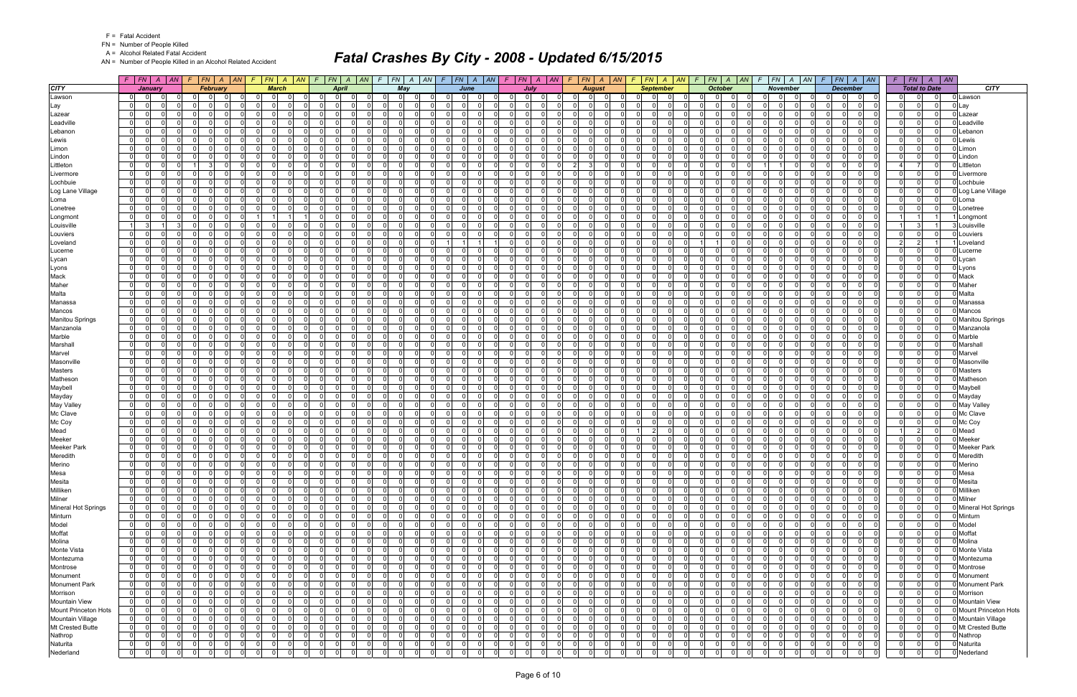FN = Number of People Killed

A = Alcohol Related Fatal Accident

AN = Number of People Killed in an Alcohol Related Accident

|                            |                      | $F$ $ FN $ $A$ $ AN $         |                         | $F$ $ FN $ $A$ $ AN$ |                            | $F$ $FN$ $A$ $AN$ $F$ |          |                               | F N A AN             |             | $F$ $ FN $ $A$ $ AN $ |              |                | $F$ $ FN $ $A$ $ AN $               |                 | $F$ $ FN $ $A$ $ AN $            |                          | $F$ $ FN$ $ A$ $ AN$             | $F$ $FN$ $A$ $AN$                |                            |                 | $F$ $FN$ $A$ $AN$                      | F.             | FN A AN         |                         | $F$ $FN$ $A$ $AN$                            |                | $F$   $FN$   $A$   $AN$        |                             |
|----------------------------|----------------------|-------------------------------|-------------------------|----------------------|----------------------------|-----------------------|----------|-------------------------------|----------------------|-------------|-----------------------|--------------|----------------|-------------------------------------|-----------------|----------------------------------|--------------------------|----------------------------------|----------------------------------|----------------------------|-----------------|----------------------------------------|----------------|-----------------|-------------------------|----------------------------------------------|----------------|--------------------------------|-----------------------------|
| <b>CITY</b>                |                      | January                       | February                |                      |                            | <b>March</b>          |          | April                         |                      |             | May                   |              |                | June                                |                 | July                             |                          | <b>August</b>                    | <b>September</b>                 |                            |                 | <b>October</b>                         |                | <b>November</b> |                         | <b>December</b>                              |                | <b>Total to Date</b>           | <b>CITY</b>                 |
| Lawson                     | 01                   |                               |                         |                      | $\Omega$                   |                       |          |                               |                      |             | $\Omega$              |              |                |                                     | 0               | $\Omega$                         |                          |                                  |                                  |                            |                 | $\Omega$                               |                |                 | 0                       | 0                                            |                |                                | Lawson                      |
| Lay                        | 0                    | $\Omega$<br>0                 | $\Omega$                | $\Omega$             | $\mathbf 0$                | $\Omega$              |          | $\Omega$                      | $\Omega$             |             | $\Omega$              |              | $\Omega$       | $\Omega$<br>$\Omega$                | $\Omega$        | $\Omega$<br>$\Omega$             | $\Omega$                 | $\Omega$<br>$\Omega$             | 0<br>$\Omega$                    | -01                        | $\Omega$        | 0                                      | $\overline{0}$ |                 | $\Omega$                | 0 <br>$\mathbf 0$<br>0                       | 0              | $\Omega$<br>$\mathbf{0}$       | Lay                         |
| Lazear                     | $\mathbf{0}$         | $\Omega$<br>$\Omega$          | $\Omega$                | $\Omega$             | - ol                       | $\Omega$              |          | $\Omega$                      | $\Omega$             |             | $\Omega$              | $\Omega$     | $\Omega$       | $\Omega$<br>$\Omega$                | $\Omega$        | $\Omega$<br>$\Omega$             | $\Omega$                 | $\Omega$<br>$\Omega$             | $\Omega$<br>$\Omega$             | $\Omega$                   | 0 I             | -01<br>$\Omega$                        | $\Omega$       |                 | $\mathbf 0$             | $\Omega$<br>$\Omega$<br>$\overline{0}$       | $\Omega$       | $\Omega$<br>$\Omega$           | _azear                      |
| Leadville                  | $\mathbf 0$          | <sup>0</sup>                  | $\Omega$                | - 0                  | $\Omega$                   | $\Omega$              |          | $\Omega$                      | $\Omega$             |             | $\Omega$              | $\Omega$     | $\Omega$       | $\mathbf 0$<br>0                    | 0 I             | $\Omega$<br>$\Omega$             | $\mathbf{0}$             | $\Omega$<br>$\Omega$             | $\Omega$<br>$\Omega$             | $\overline{0}$             | $\Omega$        | $\Omega$<br>$\Omega$                   | $\Omega$       |                 | $\mathbf 0$             | $\Omega$<br>$\Omega$<br>$\Omega$             | $\mathbf 0$    | $\mathbf 0$<br>$\Omega$        | _eadville                   |
| Lebanon                    | $\mathbf{0}$         | $\Omega$                      | n l                     | ∩                    | $\Omega$                   | <sup>n</sup>          |          | $\Omega$                      | $\Omega$             |             | $\Omega$              | $\Omega$     | $\Omega$       | $\Omega$<br>$\Omega$                | $\Omega$        | n l<br>$\Omega$                  | $\Omega$                 | $\Omega$<br>$\Omega$             | $\Omega$<br>$\Omega$             | $\Omega$                   | $\Omega$        | $\Omega$<br>$\Omega$                   | $\Omega$       |                 | $\Omega$                | $\Omega$<br>$\Omega$<br>$\Omega$             | $\Omega$       | $\mathbf{0}$<br>$\Omega$       | _ebanor                     |
| Lewis                      | $\overline{0}$       | 0                             | $\mathbf 0$             | $\Omega$             | - 0 l                      | $\Omega$              |          | $\Omega$                      | $\Omega$             |             | $\Omega$              | $\Omega$     | $\Omega$       | - 0 l<br>$\Omega$                   | 0 I             | $\Omega$<br>$\Omega$             | 01                       | $\Omega$<br>$\Omega$             | $\Omega$<br>$\Omega$             | $\overline{0}$             | 0               | $\overline{0}$<br>$\Omega$             | $\Omega$       |                 | $\mathbf 0$             | $\Omega$<br>$\Omega$<br>$\mathbf 0$          | 0 I            | $\Omega$<br>$\Omega$           | Lewis                       |
| Limon                      | $\mathbf{0}$         | 0                             | $\Omega$                | $\Omega$             | - ol                       | $\Omega$              |          | $\overline{0}$<br>$\Omega$    | $\Omega$             |             | $\Omega$              | $\Omega$     | $\Omega$       | - 0 l<br>$\Omega$                   | $\overline{0}$  | $\overline{0}$<br>$\Omega$       | $\overline{0}$           | $\Omega$<br>$\Omega$             | $\Omega$<br>$\Omega$             | -01                        | 0 I             | $\mathbf{0}$<br>$\Omega$               | $\overline{0}$ |                 | $\mathbf 0$             | $\overline{0}$<br>$\mathbf 0$<br>$\Omega$    | 0 I            | $\overline{0}$<br>$\Omega$     | Limon                       |
| Lindon                     | $\overline{0}$       | <sup>0</sup>                  | $\Omega$                | - 0                  | $\Omega$                   | <sup>n</sup>          |          | $\Omega$                      | $\Omega$             |             | $\Omega$              | - 0          | $\Omega$       | $\mathbf 0$<br>0                    | $\Omega$        | $\Omega$<br>$\Omega$             | $\Omega$                 | $\Omega$<br>$\Omega$             | $\Omega$<br>$\Omega$             | $\overline{0}$             | $\Omega$        | $\Omega$<br>$\Omega$                   | $\Omega$       |                 | $\Omega$                | $\Omega$<br>0<br>$\Omega$                    | $\Omega$       | $\mathbf{0}$<br>$\Omega$       | _indon                      |
| Littleton                  | $\mathbf{0}$         | $\Omega$<br>$\Omega$          | $\overline{3}$          | $\Omega$             | $\Omega$                   | $\Omega$              |          | $\Omega$                      | $\Omega$             |             | $\Omega$              | $\Omega$     | $\Omega$       | $\Omega$<br>$\Omega$                | $\Omega$        | 0 I<br>$\Omega$                  | 2 <sup>1</sup>           | $\Omega$                         | $\Omega$<br>$\Omega$             | $\Omega$                   | $\Omega$        | $\Omega$<br>$\Omega$                   |                |                 | - 0 l                   | $\Omega$<br>n l<br>$\Omega$                  |                | $\overline{7}$<br>n l          | .ittleton                   |
| Livermore                  | $\overline{0}$       | 0                             | $\mathbf 0$             | 0                    | $\mathbf 0$                | $\Omega$              |          | 0                             | $\Omega$             | $\Omega$    | $\overline{0}$        | $\Omega$     | $\mathbf 0$    | 0 <br>$\Omega$                      | 0               | $\Omega$<br>$\Omega$             | $\overline{0}$           | $\Omega$<br>$\Omega$             | 0<br>$\Omega$                    | 0                          | 0               | 0 <br>$\Omega$                         | $\overline{0}$ |                 | 0                       | 0<br>0l<br>$\mathbf 0$                       | $\mathbf 0$    | $\mathbf{0}$<br>$\Omega$       | _ivermore                   |
| Lochbuie                   | $\overline{0}$       | $\Omega$<br>$\Omega$          | $\Omega$                | $\Omega$             | $\Omega$                   | ΩI                    |          | $\Omega$                      | $\Omega$             |             | $\Omega$              | $\Omega$     | $\Omega$       | $\Omega$<br>$\Omega$                | $\Omega$        | n l<br>$\Omega$                  | $\Omega$                 | $\Omega$<br>$\Omega$             | $\Omega$<br>$\Omega$             | $\Omega$                   | $\Omega$        | -01<br>$\Omega$                        | $\Omega$       |                 | $\mathbf 0$             | $\Omega$<br>$\Omega$<br>$\Omega$             | $\Omega$       | $\Omega$<br>$\Omega$           | _ochbuie                    |
| Log Lane Village           | $\mathbf 0$          | 0<br>$\Omega$                 | $\Omega$                | - 0                  | $\Omega$                   | $\Omega$              |          | $\Omega$<br>$\Omega$          | $\Omega$             |             | $\Omega$              | $\Omega$     | $\Omega$       | $\mathbf 0$<br>0                    | 0 I             | $\Omega$<br>$\Omega$             | $\mathbf{0}$             | $\Omega$<br>$\Omega$             | $\Omega$<br>$\Omega$             | $\overline{0}$             | 0 I             | $\overline{0}$<br>$\Omega$             | $\Omega$       |                 | $\mathbf 0$             | $\Omega$<br>$\Omega$<br>$\Omega$             | $\Omega$       | $\Omega$<br>$\Omega$           | Log Lane Village            |
| Loma                       | $\overline{0}$       | 0                             | - Ol                    |                      | $\Omega$                   |                       |          | $\Omega$                      | $\Omega$             |             | $\Omega$              | $\Omega$     | $\Omega$       | 0<br>$\mathbf 0$                    | $\Omega$        | - Ol<br>$\Omega$                 | $\Omega$                 | $\Omega$<br>$\Omega$             | $\Omega$<br>$\Omega$             | $\Omega$                   | $\Omega$        | $\Omega$                               | 01             |                 | $\Omega$                | $\Omega$<br>0<br>$\Omega$                    | $\Omega$       | $\Omega$<br> 0                 | _oma                        |
| Lonetree                   | $\overline{0}$       | <sup>n</sup>                  | $\Omega$                |                      | - 0 l                      | ΩI                    |          | $\Omega$                      | $\Omega$             |             | $\Omega$              | n            | $\Omega$       | $\Omega$<br>0                       | $\Omega$        | $\Omega$<br>.0                   | $\Omega$                 |                                  | $\Omega$                         | - 0                        | $\Omega$        | $\Omega$<br>0                          | $\Omega$       |                 | $\Omega$                | $\Omega$<br>$\Omega$                         | $\Omega$       | $\Omega$<br>$\Omega$           | Lonetree                    |
| Longmont                   | $\overline{0}$       | 0                             | $\mathbf 0$             | $\Omega$             | 11                         |                       |          | 0 I                           | $\Omega$             |             | $\overline{0}$        | $\Omega$     | $\mathbf 0$    | - 0 l<br>$\Omega$                   | 0 I             | $\Omega$<br>$\overline{0}$       | 01                       | $\Omega$<br>$\Omega$             | $\Omega$<br>$\Omega$             | $\overline{0}$             | 0 I             | $\overline{0}$                         | $\overline{0}$ |                 | $\mathbf 0$             | $\Omega$<br>$\Omega$<br>$\mathbf 0$          |                |                                | Longmont                    |
| Louisville                 | 11                   | 3                             | n l                     | n                    | $\overline{0}$             | $\Omega$              |          | $\Omega$                      | $\Omega$             |             | $\Omega$              | $\Omega$     | $\Omega$       | $\Omega$<br>0                       | $\Omega$        | $\Omega$<br>$\Omega$             | $\Omega$                 | $\Omega$                         | $\Omega$<br>$\Omega$             | $\Omega$                   | $\Omega$        | $\Omega$                               | $\Omega$       |                 | $\Omega$                | $\Omega$<br>$\Omega$<br>$\Omega$             |                | 3 <sup>1</sup>                 | _ouisville                  |
| Louviers                   | $\overline{0}$       | $\Omega$<br>0                 | $\mathbf 0$             | $\Omega$             | - 0 l                      | $\Omega$              |          | 0 I                           | $\Omega$             |             | $\overline{0}$        | $\Omega$     | $\Omega$       | $\Omega$<br>$\mathbf 0$             | 0 I             | 0 I<br>$\Omega$                  | $\mathbf{0}$             | $\Omega$<br>- O I                | $\Omega$<br>$\Omega$             | $\overline{0}$             | 0 I             | $\overline{0}$<br>$\Omega$             | $\Omega$       |                 | $\mathbf 0$             | $\Omega$<br>$\Omega$<br>- O I                | 0 I            | $\overline{0}$<br>- O I        | _ouviers                    |
| Loveland                   | $\overline{0}$       | $\Omega$                      | $\Omega$                |                      | $\Omega$                   | <sup>0</sup>          |          | $\Omega$                      | $\Omega$             |             | $\Omega$              | $\Omega$     |                |                                     | $\Omega$        | $\Omega$<br>$\Omega$             | $\Omega$                 |                                  | 0                                | $\Omega$                   |                 |                                        | $\Omega$       |                 | $\Omega$                | $\Omega$<br>$\Omega$                         | $\overline{2}$ | $\overline{2}$                 | _oveland                    |
| Lucerne                    | $\mathbf{0}$         | 0                             | $\mathbf 0$             | $\Omega$             | - 0 l                      | $\Omega$              |          | $\overline{0}$                | $\Omega$             |             | $\overline{0}$        | $\Omega$     | $\Omega$       | - 0 l<br>$\Omega$                   | 0 I             | $\Omega$<br>0 I                  | $\overline{0}$           | $\Omega$<br>$\Omega$             | $\Omega$<br>$\Omega$             | $\overline{0}$             | 0 I             | - 01<br>$\Omega$                       | $\Omega$       |                 | $\mathbf 0$             | $\Omega$<br>$\Omega$<br>$\Omega$             | 0 I            | $\mathbf{0}$<br>$\Omega$       | _ucerne                     |
| Lycan                      | $\mathbf{0}$         | 0                             | - Ol                    | n                    | $\overline{0}$             | $\Omega$              |          | $\Omega$                      | $\Omega$             |             | $\Omega$              | $\Omega$     | $\Omega$       | $\Omega$<br>$\Omega$                | $\Omega$        | $\Omega$<br>- Ol                 | $\Omega$                 | $\Omega$<br>$\Omega$             | $\Omega$<br>$\Omega$             | $\Omega$                   | $\Omega$        | -01<br>$\Omega$                        | $\Omega$       |                 | $\mathbf 0$             | $\Omega$<br>$\Omega$<br>$\Omega$             | $\Omega$       | $\Omega$<br>$\Omega$           | -ycan                       |
|                            | $\overline{0}$       | 0                             | $\mathbf 0$             | $\Omega$             | - 0 l                      | 0                     |          | $\Omega$                      | $\Omega$             |             | $\overline{0}$        | $\Omega$     | $\Omega$       | $\Omega$<br>$\mathbf 0$             | 0 I             | 0 I<br>$\Omega$                  | $\Omega$                 | $\Omega$<br>$\Omega$             | $\Omega$<br>$\Omega$             | $\overline{0}$             | 0 I             | $\overline{0}$<br>$\Omega$             | $\Omega$       |                 | $\mathbf 0$             | $\Omega$<br>$\Omega$<br>$\Omega$             | $\overline{0}$ | $\mathbf 0$<br> 0              | Lyons                       |
| Lyons<br>Mack              | $\overline{0}$       | $\Omega$                      | n l                     | $\Omega$             | $\Omega$                   | ΩI                    |          | $\Omega$                      | $\Omega$             |             | $\Omega$              | $\Omega$     | $\Omega$       | $\Omega$<br>$\Omega$                | $\Omega$        | n l<br>$\Omega$                  | $\Omega$                 | $\Omega$                         | $\Omega$                         | $\Omega$                   | $\Omega$        | $\Omega$<br>$\Omega$                   | $\Omega$       |                 | $\Omega$                | $\Omega$<br>$\Omega$<br>$\Omega$             | $\Omega$       | $\Omega$<br>$\Omega$           | Mack                        |
| Maher                      | $\mathbf 0$          | 0                             | $\mathbf 0$             | $\Omega$             | 0                          | $\Omega$              |          | 0 I                           | $\Omega$             | $\Omega$    | $\overline{0}$        | $\Omega$     | $\mathbf 0$    | - 0 l<br>$\Omega$                   | 0 I             | $\Omega$<br>$\overline{0}$       | 01                       | $\Omega$<br>$\Omega$             | $\Omega$<br>$\Omega$             | $\overline{0}$             | 0 I             | $\mathbf 0$<br>$\Omega$                | $\overline{0}$ |                 | $\mathbf 0$             | $\Omega$<br>$\Omega$<br>$\Omega$             | 0 I            | $\mathbf 0$<br>$\Omega$        | Maher                       |
| Malta                      | $\overline{0}$       | $\Omega$                      | n l                     | n                    | $\Omega$                   | <sup>n</sup>          |          | $\Omega$                      | $\Omega$             |             | $\Omega$              | $\Omega$     | $\Omega$       | $\Omega$<br><sup>n</sup>            | $\Omega$        | $\Omega$<br>$\Omega$             | $\Omega$                 | $\Omega$                         | $\Omega$<br>$\Omega$             | $\Omega$                   | $\Omega$        | $\Omega$                               | $\Omega$       |                 | $\Omega$                | $\Omega$<br>$\Omega$<br>$\Omega$             | $\Omega$       | $\Omega$<br>$\Omega$           | Malta                       |
|                            |                      | $\Omega$<br>0                 |                         | $\Omega$             | - 0 l                      | $\Omega$              |          |                               | $\Omega$             |             | $\Omega$              | $\Omega$     | $\Omega$       | $\Omega$                            |                 | $\Omega$                         |                          | $\Omega$<br>$\Omega$             | $\Omega$<br>$\Omega$             |                            |                 | $\Omega$                               | $\Omega$       |                 |                         | $\Omega$<br>$\Omega$                         | $\overline{0}$ | $\Omega$                       | Manassa                     |
| Manassa<br>Mancos          | 0 <br>$\overline{0}$ | $\Omega$                      | $\mathbf 0$<br>n l      |                      | $\Omega$                   | <sup>0</sup>          |          | 0 I<br>$\Omega$               | $\Omega$             |             | $\Omega$              | $\Omega$     | $\Omega$       | $\mathbf 0$<br>- 0 l<br>$\Omega$    | 0 I<br>$\Omega$ | 0 I<br>n l<br>$\Omega$           | $\mathbf{0}$<br>$\Omega$ | $\Omega$                         | $\Omega$<br>$\Omega$             | $\overline{0}$<br>$\Omega$ | 0 I<br>$\Omega$ | $\overline{0}$<br>$\Omega$             | $\Omega$       |                 | $\mathbf 0$<br>$\Omega$ | - O I<br>$\Omega$<br>$\Omega$<br>$\Omega$    | $\Omega$       | 0 <br>$\Omega$<br>$\Omega$     | Mancos                      |
|                            |                      | <sup>0</sup>                  | $\Omega$                | $\Omega$             | $\Omega$                   | 0                     |          | $\Omega$                      | $\Omega$             |             | $\Omega$              | $\Omega$     | $\Omega$       | $\Omega$<br>0                       | $\Omega$        | $\Omega$<br>$\Omega$             | $\Omega$                 | $\Omega$                         | $\Omega$                         | $\Omega$                   | $\Omega$        | $\Omega$<br>ŋ                          | $\Omega$       |                 | $\Omega$                | 0<br>$\Omega$                                | $\Omega$       | $\Omega$                       |                             |
| <b>Manitou Springs</b>     | $\overline{0}$       | $\Omega$<br>$\Omega$          |                         | $\Omega$             |                            | $\Omega$              | $\Omega$ | $\Omega$                      | $\Omega$             | $\Omega$    |                       |              | $\Omega$       | $\Omega$                            |                 | $\Omega$                         |                          | $\Omega$                         | $\Omega$<br>$\Omega$             |                            |                 | $\Omega$                               |                |                 |                         |                                              |                | $\Omega$                       | <b>Manitou Springs</b>      |
| Manzanola                  | $\mathbf{0}$         |                               | $\mathbf 0$<br>$\Omega$ |                      | $\overline{0}$<br>$\Omega$ |                       |          | $\overline{0}$                |                      |             | -01                   | $\Omega$     | $\Omega$       | - 0 l                               | $\overline{0}$  | 0 I                              | $\mathbf{0}$             | - O I                            |                                  | -01                        | 0 I             | $\mathbf{0}$                           | $\overline{0}$ |                 | $\mathbf 0$             | 0 <br>$\overline{0}$<br>$\Omega$             | 0 I            | $\mathbf 0$<br>0 I             | Manzanola                   |
| Marble                     | 01                   | 0<br>$\Omega$<br>$\Omega$     |                         | n<br>$\Omega$        |                            |                       | $\Omega$ | $\Omega$<br>$\Omega$          | $\Omega$<br>$\Omega$ |             | $\Omega$              | $\Omega$     |                | $\Omega$<br><sup>n</sup>            | $\Omega$        | $\Omega$<br>$\Omega$             | $\Omega$                 | $\Omega$<br>$\Omega$<br>$\Omega$ | $\Omega$<br>$\Omega$<br>$\Omega$ | $\Omega$                   | $\Omega$        | $\Omega$<br>$\Omega$                   | $\Omega$       |                 | $\Omega$                | $\Omega$<br>0<br>$\Omega$<br>$\Omega$        | $\Omega$       | $\Omega$<br>$\Omega$           | Marble                      |
| Marshall                   | 0                    |                               | $\Omega$                |                      | -ol                        | $\Omega$              |          | $\Omega$                      | $\Omega$             |             | $\Omega$              | $\Omega$     | $\Omega$       | - 0 l<br>$\Omega$                   | 0 I             | 0 I                              | $\mathbf{0}$             | - O I                            | $\Omega$                         | $\overline{0}$             | 0 I             | $\mathbf{0}$                           | $\overline{0}$ |                 | $\mathbf 0$             | 0 <br>$\overline{0}$                         | $\overline{0}$ | $\mathbf 0$<br>$\Omega$        | Marshal                     |
| Marvel                     | $\overline{0}$       | 0<br>$\Omega$                 | $\Omega$                |                      | $\Omega$                   | 0                     | $\Omega$ | $\Omega$<br>$\Omega$          |                      | $\Omega$    | $\Omega$              | $\Omega$     | $\Omega$       | $\Omega$<br>$\Omega$                | $\Omega$        | $\Omega$<br>$\Omega$             | $\Omega$                 | $\Omega$                         | $\Omega$                         | $\Omega$                   | $\Omega$        | $\Omega$<br>$\Omega$                   | $\overline{0}$ |                 | $\Omega$                | $\Omega$<br>$\Omega$<br>$\Omega$             | $\Omega$       | $\Omega$<br>$\Omega$           | Marvel                      |
| Masonville                 | $\overline{0}$       | $\Omega$                      | - 0 l                   | $\Omega$             | $\overline{0}$             | $\Omega$              |          | $\Omega$                      | $\Omega$             |             | -01                   | $\Omega$     | $\overline{0}$ | - 0 l<br>$\Omega$                   | $\Omega$        | 0 I<br>$\Omega$                  | 0                        | $\Omega$<br>$\Omega$             | $\Omega$<br>$\Omega$             | -01                        | 0 I             | 0                                      | $\overline{0}$ |                 | $\mathbf 0$             | 0 <br>$\mathbf 0$                            | $\overline{0}$ | $\mathbf{0}$<br>$\Omega$       | Masonville                  |
| <b>Masters</b>             | $\overline{0}$       | 0<br>0                        | - Ol                    | - 0                  | $\Omega$                   | $\Omega$              |          | $\Omega$<br>$\Omega$          | $\Omega$             |             | $\Omega$              | $\Omega$     | $\Omega$       | $\Omega$<br>$\mathbf 0$             | $\Omega$        | $\Omega$<br>$\Omega$             | $\mathbf{0}$             | $\Omega$<br>$\Omega$             | $\Omega$<br>$\Omega$             | $\overline{0}$             | $\Omega$        | $\overline{0}$<br>$\Omega$<br>$\Omega$ | $\Omega$       |                 | $\mathbf 0$             | $\Omega$<br>$\Omega$<br>- O I                | $\Omega$       | - O I<br>$\Omega$              | Masters                     |
| Matheson                   | $\overline{0}$       | $\Omega$                      | $\Omega$                | $\Omega$             | -ol                        | $\Omega$              |          | $\overline{0}$                | $\Omega$             |             | $\Omega$              | $\Omega$     | $\Omega$       | - 0 l<br>$\Omega$                   | $\Omega$        | $\Omega$<br>$\Omega$             | $\Omega$                 | n I<br>$\Omega$                  | $\Omega$<br>$\Omega$             | -01                        | 0 I             | -01                                    | $\Omega$       |                 | $\mathbf 0$             | $\Omega$<br>$\Omega$<br>$\Omega$             | $\Omega$       | $\mathbf 0$<br>$\Omega$        | Mathesor                    |
| Maybell                    | $\overline{0}$       | <sup>0</sup>                  | $\Omega$                |                      | $\Omega$                   | ΩI                    |          | $\Omega$                      | $\Omega$             |             | $\Omega$              | $\Omega$     | $\Omega$       | $\Omega$<br>$\Omega$                | $\Omega$        | - Ol<br>$\Omega$                 | $\Omega$                 |                                  | $\Omega$<br>$\Omega$             | $\Omega$                   | $\Omega$        | $\Omega$<br>U                          | $\Omega$       |                 | $\Omega$                | $\Omega$<br>$\Omega$<br>$\Omega$             | $\Omega$       | $\Omega$<br>$\Omega$           | Maybell                     |
| Mayday                     | $\mathbf{0}$         | $\Omega$<br>$\Omega$          | $\mathbf 0$             | $\Omega$             | $\overline{0}$             | $\Omega$              | $\Omega$ | $\overline{0}$<br>$\Omega$    | $\Omega$             | $\Omega$    | -01                   | $\Omega$     | $\overline{0}$ | $\Omega$<br>- 0 l                   | 0 I             | 0 I<br>$\Omega$                  | $\mathbf{0}$             | $\Omega$<br>- O I                | $\Omega$<br>$\Omega$             | -01                        | 0 I             | 0 <br>$\Omega$                         | $\overline{0}$ |                 | $\mathbf 0$             | 0 I<br>$\overline{0}$<br>$\Omega$            | 0 I            | $\mathbf 0$<br>0 I             | Mayday                      |
| May Valley                 | 01                   | 0<br>0                        | - Ol                    | n                    | $\Omega$                   | <sup>n</sup>          |          | $\Omega$                      | $\Omega$             |             | $\Omega$              | $\Omega$     | $\Omega$       | 0<br>$\Omega$                       | $\Omega$        | $\Omega$<br>$\Omega$             | $\Omega$                 | $\Omega$<br>$\Omega$             | $\Omega$<br>$\Omega$             | $\overline{0}$             | $\Omega$        | $\Omega$<br>$\Omega$                   | $\Omega$       |                 | $\Omega$                | $\Omega$<br>$\Omega$<br>$\Omega$             | $\Omega$       | 0 <br>$\Omega$                 | May Valley                  |
| Mc Clave                   | $\overline{0}$       | <sup>0</sup>                  | $\Omega$                | റ                    | - 0 l                      | $\Omega$              |          | $\Omega$                      | $\Omega$             |             | $\Omega$              | $\Omega$     | $\Omega$       | $\Omega$<br><sup>n</sup>            | 0 I             | $\overline{0}$<br>$\Omega$       | $\mathbf{0}$             | $\Omega$<br>$\Omega$             | $\Omega$<br>$\Omega$             | $\Omega$                   | 0 I             | $\overline{0}$<br>$\Omega$             | $\Omega$       |                 | $\mathbf 0$             | $\Omega$<br>$\Omega$<br>- O I                | 0 I            | $\Omega$<br> 0                 | Mc Clave                    |
| Mc Coy                     | $\overline{0}$       | 0                             | $\Omega$                | n                    | $\mathbf 0$                | $\Omega$              |          | $\Omega$                      | $\Omega$             |             | $\Omega$              | $\Omega$     | $\mathbf 0$    | - 0 l<br>0                          | $\Omega$        | $\Omega$<br>$\Omega$             | $\Omega$                 |                                  | 0<br>$\Omega$                    | $\overline{0}$             | $\Omega$        | $\overline{0}$                         | $\overline{0}$ |                 | .0                      | 0<br>$\Omega$<br>0                           | 0              | $\mathbf{0}$<br>$\Omega$       | Mc Coy                      |
| Mead                       | $\overline{0}$       | <sup>0</sup>                  | $\mathbf 0$             | $\Omega$             | $\Omega$                   | ΩI                    |          | $\Omega$                      | $\Omega$             |             | $\overline{0}$        | $\Omega$     | $\Omega$       | $\Omega$<br>$\Omega$                | 0 I             | $\Omega$<br>- Ol                 | $\overline{0}$           | $\Omega$<br>$\Omega$             | 2 <sup>1</sup>                   | -01                        | 0               | $\mathbf{0}$<br>$\Omega$               | $\Omega$       |                 | $\mathbf 0$             | $\Omega$<br>$\Omega$<br>$\Omega$             |                | $\overline{2}$<br>$\Omega$     | Mead                        |
| Meeker                     | 0                    | 0                             | - Ol                    | - 0                  | - ol                       | $\Omega$              |          | $\overline{0}$                | $\Omega$             |             | $\Omega$              | $\Omega$     | $\Omega$       | - 0 l<br>$\Omega$                   | $\Omega$        | $\Omega$<br>$\Omega$             | $\mathbf{0}$             | $\Omega$<br>$\Omega$             | $\Omega$<br>$\Omega$             | $\Omega$                   | $\Omega$        | $\overline{0}$<br>$\Omega$             | $\Omega$       |                 | $\mathbf 0$             | $\overline{0}$<br>$\Omega$<br>- O I          | $\Omega$       | $\mathbf 0$<br>$\Omega$        | Meeker                      |
| <b>Meeker Park</b>         | 01                   | $\Omega$<br>0                 | $\mathbf 0$             | $\Omega$             | $\Omega$                   | $\Omega$              |          | $\Omega$                      | $\Omega$             |             | $\overline{0}$        | $\Omega$     | $\Omega$       | - 0 l<br>$\Omega$                   | 0 I             | $\mathbf 0$<br>$\Omega$          | $\overline{0}$           | $\Omega$<br>$\Omega$             | $\Omega$<br>$\Omega$             | $\overline{0}$             | 0 I             | $\overline{0}$<br>$\Omega$             | $\Omega$       |                 | $\mathbf 0$             | $\Omega$<br>$\Omega$<br>$\Omega$             | $\overline{0}$ | - O I<br>$\Omega$              | Meeker Park                 |
| Meredith                   | 0                    | $\Omega$                      | $\mathbf 0$             | $\Omega$             | 0                          | $\Omega$              |          | $\overline{0}$                | $\Omega$             |             | -01                   | $\Omega$     | $\mathbf 0$    | - 0 l<br>$\Omega$                   | 0 I             | 0l<br>$\Omega$                   | 0                        | $\Omega$                         | 0<br>$\Omega$                    | $\Omega$                   | 0               | $\overline{0}$<br>$\Omega$             | $\overline{0}$ |                 | 0l                      | $\mathbf 0$<br>$\Omega$<br>$\mathbf 0$       | 0              | $\Omega$<br>$\Omega$           | Meredith                    |
| Merino                     | $\overline{0}$       | $\Omega$<br>$\Omega$          | - 0 l                   | $\Omega$             | -ol                        | $\Omega$              |          | $\overline{0}$                | $\Omega$             |             | $\Omega$              | $\Omega$     | $\Omega$       | $\Omega$<br>$\Omega$                | $\overline{0}$  | $\Omega$<br>$\Omega$             | $\overline{0}$           | $\Omega$                         | $\Omega$<br>$\Omega$             | $\Omega$                   | 0 I             | $\mathbf{0}$                           | $\Omega$       |                 | $\Omega$                | $\Omega$<br>$\Omega$<br>$\Omega$             | 0 I            | $\Omega$                       | Merino                      |
| Mesa                       | $\overline{0}$       | $\mathbf 0$<br>0              | $\Omega$                |                      | 0                          | $\Omega$              |          |                               | 0                    |             | $\Omega$              |              | $\Omega$       | $\Omega$<br>$\Omega$                | $\Omega$        | 0<br>$\Omega$                    |                          | $\Omega$                         | $\Omega$                         | 0                          | $\Omega$        | $\Omega$                               | 01             |                 | $\Omega$                | $\mathbf 0$<br>$\overline{0}$                | $\Omega$       | $\mathbf 0$<br>$\Omega$        | 0 Mesa                      |
| Mesita                     | $\mathbf{0}$         | $\Omega$<br>$\Omega$          | $\mathbf 0$             | $\Omega$             | - 0 l                      | $\Omega$              |          | $\Omega$<br>$\Omega$          | $\Omega$             |             | -01                   | $\Omega$     | $\Omega$       | - 0 l<br>$\Omega$                   | 0 I             | $\overline{0}$<br>$\Omega$       | $\mathbf{0}$             | - O I<br>- O I                   | $\Omega$<br>$\Omega$             | $\overline{0}$             | 0 I             | - 01<br>$\Omega$                       | $\Omega$       | $\Omega$        | $\mathbf 0$             | $\Omega$<br>$\Omega$<br>$\mathbf 0$          | $\overline{0}$ | $\overline{0}$<br>$\mathbf{0}$ | Mesita                      |
| Milliken                   | $\overline{0}$       | 0                             | - 0 l                   | 0                    | 0                          | $\Omega$              |          | $\mathbf 0$                   | $\Omega$             |             | -01                   | $\Omega$     | $\mathbf 0$    | 0 <br>$\Omega$                      | $\Omega$        | 01<br>$\Omega$                   | $\overline{0}$           | - 0<br>$\Omega$                  | 0<br>$\mathbf{0}$                | 0                          | 0               | 0 <br>$\Omega$                         | $\overline{0}$ |                 | 0                       | $\mathbf 0$<br> 0 <br>$\mathbf 0$            | $\overline{0}$ | $\mathbf{0}$<br>$\mathbf 0$    | Milliken                    |
| Milner                     | $\overline{0}$       | $\Omega$<br>$\Omega$          | 0                       | $\Omega$             | 0                          | $\Omega$              |          | $\overline{0}$<br>$\Omega$    | -01                  | $\Omega$    | 0                     | $\Omega$     | $\overline{0}$ | 0 <br>$\Omega$                      | 01              | $\overline{0}$<br>$\Omega$       | 0                        | - O I<br>- O I                   | $\Omega$<br>$\Omega$             | 0                          | $\overline{0}$  | 0 <br>$\Omega$                         | $\overline{0}$ |                 | 0                       | $\Omega$<br>$\overline{0}$<br>$\mathbf 0$    | $\overline{0}$ | $\Omega$<br>$\mathbf 0$        | Milner                      |
| <b>Mineral Hot Springs</b> | $\overline{0}$       | 0<br>0                        | $\mathbf 0$             | 0                    | 0                          | $\Omega$              |          | 0 I                           | $\Omega$             |             | -01                   | $\Omega$     | $\overline{0}$ | 0 <br>$\Omega$                      | 0 I             | 0l<br>$\Omega$                   | $\Omega$                 | $\Omega$<br>$\Omega$             | 0<br>$\Omega$                    | 0                          | 0 I             | 0 <br>$\Omega$                         | $\Omega$       |                 | $\Omega$                | 0 <br>0<br>$\mathbf 0$                       | $\overline{0}$ | $\mathbf 0$<br>$\Omega$        | <b>Mineral Hot Springs</b>  |
| Minturn                    | $\overline{0}$       | $\Omega$<br>0                 | $\mathbf 0$             | $\Omega$             | - 0 l                      | $\Omega$              |          | 0 I<br>$\Omega$               | $\Omega$             |             | $\overline{0}$        | $\Omega$     | $\overline{0}$ | - 0 l<br>$\Omega$                   | 0 I             | 01<br>$\Omega$                   | $\Omega$                 | - O I<br>- O I                   | $\Omega$<br>$\Omega$             | 0                          | 0 I             | $\overline{0}$<br>$\Omega$             | $\Omega$       |                 | $\mathbf 0$             | $\Omega$<br>0l<br>$\mathbf 0$                | $\overline{0}$ | $\mathbf 0$<br>$\overline{0}$  | Minturn                     |
| Model                      | $\overline{0}$       | $\Omega$                      | - 0 l                   | $\Omega$             | 0                          | $\Omega$              |          | $\overline{0}$<br>$\Omega$    | $\Omega$             |             | -01                   | $\Omega$     | $\mathbf 0$    | 0 <br>$\Omega$                      | $\overline{0}$  | $\overline{0}$<br>$\Omega$       | $\mathbf{0}$             | $\Omega$<br>$\Omega$             | 0<br>$\overline{0}$              | $\overline{0}$             | 0 I             | 0 <br>$\Omega$                         | $\overline{0}$ |                 | 0                       | $\Omega$<br> 0 <br>$\mathbf 0$               | $\overline{0}$ | $\mathbf 0$<br>$\Omega$        | Model                       |
| Moffat                     | $\overline{0}$       | $\overline{0}$                | 0                       | 0                    | 0                          | 01                    |          | 0 <br>0                       | $\overline{0}$       | $\Omega$    | 0                     | $\mathbf{0}$ | $\mathbf 0$    | $\overline{0}$<br> 0                | 0               | 0 <br>$\mathbf 0$                | $\mathbf 0$              | -01<br>0 I                       | 0<br>$\overline{0}$              | 0                          | $\overline{0}$  | 0 <br>$\Omega$                         | 0              | $\Omega$        | $\mathbf 0$             | 0<br> 0 <br>$\mathbf 0$                      | 0              | $\mathbf{0}$<br>$\mathbf 0$    | Moffat                      |
| Molina                     | $\overline{0}$       | $\Omega$<br>$\Omega$          | - 0 l                   | $\Omega$             | 0                          | $\Omega$              |          | $\overline{0}$<br>$\Omega$    | -01                  |             | -01                   | $\Omega$     | $\Omega$       | 0 <br>$\Omega$                      | $\overline{0}$  | $\overline{0}$<br>$\overline{0}$ | 0                        | - O I<br>$\Omega$                | $\Omega$<br>$\Omega$             | -01                        | 0               | 0 <br>$\Omega$                         | $\Omega$       | $\Omega$        | $\mathbf 0$             | $\Omega$<br> 0 <br>$\mathbf 0$               | $\overline{0}$ | $\mathbf 0$<br>$\Omega$        | Molina                      |
| Monte Vista                | $\mathbf 0$          | $\Omega$<br>0                 | 0                       | $\Omega$             | 0                          | $\Omega$              | $\Omega$ | 0 I<br>0                      | 0                    | $\Omega$    | $\overline{0}$        | $\mathbf 0$  | $\mathbf 0$    | 0 <br>0                             | 0               | 01<br>- O I                      | $\mathbf 0$              | -01<br>0 I                       | 0<br>0                           | $\mathbf{0}$               | 01              | 0 <br>$\mathbf 0$                      | $\overline{0}$ |                 | 0                       | 0<br> 0 <br>$\mathbf 0$                      | 0              | $\mathbf 0$<br>- O I           | Monte Vista                 |
| Montezuma                  | $\overline{0}$       | $\Omega$<br>$\Omega$          | - 0 l                   | $\Omega$             | -ol                        | $\Omega$              |          | $\overline{0}$<br>$\Omega$    | $\Omega$             |             | -01                   | $\Omega$     | $\Omega$       | $\Omega$<br>- 0 l                   | $\overline{0}$  | 0 I<br>$\Omega$                  | $\Omega$                 | $\Omega$<br>$\Omega$             | $\Omega$<br>$\Omega$             | -01                        | 0               | $\mathbf{0}$<br>$\Omega$               | $\Omega$       | $\Omega$        | - 0 l                   | $\Omega$<br> 0 <br>$\overline{0}$            | $\overline{0}$ | $\mathbf 0$<br>$\mathbf 0$     | Montezuma                   |
| Montrose                   | 0                    | 0l<br>0                       | 0                       | 0                    | 0                          | 01                    |          | 0 <br>0                       | 0                    | $\Omega$    | 0                     | 0            | $\mathbf 0$    | 0 <br>$\mathbf{0}$                  | 0               | 0 <br>$\mathbf 0$                | $\mathbf 0$              | -01<br>$\mathbf 0$               | 0<br>$\overline{0}$              | 0                          | 01              | 0 <br>$\Omega$                         | $\overline{0}$ | - 0             | 0                       | 0<br> 0 <br>$\mathbf 0$                      | 0              | $\mathbf 0$<br>$\mathbf{0}$    | Montrose                    |
| Monument                   | 0                    | $\Omega$<br>$\Omega$          | - 0 l                   | $\Omega$             | 0                          | 0 I                   |          | $\overline{0}$<br>$\Omega$    | -01                  | $\Omega$    | -01                   | $\Omega$     | $\overline{0}$ | $\Omega$<br> 0                      | $\overline{0}$  | 0 <br>$\mathbf 0$                | $\overline{0}$           | $\Omega$<br>- O I                | $\mathbf 0$<br>$\Omega$          | 0                          | $\overline{0}$  | $\overline{0}$<br>$\Omega$             | $\overline{0}$ | $\Omega$        | 0                       | $\mathbf 0$<br>$\overline{0}$<br>$\mathbf 0$ | $\overline{0}$ | $\mathbf 0$<br>$\overline{0}$  | Monument                    |
| <b>Monument Park</b>       | $\overline{0}$       | 0<br>.0                       | $\mathbf 0$             | 0                    | 0                          | $\Omega$              |          | 0 I<br>0                      | $\Omega$             |             | $\overline{0}$        | $\Omega$     | $\Omega$       | 0 <br>$\Omega$                      | 0 I             | 0 <br>$\Omega$                   | $\Omega$                 | - 0<br>$\Omega$                  | $\Omega$<br>$\Omega$             | 0                          | $\overline{0}$  | 0 <br>$\Omega$                         | $\overline{0}$ |                 | 0                       | 0<br>0l<br>$\mathbf 0$                       | $\Omega$       | $\mathbf 0$<br>$\mathbf 0$     | <b>Monument Park</b>        |
| Morrison                   | 0                    | $\Omega$<br>$\Omega$          | - 0 l                   | $\Omega$             | 0                          | $\Omega$              |          | $\overline{0}$<br>$\Omega$    | -01                  |             | -01                   | $\Omega$     | $\Omega$       | $\Omega$<br>$\overline{\mathbf{0}}$ | $\overline{0}$  | 0 <br>$\Omega$                   | $\mathbf{0}$             | $\Omega$<br>- O I                | $\Omega$<br>$\Omega$             | -01                        | 0 I             | $\mathbf{0}$<br>$\Omega$               | $\Omega$       | $\Omega$        | - 0 l                   | $\Omega$<br>$\overline{0}$<br>$\mathbf 0$    | $\overline{0}$ | $\mathbf{0}$<br>$\overline{0}$ | Morrison                    |
| <b>Mountain View</b>       | $\overline{0}$       | 0l                            | 0                       | 0                    | 0                          | 01                    |          | 0                             | $\mathbf 0$          | $\Omega$    | 0                     | 0            | 0              | $\mathbf{0}$<br> 0                  | 0               | 01<br>$\Omega$                   | $\overline{0}$           | $\Omega$<br>$\Omega$             | 0<br>$\overline{0}$              | 0                          | 0               | 0 <br>$\Omega$                         | $\overline{0}$ |                 | 0                       | 0<br> 0 <br>$\mathbf 0$                      | 0              | $\mathbf 0$<br> 0              | Mountain View               |
| Mount Princeton Hots       | $\overline{0}$       | $\Omega$<br>$\overline{0}$    | - 0 l                   | $\Omega$             | 0                          | 0 I                   |          | $\overline{0}$<br>$\Omega$    | -01                  | $\Omega$    | 0                     | $\Omega$     | $\overline{0}$ | $\Omega$<br> 0                      | 0 I             | $\overline{0}$<br>$\overline{0}$ | 0                        | - O I<br>- O I                   | $\overline{0}$<br> 0             | 0                          | 0 I             | $\overline{0}$<br>$\Omega$             | $\overline{0}$ | $\Omega$        | 0                       | $\Omega$<br> 0 <br>$\mathbf 0$               | $\overline{0}$ | $\mathbf 0$<br>$\Omega$        | <b>Mount Princeton Hots</b> |
| <b>Mountain Village</b>    | 0                    | 0<br>$\Omega$                 | $\mathbf 0$             | 0                    | 0                          | $\Omega$              |          | 0 I<br>$\Omega$               | $\overline{0}$       | $\Omega$    | $\overline{0}$        | $\mathbf 0$  | $\mathbf 0$    | $\Omega$<br> 0                      | 0 I             | 01<br>- O I                      | $\mathbf 0$              | -01<br>$\Omega$                  | $\mathbf 0$<br>$\overline{0}$    | 0                          | 0 I             | 0 <br>- 0                              | $\overline{0}$ | $\Omega$        | 0                       | 0<br> 0 <br>$\mathbf 0$                      | $\overline{0}$ | $\mathbf 0$<br>$\overline{0}$  | Mountain Village            |
| Mt Crested Butte           | $\overline{0}$       | $\Omega$<br>$\Omega$          | $\mathbf 0$             | $\Omega$             | 0                          | $\Omega$              | $\Omega$ | 0 I<br>$\Omega$               | $\Omega$             |             | 0                     | $\Omega$     | $\overline{0}$ | 0 <br>0                             | 0 I             | 01<br>$\Omega$                   | $\overline{0}$           | - O I<br>$\Omega$                | $\mathbf 0$<br>$\overline{0}$    | 0                          | $\overline{0}$  | $\mathbf 0$<br>$\Omega$                | $\overline{0}$ | $\Omega$        | 0                       | $\mathbf 0$<br>0l<br>$\mathbf 0$             | $\overline{0}$ | $\mathbf 0$<br> 0              | <b>Mt Crested Butte</b>     |
| Nathrop                    | $\mathbf{0}$         | 0                             | $\Omega$                |                      | $\mathbf 0$                | $\Omega$              |          | $\Omega$                      | $\Omega$             |             | $\Omega$              | 0            | 0              | 0 <br>0                             | $\Omega$        | 0l<br>$\Omega$                   | $\Omega$                 | $\Omega$                         | $\Omega$                         | $\overline{0}$             | $\Omega$        | 0                                      | $\overline{0}$ |                 | $\mathbf 0$             | $\overline{0}$<br>$\mathbf 0$                | $\overline{0}$ | $\mathbf{0}$<br>$\mathbf{0}$   | Nathrop                     |
| Naturita                   | 0                    | 0l                            | 0                       | 0                    | 0                          | $\mathbf 0$           |          | $\overline{0}$<br>0           | 0                    | $\mathbf 0$ | 0                     | $\mathbf 0$  | $\overline{0}$ | 0 <br>$\overline{0}$                | 0               | $\mathbf 0$<br>01                | $\mathbf 0$              | -01<br>0 I                       | $\mathbf 0$<br>$\overline{0}$    | 0                          | 01              | $\mathbf 0$<br>$\Omega$                | $\overline{0}$ | $\Omega$        | 0                       | $\mathbf 0$<br>0l<br>$\mathbf 0$             | 0              | 0 <br>$\mathbf 0$              | Naturita                    |
| Nederland                  | 0                    | $\overline{0}$<br>$\mathbf 0$ | 0 <br>$\Omega$          | $\mathbf 0$          | 0                          | $\mathbf 0$           |          | $\overline{0}$<br>$\mathbf 0$ | 0                    | - 0 l       | 0                     | $\mathbf 0$  | $\mathbf 0$    | $\overline{0}$<br> 0                | $\overline{0}$  | $\overline{0}$<br>$\mathbf 0$    | 0                        | $\mathbf 0$<br>$\Omega$          | $\mathbf 0$<br>$\overline{0}$    | 0                          | $\overline{0}$  | 0 <br>$\mathbf 0$                      | $\overline{0}$ | $\mathbf 0$     | 0                       | $\mathbf 0$<br>$\overline{0}$<br>$\mathbf 0$ | $\overline{0}$ | $\mathbf 0$<br> 0              | Nederland                   |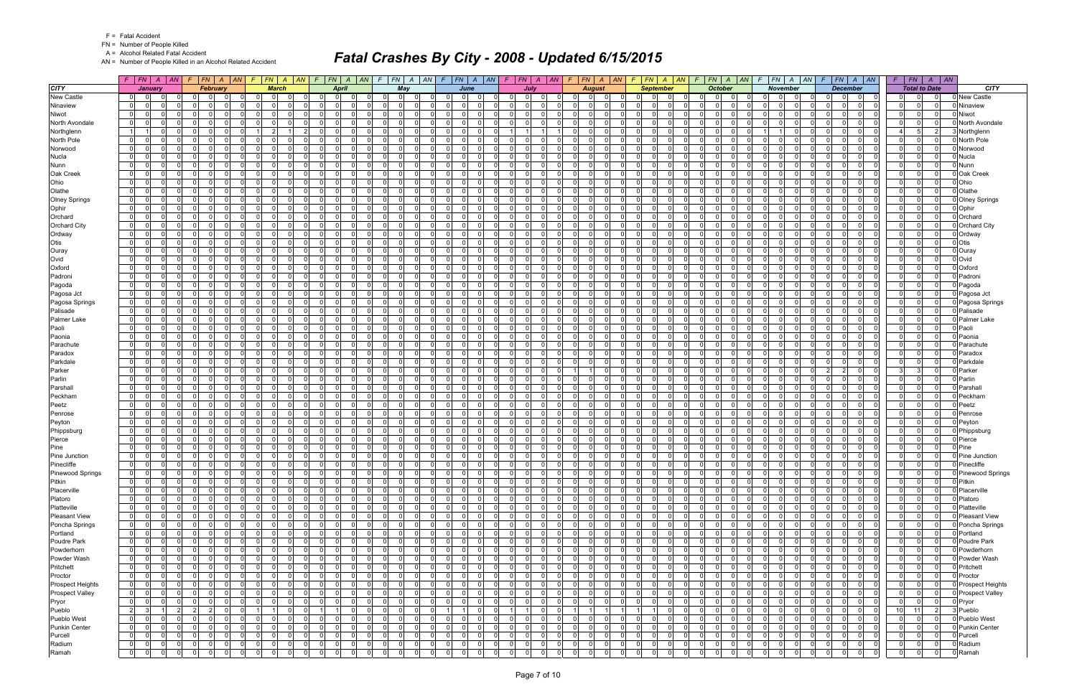FN = Number of People Killed

A = Alcohol Related Fatal Accident

AN = Number of People Killed in an Alcohol Related Accident

|                         |                                  | $F$ $F$ $N$ $A$ $A$ $N$                |                         | $F$ $ FN $ $A$ $ AN$ |                            | $F$ $ FN$ $ A$ $ AN$ $ F$     |                      |             |                                        | FN A AN              |                      | $F$ $ FN $ $A$ $ AN $      |                         |                               | $F$   $FN$   $A$   $AN$                   |                            | $F$ $ FN $ $A$ $ AN $                                |                               | $F$ $FN$ $A$ $AN$                            | $F$ $FN$ $A$ $AN$                            |                            | $F$ $FN$ $A$                     | AN                                            | F.                               | $FN$ $A$ $AN$        |                         | $F$ $FN$ $A$ $AN$                                                       | F.                            |                             | $FN \mid A \mid AN$           |                        |
|-------------------------|----------------------------------|----------------------------------------|-------------------------|----------------------|----------------------------|-------------------------------|----------------------|-------------|----------------------------------------|----------------------|----------------------|----------------------------|-------------------------|-------------------------------|-------------------------------------------|----------------------------|------------------------------------------------------|-------------------------------|----------------------------------------------|----------------------------------------------|----------------------------|----------------------------------|-----------------------------------------------|----------------------------------|----------------------|-------------------------|-------------------------------------------------------------------------|-------------------------------|-----------------------------|-------------------------------|------------------------|
| <b>CITY</b>             |                                  | January                                |                         | February             |                            | <b>March</b>                  |                      |             | April                                  |                      |                      | May                        |                         |                               | June                                      |                            | July                                                 |                               | <b>August</b>                                | <b>September</b>                             |                            |                                  | <b>October</b>                                |                                  | <b>November</b>      |                         | <b>December</b>                                                         |                               |                             | <b>Total to Date</b>          | <b>CITY</b>            |
| <b>New Castle</b>       | 0                                |                                        |                         |                      | 0                          |                               |                      |             |                                        |                      |                      | $\Omega$                   |                         |                               |                                           | 0                          | $\Omega$                                             |                               |                                              |                                              |                            |                                  | 0                                             |                                  |                      |                         | 0                                                                       | 0                             |                             |                               | New Castle             |
| Ninaview                | $\overline{0}$                   | $\Omega$<br>0                          | $\Omega$                |                      | $\mathbf 0$                | $\Omega$                      |                      |             | $\Omega$                               | $\Omega$             |                      | $\Omega$                   |                         | $\Omega$                      | $\Omega$<br>$\Omega$                      | $\Omega$                   | $\Omega$<br>$\Omega$                                 | $\Omega$<br>$\Omega$          | $\Omega$                                     | $\Omega$<br>$\Omega$                         | $\Omega$                   | $\Omega$                         | -01                                           | $\overline{0}$                   |                      | $\Omega$                | $\Omega$<br>$\Omega$<br>$\mathbf 0$                                     | 0                             | $\mathbf{0}$                | $\Omega$                      | Ninaview               |
| Niwot                   | $\overline{0}$                   | $\Omega$<br>$\Omega$                   | $\Omega$                | $\Omega$             | -ol                        | $\Omega$                      |                      |             | $\Omega$                               | $\Omega$             |                      | $\Omega$<br>- 0            |                         | $\Omega$                      | $\Omega$<br>$\Omega$                      | $\Omega$                   | $\Omega$<br>$\Omega$                                 | $\Omega$                      | $\Omega$<br>n                                | $\Omega$<br>$\Omega$                         | $\Omega$                   | 0 I                              | -01<br>$\Omega$                               | $\Omega$                         |                      | $\mathbf 0$             | $\Omega$<br>$\Omega$<br>$\Omega$                                        | $\Omega$                      | $\Omega$                    | $\Omega$                      | Niwot                  |
| North Avondale          | $\overline{0}$                   | <sup>n</sup>                           | $\Omega$                | $\Omega$             | $\Omega$                   | $\Omega$                      |                      | $\Omega$    |                                        | $\Omega$             |                      | $\Omega$                   | $\Omega$                | $\Omega$                      | $\mathbf 0$<br>0                          | 0 I                        | $\Omega$<br>$\Omega$                                 | $\mathbf{0}$<br>റ             | $\Omega$                                     | $\Omega$<br>$\Omega$                         | 0                          | $\overline{0}$                   | $\Omega$<br>$\Omega$                          | $\Omega$                         |                      | $\mathbf 0$             | $\Omega$<br>$\Omega$<br>$\Omega$                                        | $\Omega$                      | $\mathbf 0$                 | - O I                         | <b>North Avondale</b>  |
| Northglenn              |                                  | $\Omega$                               | $\Omega$                |                      |                            | 2                             |                      | $\Omega$    |                                        | $\Omega$             |                      | $\Omega$                   | $\Omega$                | $\Omega$                      | $\Omega$<br>$\Omega$                      |                            |                                                      | $\Omega$                      | $\Omega$<br>$\Omega$                         | $\Omega$<br>$\Omega$                         | $\Omega$                   | $\Omega$                         | $\Omega$<br>$\Omega$                          |                                  |                      | $\Omega$                | $\Omega$<br>$\Omega$<br>$\Omega$                                        |                               | 5                           | 2                             | <b>Northglenn</b>      |
| North Pole              | $\overline{0}$                   | 0                                      | $\mathbf 0$             | $\Omega$             | - 0 l                      | $\Omega$                      |                      | $\Omega$    |                                        | $\Omega$             |                      | $\Omega$                   | $\Omega$                | $\Omega$                      | - 0 l<br>$\Omega$                         | 0 I                        | $\overline{0}$<br>$\Omega$                           | $\overline{0}$                | $\Omega$                                     | $\Omega$<br>$\Omega$                         | $\overline{0}$             | 0                                | $\overline{0}$<br>$\Omega$                    | $\overline{0}$                   |                      | $\Omega$                | $\Omega$<br>$\Omega$<br>$\Omega$                                        | $\Omega$                      | $\Omega$                    | $\Omega$                      | North Pole             |
| Norwood                 | $\overline{0}$                   | $\Omega$                               | - Ol                    | $\Omega$             | $\overline{\mathbf{0}}$    | $\Omega$                      |                      |             | $\overline{0}$                         | $\Omega$             |                      | $\Omega$                   | $\Omega$                | $\Omega$                      | $\Omega$<br>$\Omega$                      | $\overline{0}$             | $\Omega$<br>$\Omega$                                 | $\overline{0}$                | $\Omega$<br>$\Omega$                         | $\Omega$<br>$\Omega$                         | $\Omega$                   | 0 I                              | -01<br>$\Omega$                               | $\overline{0}$                   |                      | $\mathbf 0$             | 0 <br>$\Omega$<br>$\Omega$                                              | 0 I                           | $\Omega$                    | $\mathbf{0}$                  | Norwood                |
| <b>Nucla</b>            | $\overline{0}$                   | <sup>n</sup><br>$\Omega$               | $\Omega$                | n<br>$\cap$          | $\Omega$                   | <sup>n</sup>                  |                      | $\Omega$    | $\Omega$                               | $\Omega$             |                      | $\Omega$<br>- 0            |                         | $\Omega$                      | $\mathbf 0$<br><sup>n</sup>               | $\Omega$                   | $\Omega$<br><sup>n</sup><br>$\Omega$                 | $\Omega$<br>റ                 | $\Omega$<br>$\Omega$                         | $\Omega$<br>$\Omega$<br>$\Omega$             | $\overline{0}$             | $\Omega$                         | $\Omega$<br>$\Omega$<br>$\Omega$              | $\Omega$                         |                      | $\Omega$                | $\Omega$<br>0<br>$\Omega$<br>$\Omega$                                   | $\Omega$                      | $\mathbf{0}$                | $\Omega$                      | Nucla                  |
| Nunn                    | $\mathbf{0}$                     | 0                                      | $\Omega$<br>$\Omega$    | $\Omega$             | $\Omega$<br>$\mathbf 0$    | $\Omega$<br>$\Omega$          |                      |             |                                        | $\Omega$<br>$\Omega$ |                      | $\Omega$                   | $\Omega$                | $\Omega$                      | $\Omega$<br>$\Omega$<br>$\Omega$          | $\Omega$                   | 0 I<br>$\Omega$<br>$\Omega$                          | $\Omega$                      | $\Omega$<br>$\Omega$                         | $\Omega$<br>$\Omega$<br>$\Omega$             | $\Omega$                   | $\Omega$                         | $\Omega$<br>$\Omega$<br>$\Omega$              | $\Omega$                         |                      | $\Omega$                | $\Omega$<br>$\Omega$                                                    | $\Omega$                      | $\Omega$                    | n l<br>$\Omega$               | Nunn                   |
| Oak Creek<br>Ohio       | $\overline{0}$<br>$\overline{0}$ | $\Omega$                               | n l                     | n                    | $\Omega$                   | <sup>0</sup>                  |                      |             | 0 <br>$\Omega$                         | $\Omega$             |                      | $\overline{0}$<br>$\Omega$ | $\Omega$<br>$\Omega$    | 0<br>$\Omega$                 | 0 <br>$\Omega$<br>$\Omega$                | 0 <br>$\Omega$             | n l<br>$\Omega$                                      | $\overline{0}$<br>$\Omega$    | $\Omega$<br>$\Omega$                         | $\Omega$<br>$\Omega$                         | $\overline{0}$<br>$\Omega$ | $\overline{0}$<br>$\Omega$       | -01                                           | $\overline{0}$<br>$\Omega$       |                      | 0 <br>$\Omega$          | 0<br>0l<br>$\mathbf 0$<br>$\Omega$<br>$\Omega$<br>$\Omega$              | $\mathbf 0$<br>$\Omega$       | $\mathbf{0}$<br>$\Omega$    | $\mathbf{0}$                  | Oak Creek<br>Ohio      |
| Olathe                  | $\mathbf 0$                      | <sup>0</sup>                           | $\Omega$                | - 0                  | - 0 l                      | $\Omega$                      |                      | $\Omega$    | $\Omega$                               | $\Omega$             |                      | $\Omega$                   | $\Omega$                | $\Omega$                      | $\mathbf 0$<br>0                          | 0 I                        | $\Omega$<br>$\Omega$                                 | $\mathbf 0$<br>റ              | $\Omega$                                     | $\Omega$<br>$\Omega$                         | $\overline{0}$             | 0 I                              | $\Omega$<br>$\Omega$                          | $\Omega$                         |                      | $\mathbf 0$             | $\Omega$<br>$\Omega$<br>- O I                                           | $\mathbf 0$                   | $\mathbf{0}$                | 0                             | Olathe                 |
| <b>Olney Springs</b>    | 01                               | 0                                      | $\Omega$                |                      | $\Omega$                   |                               |                      |             | $\Omega$                               | $\Omega$             |                      | $\Omega$                   | $\Omega$                | $\Omega$                      | U<br>$\Omega$                             | $\Omega$                   | $\Omega$<br>$\Omega$                                 | $\Omega$                      | $\Omega$<br>$\Omega$                         | $\Omega$<br>0                                | $\Omega$                   | $\Omega$                         | $\Omega$                                      | ΩI                               |                      | $\Omega$                | $\Omega$<br>0<br>$\Omega$                                               | $\Omega$                      | 0                           | $\Omega$                      | <b>Olney Springs</b>   |
| Ophir                   | $\overline{0}$                   | <sup>0</sup>                           | $\Omega$                |                      | $\Omega$                   | <sup>n</sup>                  |                      | $\Omega$    |                                        | $\Omega$             |                      | $\Omega$                   | n                       | $\Omega$                      | $\Omega$<br><sup>n</sup>                  | $\Omega$                   | $\Omega$<br>0                                        | $\Omega$                      |                                              | $\Omega$                                     | - 0                        | $\Omega$                         | $\Omega$                                      | $\Omega$                         |                      | $\Omega$                | 0<br>$\Omega$                                                           | $\Omega$                      | $\Omega$                    | $\Omega$                      | Ophir                  |
| Orchard                 | 0                                | 0                                      | $\mathbf 0$             | $\Omega$             | $\mathbf 0$                | $\Omega$                      |                      |             | 0 I                                    | $\Omega$             |                      | $\overline{0}$             | $\Omega$                | $\Omega$                      | - 0 l<br>$\Omega$                         | 0 I                        | $\Omega$<br>$\Omega$                                 | 01                            | $\Omega$                                     | $\Omega$<br>$\Omega$                         | $\overline{0}$             | 0 I                              | $\overline{0}$                                | $\overline{0}$                   |                      | $\mathbf 0$             | $\Omega$<br>$\Omega$<br>$\Omega$                                        | 0                             | $\mathbf{0}$                | $\overline{0}$                | Orchard                |
| <b>Orchard City</b>     | $\overline{0}$                   | 0                                      | $\Omega$                |                      | $\Omega$                   |                               |                      |             | $\Omega$                               | $\Omega$             |                      | $\Omega$                   | $\Omega$                | $\Omega$                      | $\Omega$<br><sup>n</sup>                  | $\Omega$                   | $\Omega$<br>$\Omega$                                 | $\Omega$                      | $\Omega$                                     | $\Omega$<br>$\Omega$                         | $\Omega$                   | $\Omega$                         | $\Omega$                                      | $\Omega$                         |                      | $\Omega$                | $\Omega$<br>$\Omega$                                                    | $\Omega$                      | $\Omega$                    | $\Omega$                      | <b>Orchard City</b>    |
| Ordway                  | $\mathbf 0$                      | 0                                      | $\mathbf 0$             | $\Omega$             | - 0 l                      | $\Omega$                      |                      |             | $\Omega$                               | $\Omega$             |                      | $\Omega$                   | $\Omega$                | $\Omega$                      | $\Omega$<br>$\Omega$                      | 0 I                        | $\Omega$<br>$\Omega$                                 | $\mathbf{0}$                  | $\Omega$<br>$\Omega$                         | $\Omega$<br>$\Omega$                         | $\Omega$                   | 0 I                              | $\overline{0}$<br>$\Omega$                    | $\Omega$                         |                      | $\mathbf 0$             | $\Omega$<br>$\Omega$<br>- O I                                           | $\overline{0}$                | 0                           | $\overline{0}$                | Ordway                 |
| Otis                    | $\Omega$                         | 0                                      | $\Omega$                |                      | $\Omega$                   |                               |                      |             | $\Omega$                               | $\Omega$             |                      | $\Omega$                   |                         | $\Omega$                      | $\Omega$<br>U                             | $\Omega$                   | $\Omega$<br>$\Omega$                                 | $\Omega$                      |                                              | 0                                            | $\Omega$                   | $\Omega$                         | $\Omega$                                      | $\Omega$                         |                      | $\Omega$                | $\Omega$<br>$\Omega$                                                    | $\Omega$                      | 0                           | $\Omega$                      | Otis                   |
| Ouray                   | 01                               | 0                                      | $\mathbf 0$             | $\Omega$             | $\Omega$                   | $\Omega$                      |                      |             | $\overline{0}$                         | $\Omega$             |                      | $\overline{0}$             | $\Omega$                | $\Omega$                      | $\Omega$<br>$\Omega$                      | 0 I                        | $\Omega$<br>0 I                                      | $\overline{0}$                | $\Omega$<br>$\Omega$                         | $\Omega$<br>$\Omega$                         | $\Omega$                   | 0 I                              | $\overline{0}$<br>$\Omega$                    | $\Omega$                         |                      | $\mathbf 0$             | $\Omega$<br>$\Omega$<br>$\Omega$                                        | $\overline{0}$                | $\Omega$                    | $\Omega$                      | Ouray                  |
| Ovid                    | $\mathbf{0}$                     | 0                                      | - Ol                    | n                    | $\overline{0}$             | $\Omega$                      |                      |             | $\Omega$                               | $\Omega$             |                      | $\Omega$                   | $\Omega$                | $\Omega$                      | $\Omega$<br>$\Omega$                      | $\Omega$                   | $\Omega$<br>- Ol                                     | $\Omega$                      | $\Omega$<br>$\Omega$                         | $\Omega$<br>$\Omega$                         | $\Omega$                   | $\Omega$                         | $\Omega$<br>$\Omega$                          | $\Omega$                         |                      | $\Omega$                | $\Omega$<br>$\Omega$<br>$\Omega$                                        | $\Omega$                      | $\Omega$                    | $\Omega$                      | Ovid                   |
| Oxford                  | $\overline{0}$                   | 0                                      | $\Omega$                | റ                    | $\Omega$                   | <sup>n</sup>                  |                      | $\Omega$    |                                        | $\Omega$             |                      | $\Omega$                   | $\Omega$                | $\Omega$                      | $\Omega$<br>$\mathbf 0$                   | 0 I                        | $\mathbf 0$<br>$\Omega$                              | $\Omega$                      | $\Omega$<br>$\Omega$                         | $\Omega$<br>$\Omega$                         | $\overline{0}$             | 0 I                              | $\overline{0}$                                | $\Omega$                         |                      | $\Omega$                | $\Omega$<br>$\Omega$<br>$\Omega$                                        | $\Omega$                      | 0                           | $\mathbf 0$                   | Oxford                 |
| Padroni                 | $\mathbf{0}$                     | $\Omega$                               | $\Omega$                |                      | $\Omega$                   | ΩI                            |                      |             | $\Omega$                               | $\Omega$             |                      | $\Omega$                   | $\Omega$                | $\Omega$                      | $\Omega$<br><sup>0</sup>                  | $\Omega$                   | n l<br>$\Omega$                                      | $\Omega$                      |                                              | $\Omega$                                     | $\Omega$                   | $\Omega$                         | $\Omega$                                      | $\Omega$                         |                      | $\Omega$                | $\Omega$<br>$\Omega$                                                    | $\Omega$                      | $\Omega$                    | $\Omega$                      | Padroni                |
| Pagoda                  | $\mathbf 0$                      | 0                                      | $\mathbf 0$             | $\Omega$             | 0                          | $\Omega$                      |                      |             | 0 I                                    | $\Omega$             |                      | $\overline{0}$             | $\Omega$                | $\mathbf 0$                   | - 0 l<br>$\Omega$                         | 0 I                        | $\Omega$<br>$\overline{0}$                           | 01                            | $\Omega$<br>$\Omega$                         | $\Omega$<br>$\Omega$                         | $\overline{0}$             | 0 I                              | $\overline{0}$                                | $\overline{0}$                   |                      | $\mathbf 0$             | $\Omega$<br>$\Omega$<br>$\Omega$                                        | 0                             | $\Omega$                    | $\mathbf 0$                   | Pagoda                 |
| Pagosa Jct              | $\overline{0}$                   | $\Omega$                               | $\Omega$                |                      | $\Omega$                   | <sup>n</sup>                  |                      | $\Omega$    |                                        | $\Omega$             |                      | $\Omega$                   | $\Omega$                | $\Omega$                      | $\Omega$<br><sup>0</sup>                  | $\Omega$                   | $\Omega$<br>$\Omega$                                 | $\Omega$                      | $\Omega$                                     | $\Omega$<br>$\Omega$                         | $\Omega$                   | $\Omega$                         | $\Omega$                                      | $\Omega$                         |                      | $\Omega$                | $\Omega$<br>$\Omega$                                                    | $\Omega$                      | $\Omega$                    | $\Omega$                      | Pagosa Jct             |
| Pagosa Springs          | $\mathbf{0}$                     | $\Omega$<br>0                          | $\Omega$                | $\Omega$             | - 0 l                      | $\Omega$                      |                      |             | 0 I                                    | $\Omega$             |                      | $\Omega$                   | $\Omega$                | $\Omega$                      | $\Omega$<br>$\mathbf 0$                   | 0 I                        | $\Omega$<br>$\Omega$                                 | $\mathbf{0}$                  | $\Omega$<br>$\Omega$                         | $\Omega$<br>$\Omega$                         | $\Omega$                   | 0 I                              | $\overline{0}$<br>$\Omega$                    | $\Omega$                         |                      | $\mathbf 0$             | $\Omega$<br>$\Omega$<br>- O I                                           | $\overline{0}$                | 0                           | $\Omega$                      | Pagosa Springs         |
| Palisade                | $\overline{0}$                   | $\Omega$<br><sup>0</sup>               | $\Omega$                |                      | $\Omega$                   | <sup>0</sup>                  |                      |             | $\Omega$                               | $\Omega$<br>$\Omega$ |                      | $\Omega$                   | $\Omega$                | $\Omega$                      | $\Omega$<br>0<br>$\Omega$                 | $\Omega$                   | $\Omega$<br>$\Omega$<br>$\Omega$                     | $\Omega$                      |                                              | 0                                            | $\Omega$                   | $\Omega$                         | $\Omega$                                      | $\Omega$                         |                      | $\Omega$                | $\Omega$<br>$\Omega$<br>$\Omega$                                        | $\Omega$                      | $\Omega$                    | $\Omega$                      | Palisade               |
| Palmer Lake             | $\overline{0}$<br>$\mathbf{0}$   | $\Omega$<br>$\Omega$                   | $\Omega$                | $\Omega$             | $\Omega$<br>$\overline{0}$ | <sup>n</sup><br>$\Omega$      |                      |             | $\Omega$<br>$\overline{0}$<br>$\Omega$ | $\Omega$             | $\Omega$             | $\Omega$<br>-01            | $\Omega$<br>$\Omega$    | $\Omega$<br>$\Omega$          | <sup>n</sup><br>$\Omega$<br>- 0 l         | $\Omega$<br>$\overline{0}$ | $\Omega$<br> 0 <br>$\Omega$                          | $\Omega$<br>$\mathbf{0}$      | $\Omega$<br>$\Omega$<br>$\Omega$             | $\Omega$<br>$\Omega$<br>$\Omega$             | $\Omega$<br>-01            | $\Omega$<br>0 I                  | $\Omega$<br>$\mathbf{0}$<br>$\Omega$          | $\Omega$<br>$\overline{0}$       |                      | $\Omega$                | 0<br>$\Omega$<br> 0 <br>$\overline{0}$<br>$\Omega$                      | $\Omega$                      | $\Omega$<br>$\mathbf 0$     | $\Omega$<br>$\overline{0}$    | Palmer Lake            |
| Paoli<br>Paonia         | 01                               | <sup>0</sup>                           | $\mathbf 0$<br>$\Omega$ |                      | $\Omega$                   |                               |                      |             | $\Omega$                               | $\Omega$             |                      | $\Omega$                   | $\Omega$                | $\Omega$                      | $\Omega$<br><sup>n</sup>                  | $\Omega$                   | $\Omega$                                             | $\Omega$<br>$\cap$            | $\Omega$                                     | $\Omega$<br>$\Omega$                         | $\Omega$                   | $\Omega$                         | $\Omega$                                      | $\Omega$                         |                      | $\mathbf 0$<br>$\Omega$ | $\Omega$<br>0<br>$\Omega$                                               | 0 I<br>$\Omega$               | $\Omega$                    | $\Omega$                      | Paoli<br>Paonia        |
| Parachute               | 0                                | $\Omega$                               | $\Omega$                | $\Omega$             | -ol                        | $\Omega$                      |                      |             | $\Omega$<br>$\Omega$                   | $\Omega$             |                      | $\Omega$                   | $\Omega$                | $\Omega$                      | - 0 l<br>$\Omega$                         | $\overline{0}$             | 0 I<br>$\Omega$                                      | $\mathbf{0}$                  | $\Omega$<br>$\Omega$                         | $\Omega$<br>$\Omega$                         | $\Omega$                   | 0 I                              | -01<br>$\Omega$                               | $\Omega$                         |                      | $\mathbf 0$             | $\Omega$<br> 0 <br>$\mathbf 0$                                          | $\overline{0}$                | $\Omega$                    | n l                           | Parachute              |
| Paradox                 | $\mathbf{0}$                     | 0                                      | $\Omega$                |                      | $\Omega$                   | 0                             |                      |             | $\Omega$                               | $\Omega$             |                      | $\Omega$                   | $\Omega$                | $\Omega$                      | $\Omega$<br>$\Omega$                      | $\Omega$                   | $\Omega$<br>$\Omega$                                 | $\Omega$                      | $\Omega$                                     | $\Omega$                                     | $\Omega$                   | $\Omega$                         | $\Omega$                                      | $\overline{0}$                   |                      | $\Omega$                | 0<br>$\Omega$                                                           | $\Omega$                      | $\Omega$                    | $\Omega$                      | Paradox                |
| Parkdale                | $\overline{0}$                   | $\Omega$<br>$\Omega$                   | - 0 l                   | $\Omega$             | $\overline{0}$             | $\Omega$                      |                      |             | $\Omega$<br>$\Omega$                   | $\Omega$             |                      | -01                        | $\Omega$                | $\overline{0}$                | - 0 l<br>$\Omega$                         | $\Omega$                   | 0 I<br>$\Omega$                                      | $\overline{0}$                | $\Omega$<br>$\Omega$                         | $\Omega$<br>$\Omega$                         | $\Omega$                   | 0 I                              | $\overline{0}$<br>$\Omega$                    | $\overline{0}$                   |                      | $\mathbf 0$             | $\Omega$<br> 0 <br>$\mathbf 0$                                          | $\overline{0}$                | $\mathbf{0}$                | $\Omega$                      | Parkdale               |
| Parker                  | $\overline{0}$                   | <sup>0</sup>                           | $\Omega$                | $\Omega$             | $\Omega$                   | $\Omega$                      |                      |             | $\Omega$<br>$\Omega$                   | $\Omega$             |                      | $\Omega$                   | $\Omega$                | $\Omega$                      | $\Omega$<br>$\Omega$                      | $\Omega$                   | $\Omega$<br>$\Omega$                                 |                               | $\Omega$                                     | $\Omega$<br>$\Omega$                         | $\Omega$                   | $\Omega$                         | $\overline{0}$<br>$\Omega$                    | $\Omega$                         |                      | $\mathbf 0$             | $\overline{2}$<br>2 <br>- O I                                           | 3                             | -31                         | $\Omega$                      | Parker                 |
| Parlin                  | $\overline{0}$                   | $\Omega$                               | $\Omega$                | $\Omega$             | -ol                        | $\Omega$                      |                      |             | $\overline{0}$                         | $\Omega$             |                      | $\Omega$                   | $\Omega$                | $\Omega$                      | - 0 l<br>$\Omega$                         | $\Omega$                   | n l<br>$\Omega$                                      | $\overline{0}$<br>$\Omega$    | $\Omega$                                     | $\Omega$<br>$\Omega$                         | $\overline{0}$             | 0 I                              | $\Omega$<br>$\overline{0}$                    | $\Omega$                         |                      | $\mathbf 0$             | $\Omega$<br>$\Omega$<br>$\Omega$                                        | $\Omega$                      | $\mathbf 0$                 | $\Omega$                      | Parlin                 |
| Parshall                | $\Omega$                         | <sup>0</sup>                           | $\Omega$                |                      | $\Omega$                   | ΩI                            |                      |             | $\Omega$                               | $\Omega$             |                      | $\Omega$                   | $\Omega$                | $\Omega$                      | $\Omega$<br>U                             | $\Omega$                   | - Ol<br>$\Omega$                                     | $\Omega$                      |                                              | $\Omega$                                     | $\Omega$                   | $\Omega$                         | $\Omega$<br>U                                 | $\Omega$                         |                      | $\Omega$                | $\Omega$<br>$\Omega$<br>$\Omega$                                        | $\Omega$                      | $\Omega$                    | $\Omega$                      | Parshal                |
| Peckham                 | $\mathbf{0}$                     | $\Omega$<br>$\Omega$                   | $\mathbf 0$             | $\Omega$             | - ol                       | $\Omega$                      | $\Omega$             |             | $\overline{0}$<br>$\Omega$             | $\Omega$             |                      | $\Omega$                   | $\Omega$                | $\Omega$                      | $\Omega$<br>- 0 l                         | $\overline{0}$             | 0 I<br>$\Omega$                                      | $\mathbf{0}$                  | $\Omega$<br>$\Omega$                         | $\Omega$<br>$\Omega$                         | -01                        | 0 I                              | 0 <br>$\Omega$                                | $\overline{0}$                   |                      | $\mathbf 0$             | 0 <br>$\overline{0}$<br>$\Omega$                                        | 0 I                           | $\mathbf 0$                 | $\Omega$                      | Peckhan                |
| Peetz                   | 01                               | <sup>0</sup>                           | - Ol                    |                      | $\Omega$                   | <sup>n</sup>                  |                      |             | $\Omega$                               | $\Omega$             |                      | $\Omega$                   | $\Omega$                | $\Omega$                      | $\Omega$<br><sup>n</sup>                  | $\Omega$                   | $\Omega$<br><sup>n</sup>                             | $\Omega$                      | $\Omega$<br>$\Omega$                         | $\Omega$<br>$\Omega$                         | $\Omega$                   | $\Omega$                         | $\Omega$                                      | $\Omega$                         |                      | $\Omega$                | $\Omega$<br>$\Omega$<br>$\Omega$                                        | $\Omega$                      | 0                           | $\Omega$                      | Peetz                  |
| Penrose                 | $\overline{0}$                   | <sup>0</sup>                           | $\Omega$                | റ                    | $\Omega$                   | $\Omega$                      |                      |             | $\Omega$                               | $\Omega$             |                      | $\Omega$                   | $\Omega$                | $\Omega$                      | $\Omega$<br><sup>n</sup>                  | 0 I                        | $\Omega$<br>$\Omega$                                 | $\mathbf{0}$                  | $\Omega$<br>$\Omega$                         | $\Omega$<br>$\Omega$                         | $\Omega$                   | 0 I                              | $\Omega$<br>$\Omega$                          | $\Omega$                         |                      | $\mathbf 0$             | $\Omega$<br>$\Omega$<br>- O I                                           | 0 I                           | $\Omega$                    | $\Omega$                      | Penrose                |
| Peyton                  | $\overline{0}$                   | 0                                      | $\Omega$                |                      | $\mathbf 0$                | $\Omega$                      |                      | $\Omega$    |                                        | $\Omega$             |                      | $\Omega$                   | $\Omega$                | $\mathbf 0$                   | - 0 l<br>0                                | $\Omega$                   | $\Omega$<br>$\Omega$                                 | $\Omega$                      |                                              | 0<br>0.                                      | $\Omega$                   | $\Omega$                         | $\mathbf{0}$                                  | $\overline{0}$                   |                      | $\Omega$                | $\Omega$<br>0<br>0                                                      | $\Omega$                      | $\mathbf{0}$                | $\Omega$                      | Peyton                 |
| Phippsburg              | $\overline{0}$                   | <sup>0</sup>                           | $\mathbf 0$             |                      | $\Omega$                   | ΩI                            |                      | $\Omega$    |                                        | $\Omega$<br>$\Omega$ |                      | -01                        | $\Omega$                | $\Omega$                      | $\Omega$<br>$\Omega$                      | 0 I                        | $\Omega$<br>- Ol<br>$\Omega$                         | $\overline{0}$                | $\Omega$<br>$\Omega$                         | $\Omega$<br>$\Omega$                         | $\Omega$                   | $\Omega$                         | -01<br>$\Omega$                               | $\Omega$                         |                      | $\Omega$                | $\Omega$<br>$\Omega$<br>$\Omega$                                        | $\overline{0}$                | $\Omega$                    | $\Omega$<br>$\Omega$          | Phippsburg             |
| Pierce<br>Pine          | 0 <br>01                         | 0<br>0                                 | - Ol<br>$\Omega$        | - 0<br>n             | - ol<br>$\Omega$           | $\Omega$<br>0                 |                      | $\Omega$    | $\Omega$                               | $\Omega$             |                      | $\Omega$<br>$\Omega$       | $\Omega$<br>$\Omega$    | $\Omega$<br>$\Omega$          | $\Omega$<br>$\Omega$<br>- 0 l<br>$\Omega$ | $\Omega$<br>$\Omega$       | $\Omega$<br>$\mathbf 0$<br>$\Omega$                  | $\mathbf{0}$<br>$\Omega$      | $\Omega$<br>$\Omega$<br>$\Omega$<br>$\Omega$ | $\Omega$<br>$\Omega$<br>$\Omega$<br>$\Omega$ | $\Omega$<br>$\overline{0}$ | $\Omega$<br>$\overline{0}$       | $\overline{0}$<br>$\Omega$<br>$\overline{0}$  | $\Omega$<br>$\Omega$             |                      | $\Omega$<br>$\mathbf 0$ | $\Omega$<br>- O I<br>$\Omega$<br>$\Omega$<br>0<br>$\Omega$              | $\mathbf 0$<br>$\overline{0}$ | $\mathbf 0$<br> 0           | $\Omega$                      | Pierce<br>Pine         |
| Pine Junction           | $\overline{0}$                   | $\Omega$                               | $\mathbf 0$             | $\Omega$             | 0                          | $\Omega$                      |                      | $\Omega$    |                                        | $\Omega$             |                      | $\Omega$                   | $\Omega$                | 0                             | $\Omega$<br>0                             | 0 I                        | $\Omega$<br>$\Omega$                                 | - 0 l                         | $\Omega$                                     | $\Omega$<br>$\Omega$                         | $\Omega$                   | 0                                | $\mathbf{0}$<br>0                             | $\mathbf{0}$                     |                      | $\Omega$                | $\Omega$<br>$\Omega$<br>$\Omega$                                        | 0 I                           | $\Omega$                    | $\Omega$                      | Pine Junction          |
| Pinecliffe              | $\overline{0}$                   | $\Omega$<br>$\Omega$                   | - 0 l                   |                      | -ol                        | $\Omega$                      |                      |             | 0I                                     | $\Omega$             |                      | $\Omega$                   | $\Omega$                | $\Omega$                      | $\Omega$<br>$\Omega$                      | $\overline{0}$             | $\Omega$<br>$\Omega$                                 | $\Omega$                      | $\Omega$                                     | $\Omega$<br>$\Omega$                         | $\Omega$                   | 0 I                              | $\mathbf{0}$                                  | $\Omega$                         |                      | $\Omega$                | $\Omega$                                                                | 0 I                           | $\mathbf{0}$                | $\Omega$                      | Pinecliffe             |
| Pinewood Springs        | $\overline{0}$                   | 0 <br>0l                               | $\Omega$                |                      | 0                          | $\Omega$                      |                      | $\Omega$    |                                        | $\mathbf{0}$         |                      | $\Omega$                   | $\Omega$                | $\Omega$                      | $\mathbf 0$<br>$\Omega$                   | $\Omega$                   | 0<br>0                                               | $\Omega$                      | $\Omega$<br>$\Omega$                         | $\Omega$                                     | $\mathbf{0}$               | $\Omega$                         | $\mathbf 0$<br>0                              | 01                               |                      | $\Omega$                | $\mathbf 0$<br>0l                                                       |                               | $\mathbf{0}$                |                               | 0 Pinewood Springs     |
| Pitkin                  | $\mathbf{0}$                     | - Ol<br>n l                            | $\mathbf 0$             | $\Omega$             | - 0 l                      | $\Omega$                      | $\Omega$             |             | 0 I<br>$\Omega$                        | $\Omega$             |                      | -01                        | $\Omega$                | $\Omega$                      | - 0 l<br>$\Omega$                         | 0 I                        | $\overline{0}$<br>$\Omega$                           | $\mathbf{0}$                  | - O I<br>- O I                               | $\Omega$<br>$\Omega$                         | $\overline{0}$             | 0 I                              | 0 <br>$\Omega$                                | $\Omega$                         | $\Omega$             | $\mathbf 0$             | $\Omega$<br>$\Omega$<br>$\mathbf 0$                                     | $\overline{0}$                | $\overline{0}$              | $\overline{0}$                | Pitkin                 |
| Placerville             | $\overline{0}$                   | 0                                      | - 0 l                   | 0                    | 0                          | $\overline{0}$                |                      |             | $\overline{0}$                         | $\Omega$             |                      | -01                        | $\Omega$                | $\mathbf 0$                   | 0 <br>$\mathbf{0}$                        | $\Omega$                   | 01<br>$\mathbf 0$                                    | $\overline{0}$<br>$\Omega$    | $\Omega$                                     | 0<br>$\overline{0}$                          | 0                          | 0                                | 0 <br>$\Omega$                                | $\overline{0}$                   |                      | 0                       | $\mathbf 0$<br> 0 <br>$\mathbf 0$                                       | 0                             | $\overline{0}$              | $\mathbf 0$                   | Placerville            |
| Platoro                 | $\overline{0}$                   | $\Omega$<br>$\Omega$                   | 0                       | $\Omega$             | 0                          | 0 I                           |                      |             | $\overline{0}$<br>$\Omega$             | -01                  | $\Omega$             | 0                          | $\Omega$                | $\mathbf 0$                   | 0 <br>$\Omega$                            | 01                         | $\overline{0}$<br>$\overline{0}$                     | $\overline{0}$                | - O I<br>- O I                               | $\Omega$<br>$\overline{0}$                   | 0                          | $\overline{0}$                   | 0 <br>$\Omega$                                | $\overline{0}$                   | - 0                  | 0                       | $\Omega$<br>$\overline{0}$<br>$\mathbf 0$                               | $\overline{0}$                | $\mathbf 0$                 | $\mathbf 0$                   | Platoro                |
| Platteville             | 0                                | $\Omega$                               | $\mathbf 0$             | $\Omega$             | 0                          | $\Omega$                      |                      |             | 0 I                                    | $\Omega$             |                      | -01                        | $\Omega$                | $\overline{0}$                | 0 <br>$\Omega$                            | 0 I                        | 0l<br>$\Omega$                                       | 0                             | $\Omega$<br>$\Omega$                         | 0<br>$\overline{0}$                          | 0                          | 0 I                              | 0 <br>0                                       | $\overline{0}$                   |                      | $\mathbf 0$             | $\overline{0}$<br>0<br>$\mathbf 0$                                      | $\overline{0}$                | $\mathbf{0}$                | $\mathbf 0$                   | Platteville            |
| <b>Pleasant View</b>    | $\overline{0}$                   | $\Omega$<br>0                          | $\mathbf 0$             | $\Omega$             | 0                          | $\Omega$                      |                      |             | 0 I<br>$\Omega$                        | $\Omega$             |                      | $\overline{0}$             | $\Omega$                | $\overline{0}$                | $\overline{0}$<br>$\Omega$                | 0 I                        | $\overline{0}$<br>$\Omega$                           | 01                            | - O I<br>- O I                               | $\Omega$<br>$\Omega$                         | 0                          | $\overline{0}$                   | 0 <br>$\Omega$                                | $\overline{0}$                   |                      | $\mathbf 0$             | $\Omega$<br> 0 <br>$\mathbf 0$                                          | $\overline{0}$                | $\mathbf 0$                 | 0                             | Pleasant View          |
| Poncha Springs          | 0                                | $\Omega$                               | - 0 l                   | $\Omega$             | 0                          | $\Omega$                      |                      |             | $\overline{0}$<br>$\Omega$             | -01                  |                      | -01                        | $\Omega$                | $\overline{0}$                | 0 <br>$\Omega$                            | $\overline{0}$             | $\overline{0}$<br>$\Omega$                           | $\mathbf{0}$                  | - O I<br>$\Omega$                            | 0<br>$\overline{0}$                          | 0                          | $\overline{0}$                   | 0 <br>$\Omega$                                | $\overline{0}$                   |                      | 0                       | $\mathbf 0$<br> 0 <br>$\mathbf 0$                                       | $\overline{0}$                | $\Omega$                    | $\Omega$                      | Poncha Springs         |
| Portland                | $\overline{0}$                   | 0l<br>0                                | 0                       | 0                    | 0                          | $\overline{0}$                | $\Omega$             |             | 0 <br>0                                | $\mathbf{0}$         | $\Omega$             | 0                          | $\mathbf{0}$            | $\mathbf 0$                   | $\overline{0}$<br> 0                      | 0                          | 0 <br>$\mathbf 0$                                    | 0                             | 0 <br>0 I                                    | 0<br>$\overline{0}$                          | 0                          | $\overline{0}$                   | $\overline{0}$<br>$\Omega$                    | 0                                | $\Omega$             | $\mathbf 0$             | 0<br> 0 <br>$\mathbf 0$                                                 | 0                             | $\mathbf{0}$                | $\mathbf 0$                   | Portland               |
| Poudre Park             | $\overline{0}$                   | $\Omega$<br>$\Omega$                   | - 0 l                   | $\Omega$             | 0                          | $\Omega$                      | $\Omega$             |             | $\overline{0}$<br>$\Omega$             | -01                  |                      | 0                          | $\Omega$                | $\Omega$                      | 0 <br>$\Omega$                            | $\overline{0}$             | 0 <br>$\overline{0}$                                 | 0                             | $\overline{0}$<br>- O I                      | $\mathbf 0$<br> 0                            | -01                        | 0                                | $\overline{0}$<br>$\Omega$                    | $\overline{0}$                   | $\Omega$             | $\mathbf 0$             | $\Omega$<br>$\overline{0}$<br>$\mathbf 0$                               | $\overline{0}$                | $\mathbf 0$                 | $\Omega$                      | Poudre Park            |
| Powderhorn              | 0                                | $\Omega$<br>0<br>$\Omega$<br>$\Omega$  | 0 <br>- 0 l             | $\Omega$<br>$\Omega$ | 0 <br> 0                   | $\Omega$<br>$\Omega$          | $\Omega$             |             | 0 I<br>0<br>$\overline{0}$<br>$\Omega$ | 0 <br>$\Omega$       | 0I                   | 0 <br>-01                  | $\mathbf 0$<br>$\Omega$ | $\mathbf 0$<br>$\Omega$       | $\mathbf{0}$<br> 0 <br>- ol<br>$\Omega$   | 0 <br>$\overline{0}$       | 01<br>$\mathbf 0$<br>0 I<br>$\Omega$                 | $\mathbf 0$<br>$\overline{0}$ | -01<br>0 I<br>$\Omega$<br>$\Omega$           | 0<br>$\overline{0}$<br>$\Omega$<br>$\Omega$  | 0 <br>-01                  | 01<br> 0                         | 0 <br>$\mathbf 0$<br>$\mathbf{0}$<br>$\Omega$ | $\overline{0}$<br>$\Omega$       | $\Omega$<br>$\Omega$ | 0 <br>- 0 l             | 0<br> 0 <br>$\mathbf 0$<br>$\Omega$                                     | 0 <br>$\overline{0}$          | $\mathbf 0$                 | 0 <br>$\mathbf{0}$            | Powderhorn             |
| Powder Wash             | $\overline{0}$                   |                                        |                         |                      |                            |                               |                      |             |                                        |                      |                      |                            |                         |                               |                                           |                            |                                                      |                               |                                              |                                              |                            |                                  |                                               |                                  |                      |                         | 0 <br>$\mathbf 0$                                                       |                               | $\mathbf 0$                 |                               | Powder Wash            |
| Pritchett<br>Proctor    | $\overline{0}$<br>$\overline{0}$ | 0l<br>$\Omega$<br>$\Omega$<br>$\Omega$ | 0 <br>- 0 l             | 0<br>$\Omega$        | 0 <br> 0                   | $\mathbf 0$<br>$\overline{0}$ | $\Omega$<br>$\Omega$ |             | 0 <br>0<br>$\overline{0}$<br>$\Omega$  | 0 <br>-01            | $\Omega$<br>$\Omega$ | 0 <br>-01                  | $\mathbf 0$<br>$\Omega$ | $\mathbf 0$<br>$\overline{0}$ | 0 <br>$\mathbf{0}$<br>$\Omega$<br> 0      | 0 <br>$\overline{0}$       | $\overline{0}$<br>$\mathbf 0$<br> 0 <br>$\mathbf{0}$ | 0 <br>$\overline{0}$          | -01<br>$\mathbf 0$<br>$\Omega$<br>- O I      | 0<br>$\overline{0}$<br>$\mathbf 0$<br> 0     | 0 <br> 0                   | $\overline{0}$<br>$\overline{0}$ | 0 <br>0<br>$\overline{0}$<br>$\Omega$         | $\overline{0}$<br>$\overline{0}$ | - 0<br>$\Omega$      | 0 <br>$\mathbf 0$       | 0<br> 0 <br>$\mathbf 0$<br>$\mathbf 0$<br>$\overline{0}$<br>$\mathbf 0$ | 0 <br>$\overline{0}$          | $\mathbf{0}$<br>$\mathbf 0$ | $\mathbf 0$<br>$\overline{0}$ | Pritchett<br>Proctor   |
| <b>Prospect Heights</b> | $\overline{0}$                   | 0<br>0                                 | $\mathbf 0$             | -0                   | 0                          | $\Omega$                      | $\Omega$             |             | 0 I<br>0                               | $\overline{0}$       |                      | $\overline{0}$             | $\Omega$                | $\mathbf 0$                   | 0 <br>$\Omega$                            | 0 I                        | 01<br>$\Omega$                                       | $\mathbf{0}$                  | -01<br>$\Omega$                              | 0<br>0                                       | 0                          | $\overline{0}$                   | 0 <br>$\Omega$                                | $\overline{0}$                   | $\Omega$             | 0                       | 0<br> 0 <br>$\mathbf 0$                                                 | $\Omega$                      | $\mathbf 0$                 | $\Omega$                      | Prospect Heights       |
| <b>Prospect Valley</b>  | $\overline{0}$                   | $\Omega$<br>$\Omega$                   | - 0 l                   | $\Omega$             | 0                          | $\Omega$                      | $\Omega$             |             | $\overline{0}$<br>$\Omega$             | -01                  |                      | -01                        | $\Omega$                | $\Omega$                      | $\Omega$<br> 0                            | $\overline{0}$             | 0 <br>$\Omega$                                       | 0                             | $\Omega$<br>- O I                            | $\Omega$<br>$\overline{0}$                   | -01                        | 0 I                              | 0 <br>$\Omega$                                | $\overline{0}$                   | $\Omega$             | - 0 l                   | $\Omega$<br> 0 <br>$\mathbf 0$                                          | $\overline{0}$                | $\mathbf 0$                 | $\overline{0}$                | <b>Prospect Valley</b> |
| Pryor                   | $\overline{0}$                   | 0                                      | 0                       | -0                   | 0                          | 01                            |                      | $\mathbf 0$ |                                        | 0                    | $\Omega$             | 0                          | 0                       | 0                             | 0 <br>$\mathbf{0}$                        | 0                          | 01<br>$\mathbf 0$                                    | $\overline{0}$                | $\Omega$<br>$\Omega$                         | 0<br>$\overline{0}$                          | 0                          | 0                                | $\mathbf 0$<br>$\Omega$                       | $\overline{0}$                   |                      | 0                       | 0<br> 0 <br>$\mathbf 0$                                                 | 0                             | $\mathbf{0}$                | 0                             | Pryor                  |
| Pueblo                  | $\overline{2}$                   | 3<br>11                                | 2<br>$\vert$ 2          | - O I                | 1                          | -11                           | $\Omega$             |             | 11<br>-1                               | -01                  | $\Omega$             | 0                          | 0 I                     | $\overline{1}$                | $\overline{0}$                            |                            | $\overline{0}$<br>$1 \vert$                          | 11                            | 11                                           | $\overline{1}$<br>$\mathbf{1}$               | -01                        | $\overline{0}$                   | $\overline{0}$<br>$\mathbf 0$                 | $\overline{0}$                   | $\Omega$             | 01                      | $\Omega$<br> 0 <br>$\mathbf 0$                                          | 10 <sup>1</sup>               | 11                          | $\vert$ 2                     | Pueblo                 |
| Pueblo West             | 0                                | $\Omega$<br>$\Omega$                   | 0                       | $\Omega$             | 0                          | 0                             | $\Omega$             |             | 0 I<br>0                               | 0                    | 0I                   | $\overline{0}$             | $\mathbf 0$             | $\mathbf 0$                   | 0 <br>0                                   | 0 I                        | 0 <br>- O I                                          | 0                             | -01<br>$\Omega$                              | $\mathbf 0$<br>0                             | 0                          | 0 I                              | 0 <br>$\mathbf 0$                             | $\overline{0}$                   | $\Omega$             | 0                       | 0<br> 0 <br>$\overline{0}$                                              | $\overline{0}$                | $\mathbf 0$                 | 0                             | Pueblo West            |
| <b>Punkin Center</b>    | $\overline{0}$                   | $\Omega$<br>$\Omega$                   | $\mathbf 0$             | $\Omega$             | 0                          | $\Omega$                      | $\Omega$             |             | $\overline{0}$<br>$\Omega$             | $\Omega$             |                      | 0                          | $\Omega$                | $\overline{0}$                | 0 <br>0                                   | 0 I                        | 01<br>$\Omega$                                       | $\overline{0}$                | - O I<br>- O I                               | $\mathbf 0$<br>$\overline{0}$                | 0                          | $\overline{0}$                   | $\mathbf 0$<br>$\Omega$                       | $\overline{0}$                   | $\Omega$             | 0                       | $\mathbf 0$<br> 0 <br>$\mathbf 0$                                       | $\overline{0}$                | $\mathbf 0$                 | $\Omega$                      | <b>Punkin Center</b>   |
| Purcell                 | $\mathbf 0$                      | 0                                      | $\Omega$                |                      | $\mathbf 0$                | $\Omega$                      |                      |             | $\Omega$                               | $\Omega$             |                      | $\Omega$                   | $\Omega$                | $\mathbf 0$                   | 0 <br>0                                   | $\Omega$                   | 0 <br>$\Omega$                                       | $\Omega$                      | $\Omega$                                     | $\mathbf 0$<br>$\overline{0}$                | 0                          | $\overline{0}$                   | $\mathbf 0$                                   | $\overline{0}$                   |                      | 0                       | $\overline{0}$<br>$\mathbf 0$                                           | $\overline{0}$                | $\mathbf{0}$                | $\Omega$                      | Purcell                |
| Radium                  | 0                                | 0l                                     | 0                       | 0                    | 0                          | $\overline{0}$                |                      |             | $\overline{0}$<br>0                    | 0                    | $\mathbf 0$          | 0                          | $\mathbf 0$             | $\overline{0}$                | 0 <br>$\overline{0}$                      | 0                          | $\mathbf 0$<br>01                                    | $\mathbf 0$                   | $\Omega$<br>0 I                              | 0<br>$\overline{0}$                          | 0                          | $\overline{0}$                   | $\mathbf 0$<br>$\Omega$                       | $\overline{0}$                   | $\Omega$             | 0                       | 0<br>0l<br>$\mathbf 0$                                                  | 0                             | $\mathbf 0$                 | 0                             | Radium                 |
| Ramah                   | 0                                | $\overline{0}$<br>$\mathbf 0$          | 0                       | $\mathbf 0$          | 0                          | $\mathbf 0$                   |                      |             | $\overline{0}$<br>$\mathbf 0$          | $\mathbf 0$          | $\mathbf 0$          | 0                          | $\mathbf 0$             | $\mathbf 0$                   | $\mathbf 0$<br> 0                         | $\overline{0}$             | 0 <br>$\mathbf 0$                                    | 0                             | $\mathbf 0$<br>$\mathbf 0$                   | $\mathbf 0$<br> 0                            | $\overline{0}$             | $\overline{0}$                   | 0 <br>$\mathbf 0$                             | $\overline{0}$                   | $\mathbf 0$          | $\mathbf 0$             | $\mathbf 0$<br> 0 <br>0                                                 | $\overline{0}$                | $\mathbf 0$                 | $\mathbf{0}$                  | Ramah                  |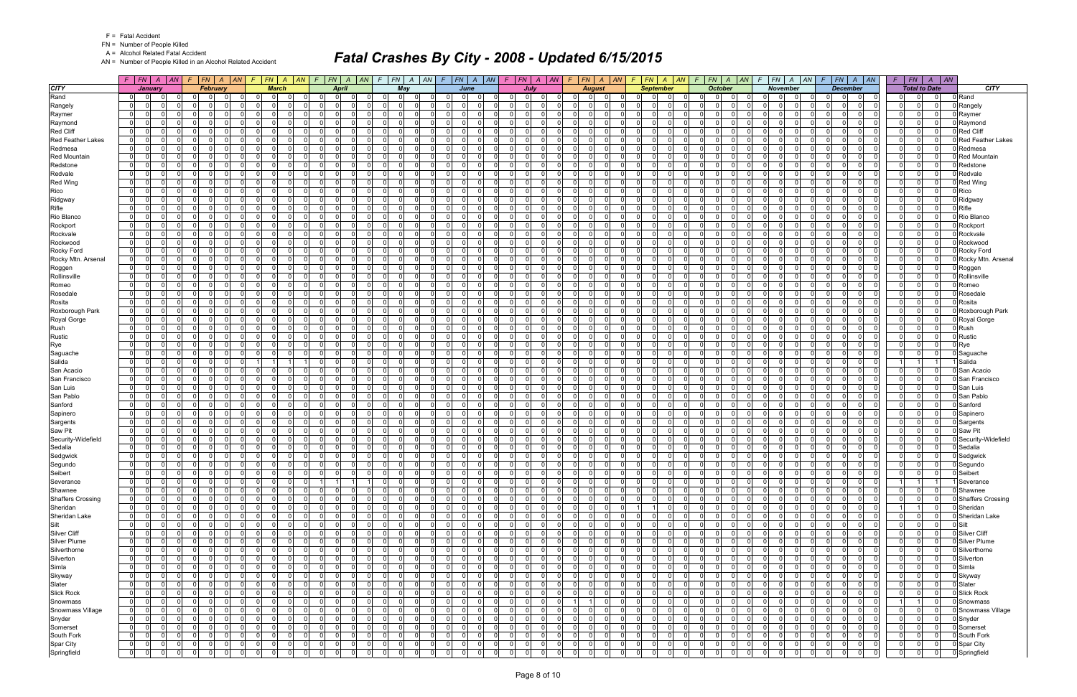FN = Number of People Killed

A = Alcohol Related Fatal Accident

AN = Number of People Killed in an Alcohol Related Accident

|                                 |                              | $F$ $ FN $ $A$ $ AN $                         |                          | $F$ $FN$ $A$ $AN$ $F$ $FN$ $A$ $AN$ $F$ $FN$ $A$ $AN$ |                                                 |                          |                                  |                                              |     |                      |                                                   | $F$ $F$ $\vert$ $F$ $\vert$ $A$ $\vert$ $A$ $\vert$ $F$ $\vert$ $F$ $\vert$ $F$ $\vert$ $F$ $\vert$ $F$ $\vert$ $\vert$ $F$ $\vert$ $\vert$ $F$ $\vert$ $\vert$ $F$ $\vert$ $\vert$ $F$ $\vert$ $\vert$ $F$ $\vert$ $\vert$ $F$ $\vert$ $\vert$ $F$ $\vert$ $\vert$ $F$ $\vert$ $\vert$ $F$ $\vert$ $\vert$ $F$ |                                              |                      |                                  |                                        |                      | $F$   FN   A   AN   F   FN   A   AN                      | $F$ $ FN $ $A$ $ AN $                            |                |                                                                   | $F$ $FN$ $A$ $AN$ $F$ $FN$ $A$ $AN$                          | $F$   $FN$   $A$   $AN$                                  |                               |
|---------------------------------|------------------------------|-----------------------------------------------|--------------------------|-------------------------------------------------------|-------------------------------------------------|--------------------------|----------------------------------|----------------------------------------------|-----|----------------------|---------------------------------------------------|-----------------------------------------------------------------------------------------------------------------------------------------------------------------------------------------------------------------------------------------------------------------------------------------------------------------|----------------------------------------------|----------------------|----------------------------------|----------------------------------------|----------------------|----------------------------------------------------------|--------------------------------------------------|----------------|-------------------------------------------------------------------|--------------------------------------------------------------|----------------------------------------------------------|-------------------------------|
| <b>CITY</b>                     |                              | January                                       |                          | <b>February</b>                                       |                                                 | <b>March</b>             |                                  | <b>April</b>                                 |     |                      | May                                               | June                                                                                                                                                                                                                                                                                                            |                                              | <b>July</b>          |                                  | <b>August</b>                          |                      | <b>September</b>                                         | <b>October</b>                                   |                | <b>November</b>                                                   | <b>December</b>                                              | <b>Total to Date</b>                                     | <b>CITY</b>                   |
| Rand                            | $\Omega$                     | - 0                                           |                          | $\Omega$                                              | $\Omega$<br>$\Omega$                            |                          | $\Omega$                         | $\Omega$                                     |     |                      | - 0 l                                             | $\Omega$<br>$\Omega$                                                                                                                                                                                                                                                                                            | <sup>0</sup>                                 | $\Omega$             |                                  | $\overline{0}$<br>0                    |                      | $\overline{0}$<br><sup>0</sup>                           | $\mathbf 0$<br><sup>0</sup>                      |                | <sup>0</sup>                                                      | $\Omega$<br>$\Omega$                                         | $\Omega$                                                 | D Rand                        |
| Rangely                         | $\mathbf 0$                  | - O I                                         | $\Omega$                 | $\cap$<br>0                                           | $\Omega$<br>$\overline{0}$                      | $\Omega$                 | $\overline{0}$                   | $\Omega$<br>$\Omega$                         |     | $\Omega$             | $\overline{0}$<br>- 0                             | $\mathbf{0}$<br>$\Omega$                                                                                                                                                                                                                                                                                        | $\Omega$<br>$\Omega$                         | 0 I                  | $\overline{0}$                   | -01<br>$\overline{0}$                  |                      | $\overline{0}$<br>$\Omega$<br>$\Omega$                   | $\Omega$<br>01                                   |                | $\overline{0}$<br>$\overline{0}$                                  | $\Omega$<br>$\Omega$<br>$\Omega$                             | $\mathbf 0$<br> 0 <br>$\Omega$                           | D Rangely                     |
| Raymer                          | $\mathbf{0}$                 | $\Omega$                                      | $\Omega$                 |                                                       | $\Omega$<br>$\Omega$                            | $\Omega$                 | $\Omega$                         | $\Omega$<br>$\Omega$                         |     | $\Omega$             | - 0 l<br>- 0                                      | 0                                                                                                                                                                                                                                                                                                               | $\Omega$<br>$\cap$                           | $\Omega$             | $\Omega$                         | $\Omega$<br>-01                        |                      | $\Omega$<br>$\Omega$                                     | $\Omega$<br>$\Omega$                             |                | n<br>$\Omega$                                                     | $\Omega$<br>$\Omega$                                         | $\Omega$<br>$\Omega$<br>$\Omega$                         | Raymer                        |
| Raymond                         | $\mathbf{0}$                 | $\Omega$<br><sup>0</sup>                      | $\Omega$                 | $\Omega$                                              | $\Omega$<br>$\Omega$                            | $\Omega$                 | $\Omega$                         | $\Omega$<br>$\Omega$                         |     | $\Omega$             | $\overline{0}$<br>$\Omega$                        | 0                                                                                                                                                                                                                                                                                                               | $\Omega$<br>$\Omega$                         | $\Omega$             | $\Omega$                         | $\Omega$<br>-01                        |                      | $\mathbf 0$<br>$\Omega$                                  | $\mathbf 0$<br>$\Omega$                          |                | n l<br>$\Omega$                                                   | $\Omega$<br>$\Omega$                                         | $\Omega$<br>$\Omega$<br> 0                               | Raymond                       |
| Red Cliff                       | $\overline{0}$               | $\Omega$                                      | $\Omega$                 | $\Omega$                                              | $\Omega$<br>$\Omega$                            | $\Omega$                 | $\Omega$                         | $\Omega$<br>$\Omega$                         |     | $\Omega$             | - 0 l<br>റ                                        | $\overline{0}$                                                                                                                                                                                                                                                                                                  | $\Omega$<br>$\Omega$                         | $\Omega$             | $\overline{0}$                   | $\Omega$<br> 0                         |                      | $\mathbf{0}$<br>$\Omega$                                 | $\Omega$<br>$\Omega$                             |                | $\Omega$<br>$\Omega$                                              | $\Omega$<br>$\Omega$                                         | 0 <br>$\Omega$                                           | Red Cliff                     |
| <b>Red Feather Lakes</b>        | $\mathbf{0}$                 | $\Omega$<br>$\Omega$                          | $\Omega$                 | $\Omega$                                              | $\Omega$<br>$\Omega$                            | <sup>0</sup>             | $\Omega$                         | $\Omega$<br>$\Omega$                         |     | $\Omega$             | - 0 l<br>$\Omega$                                 | - 0 l<br>O                                                                                                                                                                                                                                                                                                      | $\Omega$<br>$\Omega$                         | $\Omega$             | $\Omega$                         | $\Omega$<br>-01                        |                      | $\Omega$<br>$\Omega$                                     | $\Omega$<br>$\mathbf 0$                          |                | $\Omega$<br>$\Omega$                                              | $\Omega$<br>$\Omega$<br><sup>n</sup>                         | $\Omega$<br>$\Omega$                                     | <b>Red Feather Lakes</b>      |
| Redmesa                         | 0                            | $\Omega$<br>$\Omega$                          | $\Omega$                 | $\Omega$                                              | - 0 l<br>$\Omega$                               | $\Omega$                 | $\Omega$                         | $\Omega$<br>$\Omega$                         |     | $\Omega$             | - 0 l<br>- 0                                      | -ol<br>$\Omega$                                                                                                                                                                                                                                                                                                 | $\Omega$<br>$\Omega$                         | $\Omega$             | $\Omega$                         | $\Omega$<br>$\overline{0}$             |                      | $\mathbf{0}$<br>$\Omega$                                 | $\mathbf 0$<br>$\Omega$                          |                | $\Omega$<br>$\overline{0}$                                        | $\Omega$<br>$\Omega$<br>$\cap$                               | $\Omega$<br>$\Omega$<br>$\Omega$                         | D Redmesa                     |
| <b>Red Mountain</b><br>Redstone | $\mathbf{0}$<br> 0           | $\Omega$<br>$\Omega$                          | <sup>0</sup><br>$\Omega$ | $\Omega$<br>$\Omega$                                  | $\Omega$<br>$\Omega$<br>$\Omega$<br>$\Omega$    | <sup>0</sup><br>$\Omega$ | $\Omega$<br>$\Omega$             | $\Omega$<br>$\Omega$<br>$\Omega$<br>$\Omega$ |     | $\Omega$<br>$\Omega$ | - 0 l<br>- 0<br>-ol<br>- 0                        | -ol<br>-ol                                                                                                                                                                                                                                                                                                      | $\Omega$<br>$\Omega$<br>$\Omega$<br>$\Omega$ | $\Omega$<br>$\Omega$ | $\Omega$<br>$\Omega$             | $\Omega$<br>-01<br>$\Omega$<br>-01     |                      | $\Omega$<br>$\Omega$<br>$\Omega$<br>$\Omega$             | $\Omega$<br>$\Omega$<br>$\Omega$<br>- Ol         |                | $\Omega$<br>$\Omega$<br>n<br>$\Omega$                             | $\Omega$<br>$\Omega$<br>$\Omega$<br>$\Omega$                 | $\Omega$<br>$\Omega$<br>$\Omega$<br>$\Omega$<br>$\Omega$ | Red Mountain                  |
| Redvale                         | $\mathbf{0}$                 | $\Omega$                                      | $\Omega$                 | $\Omega$                                              | $\Omega$<br>$\Omega$                            | $\Omega$                 | $\Omega$                         | $\Omega$<br>$\Omega$                         |     | $\Omega$             | - 0 l<br>- 0                                      | $\mathbf{0}$                                                                                                                                                                                                                                                                                                    | $\Omega$                                     | $\Omega$             | $\Omega$                         | -01<br>$\Omega$                        |                      | $\Omega$<br>$\Omega$                                     | $\mathbf 0$<br>$\Omega$                          |                | $\Omega$<br>$\Omega$                                              | $\Omega$<br>$\Omega$                                         | $\Omega$<br> 0                                           | Redstone<br>Redvale           |
| <b>Red Wing</b>                 | $\mathbf{0}$                 | $\Omega$<br>$\Omega$                          | $\Omega$                 |                                                       | $\Omega$<br>$\Omega$                            | $\Omega$                 | $\Omega$                         | $\Omega$<br>$\Omega$                         |     | $\Omega$             | - 0 l<br>- 0                                      | -ol                                                                                                                                                                                                                                                                                                             | $\Omega$                                     | $\Omega$             | $\Omega$                         | $\Omega$<br>-01                        |                      | $\Omega$<br>$\Omega$                                     | $\Omega$<br>$\Omega$                             |                | n<br>$\Omega$                                                     | $\Omega$<br>$\Omega$                                         | $\Omega$<br>$\Omega$                                     | Red Wing                      |
| Rico                            | $\mathbf{0}$                 | $\Omega$<br>$\Omega$                          | $\Omega$                 | $\Omega$                                              | $\overline{0}$<br>$\Omega$                      | $\Omega$                 | $\Omega$                         | $\Omega$<br>$\Omega$                         |     | $\Omega$             | $\overline{0}$<br>$\Omega$                        | 0 <br>$\Omega$                                                                                                                                                                                                                                                                                                  | $\Omega$<br>$\Omega$                         | $\Omega$             | $\Omega$                         | $\Omega$<br>-01                        |                      | $\overline{0}$<br>$\Omega$                               | $\mathbf 0$<br>$\Omega$                          |                | n l<br>$\Omega$                                                   | $\Omega$<br>$\Omega$<br>$\Omega$                             | $\Omega$<br> 0                                           | Rico                          |
| Ridgway                         | $\overline{0}$               | n                                             | 0                        | $\Omega$                                              | $\Omega$<br>$\Omega$                            | 0                        | $\Omega$                         | $\Omega$<br>-0                               |     | $\Omega$             | 0 <br>- 0                                         | $\Omega$                                                                                                                                                                                                                                                                                                        | $\Omega$                                     | $\Omega$             | $\Omega$                         | 0<br>$\overline{0}$                    |                      | $\Omega$<br>0                                            | $\Omega$<br>$\Omega$                             |                | $\Omega$<br>$\Omega$                                              | $\Omega$<br>$\Omega$                                         | $\Omega$<br> 0                                           | D Ridgway                     |
| Rifle                           | 0                            | $\Omega$                                      | $\Omega$                 | $\Omega$                                              | $\Omega$<br>$\Omega$                            | $\Omega$                 | $\Omega$                         | $\Omega$<br>$\Omega$                         |     | $\Omega$             | - 0 l<br>- 0                                      | - 0 l<br>$\Omega$                                                                                                                                                                                                                                                                                               | $\Omega$<br>$\Omega$                         | $\Omega$             | $\Omega$                         | -01<br>$\Omega$                        |                      | $\Omega$<br>$\Omega$                                     | $\mathbf 0$<br>$\Omega$                          |                | $\Omega$<br>$\Omega$                                              | $\Omega$<br>$\Omega$<br>$\Omega$                             | $\Omega$<br>$\Omega$                                     | 0 Rifle                       |
| Rio Blanco                      | $\mathbf{0}$                 | $\Omega$<br>$\Omega$                          | $\Omega$                 | $\Omega$                                              | - 0 l<br>$\Omega$                               | $\Omega$                 | $\overline{0}$                   | n l<br>$\Omega$                              |     | $\Omega$             | - 0 l<br>$\Omega$                                 | $\mathbf{0}$<br>$\Omega$                                                                                                                                                                                                                                                                                        | $\Omega$<br>$\Omega$                         | 0I                   | $\mathbf{0}$                     | 0 <br>-01                              |                      | $\Omega$<br>$\Omega$                                     | $\Omega$<br>$\mathbf 0$                          |                | $\overline{0}$<br>$\Omega$                                        | $\Omega$<br>$\Omega$<br>$\Omega$                             | $\overline{0}$<br> 0 <br>$\Omega$                        | Rio Blanco                    |
| Rockport                        | $\mathbf 0$                  | $\Omega$<br><sup>0</sup>                      | $\Omega$                 | - 0                                                   | - 0 l<br>$\Omega$                               | $\Omega$                 | $\Omega$                         | $\Omega$<br>- 0                              |     | $\Omega$             | $\mathbf 0$<br>- 0                                | -ol                                                                                                                                                                                                                                                                                                             | $\Omega$<br>$\Omega$                         | $\Omega$             | $\Omega$                         | $\Omega$<br>$\overline{0}$             |                      | $\Omega$<br>$\Omega$                                     | $\Omega$<br>$\mathbf 0$                          |                | n l<br>$\Omega$                                                   | $\Omega$<br>$\Omega$                                         | $\cap$<br>$\Omega$<br>$\Omega$                           | Rockport                      |
| Rockvale                        | $\mathbf{0}$                 | $\Omega$<br>$\Omega$                          | $\Omega$                 | $\Omega$<br>$\Omega$                                  | 0l<br>$\Omega$                                  | $\Omega$                 | $\Omega$                         | $\Omega$<br>$\Omega$                         |     | $\Omega$             | $\overline{0}$<br>$\Omega$                        | $\Omega$<br>$\Omega$                                                                                                                                                                                                                                                                                            | $\Omega$<br>$\Omega$                         | $\Omega$             | $\Omega$                         | $\Omega$<br>$\Omega$                   |                      | $\Omega$<br>$\Omega$<br>$\Omega$                         | - 0 l<br>$\Omega$                                |                | $\Omega$<br>$\Omega$                                              | $\Omega$<br>$\Omega$<br>$\Omega$                             | $\Omega$<br>$\Omega$<br>$\Omega$                         | Rockvale                      |
| Rockwood                        | $\mathbf 0$                  | -0                                            | $\Omega$                 | $\Omega$                                              | $\overline{0}$<br>$\Omega$                      | $\Omega$                 | $\mathbf 0$                      | $\Omega$<br>0                                |     | $\Omega$             | 0 <br>- 0                                         | $\overline{0}$<br>ŋ                                                                                                                                                                                                                                                                                             | $\mathbf{0}$                                 | $\Omega$             | $\Omega$                         | $\Omega$<br> 0                         |                      | $\overline{0}$<br>$\Omega$                               | $\Omega$<br>$\mathbf 0$                          |                | $\Omega$<br>$\Omega$                                              | $\Omega$<br>0<br><sup>0</sup>                                | $\Omega$<br>$\Omega$                                     | Rockwood                      |
| Rocky Ford                      | $\mathbf{0}$                 | $\Omega$<br>$\Omega$                          | $\Omega$                 | $\Omega$                                              | $\Omega$<br>$\Omega$                            | $\Omega$                 | $\Omega$                         | n l<br>- 0                                   |     | $\Omega$             | - 0 l<br>$\Omega$                                 | 0                                                                                                                                                                                                                                                                                                               | $\Omega$<br>$\Omega$                         | 0I                   | $\Omega$                         | $\Omega$<br>-01                        |                      | $\Omega$<br>$\Omega$                                     | $\Omega$<br>$\mathbf 0$                          |                | n<br>$\Omega$                                                     | $\Omega$<br>$\Omega$<br>$\Omega$                             | $\Omega$<br>$\Omega$<br> 0                               | Rocky Ford                    |
| Rocky Mtn. Arsenal              | $\mathbf 0$                  | $\Omega$<br>$\Omega$                          | $\Omega$                 | $\Omega$                                              | - 0 l<br>$\Omega$                               | $\Omega$                 | - O I                            | $\Omega$<br>$\Omega$                         |     | $\Omega$             | 0 <br>$\Omega$                                    | 0 <br><sup>n</sup>                                                                                                                                                                                                                                                                                              | $\Omega$<br>$\Omega$                         | $\Omega$             | $\overline{0}$                   | $\mathbf 0$<br>$\overline{0}$          |                      | $\overline{0}$<br>$\Omega$<br>$\Omega$                   | $\mathbf 0$<br>$\Omega$                          |                | $\Omega$<br>$\Omega$                                              | $\Omega$<br>$\Omega$<br>$\Omega$                             | $\Omega$<br>$\Omega$<br>$\Omega$                         | Rocky Mtn. Arsenal            |
| Roggen                          | $\mathbf{0}$                 | $\Omega$<br>$\Omega$                          | <sup>0</sup>             | $\Omega$                                              | $\Omega$<br>$\Omega$                            |                          | $\Omega$                         | nl<br>$\Omega$                               |     | $\Omega$             | - 0 l<br>$\Omega$                                 | $\Omega$                                                                                                                                                                                                                                                                                                        | $\Omega$                                     | $\Omega$             | $\Omega$                         | $\Omega$<br>$\Omega$                   |                      | $\Omega$<br>$\Omega$                                     | $\Omega$<br>- Ol                                 |                | $\Omega$<br>$\Omega$                                              | $\Omega$<br>$\Omega$<br>$\Omega$                             | $\Omega$<br>$\Omega$<br>$\Omega$                         | Roggen                        |
| Rollinsville                    | 0                            | $\Omega$<br><sup>0</sup>                      | $\Omega$                 | - 0                                                   | $\Omega$<br>$\Omega$                            | $\Omega$                 | $\overline{0}$                   | $\Omega$<br>$\Omega$                         |     | $\Omega$             | - 0 l<br>- 0                                      | 0 <br>$\Omega$                                                                                                                                                                                                                                                                                                  | $\Omega$<br>$\Omega$                         | $\Omega$             | $\Omega$                         | 0 <br>$\Omega$                         |                      | $\overline{0}$<br>$\Omega$                               | $\mathbf 0$<br>$\Omega$                          |                | $\Omega$<br>$\Omega$                                              | $\Omega$<br>$\Omega$<br>$\Omega$                             | $\Omega$<br>$\mathbf{0}$                                 | <b>D</b> Rollinsville         |
| Romeo                           | $\mathbf{0}$                 | $\Omega$<br>$\Omega$                          | $\Omega$<br>$\Omega$     | $\Omega$                                              | 0 I<br>$\Omega$                                 | $\Omega$                 | $\overline{0}$                   | n l<br>$\Omega$                              |     | $\Omega$<br>$\Omega$ | -ol<br>$\Omega$                                   | $\mathbf{0}$<br>$\Omega$                                                                                                                                                                                                                                                                                        | $\Omega$<br>$\Omega$                         | $\Omega$             | $\Omega$                         | 0 <br>-01<br>$\Omega$                  |                      | $\overline{0}$<br>$\Omega$                               | $\Omega$<br>$\mathbf 0$                          |                | $\overline{0}$<br>$\Omega$<br>$\Omega$                            | $\Omega$<br>$\Omega$<br>$\Omega$                             | $\overline{0}$<br> 0 <br>$\Omega$<br>$\Omega$            | D Romeo                       |
| Rosedale<br>Rosita              | $\mathbf{0}$<br>$\mathbf{0}$ | -0<br><sup>n</sup><br>$\Omega$<br>$\Omega$    | $\Omega$                 | $\Omega$<br>$\Omega$<br>$\Omega$                      | $\Omega$<br>$\Omega$<br>0l<br>$\Omega$          | $\Omega$<br>$\Omega$     | $\Omega$<br>$\Omega$             | $\Omega$<br>$\Omega$<br>n l<br>$\Omega$      |     | $\Omega$             | $\mathbf 0$<br>- 0<br>$\overline{0}$<br>$\Omega$  | - 0 l<br>$\Omega$<br>$\Omega$                                                                                                                                                                                                                                                                                   | $\Omega$<br>$\Omega$<br>$\Omega$<br>$\Omega$ | $\Omega$<br>$\Omega$ | $\Omega$<br>$\Omega$             | $\overline{0}$<br>$\Omega$<br>$\Omega$ |                      | $\Omega$<br>$\Omega$<br>$\Omega$<br>$\Omega$<br>$\Omega$ | $\Omega$<br>$\Omega$<br>0 I<br>$\Omega$          |                | $\Omega$<br>$\Omega$<br>$\Omega$                                  | $\Omega$<br>$\Omega$<br>- Ol<br>$\Omega$<br>$\Omega$         | $\Omega$<br>$\Omega$<br>$\Omega$<br>$\Omega$<br>$\Omega$ | Rosedale<br>0 Rosita          |
| Roxborough Park                 | $\overline{0}$               | $\Omega$                                      | $\Omega$                 | $\Omega$                                              | $\Omega$<br>$\Omega$                            | 0                        | $\Omega$                         | $\Omega$<br>0                                |     | 0                    | - 0 l                                             | $\Omega$                                                                                                                                                                                                                                                                                                        | $\Omega$                                     | $\Omega$             | $\Omega$                         | 0<br>$\Omega$                          |                      | $\mathbf{0}$<br>$\Omega$                                 | $\Omega$<br>$\Omega$                             |                | $\Omega$<br>$\Omega$                                              | $\Omega$<br>$\Omega$                                         | $\Omega$<br>$\mathbf{0}$                                 | 0 Roxborough Park             |
| Royal Gorge                     | $\mathbf{0}$                 | $\Omega$<br>$\Omega$                          | $\Omega$                 | $\Omega$                                              | - 0 l<br>$\Omega$                               | $\Omega$                 | $\overline{0}$                   | - Ol<br>$\Omega$                             |     | $\Omega$             | 0 I<br>$\Omega$                                   | $\mathbf{0}$<br>$\Omega$                                                                                                                                                                                                                                                                                        | $\Omega$<br>$\Omega$                         | - O I                | $\overline{0}$                   | -01<br>$\overline{0}$                  |                      | 0 <br>$\Omega$                                           | $\mathbf 0$<br>$\Omega$                          |                | $\Omega$<br>$\Omega$                                              | $\Omega$<br>$\Omega$<br>$\Omega$                             | $\Omega$<br> 0 <br>$\Omega$                              | 0 Royal Gorge                 |
| Rush                            | 0                            | $\Omega$                                      | $\Omega$                 | $\Omega$                                              | - 0 l<br>$\Omega$                               | $\Omega$                 | $\overline{0}$                   | $\Omega$<br>$\Omega$                         |     | $\Omega$             | - 0 l<br>$\Omega$                                 | -ol                                                                                                                                                                                                                                                                                                             | $\Omega$<br>$\Omega$                         | $\Omega$             | $\Omega$                         | $\Omega$<br>-01                        |                      | $\mathbf{0}$<br>$\Omega$                                 | $\Omega$<br>$\mathbf 0$                          |                | $\Omega$<br>$\Omega$                                              | $\Omega$<br>$\Omega$                                         | $\Omega$<br>$\Omega$<br>$\Omega$                         | 0 Rush                        |
| Rustic                          | $\mathbf{0}$                 | - 0                                           | $\Omega$                 | $\Omega$                                              | - 0 l<br>$\Omega$                               | 0                        | $\mathbf 0$                      | $\Omega$<br>- 0                              |     | $\Omega$             | $\mathbf 0$<br>- 0                                | - 0 l                                                                                                                                                                                                                                                                                                           | $\Omega$<br>$\Omega$                         | $\Omega$             | $\Omega$                         | 0<br>$\overline{0}$                    |                      | $\mathbf 0$<br>$\Omega$                                  | $\mathbf 0$<br>$\Omega$                          |                | $\Omega$<br>$\Omega$                                              | $\Omega$<br>$\Omega$                                         | $\Omega$<br> 0 <br>$\Omega$                              | Rustic                        |
| Rye                             | $\Omega$                     | $\Omega$                                      | $\Omega$                 |                                                       | $\Omega$<br>$\Omega$                            | $\Omega$                 | $\Omega$                         | $\Omega$<br>$\Omega$                         |     | $\Omega$             | $\Omega$<br>$\Omega$                              | $\Omega$                                                                                                                                                                                                                                                                                                        | $\Omega$                                     | $\Omega$             | $\Omega$                         | $\Omega$<br>$\Omega$                   |                      | $\Omega$<br>$\Omega$                                     | n l<br>$\Omega$                                  |                | $\Omega$<br>$\Omega$                                              | $\Omega$<br>$\Omega$                                         | $\Omega$<br>$\Omega$                                     | 0 Rye                         |
| Saguache                        | $\mathbf{0}$                 | $\Omega$                                      | $\Omega$                 | $\Omega$                                              | $\Omega$<br>$\Omega$                            | $\Omega$                 | - O I                            | $\Omega$<br>$\Omega$                         |     | $\Omega$             | - 0 l<br>$\Omega$                                 | 0                                                                                                                                                                                                                                                                                                               | $\Omega$<br>$\Omega$                         | $\Omega$             | -01                              | -01<br>$\Omega$                        |                      | $\overline{0}$<br>$\Omega$                               | $\mathbf 0$<br>$\Omega$                          |                | $\Omega$<br>$\Omega$                                              | $\Omega$<br>$\Omega$                                         | $\Omega$<br> 0 <br>0                                     | 0 Saquache                    |
| Salida                          | $\mathbf{0}$                 | $\Omega$                                      | $\Omega$                 |                                                       | 11<br>-1                                        |                          | $\Omega$                         | $\Omega$<br>$\Omega$                         |     | $\Omega$             | - 0 l<br>റ                                        | -ol                                                                                                                                                                                                                                                                                                             | $\Omega$<br>$\Omega$                         | $\Omega$             | $\Omega$                         | $\Omega$<br>-01                        |                      | $\Omega$<br>$\Omega$                                     | - Ol<br>$\Omega$                                 |                | n<br>$\Omega$                                                     | $\Omega$<br>$\Omega$                                         |                                                          | Salida                        |
| San Acacio                      | $\mathbf{0}$                 | $\Omega$<br>$\Omega$                          | $\Omega$                 | $\Omega$                                              | $\overline{0}$<br>$\Omega$                      | $\Omega$                 | $\Omega$                         | $\Omega$<br>$\Omega$                         |     | $\Omega$             | $\overline{0}$<br>$\Omega$                        | 0 <br>$\Omega$                                                                                                                                                                                                                                                                                                  | $\Omega$<br>$\Omega$                         | $\Omega$             | $\Omega$                         | $\Omega$<br>$\overline{0}$             |                      | $\mathbf 0$<br>$\Omega$                                  | $\mathbf 0$<br>$\Omega$                          |                | n l<br>$\Omega$                                                   | $\Omega$<br>$\Omega$                                         | $\Omega$<br>$\Omega$<br>$\Omega$                         | 3 San Acacio                  |
| San Francisco                   | $\Omega$                     | $\Omega$                                      | $\Omega$                 | $\Omega$                                              | $\Omega$<br>$\Omega$                            | $\Omega$                 | $\Omega$                         | $\Omega$<br>$\Omega$                         |     | $\Omega$             | -ol                                               | $\Omega$                                                                                                                                                                                                                                                                                                        | $\Omega$                                     | $\Omega$             | $\Omega$                         | $\Omega$<br>$\Omega$                   |                      | $\mathbf{0}$<br>$\Omega$                                 | $\Omega$<br>$\Omega$                             |                | $\Omega$<br>$\Omega$                                              | $\Omega$<br>$\Omega$                                         | $\Omega$<br>$\Omega$                                     | J San Francisco               |
| San Luis                        | $\mathbf{0}$                 | $\Omega$                                      | $\Omega$                 | $\Omega$                                              | $\Omega$<br>$\Omega$                            | $\Omega$                 | $\Omega$                         | $\Omega$<br>- 0                              |     | $\Omega$             | - 0 l<br>- 0                                      | $\mathbf{0}$<br>$\Omega$                                                                                                                                                                                                                                                                                        | $\Omega$<br>$\Omega$                         | $\Omega$             | $\Omega$                         | $\Omega$<br>-01                        |                      | $\Omega$<br>$\Omega$                                     | $\mathbf 0$<br>$\Omega$                          |                | n l<br>$\Omega$                                                   | $\Omega$<br>$\Omega$                                         | $\Omega$<br>$\Omega$<br>$\Omega$                         | 0 San Luis                    |
| San Pablo                       | 0                            | $\Omega$<br>$\Omega$<br>$\Omega$              | $\Omega$<br><sup>0</sup> | $\Omega$<br>- 0                                       | -ol<br>$\Omega$<br>$\Omega$                     | $\Omega$<br>0            | $\overline{0}$                   | $\Omega$<br>$\Omega$<br>$\Omega$             |     | $\Omega$<br>$\Omega$ | - 0 l<br>$\Omega$<br>- 0                          | 0 <br>-ol                                                                                                                                                                                                                                                                                                       | $\Omega$<br>$\Omega$<br>$\Omega$<br>$\Omega$ | 0I<br>$\Omega$       | $\Omega$<br>$\Omega$             | $\Omega$<br>-01<br>$\Omega$            |                      | $\overline{0}$<br>$\Omega$<br>$\mathbf 0$<br>$\Omega$    | $\Omega$<br>$\mathbf 0$<br>$\Omega$              |                | $\overline{0}$<br>$\Omega$<br>$\Omega$<br>$\Omega$                | $\Omega$<br>$\Omega$<br>$\Omega$<br>$\Omega$<br>$\Omega$     | $\Omega$<br>$\Omega$<br>$\Omega$<br>$\Omega$<br>$\Omega$ | San Pablo                     |
| Sanford<br>Sapinero             | $\mathbf{0}$<br> 0           | $\Omega$<br>$\Omega$                          | $\Omega$                 | $\Omega$<br>$\Omega$                                  | - 0 l<br>- 0 l<br>$\Omega$                      | $\Omega$                 | $\overline{0}$<br>$\overline{0}$ | - 0<br>n l<br>$\Omega$                       |     | $\Omega$             | - 0 l<br>0 I<br>$\Omega$                          | $\mathbf{0}$<br>$\Omega$                                                                                                                                                                                                                                                                                        | $\Omega$<br>$\Omega$                         | $\Omega$             | $\Omega$                         | $\overline{0}$<br>$\Omega$<br>-01      |                      | $\Omega$<br>$\Omega$                                     | $\mathbf 0$<br>$\cap$<br>$\mathbf 0$<br>$\Omega$ |                | $\Omega$<br>$\Omega$                                              | $\Omega$<br>$\Omega$<br>$\Omega$                             | $\Omega$<br>$\Omega$<br>$\Omega$                         | <b>Sanford</b><br>Sapinero    |
| Sargents                        | 0                            | - 0                                           | $\Omega$                 | $\Omega$                                              | $\Omega$<br>$\Omega$                            | $\Omega$                 | $\Omega$                         | $\Omega$<br>$\Omega$                         |     | $\Omega$             | - 0 l                                             | $\overline{0}$                                                                                                                                                                                                                                                                                                  | $\Omega$                                     | $\Omega$             | $\Omega$                         | $\Omega$<br>$\Omega$                   |                      | $\overline{0}$<br>$\Omega$                               | $\mathbf 0$<br>$\Omega$                          |                | $\Omega$<br>$\Omega$                                              | $\Omega$<br>$\Omega$                                         | $\mathbf{0}$<br>$\mathbf{0}$                             | 3 Sargents                    |
| Saw Pit                         | $\mathbf{0}$                 | $\Omega$<br>$\Omega$                          | $\Omega$                 | $\Omega$                                              | $\Omega$<br>$\Omega$                            | $\Omega$                 | $\Omega$                         | n l<br>$\Omega$                              |     | $\Omega$             | - ol<br>$\Omega$                                  | $\mathbf{0}$<br>$\Omega$                                                                                                                                                                                                                                                                                        | $\Omega$<br>$\Omega$                         | 0I                   | $\Omega$                         | $\Omega$<br>-01                        |                      | $\Omega$<br>$\Omega$                                     | $\Omega$<br>$\mathbf 0$                          |                | $\Omega$<br>$\Omega$                                              | $\Omega$<br>$\Omega$<br>$\Omega$                             | $\Omega$<br>$\Omega$<br>$\Omega$                         | 0 Saw Pit                     |
| Security-Widefield              | $\mathbf{0}$                 | $\Omega$<br><sup>0</sup>                      | $\Omega$                 | $\Omega$                                              | - 0 l<br>$\Omega$                               | $\Omega$                 | $\Omega$                         | $\Omega$<br>$\Omega$                         |     | $\Omega$             | - 0 l<br>$\Omega$                                 | - Ol<br>$\Omega$                                                                                                                                                                                                                                                                                                | $\Omega$                                     | 0I                   | $\overline{0}$                   | $\Omega$<br>$\overline{0}$             |                      | $\Omega$<br>$\Omega$                                     | $\mathbf 0$<br>$\Omega$                          |                | $\Omega$<br>$\Omega$                                              | $\Omega$<br>$\Omega$<br>$\Omega$                             | $\Omega$<br>$\Omega$<br>$\Omega$                         | <b>Security-Widefield</b>     |
| Sedalia                         | $\mathbf{0}$                 | ΩI<br>$\Omega$                                | $\Omega$                 | $\Omega$<br>$\Omega$                                  | $\overline{0}$<br>$\Omega$                      | $\Omega$                 | $\overline{0}$                   | n l<br>$\Omega$                              |     | $\Omega$             | - 0 l<br>$\Omega$                                 | 0                                                                                                                                                                                                                                                                                                               | $\Omega$<br>$\Omega$                         | $\Omega$             | $\Omega$                         | $\Omega$<br>-01                        |                      | $\Omega$<br>$\Omega$<br>$\Omega$                         | $\Omega$<br>$\mathbf 0$                          |                | $\Omega$<br>$\Omega$                                              | $\Omega$<br>$\Omega$<br>-01                                  | $\Omega$<br>$\Omega$<br>$\Omega$                         | J Sedalia                     |
| Sedgwick                        | 0                            | $\Omega$                                      | $\Omega$                 | $\Omega$<br>$\Omega$                                  | 0 <br>$\Omega$                                  | $\Omega$                 | $\overline{0}$                   | $\Omega$<br>$\Omega$                         |     | $\Omega$             | 0                                                 | 0                                                                                                                                                                                                                                                                                                               | $\Omega$<br>$\Omega$                         | $\Omega$             | $\Omega$                         | $\overline{0}$<br>$\overline{0}$       |                      | $\overline{0}$<br>$\Omega$                               | $\mathbf 0$<br>$\Omega$                          |                | $\Omega$<br>$\Omega$                                              | $\Omega$<br>$\overline{0}$<br>$\Omega$                       | $\Omega$<br>$\Omega$                                     | 0 Sedgwick                    |
| Segundo                         | 0                            | 0l<br>$\overline{0}$                          | 0l                       | $\Omega$<br>$\Omega$                                  | $\overline{0}$<br>- Ol                          | $\mathbf 0$              | 0                                | $\overline{0}$                               | 0 I | 0 I                  | - ol<br>$\overline{0}$                            | $\Omega$<br>$\overline{0}$<br>n                                                                                                                                                                                                                                                                                 | ol<br>$\Omega$                               | 0 I                  | 0                                | -ol<br>0 I                             | $\Omega$<br>$\Omega$ | 0 <br>$\overline{0}$<br>$\overline{\mathbf{0}}$          | $\Omega$<br>0 I                                  | $\overline{0}$ | 0 <br>$\mathbf 0$                                                 | 0l<br>- ol<br>$\Omega$<br>$\Omega$                           | $\Omega$<br> 0 <br>$\Omega$                              | 0 Segundo                     |
| Seibert                         | $\mathbf 0$                  | $\overline{0}$<br>$\Omega$                    | 0                        | $\mathbf 0$<br>$\overline{0}$                         | $\Omega$<br>$\Omega$                            | $\Omega$                 | $\Omega$                         | 0 I<br>$\mathbf 0$                           |     | $\Omega$             | $\mathbf 0$<br>- 01                               | 0 <br>$\Omega$                                                                                                                                                                                                                                                                                                  | $\mathbf{0}$                                 | - OI                 | $\overline{0}$                   | $\overline{0}$<br> 0                   | - 0                  | $\Omega$<br>0                                            | 0 I<br>$\Omega$                                  |                | $\Omega$<br>$\mathbf 0$                                           | $\Omega$<br>$\Omega$<br> 0                                   | $\Omega$<br>$\mathbf 0$                                  | 0 Seibert                     |
| Severance                       | $\mathbf{0}$                 | $\Omega$<br>- O I                             | $\Omega$                 | $\Omega$<br>$\Omega$                                  | $\overline{0}$<br>$\overline{0}$                | $\Omega$                 |                                  |                                              |     | $\Omega$             | $\overline{0}$<br>$\Omega$                        | 0 <br>$\Omega$                                                                                                                                                                                                                                                                                                  | $\Omega$                                     | - O I                | $\mathbf{0}$                     | $\overline{0}$<br> 0                   |                      | $\Omega$<br>$\Omega$<br>$\Omega$                         | $\mathbf 0$<br>$\Omega$                          |                | $\overline{0}$<br>$\overline{0}$<br>$\Omega$                      | $\Omega$<br>$\Omega$<br> 0                                   |                                                          | Severance                     |
| Shawnee                         | 0                            | $\mathbf 0$                                   | $\overline{0}$           | $\mathbf 0$<br>0                                      | $\overline{0}$<br>$\Omega$                      | $\Omega$                 | $\mathbf 0$                      | $\mathbf 0$<br> 0                            |     | 0                    | $\overline{0}$<br>- 0                             | 0 <br>0                                                                                                                                                                                                                                                                                                         | $\mathbf 0$                                  | 0 I                  | $\mathbf 0$                      | 0 <br>$\mathbf 0$                      |                      | $\overline{0}$<br>0                                      | 01<br>$\Omega$                                   |                | $\overline{0}$<br>$\mathbf 0$                                     | 0 <br>$\mathbf 0$<br>$\Omega$                                | $\mathbf 0$<br> 0                                        | 0 Shawnee                     |
| <b>Shaffers Crossing</b>        | $\mathbf{0}$                 | $\overline{0}$<br>$\Omega$                    | 0 I                      | $\Omega$<br>- 0                                       | 0 I<br>$\mathbf{0}$                             | $\Omega$                 | $\mathbf{0}$                     | 0 I                                          | 0 I | $\overline{0}$       | $\overline{0}$<br>$\overline{0}$                  | $\overline{0}$<br>$\Omega$                                                                                                                                                                                                                                                                                      | $\Omega$<br>$\Omega$                         | - O I                | 0                                | 0 <br> 0                               |                      | 0 <br>$\Omega$<br>$\Omega$                               | $\Omega$<br>$\overline{0}$<br>0 I                |                | 0 <br>$\overline{0}$<br>$\Omega$                                  | $\overline{0}$<br>$\overline{0}$<br>$\Omega$                 | $\Omega$<br>$\mathbf 0$<br> 0                            | 0 Shaffers Crossing           |
| Sheridan                        | 0 <br> 0                     | - O I<br><sup>0</sup><br>$\Omega$<br>$\Omega$ | $\Omega$<br>$\Omega$     | $\Omega$<br>0<br>$\Omega$<br>$\Omega$                 | $\overline{0}$<br>$\Omega$<br>- 0 l<br>$\Omega$ | $\Omega$<br>$\Omega$     | - O I<br>$\overline{0}$          | $\mathbf 0$<br>$\Omega$<br>- 0 l<br>$\Omega$ |     | $\Omega$<br>$\Omega$ | $\mathbf 0$<br>- 01<br>$\overline{0}$<br>$\Omega$ | 0 <br>$\Omega$<br>$\mathbf{0}$<br>$\Omega$                                                                                                                                                                                                                                                                      | $\mathbf 0$<br>$\mathbf 0$<br>$\Omega$       | - O I<br>$\Omega$    | $\mathbf 0$<br>$\mathbf{0}$      | 0 <br> 0 <br> 0 <br>$\Omega$           |                      | 11<br>$\mathbf 0$<br>$\Omega$<br>$\mathbf 0$             | 0 <br>$\Omega$<br>$\Omega$<br>$\mathbf 0$        |                | $\overline{0}$<br>$\mathbf 0$<br>$\overline{0}$<br>$\overline{0}$ | $\mathbf 0$<br> 0 <br>$\Omega$<br>$\Omega$<br>$\Omega$<br> 0 | $\Omega$<br>$\Omega$<br> 0 <br>$\Omega$                  | 0 Sheridan<br>0 Sheridan Lake |
| Sheridan Lake<br>Silt           | 0                            | $\mathbf{0}$<br>$\Omega$                      | 0                        | $\mathbf 0$<br>0                                      | 0 <br>$\mathbf{0}$                              | $\mathbf{0}$             | $\mathbf 0$                      | 0l<br> 0                                     |     | $\overline{0}$       | $\overline{0}$<br>- 0                             | $\overline{0}$<br>0                                                                                                                                                                                                                                                                                             | $\overline{0}$<br>$\Omega$                   | 0 I                  | 0                                | 0 <br> 0                               |                      | $\overline{0}$<br>$\mathbf 0$                            | $\mathbf 0$<br>0                                 |                | $\overline{0}$<br>$\mathbf 0$                                     | $\mathbf 0$<br>$\overline{0}$<br> 0                          | 0 <br>$\mathbf{0}$                                       | 0 Silt                        |
| Silver Cliff                    | 0                            | $\Omega$                                      | $\Omega$                 | 0                                                     | 0 <br>$\Omega$                                  | $\Omega$                 | $\mathbf 0$                      | 0 <br>$\mathbf 0$                            |     | $\overline{0}$       | $\overline{0}$<br>- 0                             | 0 <br>$\Omega$                                                                                                                                                                                                                                                                                                  | $\mathbf 0$<br>$\Omega$                      | - OI                 | 0                                | 0 <br> 0                               |                      | $\overline{0}$<br>0                                      | 01<br>$\Omega$                                   |                | $\overline{0}$<br>$\mathbf 0$                                     | 0 <br> 0 <br>$\Omega$                                        | $\mathbf 0$<br> 0 <br>$\Omega$                           | 0 Silver Cliff                |
| <b>Silver Plume</b>             | 0                            | $\Omega$<br>$\Omega$                          | $\Omega$                 | $\Omega$                                              | $\Omega$<br>$\Omega$                            | $\Omega$                 | $\overline{0}$                   | $\Omega$<br>$\Omega$                         |     | $\Omega$             | 0 <br>$\Omega$                                    | - 0 l<br>$\Omega$                                                                                                                                                                                                                                                                                               | $\Omega$<br>$\Omega$                         | $\Omega$             | 0                                | $\Omega$<br> 0                         |                      | $\mathbf{0}$<br>$\Omega$                                 | $\Omega$<br>$\mathbf 0$                          |                | $\overline{0}$<br>$\mathbf 0$                                     | $\Omega$<br>$\Omega$<br>$\Omega$                             | $\Omega$<br>$\Omega$<br>$\Omega$                         | 0 Silver Plume                |
| Silverthorne                    | 0                            | - O I<br>$\Omega$                             | $\Omega$                 | $\Omega$<br>$\Omega$                                  | $\overline{0}$<br>$\Omega$                      | $\Omega$                 | $\mathbf{0}$                     | 0 I<br>$\mathbf 0$                           |     | $\Omega$             | $\overline{0}$<br>$\Omega$                        | 0 <br>$\Omega$                                                                                                                                                                                                                                                                                                  | $\mathbf 0$<br>$\Omega$                      | 0 I                  | - 01                             | 0 <br> 0                               |                      | 0 <br>$\Omega$<br>0                                      | $\Omega$<br>0 I<br>$\Omega$                      |                | $\overline{0}$<br>- O I                                           | 0 <br>$\Omega$<br>$\Omega$                                   | 0 <br>$\Omega$<br>$\mathbf{0}$                           | 0 Silverthorne                |
| Silverton                       | 0                            | $\Omega$                                      | $\Omega$                 | - 0                                                   | 0<br>$\Omega$                                   | $\Omega$                 | $\Omega$                         | $\Omega$<br>$\Omega$                         |     | $\Omega$             | $\overline{0}$<br>- 0                             | $\overline{0}$                                                                                                                                                                                                                                                                                                  | $\mathbf 0$                                  | $\Omega$             | 0                                | 0 <br>0                                |                      | $\mathbf{0}$<br>0                                        | $\Omega$<br> 0                                   |                | $\overline{0}$<br>$\mathbf 0$                                     | $\mathbf 0$<br>$\Omega$<br> 0                                | 0<br> 0                                                  | 0 Silverton                   |
| Simla                           | 0                            | - O I<br>$\Omega$                             | 0 I                      | $\mathbf 0$<br>0                                      | $\overline{0}$<br>$\overline{0}$                | $\Omega$                 | 0                                | 0                                            | 0 I | 0                    | $\overline{0}$<br>$\mathbf 0$                     | 0 <br>$\Omega$                                                                                                                                                                                                                                                                                                  | $\overline{0}$<br>- O I                      | 01                   | 0                                | 0 <br>$\overline{0}$                   |                      | $\overline{0}$<br>$\Omega$<br>0                          | $\Omega$<br>01<br>$\Omega$                       |                | $\overline{0}$<br>$\mathbf 0$                                     | $\overline{0}$<br> 0 <br>- O I                               | $\mathbf 0$<br> 0 <br>$\Omega$                           | 0 Simla                       |
| Skyway                          | 0                            | $\Omega$                                      | $\Omega$                 | $\Omega$                                              | 0 <br>$\Omega$                                  | $\Omega$                 | $\overline{0}$                   | - 0 l<br>$\Omega$                            |     | $\Omega$             | 0 <br>- 01                                        | 0 <br>$\Omega$                                                                                                                                                                                                                                                                                                  | $\mathbf 0$<br>$\Omega$                      | - O I                | 0                                | $\overline{0}$<br> 0                   |                      | $\mathbf{0}$<br>$\mathbf 0$                              | 0 <br>$\Omega$                                   |                | $\overline{0}$<br>$\mathbf 0$                                     | $\Omega$<br> 0 <br>$\Omega$                                  | $\Omega$<br>$\Omega$<br>$\Omega$                         | 0 Skyway                      |
| Slater                          | $\mathbf 0$                  | $\Omega$                                      | $\Omega$                 | $\mathbf 0$<br>0                                      | 0 I<br>$\Omega$                                 | $\Omega$                 | $\mathbf{0}$                     | 0 I<br>$\mathbf 0$                           |     | $\Omega$             | $\mathbf 0$<br>$\Omega$                           | 0                                                                                                                                                                                                                                                                                                               | $\mathbf{0}$<br>$\Omega$                     | - O I                | $\overline{0}$                   | $\Omega$<br> 0                         |                      | 0 <br>$\mathbf 0$                                        | $\mathbf 0$<br>$\Omega$                          |                | $\Omega$<br>$\mathbf 0$                                           | -01<br>$\Omega$<br>$\Omega$                                  | $\Omega$<br>$\mathbf{0}$<br>$\mathbf 0$                  | 0 Slater                      |
| <b>Slick Rock</b>               | 0                            | $\Omega$                                      | $\Omega$                 | $\Omega$                                              | 0 <br>$\Omega$                                  | $\Omega$                 | $\Omega$                         | $\Omega$<br>$\Omega$                         |     | $\Omega$             | $\overline{0}$<br>- 0                             | $\mathbf{0}$                                                                                                                                                                                                                                                                                                    | $\mathbf 0$                                  | $\Omega$             | $\Omega$                         | $\Omega$<br> 0                         |                      | $\mathbf{0}$<br>$\mathbf 0$                              | - 0 l<br>$\Omega$                                |                | $\Omega$<br>$\Omega$                                              | $\Omega$<br>$\Omega$<br> 0                                   | $\Omega$<br>$\Omega$                                     | 0 Slick Rock                  |
| Snowmass                        | $\mathbf 0$                  | $\Omega$                                      | $\overline{0}$           | 0                                                     | 0 <br>$\Omega$                                  | $\Omega$                 | $\mathbf 0$                      | 0 <br>$\mathbf 0$                            |     | 0                    | $\overline{0}$<br>- 0                             | 0 <br>$\Omega$                                                                                                                                                                                                                                                                                                  | $\mathbf 0$<br>$\Omega$                      | 0 I                  | 0                                | 11<br>$\overline{1}$                   |                      | $\overline{0}$<br>$\mathbf 0$                            | 01<br>$\Omega$                                   |                | $\overline{0}$<br>$\mathbf 0$                                     | 0 <br> 0 <br>$\Omega$                                        | 0                                                        | 0 Snowmass                    |
| Snowmass Village                | 0                            | $\Omega$<br>$\Omega$                          | $\Omega$                 | - 0                                                   | $\mathbf 0$<br>$\Omega$                         | $\Omega$                 | $\overline{0}$                   | 0 <br>$\Omega$                               |     | $\Omega$             | 0 <br>$\Omega$                                    | 0 <br>$\Omega$                                                                                                                                                                                                                                                                                                  | $\mathbf 0$<br>$\Omega$                      | $\Omega$             | $\overline{0}$                   | $\Omega$<br> 0                         |                      | $\mathbf{0}$<br>$\Omega$                                 | $\Omega$<br>$\mathbf 0$<br>$\Omega$              |                | $\overline{0}$<br>$\mathbf 0$                                     | $\Omega$<br>$\overline{0}$<br>$\Omega$                       | $\Omega$<br>$\Omega$<br>$\Omega$                         | 0 Snowmass Village            |
| Snyder<br>Somerset              | 0 <br>$\overline{0}$         | - O I<br>$\Omega$<br>$\Omega$                 | $\Omega$<br>$\Omega$     | $\Omega$<br>$\Omega$<br>$\Omega$                      | $\overline{0}$<br>- O I<br>- 0 l<br>$\Omega$    | $\Omega$<br>$\Omega$     | $\mathbf{0}$<br>$\Omega$         | 0 I<br>$\Omega$<br>$\Omega$                  | 0 I | $\Omega$<br>$\Omega$ | $\overline{0}$<br>$\Omega$<br> 0 <br>- 0          | 0 <br>$\Omega$<br>- 0 l                                                                                                                                                                                                                                                                                         | $\mathbf 0$<br>$\Omega$<br>$\mathbf 0$       | 0 I<br>$\Omega$      | $\overline{0}$<br>$\overline{0}$ | 0 <br> 0 <br> 0 <br>0                  |                      | 0 <br>$\Omega$<br>0<br>$\Omega$<br>$\mathbf 0$           | 0 I<br>$\Omega$<br>$\Omega$<br>$\mathbf 0$       |                | $\overline{0}$<br>- O I<br>$\Omega$<br>$\Omega$                   | 0 <br>$\Omega$<br>$\Omega$<br>$\Omega$<br>$\Omega$           | $\Omega$<br> 0 <br>$\Omega$<br>$\Omega$<br> 0            | 0 Snyder<br>Somerset          |
| South Fork                      | $\mathbf 0$                  | 0 <br>$\Omega$                                | 0                        | $\overline{0}$<br>0                                   | 01<br>$\mathbf{0}$                              | $\mathbf{0}$             | $\mathbf 0$                      | $\mathbf 0$<br> 0                            |     | 0                    | $\overline{0}$<br>$\overline{0}$                  | 0 <br>0                                                                                                                                                                                                                                                                                                         | $\overline{0}$<br> 0                         | 0 I                  | 0                                | $\overline{0}$<br> 0                   |                      | 0 <br> 0 <br>$\Omega$                                    | $\mathbf 0$<br>$\Omega$<br>0 I                   |                | 0 <br>$\mathbf 0$                                                 | 0 <br>$\overline{0}$<br> 0                                   | $\mathbf 0$<br> 0 <br>$\Omega$                           | 0 South Fork                  |
| Spar City                       | 0                            | 0 I<br>$\Omega$                               | 0                        | $\Omega$<br>$\overline{0}$                            | 0 <br> 0                                        | $\mathbf 0$              | $\mathbf 0$                      | - 0 l<br> 0                                  |     | 0                    | $\overline{0}$<br>- O I                           | 0 <br>$\Omega$                                                                                                                                                                                                                                                                                                  | $\mathbf 0$<br>- O I                         | - OI                 | 0                                | 0 <br> 0                               | $\Omega$<br>- 0      | 0 <br>$\mathbf 0$<br>$\Omega$                            | $\Omega$<br>01<br>$\Omega$                       |                | $\overline{0}$<br>$\mathbf 0$                                     | $\overline{0}$<br>$\Omega$<br> 0                             | $\mathbf 0$<br> 0 <br> 0                                 | 0 Spar City                   |
| Springfield                     | 0                            | $\mathbf 0$<br>$\Omega$                       | $\overline{0}$           | $\overline{0}$<br>$\overline{0}$                      | $\overline{0}$<br>$\mathbf 0$                   | $\Omega$                 | $\mathbf 0$                      | - 0 l<br>$\Omega$                            |     | $\overline{0}$       | $\overline{0}$<br>$\Omega$                        | $\overline{0}$<br>0                                                                                                                                                                                                                                                                                             | $\mathbf 0$<br>- O I                         | - O I                | 0                                | 0 <br> 0                               | $\Omega$             | $\mathbf 0$<br>$\Omega$<br>$\Omega$                      | $\Omega$<br> 0 <br>$\Omega$                      |                | 0 <br>$\mathbf 0$                                                 | $\Omega$<br> 0 <br>$\overline{0}$                            | $\mathbf 0$<br> 0 <br>$\Omega$                           | 0 Springfield                 |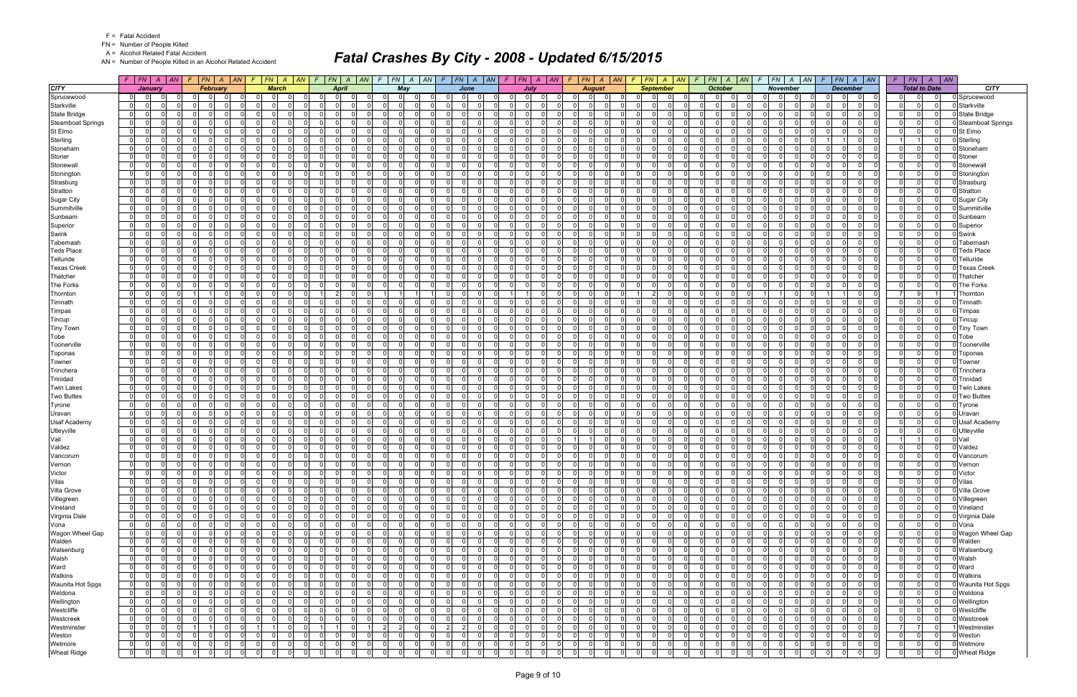FN = Number of People Killed

A = Alcohol Related Fatal Accident

AN = Number of People Killed in an Alcohol Related Accident

|                          | $F$ $F$ $N$ $A$ $A$ $N$                                        | $F N$ $A$ $AN$<br>F.                                           | $F$   FN   A   AN   F                                          | $ FN $ $A$ $ AN $                     | $FN$ $A$ $AN$<br>$\mathcal{F}$   | $F$ $ FN$ $ A$ $ AN$                                         | $F$   $FN$   $A$   $AN$                                   | $F N$ $A$ $AN$<br>F.                                       | $FN \mid A \mid AN$<br>-F                                         | $F$   $FN$   $A$<br> AN                        | $FN$ $A$ $AN$                                | $F$   $FN$   $A$   $AN$                       | FN<br>F.          | $\vert$ AN<br>$\overline{A}$                 |                          |
|--------------------------|----------------------------------------------------------------|----------------------------------------------------------------|----------------------------------------------------------------|---------------------------------------|----------------------------------|--------------------------------------------------------------|-----------------------------------------------------------|------------------------------------------------------------|-------------------------------------------------------------------|------------------------------------------------|----------------------------------------------|-----------------------------------------------|-------------------|----------------------------------------------|--------------------------|
| <b>CITY</b>              | January                                                        | <b>February</b>                                                | <b>March</b>                                                   | April                                 | May                              | June                                                         | July                                                      | <b>August</b>                                              | <b>September</b>                                                  | <b>October</b>                                 | <b>November</b>                              | <b>December</b>                               |                   | <b>Total to Date</b>                         | <b>CITY</b>              |
| Sprucewood               | 0 <br>$\overline{0}$                                           | $\Omega$<br>0<br>0                                             | $\mathbf{0}$                                                   | $\Omega$<br>$\Omega$<br>$\Omega$      | $\mathbf{0}$<br>-0               | $\Omega$<br>0<br>$\mathbf 0$                                 | $\mathbf 0$<br>0 I<br>$\Omega$                            | 0 I<br>-01<br>$\Omega$                                     | $\Omega$<br>0<br>0                                                | .0<br> 0                                       | $\Omega$<br>$\Omega$<br>- 01                 | $\mathbf 0$<br>$\Omega$<br>0                  | $\mathbf{0}$      | $\Omega$<br>$\Omega$                         | Sprucewood               |
| Starkville               | $\overline{0}$<br>$\Omega$                                     | -ol<br>$\Omega$<br>$\Omega$                                    | $\Omega$                                                       | $\Omega$<br>$\Omega$                  | $\Omega$                         | $\Omega$<br>$\Omega$<br>$\Omega$                             | $\Omega$<br>n l                                           | $\Omega$<br>$\Omega$<br>$\Omega$                           | $\Omega$<br>$\Omega$<br>$\Omega$                                  | $\Omega$<br>$\Omega$                           | $\Omega$<br>$\Omega$<br>$\Omega$             | $\Omega$<br>$\Omega$<br>$\Omega$              | 0                 | $\Omega$<br>$\Omega$                         | Starkville               |
| <b>State Bridge</b>      | $\overline{0}$<br>$\Omega$<br>$\Omega$                         | - 0 l<br>$\Omega$<br>$\Omega$<br>$\Omega$                      | $\Omega$                                                       | $\Omega$<br>0                         | - 0 l<br>$\Omega$                | $\Omega$<br>- 0 l<br>$\Omega$                                | $\Omega$<br>0 I<br>$\Omega$                               | $\overline{0}$<br>റ<br>$\Omega$                            | $\Omega$<br>$\Omega$<br>$\Omega$                                  | 0 I<br>$\Omega$<br>$\Omega$                    | $\Omega$<br>$\Omega$                         | $\Omega$<br>$\Omega$<br>$\Omega$              | 0                 | $\Omega$<br>$\Omega$                         | State Bridge             |
| <b>Steamboat Springs</b> | 0 <br>$\Omega$<br>$\Omega$                                     | $\Omega$<br>- 0 l<br>$\Omega$                                  | $\overline{0}$                                                 | $\overline{0}$<br>$\Omega$            | - 0 l<br>$\Omega$                | $\Omega$<br>$\Omega$<br>$\Omega$                             | $\overline{0}$<br>$\Omega$<br>$\Omega$                    | $\overline{0}$<br>$\Omega$<br>0I                           | $\Omega$<br>$\Omega$<br>$\Omega$                                  | 0 I<br>$\Omega$<br>$\Omega$                    | $\Omega$<br>$\Omega$                         | - 0 l<br>$\Omega$<br>$\Omega$                 | 0                 | $\Omega$<br>$\Omega$                         | <b>Steamboat Springs</b> |
| St Elmo                  | 0 <br>$\Omega$<br>0                                            | $\Omega$<br>$\Omega$<br>റ<br>$\Omega$                          | $\Omega$<br>$\Omega$                                           | $\Omega$<br>0                         | $\mathbf 0$<br>$\Omega$          | $\Omega$<br>$\mathbf 0$<br>0                                 | $\Omega$<br>$\Omega$<br>$\Omega$                          | 01<br>$\Omega$<br>$\Omega$                                 | $\Omega$<br>0<br>$\Omega$                                         | 0 I<br>$\Omega$<br>$\Omega$                    | $\Omega$<br>$\Omega$                         | $\Omega$<br>$\Omega$<br>$\Omega$              | 0                 | $\Omega$<br>$\Omega$                         | St Elmo                  |
| Sterling                 | 0 <br>$\Omega$<br>$\Omega$                                     | $\Omega$<br>$\Omega$<br>$\Omega$<br>$\Omega$                   | $\Omega$<br>$\Omega$                                           | $\Omega$<br>$\Omega$                  | $\Omega$<br>$\Omega$             | $\Omega$<br>$\Omega$<br>$\Omega$                             | $\Omega$<br>0 I<br>$\Omega$                               | $\Omega$<br>$\Omega$<br>$\Omega$                           | $\Omega$<br>$\Omega$<br>$\Omega$                                  | 0l<br>$\Omega$<br>$\Omega$                     | $\Omega$<br>$\Omega$<br>$\Omega$             | $\overline{1}$<br>$\mathbf{1}$<br>$\Omega$    | $\overline{1}$    | $\Omega$                                     | Sterling                 |
| Stoneham                 | 0 <br>-0<br>0                                                  | 0<br>$\mathbf 0$<br>$\Omega$                                   | $\mathbf{0}$                                                   | $\mathbf{0}$<br>0                     | $\mathbf 0$<br>0                 | $\overline{0}$<br>$\Omega$<br>$\Omega$                       | $\Omega$<br>$\Omega$<br>$\Omega$                          | $\mathbf{0}$<br>0                                          | $\Omega$<br>0<br>$\Omega$                                         | $\Omega$<br>$\Omega$<br><sup>0</sup>           | $\Omega$<br>$\Omega$                         | $\Omega$<br>$\Omega$<br>$\Omega$              | $\Omega$          | $\Omega$<br>$\Omega$                         | Stoneham                 |
| Stoner                   | 0 <br>$\Omega$<br>$\Omega$                                     | - Ol<br>$\Omega$<br>- 0 l<br>$\Omega$                          | $\Omega$<br>$\Omega$                                           | $\overline{0}$<br>$\Omega$            | - 0 l<br>$\Omega$                | $\overline{0}$<br>$\Omega$<br>$\Omega$                       | $\Omega$<br>$\Omega$<br>$\Omega$                          | $\Omega$<br>$\Omega$<br>$\Omega$                           | $\Omega$<br>$\Omega$<br>$\Omega$                                  | 0 I<br>$\mathbf 0$<br>$\Omega$                 | $\Omega$<br>-01                              | $\Omega$<br>$\Omega$<br>$\Omega$              | 0                 | $\Omega$<br>$\Omega$                         | Stoner                   |
| Stonewall                | 0 <br>$\Omega$<br>0                                            | - 0 l<br>$\Omega$<br>- 0<br>$\Omega$                           | $\overline{0}$<br>- 0                                          | $\Omega$<br>$\Omega$                  | $\Omega$<br>$\Omega$             | $\overline{0}$<br>$\Omega$<br>$\mathbf 0$                    | 0 I<br>$\Omega$<br>$\Omega$                               | $\mathbf{0}$<br>$\Omega$<br>$\Omega$                       | $\Omega$<br>0<br>$\Omega$                                         | 0 I<br>$\Omega$<br>$\Omega$                    | $\Omega$<br>$\Omega$                         | - Ol<br>$\Omega$<br>$\Omega$                  | 0                 | $\Omega$<br>$\Omega$                         | Stonewal                 |
| Stonington               | $\overline{0}$<br>$\Omega$<br>$\Omega$                         | -ol<br>$\Omega$<br>$\Omega$                                    | $\Omega$                                                       | $\Omega$<br>$\Omega$                  | $\Omega$<br>$\Omega$             | $\Omega$<br>$\Omega$<br>$\Omega$                             | $\Omega$<br>0 I<br>$\Omega$                               | $\overline{0}$<br>$\Omega$<br>$\Omega$                     | $\Omega$<br>$\Omega$<br>$\Omega$                                  | $\overline{0}$<br>$\Omega$<br>$\Omega$         | $\Omega$<br>$\Omega$<br>$\Omega$             | $\Omega$<br>$\Omega$<br>$\Omega$              | 0                 | $\Omega$<br>$\Omega$                         | Stoningtor               |
| Strasburg                | 0 <br>$\Omega$<br>$\Omega$                                     | $\Omega$<br>$\Omega$<br>$\Omega$                               | $\Omega$                                                       | $\Omega$<br>0                         | - 0 l<br>$\Omega$                | $\Omega$<br>$\Omega$<br>0                                    | $\Omega$<br>$\Omega$<br>$\Omega$                          | $\Omega$<br>$\Omega$                                       | $\Omega$<br>0<br>$\Omega$                                         | 0 <br>$\Omega$<br>$\Omega$                     | $\Omega$<br>$\Omega$                         | $\Omega$<br>$\Omega$<br>$\Omega$              | $\Omega$          | $\Omega$<br>$\Omega$                         | Strasburg                |
| Stratton                 | 0 <br>$\Omega$<br>$\Omega$                                     | $\Omega$<br>- 0 l<br>- O I<br>$\Omega$                         | $\overline{0}$<br>$\Omega$                                     | $\overline{0}$<br>$\Omega$            | - 0 l<br>$\Omega$                | -01<br>$\Omega$<br>- 0 l                                     | $\overline{0}$<br>$\Omega$<br>$\Omega$                    | $\overline{0}$<br>$\Omega$<br>$\Omega$                     | $\Omega$<br>$\Omega$<br>$\overline{0}$                            | 0 I<br>$\Omega$<br>$\Omega$                    | $\Omega$<br>-01                              | - 0 l<br>$\Omega$<br>$\Omega$                 | 0                 | $\Omega$<br>$\overline{0}$                   | Stratton                 |
| <b>Sugar City</b>        | 0 <br>$\Omega$                                                 | $\Omega$<br>$\Omega$<br>n                                      | $\Omega$                                                       | $\Omega$                              | $\Omega$<br>C                    | $\Omega$<br>$\Omega$                                         | $\Omega$<br><sup>0</sup>                                  | $\Omega$                                                   | n<br>$\Omega$                                                     | - Ol<br>- 0                                    | <sup>0</sup><br>$\Omega$                     | $\Omega$<br>$\Omega$<br>$\Omega$              | $\Omega$          | $\Omega$<br>$\Omega$                         | <b>Sugar City</b>        |
| Summitville              | 0 <br>$\Omega$<br>$\Omega$                                     | $\Omega$<br>- O I<br>$\overline{0}$                            | 0 I<br>$\overline{0}$<br>$\Omega$                              | $\overline{0}$<br>$\Omega$            | $\mathbf{0}$<br>$\Omega$         | -01<br>$\Omega$<br>$\Omega$                                  | 0 I<br>0 I<br>$\Omega$                                    | $\mathbf{0}$<br>$\Omega$<br>- O I                          | $\Omega$<br>$\Omega$<br>- O I                                     | 0 I<br>$\Omega$<br>$\Omega$                    | $\Omega$<br>$\Omega$<br>$\overline{0}$       | $\Omega$<br>$\Omega$<br>$\Omega$              | 0 I               | $\Omega$<br>$\Omega$                         | Summitville              |
| Sunbeam                  | $\overline{0}$<br>0                                            | $\Omega$<br>$\Omega$<br>$\Omega$                               | $\Omega$                                                       | $\Omega$<br>$\Omega$                  | $\Omega$<br>$\Omega$             | $\Omega$<br>$\Omega$<br>0                                    | $\Omega$<br>$\Omega$<br>$\Omega$                          | $\Omega$<br>$\Omega$                                       | 0<br>$\Omega$                                                     | $\overline{0}$<br>$\Omega$                     | $\Omega$<br>$\Omega$                         | $\Omega$<br>$\Omega$<br>$\Omega$              | $\Omega$          | $\Omega$<br>$\Omega$                         | Sunbeam                  |
| Superior                 | 0 <br>$\Omega$<br>$\Omega$                                     | $\Omega$<br>- O I<br>$\Omega$<br>$\Omega$                      | $\Omega$                                                       | $\Omega$<br>$\Omega$                  | - 0 l<br>$\Omega$                | $\Omega$<br>$\Omega$<br>$\Omega$                             | $\Omega$<br>0 I<br>- Ol                                   | $\overline{0}$<br>$\Omega$<br>$\Omega$                     | $\Omega$<br>0<br>$\Omega$                                         | 0 I<br>$\Omega$<br>$\Omega$                    | $\Omega$<br>$\Omega$                         | $\Omega$<br>$\Omega$<br>$\Omega$              | 0                 | $\Omega$<br>$\Omega$                         | Superior                 |
| Swink                    | 0 <br>$\Omega$<br>$\Omega$                                     | $\Omega$<br>$\Omega$<br>$\Omega$<br>റ                          | $\Omega$                                                       | $\overline{0}$<br>0                   | $\Omega$<br>$\Omega$             | $\Omega$<br>$\Omega$<br>$\Omega$                             | n l<br>$\Omega$<br>$\Omega$                               | $\overline{0}$<br>$\Omega$                                 | $\Omega$<br>$\Omega$<br>$\Omega$                                  | 0 <br>$\Omega$<br>$\Omega$                     | $\Omega$<br>$\Omega$                         | $\Omega$<br>$\Omega$<br>$\Omega$              | 0                 | $\Omega$<br>$\Omega$                         | Swink                    |
| Tabernash                | $\overline{0}$<br>$\Omega$<br>O                                | - 0 l<br>$\Omega$<br>$\Omega$                                  | $\Omega$                                                       | $\Omega$<br>0                         | $\Omega$<br>$\Omega$             | $\Omega$<br>$\Omega$<br>0                                    | <sup>0</sup><br>$\Omega$<br>$\Omega$                      | $\Omega$<br>$\Omega$<br>$\Omega$                           | $\Omega$<br>0<br>$\Omega$                                         | 0 I<br>$\Omega$<br>U                           | 0<br>$\Omega$                                | $\Omega$<br>$\Omega$<br>$\Omega$              | 0                 | $\Omega$<br>$\Omega$                         | Tabernasl                |
| <b>Teds Place</b>        | $\overline{0}$<br>$\Omega$<br>$\Omega$                         | $\Omega$<br>$\Omega$<br>$\Omega$                               | $\Omega$                                                       | $\Omega$<br>$\Omega$                  | $\Omega$<br>$\Omega$             | $\Omega$<br>$\Omega$<br><sup>0</sup>                         | <sup>0</sup><br>n l<br>$\Omega$                           | $\Omega$<br>$\Omega$                                       | $\Omega$<br>$\Omega$                                              | $\overline{0}$<br>U<br>$\Omega$                | $\Omega$<br>$\Omega$                         | $\Omega$<br>$\Omega$<br>$\Omega$              | $\Omega$          | $\Omega$<br>$\Omega$                         | <b>Teds Place</b>        |
| Telluride                | 0 <br>$\Omega$<br>$\Omega$                                     | $\Omega$<br>$\Omega$<br>$\Omega$                               | -01                                                            | $\Omega$<br>$\Omega$                  | - 0 l<br>$\Omega$                | $\Omega$<br>$\Omega$<br>$\Omega$                             | $\Omega$<br>0 I<br>$\Omega$                               | $\overline{0}$<br>$\Omega$                                 | $\Omega$<br>$\Omega$<br>$\Omega$                                  | 0 I<br>$\Omega$<br>$\Omega$                    | $\Omega$<br>$\Omega$                         | $\Omega$<br>$\Omega$<br>$\Omega$              | $\mathbf 0$       | $\Omega$<br>$\Omega$                         | Telluride                |
| <b>Texas Creek</b>       | 0 <br>$\Omega$<br>$\Omega$                                     | $\Omega$<br>$\Omega$<br>$\Omega$                               | $\Omega$                                                       | $\Omega$<br>0                         | $\Omega$<br>$\Omega$             | $\Omega$<br>$\Omega$<br>$\Omega$                             | <sup>0</sup><br>$\Omega$<br>$\Omega$                      | $\Omega$<br>$\cap$<br>$\Omega$                             | $\Omega$<br>0<br>$\Omega$                                         | $\Omega$<br>$\Omega$                           | $\Omega$<br>$\Omega$                         | $\Omega$<br>$\Omega$<br>$\Omega$              | 0                 | $\Omega$<br>$\Omega$                         | <b>Texas Creek</b>       |
| Thatcher                 | $\overline{0}$<br>$\Omega$<br>$\Omega$                         | - 0 l<br>$\Omega$<br>- O I<br>$\Omega$                         | $\overline{0}$<br>$\Omega$                                     | $\Omega$<br>$\Omega$                  | - 0 l<br>$\Omega$                | $\Omega$<br>$\Omega$<br>$\Omega$                             | $\Omega$<br>0 I<br>$\Omega$                               | $\mathbf{0}$<br>$\Omega$<br>- O I                          | $\Omega$<br>0<br>$\Omega$                                         | 0 I<br>$\Omega$<br>$\Omega$                    | -01<br>$\Omega$                              | $\Omega$<br>$\Omega$<br>$\Omega$              | 0                 | $\Omega$<br>$\Omega$                         | Thatcher                 |
| The Forks                | 0 <br>$\Omega$<br>0                                            | 0 <br>$\Omega$<br>$\Omega$                                     | $\Omega$                                                       | $\Omega$<br>$\Omega$                  | $\Omega$<br>n                    | $\Omega$<br>$\Omega$<br>$\Omega$                             | $\Omega$<br>n l<br>$\Omega$                               | $\Omega$<br>$\Omega$                                       | $\Omega$<br>$\Omega$                                              | $\overline{0}$<br>$\Omega$                     | $\Omega$<br>$\Omega$                         | $\Omega$<br>$\Omega$<br>$\Omega$              | 0                 | $\Omega$<br>$\Omega$                         | <b>The Forks</b>         |
| Thornton                 | 0 <br>$\Omega$<br>$\Omega$                                     | $\Omega$<br>$\Omega$                                           | $\Omega$                                                       | $\Omega$                              | 11                               | $\Omega$<br>$\Omega$<br><sup>0</sup>                         | $\Omega$                                                  | $\Omega$<br>$\Omega$                                       | 2 <sup>1</sup><br>$\Omega$                                        | 0 I<br>$\Omega$<br>$\Omega$                    | $\Omega$                                     | $\Omega$                                      | 7                 | 9                                            | Thornton                 |
| Timnath                  | 0 <br>$\Omega$<br>$\Omega$                                     | - ol<br>$\Omega$<br>- 0<br>$\Omega$                            | $\Omega$                                                       | $\Omega$<br>$\Omega$                  | $\Omega$<br>$\Omega$             | $\Omega$<br>$\Omega$<br>$\Omega$                             | $\Omega$<br>$\Omega$<br>- Ol                              | $\mathbf{0}$<br>$\Omega$                                   | $\Omega$<br>$\Omega$<br>$\Omega$                                  | 0 I<br>$\Omega$<br>$\Omega$                    | $\Omega$<br>$\Omega$                         | $\Omega$<br>$\Omega$<br>$\Omega$              | 0                 | $\Omega$<br>$\Omega$                         | Timnath                  |
| Timpas                   | $\overline{0}$<br>$\Omega$<br>n                                | $\Omega$<br>$\Omega$<br>$\Omega$                               | $\Omega$                                                       | $\Omega$<br>0                         | $\Omega$<br>C                    | $\Omega$<br>$\Omega$<br><sup>n</sup>                         | $\Omega$<br>$\Omega$<br>$\Omega$                          | $\Omega$<br>റ<br>$\Omega$                                  | $\Omega$<br>0<br>$\Omega$                                         | $\Omega$<br>- 0                                | <sup>0</sup><br>$\Omega$                     | $\Omega$<br>$\Omega$<br>$\Omega$              | 0                 | $\Omega$<br>$\Omega$                         | Timpas                   |
| Tincup                   | 0 <br>$\Omega$<br>$\Omega$                                     | - 0 l<br>$\Omega$<br>$\Omega$                                  | $\Omega$                                                       | $\Omega$<br>$\Omega$                  | $\Omega$<br>- 0                  | $\Omega$<br>$\Omega$<br>$\Omega$                             | $\Omega$<br>$\Omega$<br>$\Omega$                          | $\mathbf{0}$<br>$\cap$<br>$\Omega$                         | $\Omega$<br>$\Omega$<br>$\Omega$                                  | 0 <br>$\Omega$<br>$\Omega$                     | $\Omega$<br>$\cap$<br>$\overline{0}$         | $\Omega$<br>$\Omega$<br>$\Omega$              | 0 I               | $\Omega$<br>$\Omega$                         | Tincup                   |
| <b>Tiny Town</b>         | 0 <br>0<br>0                                                   | $\overline{0}$<br>$\Omega$<br>$\Omega$                         | $\Omega$                                                       | $\mathbf{0}$<br>0                     | $\mathbf 0$<br>$\Omega$          | $\mathbf 0$<br>- 0 l<br>$\Omega$                             | $\Omega$<br>$\Omega$<br>$\Omega$                          | $\mathbf{0}$<br>$\Omega$                                   | $\Omega$<br>0<br>- O I                                            | 0 <br>$\Omega$                                 | $\Omega$<br>$\Omega$                         | $\Omega$<br>$\Omega$<br>$\Omega$              | $\Omega$          | $\Omega$<br>$\Omega$                         | <b>Tiny Town</b>         |
| Tobe                     | 0 <br>$\Omega$<br>$\Omega$                                     | $\Omega$<br>$\Omega$<br>$\Omega$<br>$\Omega$                   | $\Omega$<br>$\Omega$                                           | $\Omega$<br>$\Omega$                  | - 0 l<br>$\Omega$                | $\Omega$<br>$\Omega$<br>$\Omega$                             | $\Omega$<br>n l<br>$\Omega$                               | $\Omega$<br>$\Omega$<br>$\Omega$                           | $\Omega$<br>$\Omega$<br>$\Omega$                                  | 0 I<br>$\Omega$<br>$\Omega$                    | $\Omega$<br>$\Omega$                         | $\Omega$<br>$\Omega$<br>$\Omega$              | 0                 | $\Omega$<br>$\Omega$                         | Tobe                     |
| Toonerville              | $\overline{0}$<br>$\Omega$<br>$\Omega$<br>$\Omega$<br>$\Omega$ | - 0 l<br>$\Omega$<br>$\Omega$<br>- 0<br>$\Omega$<br>$\Omega$   | $\overline{0}$<br>$\Omega$<br>$\Omega$                         | $\Omega$<br>0<br>$\Omega$<br>$\Omega$ | $\Omega$<br>$\Omega$<br>$\Omega$ | $\Omega$<br>$\Omega$<br>$\Omega$<br>$\Omega$<br><sup>0</sup> | 0 I<br>$\Omega$<br>$\Omega$<br>$\Omega$                   | $\mathbf{0}$<br>$\Omega$<br>$\cap$<br>$\Omega$<br>$\Omega$ | $\Omega$<br>0<br>$\Omega$<br>$\Omega$<br>$\Omega$                 | 0 I<br>$\Omega$<br>$\Omega$<br>$\Omega$        | $\Omega$<br>$\Omega$<br>$\Omega$             | $\Omega$<br>$\Omega$<br>$\Omega$<br>$\Omega$  | 0                 | $\Omega$<br>$\Omega$<br>$\Omega$<br>$\Omega$ | Toonerville              |
| Toponas                  | 0 <br>$\Omega$                                                 | - 0 l<br>$\Omega$                                              | $\Omega$                                                       | $\Omega$<br>0                         | $\Omega$<br>$\Omega$             | $\Omega$<br>$\Omega$<br>$\Omega$<br>$\Omega$                 | $\Omega$<br>$\Omega$<br>$\Omega$                          | $\Omega$                                                   | $\Omega$                                                          | 0 I<br>$\Omega$<br>$\Omega$                    | $\Omega$<br>$\Omega$                         | $\Omega$<br>$\Omega$<br>$\Omega$<br>$\Omega$  | 0                 |                                              | Toponas                  |
| Towner                   | 0 <br>$\Omega$<br> 0 <br>$\Omega$<br>$\Omega$                  | - 0 l<br>$\Omega$<br>$\Omega$<br>- 0 l<br>$\Omega$<br>$\Omega$ | $\Omega$<br>$\mathbf{0}$<br>$\Omega$                           | $\overline{0}$<br>$\Omega$            | $\mathbf 0$<br>- 0 l<br>$\Omega$ | $\Omega$<br>$\Omega$<br>$\Omega$                             | 0 I<br>$\Omega$<br>$\overline{0}$<br>$\Omega$<br>$\Omega$ | $\overline{0}$<br>$\Omega$<br>$\overline{0}$<br>$\Omega$   | $\Omega$<br>$\Omega$<br>- O I<br>$\Omega$<br>$\Omega$<br>$\Omega$ | 0 I<br>$\Omega$<br>0 I<br>$\Omega$<br>$\Omega$ | $\Omega$<br>$\Omega$                         | $\Omega$<br>$\Omega$<br>$\Omega$<br>$\Omega$  | $\mathbf 0$<br> 0 | $\Omega$<br>$\Omega$<br>$\Omega$<br>$\Omega$ | Towner<br>Trinchera      |
| Trinchera<br>Trinidad    | - 0<br><sup>n</sup>                                            | $\Omega$<br>$\Omega$<br>$\Omega$                               | n I                                                            | $\Omega$<br><sup>0</sup>              | $\Omega$<br>- 0                  | $\Omega$<br>$\Omega$<br><sup>n</sup>                         | $\Omega$<br>$\Omega$<br>$\Omega$                          | $\Omega$<br>$\cap$<br>$\Omega$                             | $\Omega$<br><sup>0</sup><br>$\Omega$                              | $\overline{0}$<br>$\Omega$<br>U                | $\overline{0}$<br>$\Omega$<br>$\Omega$       | $\Omega$<br>$\Omega$<br>$\Omega$              | 0                 | $\Omega$<br>$\Omega$                         | Trinidad                 |
| <b>Twin Lakes</b>        | 0 <br>$\overline{0}$<br>$\Omega$<br>$\Omega$                   | $\Omega$<br>$\Omega$<br>$\Omega$<br>$\Omega$                   | $\Omega$<br>$\Omega$                                           | $\Omega$<br>$\Omega$                  | $\Omega$<br>$\Omega$             | $\Omega$<br>$\Omega$<br>$\Omega$                             | $\Omega$<br>0 I<br>$\Omega$                               | $\Omega$<br>$\Omega$<br>$\Omega$                           | $\Omega$<br>$\Omega$<br>$\Omega$                                  | 0 I<br>$\Omega$<br>$\Omega$                    | $\Omega$<br>$\Omega$                         | $\Omega$<br>$\Omega$<br>$\Omega$              | $\overline{0}$    | $\Omega$<br>$\Omega$                         | <b>Twin Lakes</b>        |
| <b>Two Buttes</b>        | 0 <br>$\Omega$<br>$\Omega$                                     | 0 <br>$\Omega$<br>$\Omega$                                     | $\mathbf{0}$                                                   | $\mathbf{0}$<br>0                     | $\mathbf 0$<br>$\overline{0}$    | $\overline{0}$<br>- 0 l<br>$\Omega$                          | 0 <br>$\Omega$<br>$\Omega$                                | $\overline{0}$<br>$\Omega$                                 | $\Omega$<br>0<br>$\mathbf 0$                                      | $\overline{0}$<br>$\Omega$<br>O                | $\overline{0}$<br>$\Omega$                   | $\Omega$<br>$\Omega$<br>$\Omega$              | 0                 | $\Omega$<br>$\mathbf{0}$                     | <b>Two Buttes</b>        |
| Tyrone                   | $\overline{0}$<br>$\Omega$<br>$\Omega$                         | $\Omega$<br>$\Omega$<br>$\Omega$<br>$\Omega$                   | $\Omega$                                                       | $\Omega$<br>$\Omega$                  | - 0 l<br>$\Omega$                | $\Omega$<br>$\Omega$<br>$\Omega$                             | $\Omega$<br>n l<br>$\Omega$                               | $\Omega$<br>$\Omega$<br>$\Omega$                           | $\Omega$<br>$\Omega$<br>$\Omega$                                  | 0 I<br>$\Omega$<br>$\Omega$                    | $\Omega$<br>$\Omega$                         | $\Omega$<br>$\Omega$<br>$\Omega$              | 0                 | $\Omega$<br>$\Omega$                         | Tyrone                   |
| Uravan                   | 0 <br>-0<br>0                                                  | - 0 l<br>$\Omega$<br>$\Omega$<br>- 0                           | $\Omega$                                                       | $\Omega$<br><sup>0</sup>              | $\Omega$<br>- 0                  | $\Omega$<br>0<br>$\Omega$                                    | 0.<br>$\Omega$<br>$\Omega$                                | $\overline{0}$<br>- 0<br>$\Omega$                          | $\Omega$<br><sup>0</sup><br>- 0                                   | $\overline{0}$<br>-0                           | $\Omega$<br>- 0                              | 0<br>$\Omega$<br>$\Omega$                     | 0                 | $\Omega$<br>$\Omega$                         | Uravan                   |
| <b>Usaf Academy</b>      | 0 <br>$\Omega$<br>n.                                           | $\Omega$<br>$\Omega$<br>$\Omega$                               | $\Omega$                                                       | $\Omega$<br>0                         | $\Omega$<br>$\Omega$             | $\Omega$<br><sup>0</sup><br>$\Omega$                         | <sup>0</sup><br>$\Omega$<br>$\Omega$                      | $\Omega$<br>$\Omega$<br>$\Omega$                           | $\Omega$<br>0<br>$\Omega$                                         | $\overline{0}$<br>$\Omega$                     | 0<br>$\Omega$                                | $\Omega$<br>$\Omega$<br>0                     | 0                 | $\Omega$<br>$\Omega$                         | <b>Usaf Academy</b>      |
| Utleyville               | $\overline{0}$<br>$\Omega$<br>O.                               | $\Omega$<br>$\Omega$<br>$\Omega$                               | $\Omega$                                                       | $\Omega$<br>$\Omega$                  | $\Omega$<br>$\Omega$             | $\Omega$<br>$\Omega$<br><sup>0</sup>                         | $\Omega$<br>$\Omega$<br>$\Omega$                          | $\Omega$                                                   | $\Omega$<br>$\Omega$<br>$\Omega$                                  | n<br>$\Omega$<br>$\Omega$                      | $\Omega$<br>$\Omega$                         | $\Omega$<br>$\Omega$<br>$\Omega$              | 0                 | $\Omega$<br>$\Omega$                         | Utleyville               |
| Vail                     | $\overline{0}$<br>$\Omega$<br>$\Omega$                         | 0 <br>- O I<br>$\Omega$<br>$\Omega$                            | $\overline{0}$                                                 | $\overline{0}$<br>$\Omega$            | - 0 l<br>$\Omega$                | $\overline{0}$<br>- 0 l<br>$\Omega$                          | 0 I<br>$\overline{0}$<br>$\Omega$                         | $\Omega$                                                   | $\Omega$<br>$\Omega$<br>- O I                                     | 01<br>$\Omega$<br>$\Omega$                     | $\Omega$<br>$\overline{0}$                   | $\Omega$<br>$\Omega$<br>$\Omega$              |                   | $\overline{0}$                               | Vail                     |
| Valdez                   | $\Omega$<br>$\Omega$                                           | $\Omega$<br>$\Omega$<br>$\Omega$<br>$\Omega$                   | $\Omega$<br>$\Omega$                                           | $\Omega$<br>0                         | $\Omega$<br>$\Omega$             | $\Omega$<br>$\Omega$<br>$\Omega$                             | <sup>0</sup><br>$\Omega$<br>$\Omega$                      | $\Omega$<br>$\Omega$                                       | $\Omega$<br>$\Omega$<br>$\Omega$                                  | $\overline{0}$<br>$\Omega$                     | $\Omega$<br>$\Omega$                         | $\Omega$<br>$\Omega$<br>$\Omega$              | $\Omega$          | $\Omega$<br>$\Omega$                         | Valdez                   |
| Vancorum                 | 0 <br>$\Omega$<br>$\Omega$                                     | 0 <br>$\Omega$<br>$\Omega$<br>- O I                            | $\Omega$                                                       | $\Omega$<br>$\Omega$                  | $\mathbf 0$<br>$\Omega$          | $\overline{0}$<br>$\mathbf 0$<br>0                           | 0 I<br>$\overline{0}$<br>$\Omega$                         | $\mathbf{0}$<br>- O I                                      | $\Omega$<br>0<br>$\Omega$                                         | $\overline{0}$<br>$\Omega$<br>0                | $\Omega$<br>$\overline{0}$<br>$\Omega$       | $\mathbf 0$<br>$\Omega$<br>$\Omega$           | $\overline{0}$    | $\Omega$<br>$\Omega$                         | Vancorum                 |
| Vernon                   | $\overline{0}$<br>$\Omega$                                     | $\Omega$<br>$\Omega$                                           | 0                                                              | $\Omega$                              | $\Omega$                         | $\Omega$                                                     | $\Omega$                                                  | $\Omega$                                                   |                                                                   | $\Omega$                                       | $\Omega$                                     |                                               | $\Omega$          | $\Omega$<br>$\Omega$                         | Vernon                   |
| Victor                   | $\mathbf 0$<br> 0 <br>0                                        | $\Omega$<br>$\overline{0}$<br>$\mathbf{0}$<br>0                | $\overline{0}$<br>$\Omega$                                     | $\overline{0}$<br>0l                  | $\mathbf{0}$<br>$\mathbf 0$      | 0<br>0<br> 0                                                 | $\overline{0}$<br>01<br>$\mathbf 0$                       | $\overline{0}$<br>$\Omega$<br>$\overline{0}$               | $\overline{0}$<br>$\mathbf{0}$                                    | 0 <br>$\mathbf 0$<br>$\Omega$                  | 0<br>$\Omega$<br>$\Omega$                    | $\mathbf 0$<br>$\overline{0}$                 | $\Omega$          | $\overline{0}$<br>$\Omega$                   | 0 Victor                 |
| Vilas                    | $\overline{0}$<br>$\mathbf 0$<br>$\Omega$                      | $\mathbf 0$<br>- Ol<br>$\Omega$<br>$\Omega$                    | $\overline{0}$<br>$\Omega$                                     | $\overline{0}$<br>$\Omega$            | - 0 l<br>$\Omega$                | $\overline{0}$<br>$\Omega$<br>$\Omega$                       | $\overline{0}$<br>$\overline{0}$<br>$\Omega$              | $\overline{0}$<br>$\Omega$<br>$\Omega$                     | $\Omega$<br>$\overline{0}$<br>0                                   | $\overline{0}$<br>$\Omega$                     | $\Omega$<br>$\Omega$<br>$\Omega$             | $\overline{0}$<br>$\mathbf 0$<br>$\Omega$     | 0                 | $\mathbf 0$<br>$\Omega$                      | 0 Vilas                  |
| Villa Grove              | $\overline{0}$<br>$\mathbf 0$<br>0                             | 0 <br>$\Omega$<br>- O I<br>$\overline{0}$                      | $\mathbf 0$<br>- 01                                            | 01<br>0                               | $\mathbf 0$<br>$\Omega$          | 0 <br>0<br> 0                                                | 0 I<br>01<br>$\Omega$                                     | $\mathbf 0$<br>- O I<br>- O I                              | $\Omega$<br>$\overline{0}$<br>$\mathbf 0$                         | $\overline{0}$<br>- O I<br>$\Omega$            | $\Omega$<br>$\overline{0}$<br>$\Omega$       | 0 <br>$\overline{0}$<br>$\mathbf 0$           | $\overline{0}$    | $\mathbf 0$<br>$\Omega$                      | Villa Grove              |
| Villegreen               | $\overline{0}$<br>$\mathbf 0$<br>$\Omega$                      | 0 <br>$\Omega$<br>$\Omega$                                     | 0                                                              | $\Omega$<br>$\Omega$                  | -ol<br>$\Omega$                  | $\mathbf 0$<br>-ol<br>$\Omega$                               | $\overline{0}$<br> 0 <br>$\Omega$                         | 0 <br>$\Omega$                                             | $\overline{0}$<br>$\Omega$                                        | $\overline{0}$<br>$\Omega$                     | $\Omega$<br>$\Omega$                         | $\mathbf 0$<br>$\mathbf{0}$<br>$\mathbf 0$    | $\overline{0}$    | $\Omega$<br>$\Omega$                         | 0 Villegreen             |
| Vineland                 | $\overline{0}$<br>$\mathbf 0$<br>$\Omega$                      | 01<br>$\mathbf 0$<br>$\Omega$                                  | $\overline{0}$<br>$\mathbf 0$<br>- 0                           | $\overline{0}$<br>0                   | $\mathbf 0$<br>$\mathbf 0$       | 0 <br> 0 <br>$\overline{0}$                                  | 0 <br> 0 <br>- O I                                        | $\overline{0}$<br>$\Omega$<br>- O I                        | 0 <br>0<br>$\mathbf 0$                                            | $\overline{0}$<br>$\mathbf 0$<br>$\Omega$      | $\overline{0}$<br>$\mathbf 0$<br> 0          | 0 <br> 0 <br>$\mathbf 0$                      | 0                 | $\overline{0}$<br>$\overline{0}$             | 0 Vineland               |
| Virginia Dale            | $\overline{0}$<br>$\overline{0}$<br>$\Omega$                   | $\mathbf 0$<br>$\Omega$<br>$\Omega$<br>$\Omega$                | $\overline{0}$<br>$\Omega$                                     | $\overline{0}$<br>$\mathbf 0$         | 0 <br>$\Omega$                   | $\mathbf 0$<br> 0 <br>$\Omega$                               | $\overline{0}$<br> 0 <br>$\mathbf 0$                      | $\overline{0}$<br>$\Omega$<br>$\Omega$                     | $\overline{0}$<br>$\overline{0}$<br>$\mathbf 0$                   | $\overline{0}$<br>$\mathbf 0$<br>$\Omega$      | $\Omega$<br>$\mathbf 0$<br>$\Omega$          | $\mathbf 0$<br>$\overline{0}$<br>$\mathbf 0$  | 0                 | $\overline{0}$<br>$\Omega$                   | 0 Virginia Dale          |
| Vona                     | $\overline{0}$<br>$\Omega$<br>0                                | $\Omega$<br>- O I<br>0                                         | $\overline{0}$<br>$\overline{0}$                               | $\overline{0}$<br>0                   | $\mathbf 0$<br>$\mathbf{0}$      | $\mathbf 0$<br> 0 <br>0                                      | 0 <br> 0 <br>$\Omega$                                     | $\mathbf 0$<br>$\Omega$<br>$\Omega$                        | $\Omega$<br>$\overline{0}$<br> 0                                  | $\overline{0}$<br> 0 <br>$\Omega$              | $\overline{0}$<br> 0 <br>$\Omega$            | 0 <br>$\overline{0}$<br>$\mathbf 0$           | $\overline{0}$    | $\overline{0}$<br>$\Omega$                   | ) Vona                   |
| Wagon Wheel Gap          | 0 <br>$\Omega$<br>$\Omega$                                     | 0 <br>$\Omega$<br>$\Omega$                                     | $\Omega$                                                       | $\Omega$<br>$\Omega$                  | 0 <br>$\Omega$                   | $\mathbf 0$<br> 0 <br>$\Omega$                               | $\Omega$<br> 0 <br>$\Omega$                               | $\overline{0}$<br>$\Omega$<br>$\Omega$                     | $\Omega$<br>0<br>$\overline{0}$                                   | $\overline{0}$<br>$\Omega$                     | $\Omega$<br>$\Omega$<br>$\Omega$             | $\mathbf 0$<br>$\Omega$<br>$\mathbf{0}$       | 0                 | $\overline{0}$<br>$\Omega$                   | Wagon Wheel Gap          |
| Walden                   | $\overline{0}$<br>$\Omega$<br>$\Omega$                         | 0 <br>$\Omega$<br>0                                            | $\mathbf 0$                                                    | $\overline{0}$<br>$\Omega$            | 0 <br>$\Omega$                   | 0 <br>$\mathbf 0$<br>$\Omega$                                | $\overline{0}$<br>$\Omega$<br> 0                          | 0 <br>$\Omega$                                             | $\overline{0}$<br>$\mathbf 0$                                     | $\overline{0}$<br>0<br>$\Omega$                | $\overline{0}$<br>$\Omega$                   | $\mathbf 0$<br>$\Omega$<br>$\mathbf 0$        | 0                 | $\Omega$<br>$\Omega$                         | 0 Walden                 |
| Walsenburg               | $\overline{0}$<br>$\overline{0}$<br>$\Omega$                   | $\overline{0}$<br> 0 <br>$\Omega$                              | $\overline{0}$<br>$\overline{0}$<br>$\overline{0}$             | $\overline{0}$<br>- 0 l<br>$\Omega$   | 0 <br> 0                         | 0 <br>$\overline{0}$<br> 0                                   | $\overline{0}$<br> 0 <br>$\overline{0}$                   | 0 <br>$\Omega$<br>- O I                                    | $\mathbf 0$<br> 0 <br>$\mathbf 0$                                 | $\overline{0}$<br> 0 <br>$\Omega$              | $\overline{0}$<br>$\mathbf 0$<br>-01         | 0 <br> 0 <br>$\mathbf 0$                      | $\overline{0}$    | $\overline{0}$<br>$\overline{0}$             | 0 Walsenburg             |
| Walsh                    | $\overline{0}$<br>$\mathbf 0$<br>0                             | 0 <br>$\Omega$<br>- O I<br> 0                                  | $\mathbf 0$<br>- 01                                            | $\overline{0}$<br>0                   | 0 <br>$\Omega$                   | $\mathbf 0$<br> 0 <br>0                                      | 0 I<br>01<br>$\Omega$                                     | 0 <br>$\Omega$<br>$\Omega$                                 | $\mathbf 0$<br>$\overline{0}$<br>$\mathbf 0$                      | $\overline{0}$<br>$\mathbf 0$<br>$\Omega$      | $\Omega$<br>$\Omega$<br> 0                   | $\mathbf 0$<br>$\overline{0}$<br>$\mathbf 0$  | 0                 | $\mathbf 0$<br>$\Omega$                      | Walsh                    |
| Ward                     | $\overline{0}$<br>$\Omega$<br>$\Omega$                         | 0 <br>- O I<br>- O I                                           | $\overline{0}$<br>$\overline{0}$<br>$\overline{0}$             | $\overline{0}$<br>$\Omega$<br> 0      | 0 <br>$\Omega$                   | 0 <br>$\Omega$<br> 0                                         | $\overline{0}$<br>$\overline{0}$<br>$\overline{0}$        | 0 <br>- O I<br>- O I                                       | $\mathbf 0$<br> 0 <br>$\mathbf 0$                                 | $\overline{0}$<br>$\Omega$<br>$\mathbf 0$      | $\Omega$<br>$\overline{0}$<br> 0             | $\overline{0}$<br>$\mathbf{0}$<br>$\mathbf 0$ | $\overline{0}$    | $\overline{0}$<br>$\Omega$                   | 0 Ward                   |
| Watkins                  | 0 <br>$\Omega$<br>0                                            | 0 <br>$\mathbf{0}$<br>$\Omega$                                 | $\mathbf 0$                                                    | $\mathbf{0}$<br>0                     | 0 <br>$\Omega$                   | $\mathbf 0$<br> 0 <br>$\mathbf{0}$                           | $\overline{0}$<br> 0 <br>0                                | $\overline{0}$<br>$\Omega$                                 | 0<br>$\overline{0}$<br>$\mathbf 0$                                | 0 <br>0                                        | $\overline{0}$<br>$\mathbf 0$                | 0<br>$\overline{0}$<br>$\mathbf{0}$           | $\overline{0}$    | $\overline{0}$<br>$\Omega$                   | Watkins                  |
| Waunita Hot Spgs         | $\overline{0}$<br>$\overline{0}$<br>$\Omega$                   | 0 <br>$\Omega$<br>0 I                                          | $\overline{0}$<br>$\overline{0}$<br>$\Omega$                   | $\overline{0}$<br>- 0 l<br>$\Omega$   | 0 <br>$\overline{0}$             | 0 <br> 0 <br>$\overline{0}$                                  | 0 I<br>$\overline{0}$<br>- 0 I                            | $\overline{0}$<br>- O I<br>- O I                           | $\Omega$<br> 0 <br>$\mathbf 0$                                    | 0 <br> 0 <br>$\Omega$                          | $\overline{0}$<br> 0 <br> 0                  | 0 <br> 0 <br>$\mathbf 0$                      | 0 I               | $\Omega$<br>$\Omega$                         | 0 Waunita Hot Spgs       |
| Weldona                  | $\overline{0}$<br>$\mathbf 0$<br>$\Omega$                      | 0 <br>$\Omega$<br>- O I<br> 0                                  | $\mathbf 0$<br>- 0                                             | 01<br>0                               | - 0 l<br>$\Omega$                | $\overline{0}$<br> 0 <br>$\mathbf{0}$                        | 0 I<br> 0 <br>$\Omega$                                    | 0 <br>- O I<br>$\Omega$                                    | $\Omega$<br>$\overline{0}$<br>$\mathbf 0$                         | $\overline{0}$<br>$\mathbf 0$<br>$\Omega$      | $\Omega$<br>$\Omega$<br> 0                   | 0 <br>$\overline{0}$<br>$\mathbf 0$           | 0                 | $\mathbf 0$<br>$\Omega$                      | 0 Weldona                |
| Wellington               | $\overline{0}$<br>$\overline{0}$<br>$\overline{0}$             | -01<br>$\Omega$<br>- O I                                       | $\overline{0}$<br>$\mathbf{0}$<br>$\Omega$                     | $\overline{0}$<br>$\mathbf 0$         | 0 <br>$\Omega$                   | $\mathbf 0$<br>$\Omega$<br> 0                                | $\overline{0}$<br>$\overline{0}$<br>$\Omega$              | $\overline{0}$<br>$\Omega$<br>- O I                        | $\Omega$<br>$\overline{0}$<br>$\mathbf 0$                         | $\overline{0}$<br>$\Omega$<br>$\Omega$         | $\Omega$<br>$\mathbf 0$<br> 0                | 0 <br> 0 <br>$\mathbf 0$                      | $\overline{0}$    | $\overline{0}$<br>$\Omega$                   | <b>Wellington</b>        |
| Westcliffe               | $\overline{0}$<br>0<br>$\Omega$                                | $\Omega$<br>- O I<br> 0                                        | $\overline{0}$<br>$\mathbf 0$<br>- 0                           | $\overline{0}$<br>$\mathbf 0$         | 0 <br>0                          | $\mathbf 0$<br> 0 <br>$\mathbf{0}$                           | 0 <br>$\mathbf 0$<br> 0                                   | 0 <br>$\Omega$<br>$\Omega$                                 | 0 <br>$\mathbf 0$<br>0                                            | $\overline{0}$<br>$\mathbf 0$<br>$\Omega$      | $\overline{0}$<br>$\Omega$<br> 0             | $\mathbf 0$<br>$\overline{0}$<br>$\mathbf 0$  | $\overline{0}$    | $\overline{0}$<br>$\Omega$                   | 0 Westcliffe             |
| Westcreek                | $\overline{0}$<br>$\overline{0}$<br>$\Omega$                   | 0 <br>- O I<br>- O I                                           | $\overline{0}$<br>$\overline{0}$<br>$\overline{0}$<br>$\Omega$ | $\overline{0}$<br>- 0 l<br>$\Omega$   | 0 <br>$\mathbf 0$                | 0 <br>$\overline{0}$<br> 0                                   | $\overline{0}$<br>$\overline{0}$<br> 0                    | 0 <br>$\Omega$<br>- O I                                    | $\mathbf 0$<br> 0 <br>$\mathbf 0$                                 | $\overline{0}$<br> 0 <br>$\Omega$              | $\overline{0}$<br>$\mathbf 0$<br> 0          | 0 <br> 0 <br>$\mathbf 0$                      | $\overline{0}$    | $\overline{0}$<br>$\Omega$                   | Westcreek                |
| Westminster              | 0 <br>$\mathbf 0$<br>0                                         | 0<br>$\overline{1}$                                            |                                                                | 0                                     | $\vert$ 2<br>-0                  | $\vert$ 2<br> 0 <br>$\overline{2}$                           | $\Omega$<br>0l<br>$\Omega$                                | $\mathbf{0}$<br>$\Omega$<br>$\Omega$                       | 0<br>0<br>$\mathbf 0$                                             | 0 <br>0                                        | $\Omega$<br>$\Omega$<br>$\Omega$             | $\mathbf 0$<br>$\mathbf{0}$<br>$\mathbf 0$    | $\overline{7}$    | $\overline{7}$<br>$\Omega$                   | Westminster              |
| Weston                   | $\overline{0}$<br>$\mathbf 0$<br>0                             | $\mathbf 0$<br>$\Omega$<br>0 I                                 | $\overline{0}$<br>$\overline{0}$<br>- 01                       | 01<br>0<br>0                          | 0 <br>$\mathbf 0$                | 0 <br>$\mathbf{0}$<br>$\overline{0}$                         | $\mathbf 0$<br> 0 <br>$\overline{0}$                      | 0 <br>- O I<br>-01                                         | $\mathbf 0$<br>$\overline{0}$<br>$\mathbf 0$                      | $\overline{0}$<br>- O I<br>$\Omega$            | $\overline{0}$<br>$\overline{0}$<br> 0       | 0 <br>$\overline{0}$<br>$\mathbf 0$           | $\overline{0}$    | $\overline{0}$<br>$\Omega$                   | Weston                   |
| Wetmore                  | $\overline{0}$<br>0<br>0                                       | 0 <br>0<br>$\overline{0}$<br>$\mathbf{0}$                      | $\mathbf{0}$                                                   | $\overline{0}$<br>0                   | 0 <br>0                          | 0 <br>$\mathbf 0$<br> 0                                      | $\overline{0}$<br>$\overline{0}$<br>$\mathbf 0$           | $\overline{0}$<br>$\overline{0}$<br>0                      | $\mathbf 0$<br> 0 <br>$\mathbf{0}$                                | 0 <br>0                                        | $\mathbf 0$<br>$\mathbf 0$<br> 0             | 0 <br> 0 <br>$\mathbf 0$                      | $\overline{0}$    | $\overline{0}$<br>$\overline{0}$             | 0 Wetmore                |
| <b>Wheat Ridge</b>       | $\overline{0}$<br>$\mathbf 0$<br>0                             | ol<br>$\overline{0}$<br> 0 <br>$\mathbf 0$                     | $\mathbf 0$                                                    | $\overline{0}$<br> 0 <br>$\Omega$     | 0 <br>$\mathbf 0$                | 0 <br>$\mathbf 0$<br>$\mathbf 0$                             | $\overline{0}$<br>$\overline{0}$<br>$\mathbf 0$           | 0 <br>$\mathbf 0$<br>$\overline{0}$                        | $\mathbf 0$<br> 0 <br>$\mathbf 0$                                 | $\overline{0}$<br>$\mathbf 0$<br>0             | $\mathbf 0$<br>$\mathbf 0$<br>$\overline{0}$ | $\mathbf 0$<br>$\mathbf 0$<br>$\mathbf 0$     | $\overline{0}$    | $\mathbf 0$<br>$\Omega$                      | 0 Wheat Ridge            |